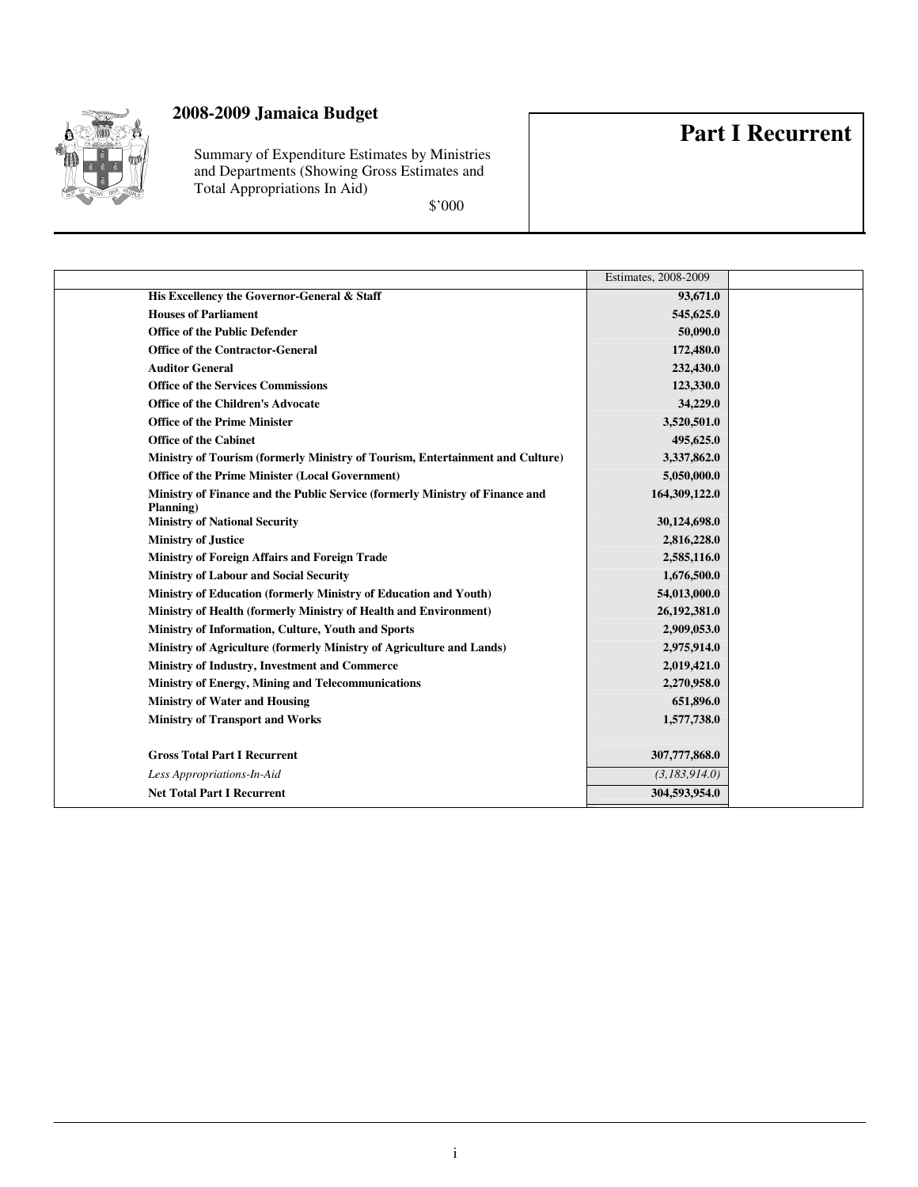

Summary of Expenditure Estimates by Ministries and Departments (Showing Gross Estimates and Total Appropriations In Aid)

\$'000

## **Part I Recurrent**

|                                                                                           | Estimates, 2008-2009 |  |
|-------------------------------------------------------------------------------------------|----------------------|--|
| His Excellency the Governor-General & Staff                                               | 93,671.0             |  |
| <b>Houses of Parliament</b>                                                               | 545,625.0            |  |
| <b>Office of the Public Defender</b>                                                      | 50,090.0             |  |
| <b>Office of the Contractor-General</b>                                                   | 172,480.0            |  |
| <b>Auditor General</b>                                                                    | 232,430.0            |  |
| <b>Office of the Services Commissions</b>                                                 | 123,330.0            |  |
| <b>Office of the Children's Advocate</b>                                                  | 34,229.0             |  |
| <b>Office of the Prime Minister</b>                                                       | 3,520,501.0          |  |
| <b>Office of the Cabinet</b>                                                              | 495,625.0            |  |
| Ministry of Tourism (formerly Ministry of Tourism, Entertainment and Culture)             | 3,337,862.0          |  |
| <b>Office of the Prime Minister (Local Government)</b>                                    | 5,050,000.0          |  |
| Ministry of Finance and the Public Service (formerly Ministry of Finance and<br>Planning) | 164,309,122.0        |  |
| <b>Ministry of National Security</b>                                                      | 30,124,698.0         |  |
| <b>Ministry of Justice</b>                                                                | 2,816,228.0          |  |
| Ministry of Foreign Affairs and Foreign Trade                                             | 2,585,116.0          |  |
| <b>Ministry of Labour and Social Security</b>                                             | 1,676,500.0          |  |
| Ministry of Education (formerly Ministry of Education and Youth)                          | 54,013,000.0         |  |
| Ministry of Health (formerly Ministry of Health and Environment)                          | 26,192,381.0         |  |
| Ministry of Information, Culture, Youth and Sports                                        | 2,909,053.0          |  |
| Ministry of Agriculture (formerly Ministry of Agriculture and Lands)                      | 2,975,914.0          |  |
| Ministry of Industry, Investment and Commerce                                             | 2,019,421.0          |  |
| Ministry of Energy, Mining and Telecommunications                                         | 2,270,958.0          |  |
| <b>Ministry of Water and Housing</b>                                                      | 651,896.0            |  |
| <b>Ministry of Transport and Works</b>                                                    | 1,577,738.0          |  |
|                                                                                           |                      |  |
| <b>Gross Total Part I Recurrent</b>                                                       | 307,777,868.0        |  |
| Less Appropriations-In-Aid                                                                | (3,183,914.0)        |  |
| <b>Net Total Part I Recurrent</b>                                                         | 304,593,954.0        |  |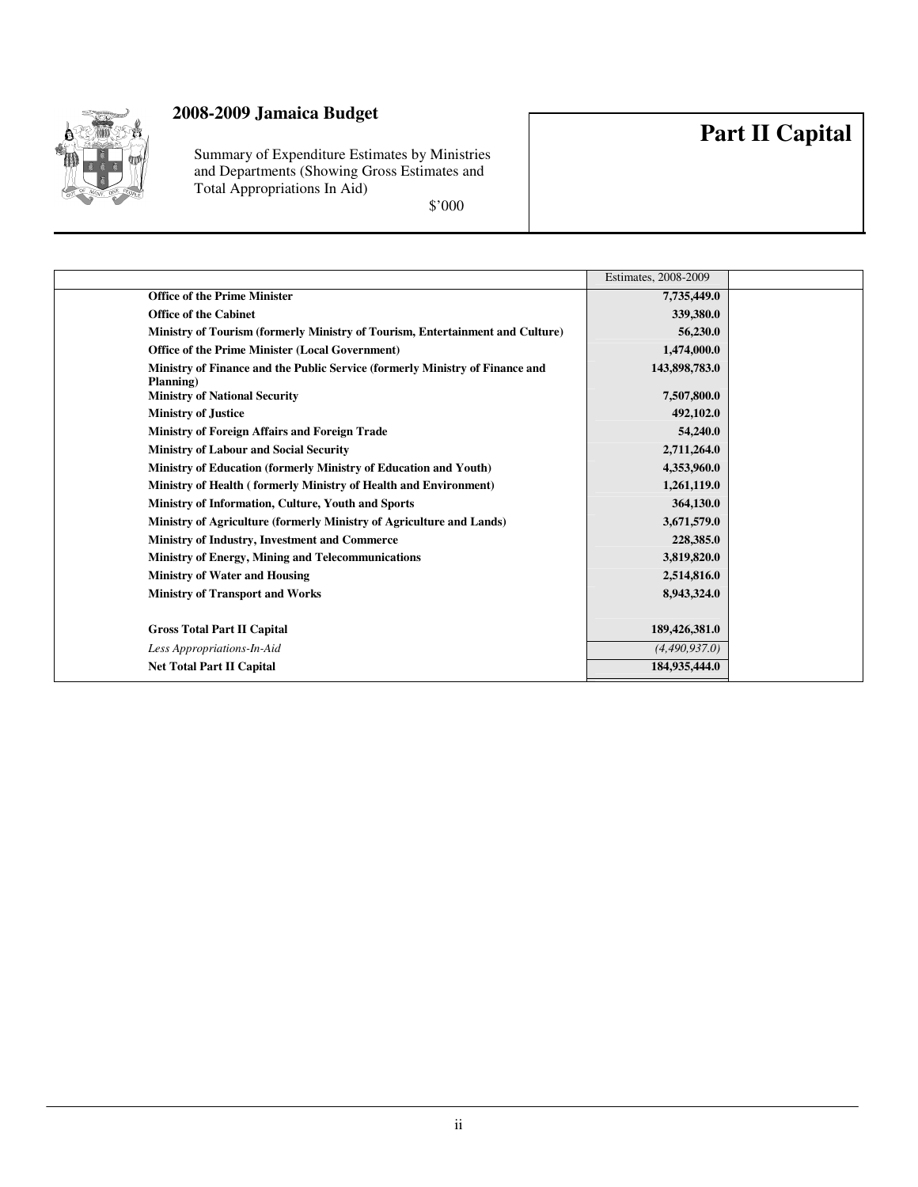

Summary of Expenditure Estimates by Ministries and Departments (Showing Gross Estimates and Total Appropriations In Aid)

\$'000

|                                                                                           | Estimates, 2008-2009 |  |
|-------------------------------------------------------------------------------------------|----------------------|--|
| <b>Office of the Prime Minister</b>                                                       | 7,735,449.0          |  |
| <b>Office of the Cabinet</b>                                                              | 339,380.0            |  |
| Ministry of Tourism (formerly Ministry of Tourism, Entertainment and Culture)             | 56,230.0             |  |
| Office of the Prime Minister (Local Government)                                           | 1,474,000.0          |  |
| Ministry of Finance and the Public Service (formerly Ministry of Finance and<br>Planning) | 143,898,783.0        |  |
| <b>Ministry of National Security</b>                                                      | 7,507,800.0          |  |
| <b>Ministry of Justice</b>                                                                | 492,102.0            |  |
| Ministry of Foreign Affairs and Foreign Trade                                             | 54,240.0             |  |
| <b>Ministry of Labour and Social Security</b>                                             | 2,711,264.0          |  |
| Ministry of Education (formerly Ministry of Education and Youth)                          | 4,353,960.0          |  |
| Ministry of Health (formerly Ministry of Health and Environment)                          | 1,261,119.0          |  |
| Ministry of Information, Culture, Youth and Sports                                        | 364,130.0            |  |
| Ministry of Agriculture (formerly Ministry of Agriculture and Lands)                      | 3,671,579.0          |  |
| Ministry of Industry, Investment and Commerce                                             | 228,385.0            |  |
| <b>Ministry of Energy, Mining and Telecommunications</b>                                  | 3,819,820.0          |  |
| <b>Ministry of Water and Housing</b>                                                      | 2,514,816.0          |  |
| <b>Ministry of Transport and Works</b>                                                    | 8,943,324.0          |  |
|                                                                                           |                      |  |
| <b>Gross Total Part II Capital</b>                                                        | 189,426,381.0        |  |
| Less Appropriations-In-Aid                                                                | (4,490,937.0)        |  |
| <b>Net Total Part II Capital</b>                                                          | 184,935,444.0        |  |

# **Part II Capital**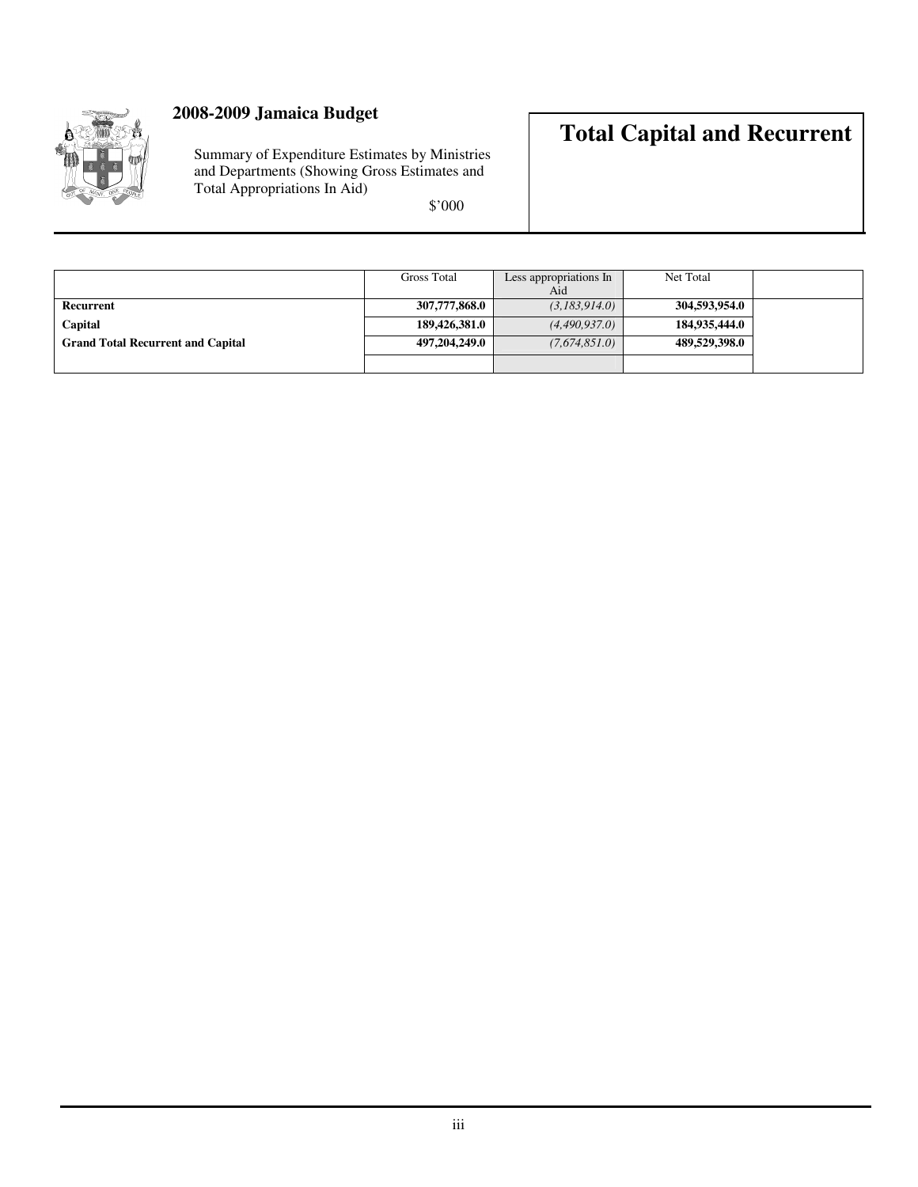

Summary of Expenditure Estimates by Ministries and Departments (Showing Gross Estimates and Total Appropriations In Aid)

\$'000

## **Total Capital and Recurrent**

|                                          | <b>Gross Total</b> | Less appropriations In | Net Total     |  |
|------------------------------------------|--------------------|------------------------|---------------|--|
|                                          |                    | Aid                    |               |  |
| Recurrent                                | 307,777,868.0      | (3,183,914.0)          | 304,593,954.0 |  |
| Capital                                  | 189,426,381.0      | (4,490,937.0)          | 184,935,444.0 |  |
| <b>Grand Total Recurrent and Capital</b> | 497,204,249.0      | (7,674,851.0)          | 489,529,398.0 |  |
|                                          |                    |                        |               |  |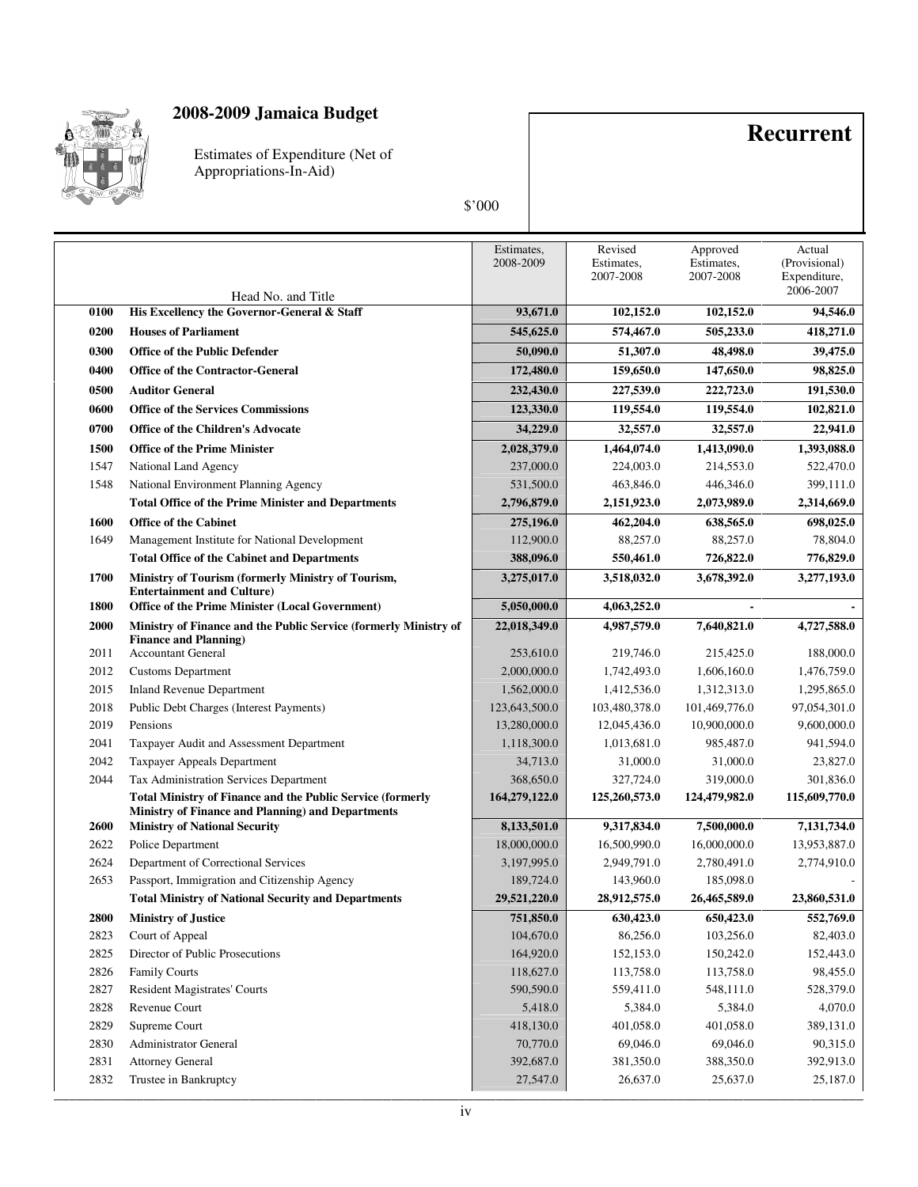

Estimates of Expenditure (Net of Appropriations-In-Aid)

## **Recurrent**

|              |                                                                                         | Estimates,<br>2008-2009   | Revised<br>Estimates,<br>2007-2008 | Approved<br>Estimates,<br>2007-2008 | Actual<br>(Provisional)<br>Expenditure,<br>2006-2007 |
|--------------|-----------------------------------------------------------------------------------------|---------------------------|------------------------------------|-------------------------------------|------------------------------------------------------|
| 0100         | Head No. and Title<br>His Excellency the Governor-General & Staff                       | 93,671.0                  | 102,152.0                          | 102,152.0                           | 94,546.0                                             |
|              |                                                                                         |                           |                                    |                                     |                                                      |
| 0200         | <b>Houses of Parliament</b>                                                             | 545,625.0                 | 574,467.0                          | 505,233.0                           | 418,271.0                                            |
| 0300         | <b>Office of the Public Defender</b>                                                    | 50,090.0                  | 51,307.0                           | 48,498.0                            | 39,475.0                                             |
| 0400         | <b>Office of the Contractor-General</b>                                                 | 172,480.0                 | 159,650.0                          | 147,650.0                           | 98,825.0                                             |
| 0500         | <b>Auditor General</b>                                                                  | 232,430.0                 | 227,539.0                          | 222,723.0                           | 191,530.0                                            |
| 0600         | <b>Office of the Services Commissions</b>                                               | 123,330.0                 | 119,554.0                          | 119,554.0                           | 102,821.0                                            |
| 0700         | <b>Office of the Children's Advocate</b>                                                | 34,229.0                  | 32,557.0                           | 32,557.0                            | 22,941.0                                             |
| 1500         | <b>Office of the Prime Minister</b>                                                     | 2,028,379.0               | 1,464,074.0                        | 1,413,090.0                         | 1,393,088.0                                          |
| 1547         | National Land Agency                                                                    | 237,000.0                 | 224,003.0                          | 214,553.0                           | 522,470.0                                            |
| 1548         | National Environment Planning Agency                                                    | 531,500.0                 | 463,846.0                          | 446,346.0                           | 399,111.0                                            |
|              | <b>Total Office of the Prime Minister and Departments</b>                               | 2,796,879.0               | 2,151,923.0                        | 2,073,989.0                         | 2,314,669.0                                          |
| 1600         | <b>Office of the Cabinet</b>                                                            | 275,196.0                 | 462,204.0                          | 638,565.0                           | 698,025.0                                            |
| 1649         | Management Institute for National Development                                           | 112,900.0                 | 88,257.0                           | 88,257.0                            | 78,804.0                                             |
|              | <b>Total Office of the Cabinet and Departments</b>                                      | 388,096.0                 | 550,461.0                          | 726,822.0                           | 776,829.0                                            |
| 1700         | Ministry of Tourism (formerly Ministry of Tourism,<br><b>Entertainment and Culture)</b> | 3,275,017.0               | 3,518,032.0                        | 3,678,392.0                         | 3,277,193.0                                          |
| 1800         | Office of the Prime Minister (Local Government)                                         | 5,050,000.0               | 4,063,252.0                        |                                     |                                                      |
| 2000         | Ministry of Finance and the Public Service (formerly Ministry of                        | 22,018,349.0              | 4,987,579.0                        | 7,640,821.0                         | 4,727,588.0                                          |
| 2011         | <b>Finance and Planning</b> )<br><b>Accountant General</b>                              | 253,610.0                 | 219,746.0                          | 215,425.0                           | 188,000.0                                            |
| 2012         | <b>Customs Department</b>                                                               | 2,000,000.0               | 1,742,493.0                        | 1,606,160.0                         | 1,476,759.0                                          |
| 2015         | <b>Inland Revenue Department</b>                                                        | 1,562,000.0               | 1,412,536.0                        | 1,312,313.0                         | 1,295,865.0                                          |
| 2018         | Public Debt Charges (Interest Payments)                                                 | 123,643,500.0             | 103,480,378.0                      | 101,469,776.0                       | 97,054,301.0                                         |
| 2019         | Pensions                                                                                | 13,280,000.0              | 12,045,436.0                       | 10,900,000.0                        | 9,600,000.0                                          |
| 2041         | Taxpayer Audit and Assessment Department                                                | 1,118,300.0               | 1,013,681.0                        | 985,487.0                           | 941,594.0                                            |
| 2042         | Taxpayer Appeals Department                                                             | 34,713.0                  | 31,000.0                           | 31,000.0                            | 23,827.0                                             |
| 2044         | Tax Administration Services Department                                                  | 368,650.0                 | 327,724.0                          | 319,000.0                           | 301,836.0                                            |
|              | <b>Total Ministry of Finance and the Public Service (formerly</b>                       | 164,279,122.0             | 125,260,573.0                      | 124,479,982.0                       | 115,609,770.0                                        |
|              | Ministry of Finance and Planning) and Departments                                       |                           |                                    |                                     |                                                      |
| 2600         | <b>Ministry of National Security</b>                                                    | 8,133,501.0               | 9,317,834.0                        | 7,500,000.0                         | 7,131,734.0                                          |
| 2622         | Police Department                                                                       | 18,000,000.0              | 16,500,990.0                       | 16,000,000.0                        | 13,953,887.0                                         |
| 2624         | Department of Correctional Services                                                     | 3,197,995.0               | 2,949,791.0                        | 2,780,491.0                         | 2,774,910.0                                          |
| 2653         | Passport, Immigration and Citizenship Agency                                            | 189,724.0<br>29,521,220.0 | 143,960.0                          | 185,098.0                           |                                                      |
|              | <b>Total Ministry of National Security and Departments</b>                              |                           | 28,912,575.0                       | 26,465,589.0                        | 23,860,531.0                                         |
| 2800         | <b>Ministry of Justice</b>                                                              | 751,850.0<br>104,670.0    | 630,423.0                          | 650,423.0                           | 552,769.0                                            |
| 2823         | Court of Appeal                                                                         |                           | 86,256.0                           | 103,256.0                           | 82,403.0                                             |
| 2825<br>2826 | Director of Public Prosecutions                                                         | 164,920.0<br>118,627.0    | 152,153.0                          | 150,242.0                           | 152,443.0                                            |
|              | <b>Family Courts</b>                                                                    | 590,590.0                 | 113,758.0                          | 113,758.0                           | 98,455.0                                             |
| 2827         | <b>Resident Magistrates' Courts</b><br>Revenue Court                                    | 5,418.0                   | 559,411.0                          | 548,111.0                           | 528,379.0                                            |
| 2828<br>2829 | Supreme Court                                                                           | 418,130.0                 | 5,384.0<br>401,058.0               | 5,384.0<br>401,058.0                | 4,070.0<br>389,131.0                                 |
| 2830         | Administrator General                                                                   | 70,770.0                  | 69,046.0                           | 69,046.0                            | 90,315.0                                             |
| 2831         | <b>Attorney General</b>                                                                 | 392,687.0                 | 381,350.0                          | 388,350.0                           | 392,913.0                                            |
| 2832         | Trustee in Bankruptcy                                                                   | 27,547.0                  | 26,637.0                           | 25,637.0                            | 25,187.0                                             |
|              |                                                                                         |                           |                                    |                                     |                                                      |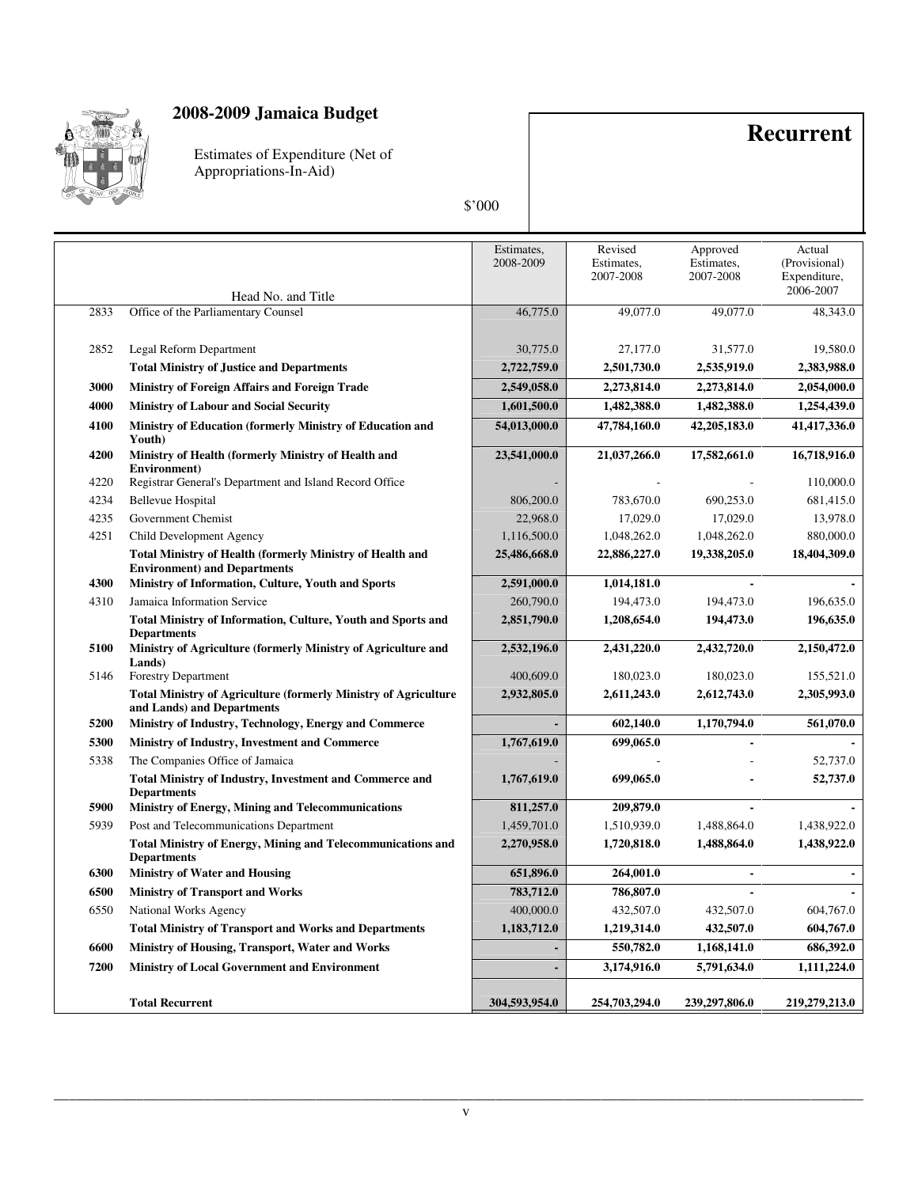

Estimates of Expenditure (Net of Appropriations-In-Aid)

## **Recurrent**

|      |                                                                                                         | Estimates,<br>2008-2009 | Revised<br>Estimates,<br>2007-2008 | Approved<br>Estimates,<br>2007-2008 | Actual<br>(Provisional)<br>Expenditure,<br>2006-2007 |
|------|---------------------------------------------------------------------------------------------------------|-------------------------|------------------------------------|-------------------------------------|------------------------------------------------------|
|      | Head No. and Title                                                                                      |                         |                                    |                                     |                                                      |
| 2833 | Office of the Parliamentary Counsel                                                                     | 46,775.0                | 49,077.0                           | 49,077.0                            | 48,343.0                                             |
| 2852 | Legal Reform Department                                                                                 | 30,775.0                | 27,177.0                           | 31,577.0                            | 19,580.0                                             |
|      | <b>Total Ministry of Justice and Departments</b>                                                        | 2,722,759.0             | 2,501,730.0                        | 2,535,919.0                         | 2,383,988.0                                          |
| 3000 | Ministry of Foreign Affairs and Foreign Trade                                                           | 2,549,058.0             | 2,273,814.0                        | 2,273,814.0                         | 2,054,000.0                                          |
| 4000 | <b>Ministry of Labour and Social Security</b>                                                           | 1,601,500.0             | 1,482,388.0                        | 1,482,388.0                         | 1,254,439.0                                          |
| 4100 | Ministry of Education (formerly Ministry of Education and<br>Youth)                                     | 54,013,000.0            | 47,784,160.0                       | 42,205,183.0                        | 41,417,336.0                                         |
| 4200 | Ministry of Health (formerly Ministry of Health and<br>Environment)                                     | 23,541,000.0            | 21,037,266.0                       | 17,582,661.0                        | 16,718,916.0                                         |
| 4220 | Registrar General's Department and Island Record Office                                                 |                         |                                    |                                     | 110,000.0                                            |
| 4234 | <b>Bellevue Hospital</b>                                                                                | 806,200.0               | 783,670.0                          | 690,253.0                           | 681,415.0                                            |
| 4235 | Government Chemist                                                                                      | 22,968.0                | 17,029.0                           | 17,029.0                            | 13,978.0                                             |
| 4251 | Child Development Agency                                                                                | 1,116,500.0             | 1,048,262.0                        | 1,048,262.0                         | 880,000.0                                            |
|      | <b>Total Ministry of Health (formerly Ministry of Health and</b><br><b>Environment) and Departments</b> | 25,486,668.0            | 22,886,227.0                       | 19,338,205.0                        | 18,404,309.0                                         |
| 4300 | Ministry of Information, Culture, Youth and Sports                                                      | 2,591,000.0             | 1,014,181.0                        |                                     |                                                      |
| 4310 | Jamaica Information Service                                                                             | 260,790.0               | 194,473.0                          | 194,473.0                           | 196,635.0                                            |
|      | Total Ministry of Information, Culture, Youth and Sports and<br><b>Departments</b>                      | 2,851,790.0             | 1,208,654.0                        | 194,473.0                           | 196,635.0                                            |
| 5100 | Ministry of Agriculture (formerly Ministry of Agriculture and<br>Lands)                                 | 2,532,196.0             | 2,431,220.0                        | 2,432,720.0                         | 2,150,472.0                                          |
| 5146 | <b>Forestry Department</b>                                                                              | 400,609.0               | 180,023.0                          | 180,023.0                           | 155,521.0                                            |
|      | <b>Total Ministry of Agriculture (formerly Ministry of Agriculture</b><br>and Lands) and Departments    | 2,932,805.0             | 2,611,243.0                        | 2,612,743.0                         | 2,305,993.0                                          |
| 5200 | Ministry of Industry, Technology, Energy and Commerce                                                   |                         | 602,140.0                          | 1,170,794.0                         | 561,070.0                                            |
| 5300 | Ministry of Industry, Investment and Commerce                                                           | 1,767,619.0             | 699,065.0                          |                                     |                                                      |
| 5338 | The Companies Office of Jamaica                                                                         |                         |                                    |                                     | 52,737.0                                             |
|      | <b>Total Ministry of Industry, Investment and Commerce and</b><br><b>Departments</b>                    | 1,767,619.0             | 699,065.0                          |                                     | 52,737.0                                             |
| 5900 | <b>Ministry of Energy, Mining and Telecommunications</b>                                                | 811,257.0               | 209,879.0                          |                                     |                                                      |
| 5939 | Post and Telecommunications Department                                                                  | 1,459,701.0             | 1,510,939.0                        | 1,488,864.0                         | 1,438,922.0                                          |
|      | <b>Total Ministry of Energy, Mining and Telecommunications and</b><br><b>Departments</b>                | 2,270,958.0             | 1,720,818.0                        | 1,488,864.0                         | 1,438,922.0                                          |
| 6300 | <b>Ministry of Water and Housing</b>                                                                    | 651,896.0               | 264,001.0                          |                                     |                                                      |
| 6500 | <b>Ministry of Transport and Works</b>                                                                  | 783,712.0               | 786,807.0                          | $\blacksquare$                      |                                                      |
| 6550 | National Works Agency                                                                                   | 400,000.0               | 432,507.0                          | 432,507.0                           | 604,767.0                                            |
|      | <b>Total Ministry of Transport and Works and Departments</b>                                            | 1,183,712.0             | 1,219,314.0                        | 432,507.0                           | 604,767.0                                            |
| 6600 | <b>Ministry of Housing, Transport, Water and Works</b>                                                  |                         | 550,782.0                          | 1,168,141.0                         | 686,392.0                                            |
| 7200 | <b>Ministry of Local Government and Environment</b>                                                     |                         | 3,174,916.0                        | 5,791,634.0                         | 1,111,224.0                                          |
|      | <b>Total Recurrent</b>                                                                                  | 304.593.954.0           | 254,703,294.0                      | 239,297,806.0                       | 219,279,213.0                                        |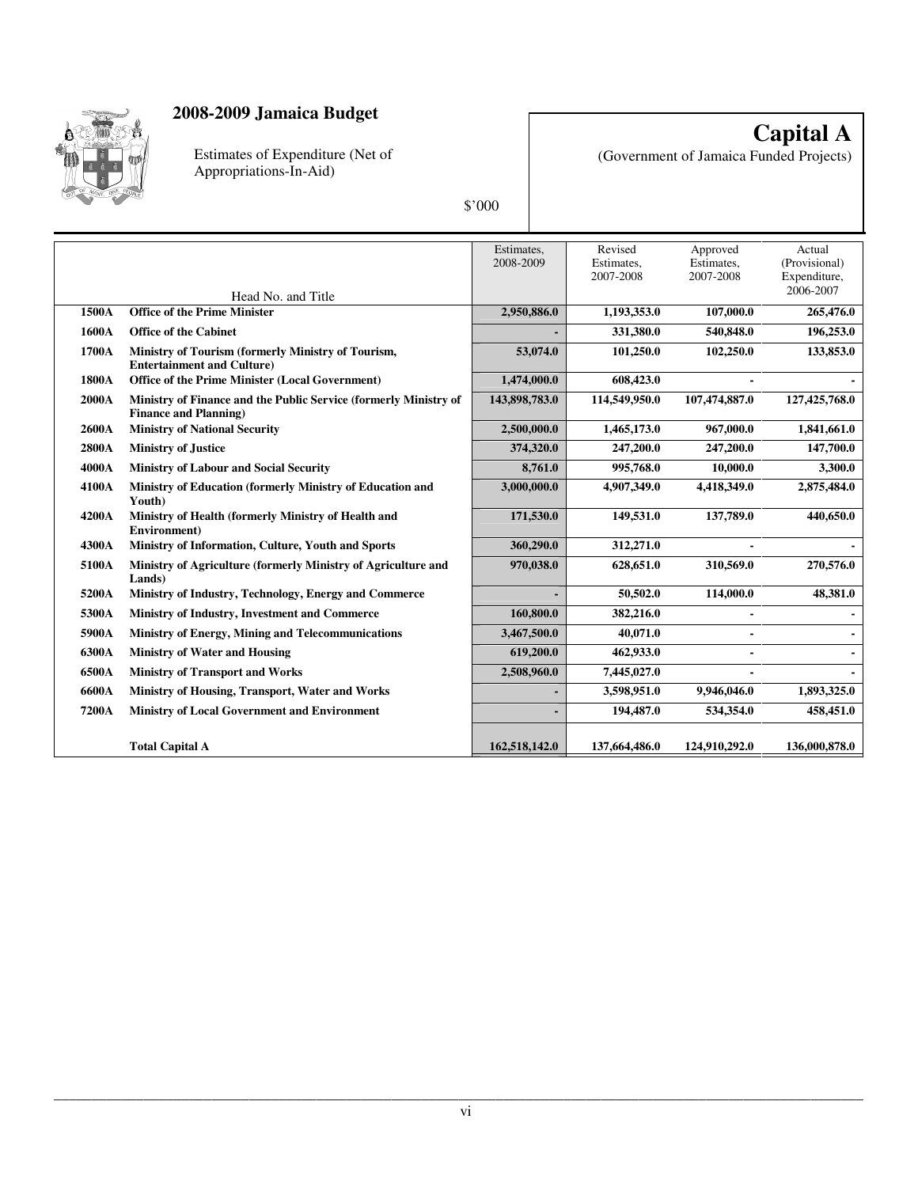

Estimates of Expenditure (Net of Appropriations-In-Aid)

**Capital A** (Government of Jamaica Funded Projects)

|       |                                                                                                  | Estimates,<br>2008-2009 | Revised<br>Estimates,<br>2007-2008 | Approved<br>Estimates,<br>2007-2008 | Actual<br>(Provisional)<br>Expenditure, |
|-------|--------------------------------------------------------------------------------------------------|-------------------------|------------------------------------|-------------------------------------|-----------------------------------------|
|       | Head No. and Title                                                                               |                         |                                    |                                     | 2006-2007                               |
| 1500A | <b>Office of the Prime Minister</b>                                                              | 2,950,886.0             | 1,193,353.0                        | 107,000.0                           | 265,476.0                               |
| 1600A | <b>Office of the Cabinet</b>                                                                     |                         | 331,380.0                          | 540,848.0                           | 196,253.0                               |
| 1700A | Ministry of Tourism (formerly Ministry of Tourism,<br><b>Entertainment and Culture)</b>          | 53,074.0                | 101,250.0                          | 102,250.0                           | 133,853.0                               |
| 1800A | Office of the Prime Minister (Local Government)                                                  | 1,474,000.0             | 608,423.0                          |                                     |                                         |
| 2000A | Ministry of Finance and the Public Service (formerly Ministry of<br><b>Finance and Planning)</b> | 143,898,783.0           | 114,549,950.0                      | 107,474,887.0                       | 127,425,768.0                           |
| 2600A | <b>Ministry of National Security</b>                                                             | 2,500,000.0             | 1,465,173.0                        | 967,000.0                           | 1,841,661.0                             |
| 2800A | <b>Ministry of Justice</b>                                                                       | 374,320.0               | 247,200.0                          | 247,200.0                           | 147,700.0                               |
| 4000A | <b>Ministry of Labour and Social Security</b>                                                    | 8,761.0                 | 995,768.0                          | 10,000.0                            | 3,300.0                                 |
| 4100A | Ministry of Education (formerly Ministry of Education and<br>Youth)                              | 3,000,000.0             | 4,907,349.0                        | 4,418,349.0                         | 2,875,484.0                             |
| 4200A | Ministry of Health (formerly Ministry of Health and<br>Environment)                              | 171,530.0               | 149,531.0                          | 137,789.0                           | 440,650.0                               |
| 4300A | Ministry of Information, Culture, Youth and Sports                                               | 360,290.0               | 312,271.0                          |                                     |                                         |
| 5100A | Ministry of Agriculture (formerly Ministry of Agriculture and<br>Lands)                          | 970,038.0               | 628,651.0                          | 310,569.0                           | 270,576.0                               |
| 5200A | Ministry of Industry, Technology, Energy and Commerce                                            |                         | 50,502.0                           | 114,000.0                           | 48,381.0                                |
| 5300A | Ministry of Industry, Investment and Commerce                                                    | 160,800.0               | 382,216.0                          | $\blacksquare$                      |                                         |
| 5900A | Ministry of Energy, Mining and Telecommunications                                                | 3,467,500.0             | 40.071.0                           |                                     |                                         |
| 6300A | <b>Ministry of Water and Housing</b>                                                             | 619,200.0               | 462,933.0                          | $\blacksquare$                      |                                         |
| 6500A | <b>Ministry of Transport and Works</b>                                                           | 2,508,960.0             | 7,445,027.0                        |                                     |                                         |
| 6600A | Ministry of Housing, Transport, Water and Works                                                  |                         | 3,598,951.0                        | 9,946,046.0                         | 1,893,325.0                             |
| 7200A | <b>Ministry of Local Government and Environment</b>                                              |                         | 194,487.0                          | 534,354.0                           | 458,451.0                               |
|       | <b>Total Capital A</b>                                                                           | 162,518,142.0           | 137,664,486.0                      | 124,910,292.0                       | 136,000,878.0                           |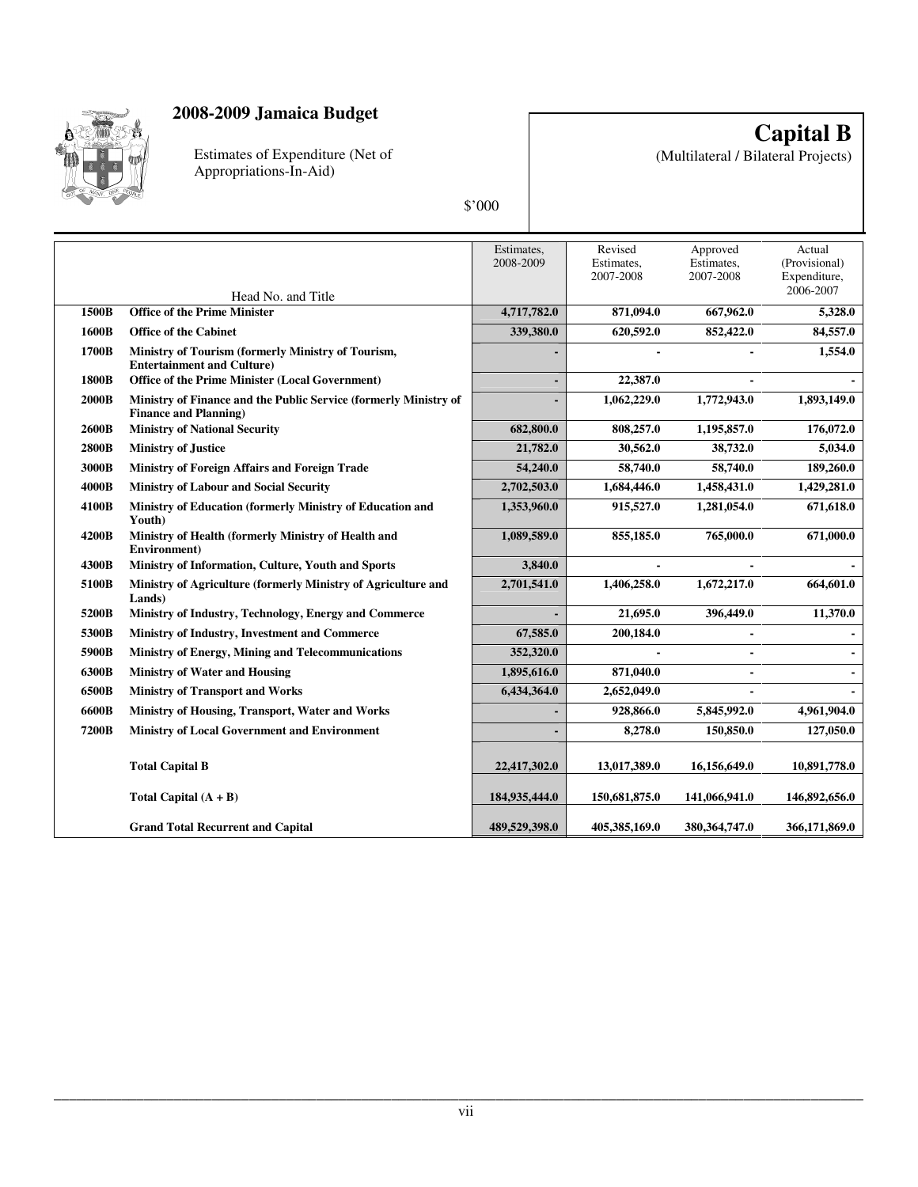

Estimates of Expenditure (Net of Appropriations-In-Aid)

**Capital B**

(Multilateral / Bilateral Projects)

| ı |
|---|
|   |

|              |                                                                                                  | Estimates,<br>2008-2009 | Revised<br>Estimates,<br>2007-2008 | Approved<br>Estimates,<br>2007-2008 | Actual<br>(Provisional)<br>Expenditure,<br>2006-2007 |
|--------------|--------------------------------------------------------------------------------------------------|-------------------------|------------------------------------|-------------------------------------|------------------------------------------------------|
| 1500B        | Head No. and Title<br><b>Office of the Prime Minister</b>                                        | 4,717,782.0             | 871,094.0                          | 667,962.0                           | 5,328.0                                              |
| 1600B        | <b>Office of the Cabinet</b>                                                                     | 339,380.0               | 620,592.0                          | 852,422.0                           | 84,557.0                                             |
| 1700B        | Ministry of Tourism (formerly Ministry of Tourism,<br><b>Entertainment and Culture)</b>          |                         |                                    |                                     | 1,554.0                                              |
| 1800B        | Office of the Prime Minister (Local Government)                                                  |                         | 22,387.0                           |                                     |                                                      |
| <b>2000B</b> | Ministry of Finance and the Public Service (formerly Ministry of<br><b>Finance and Planning)</b> |                         | 1,062,229.0                        | 1,772,943.0                         | 1,893,149.0                                          |
| 2600B        | <b>Ministry of National Security</b>                                                             | 682,800.0               | 808,257.0                          | 1,195,857.0                         | 176,072.0                                            |
| 2800B        | <b>Ministry of Justice</b>                                                                       | 21,782.0                | 30,562.0                           | 38,732.0                            | 5,034.0                                              |
| 3000B        | Ministry of Foreign Affairs and Foreign Trade                                                    | 54,240.0                | 58,740.0                           | 58,740.0                            | 189,260.0                                            |
| 4000B        | <b>Ministry of Labour and Social Security</b>                                                    | 2,702,503.0             | 1,684,446.0                        | 1,458,431.0                         | 1,429,281.0                                          |
| 4100B        | Ministry of Education (formerly Ministry of Education and<br>Youth)                              | 1,353,960.0             | 915,527.0                          | 1,281,054.0                         | 671,618.0                                            |
| 4200B        | Ministry of Health (formerly Ministry of Health and<br>Environment)                              | 1,089,589.0             | 855,185.0                          | 765,000.0                           | 671,000.0                                            |
| 4300B        | Ministry of Information, Culture, Youth and Sports                                               | 3,840.0                 |                                    |                                     |                                                      |
| 5100B        | Ministry of Agriculture (formerly Ministry of Agriculture and<br>Lands)                          | 2,701,541.0             | 1,406,258.0                        | 1,672,217.0                         | 664,601.0                                            |
| 5200B        | Ministry of Industry, Technology, Energy and Commerce                                            |                         | 21,695.0                           | 396,449.0                           | 11,370.0                                             |
| 5300B        | Ministry of Industry, Investment and Commerce                                                    | 67,585.0                | 200,184.0                          |                                     |                                                      |
| 5900B        | <b>Ministry of Energy, Mining and Telecommunications</b>                                         | 352,320.0               |                                    |                                     |                                                      |
| 6300B        | <b>Ministry of Water and Housing</b>                                                             | 1,895,616.0             | 871,040.0                          | $\blacksquare$                      |                                                      |
| 6500B        | <b>Ministry of Transport and Works</b>                                                           | 6,434,364.0             | 2,652,049.0                        |                                     |                                                      |
| 6600B        | Ministry of Housing, Transport, Water and Works                                                  |                         | 928,866.0                          | 5,845,992.0                         | 4,961,904.0                                          |
| 7200B        | Ministry of Local Government and Environment                                                     | ÷                       | 8,278.0                            | 150,850.0                           | 127,050.0                                            |
|              | <b>Total Capital B</b>                                                                           | 22,417,302.0            | 13,017,389.0                       | 16,156,649.0                        | 10,891,778.0                                         |
|              | Total Capital $(A + B)$                                                                          | 184,935,444.0           | 150,681,875.0                      | 141,066,941.0                       | 146,892,656.0                                        |
|              | <b>Grand Total Recurrent and Capital</b>                                                         | 489,529,398.0           | 405,385,169.0                      | 380, 364, 747.0                     | 366,171,869.0                                        |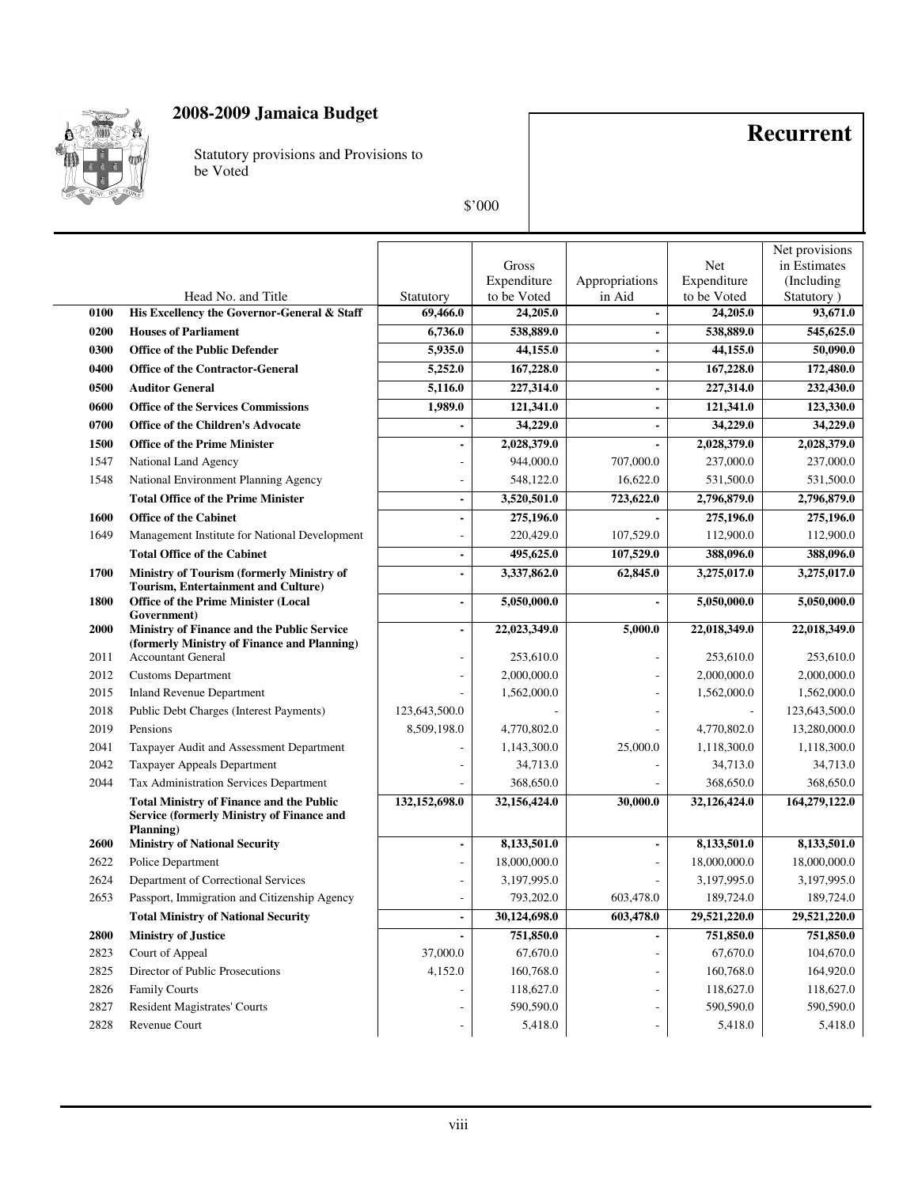

Statutory provisions and Provisions to be Voted

## **Recurrent**

|      |                                                                                                                  |                       |                         |                          |                            | Net provisions         |
|------|------------------------------------------------------------------------------------------------------------------|-----------------------|-------------------------|--------------------------|----------------------------|------------------------|
|      |                                                                                                                  |                       | Gross                   |                          | Net                        | in Estimates           |
|      |                                                                                                                  |                       | Expenditure             | Appropriations<br>in Aid | Expenditure<br>to be Voted | (Including             |
| 0100 | Head No. and Title<br>His Excellency the Governor-General & Staff                                                | Statutory<br>69,466.0 | to be Voted<br>24,205.0 |                          | 24,205.0                   | Statutory)<br>93,671.0 |
| 0200 | <b>Houses of Parliament</b>                                                                                      | 6,736.0               | 538,889.0               | $\blacksquare$           | 538,889.0                  | 545,625.0              |
| 0300 | <b>Office of the Public Defender</b>                                                                             | 5,935.0               | 44,155.0                | -                        | 44,155.0                   | 50,090.0               |
| 0400 | <b>Office of the Contractor-General</b>                                                                          | 5,252.0               | 167,228.0               | $\blacksquare$           | 167,228.0                  | 172,480.0              |
|      |                                                                                                                  |                       |                         |                          |                            |                        |
| 0500 | <b>Auditor General</b>                                                                                           | 5,116.0               | 227,314.0               |                          | 227,314.0                  | 232,430.0              |
| 0600 | <b>Office of the Services Commissions</b>                                                                        | 1,989.0               | 121,341.0               | -                        | 121,341.0                  | 123,330.0              |
| 0700 | <b>Office of the Children's Advocate</b>                                                                         |                       | 34,229.0                |                          | 34,229.0                   | 34,229.0               |
| 1500 | <b>Office of the Prime Minister</b>                                                                              |                       | 2,028,379.0             |                          | 2,028,379.0                | 2,028,379.0            |
| 1547 | National Land Agency                                                                                             |                       | 944,000.0               | 707,000.0                | 237,000.0                  | 237,000.0              |
| 1548 | National Environment Planning Agency                                                                             |                       | 548,122.0               | 16,622.0                 | 531,500.0                  | 531,500.0              |
|      | <b>Total Office of the Prime Minister</b>                                                                        |                       | 3,520,501.0             | 723,622.0                | 2,796,879.0                | 2,796,879.0            |
| 1600 | <b>Office of the Cabinet</b>                                                                                     |                       | 275,196.0               |                          | 275,196.0                  | 275,196.0              |
| 1649 | Management Institute for National Development                                                                    |                       | 220,429.0               | 107,529.0                | 112,900.0                  | 112,900.0              |
|      | <b>Total Office of the Cabinet</b>                                                                               | ÷                     | 495,625.0               | 107,529.0                | 388,096.0                  | 388,096.0              |
| 1700 | Ministry of Tourism (formerly Ministry of<br>Tourism, Entertainment and Culture)                                 | $\overline{a}$        | 3,337,862.0             | 62,845.0                 | 3,275,017.0                | 3,275,017.0            |
| 1800 | <b>Office of the Prime Minister (Local</b><br>Government)                                                        | ÷,                    | 5,050,000.0             |                          | 5,050,000.0                | 5,050,000.0            |
| 2000 | Ministry of Finance and the Public Service                                                                       | $\blacksquare$        | 22,023,349.0            | 5,000.0                  | 22,018,349.0               | 22,018,349.0           |
|      | (formerly Ministry of Finance and Planning)                                                                      |                       |                         |                          |                            |                        |
| 2011 | <b>Accountant General</b>                                                                                        |                       | 253,610.0               |                          | 253,610.0                  | 253,610.0              |
| 2012 | <b>Customs Department</b>                                                                                        |                       | 2,000,000.0             |                          | 2,000,000.0                | 2,000,000.0            |
| 2015 | <b>Inland Revenue Department</b>                                                                                 |                       | 1,562,000.0             |                          | 1,562,000.0                | 1,562,000.0            |
| 2018 | Public Debt Charges (Interest Payments)                                                                          | 123,643,500.0         |                         |                          |                            | 123,643,500.0          |
| 2019 | Pensions                                                                                                         | 8,509,198.0           | 4,770,802.0             |                          | 4,770,802.0                | 13,280,000.0           |
| 2041 | Taxpayer Audit and Assessment Department                                                                         |                       | 1,143,300.0             | 25,000.0                 | 1,118,300.0                | 1,118,300.0            |
| 2042 | Taxpayer Appeals Department                                                                                      |                       | 34,713.0                |                          | 34,713.0                   | 34,713.0               |
| 2044 | Tax Administration Services Department                                                                           |                       | 368,650.0               |                          | 368,650.0                  | 368,650.0              |
|      | <b>Total Ministry of Finance and the Public</b><br><b>Service (formerly Ministry of Finance and</b><br>Planning) | 132,152,698.0         | 32,156,424.0            | 30,000.0                 | 32,126,424.0               | 164,279,122.0          |
| 2600 | <b>Ministry of National Security</b>                                                                             |                       | 8,133,501.0             |                          | 8,133,501.0                | 8,133,501.0            |
| 2622 | Police Department                                                                                                |                       | 18,000,000.0            |                          | 18,000,000.0               | 18,000,000.0           |
| 2624 | Department of Correctional Services                                                                              |                       | 3,197,995.0             |                          | 3,197,995.0                | 3,197,995.0            |
| 2653 | Passport, Immigration and Citizenship Agency                                                                     |                       | 793,202.0               | 603,478.0                | 189,724.0                  | 189,724.0              |
|      | <b>Total Ministry of National Security</b>                                                                       |                       | 30,124,698.0            | 603,478.0                | 29,521,220.0               | 29,521,220.0           |
| 2800 | <b>Ministry of Justice</b>                                                                                       |                       | 751,850.0               |                          | 751,850.0                  | 751,850.0              |
| 2823 | Court of Appeal                                                                                                  | 37,000.0              | 67,670.0                |                          | 67,670.0                   | 104,670.0              |
| 2825 | Director of Public Prosecutions                                                                                  | 4,152.0               | 160,768.0               |                          | 160,768.0                  | 164,920.0              |
| 2826 | <b>Family Courts</b>                                                                                             |                       | 118,627.0               |                          | 118,627.0                  | 118,627.0              |
| 2827 | Resident Magistrates' Courts                                                                                     |                       | 590,590.0               |                          | 590,590.0                  | 590,590.0              |
| 2828 | Revenue Court                                                                                                    |                       | 5,418.0                 |                          | 5,418.0                    | 5,418.0                |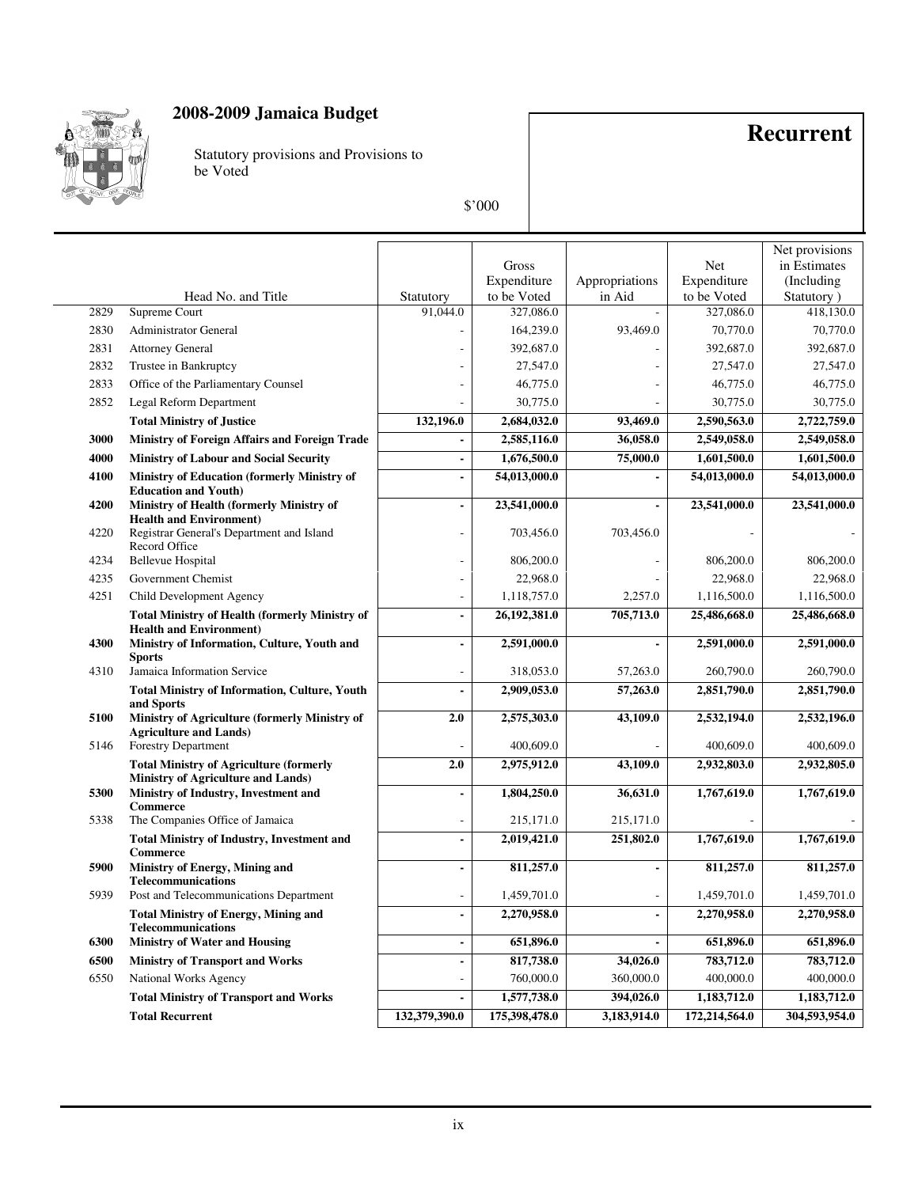

Statutory provisions and Provisions to be Voted

## **Recurrent**

|      |                                                                                         |                          |               |                          |               | Net provisions |
|------|-----------------------------------------------------------------------------------------|--------------------------|---------------|--------------------------|---------------|----------------|
|      |                                                                                         |                          | Gross         |                          | <b>Net</b>    | in Estimates   |
|      |                                                                                         |                          | Expenditure   | Appropriations           | Expenditure   | (Including)    |
|      | Head No. and Title                                                                      | Statutory                | to be Voted   | in Aid                   | to be Voted   | Statutory)     |
| 2829 | Supreme Court                                                                           | 91.044.0                 | 327,086.0     |                          | 327,086.0     | 418,130.0      |
| 2830 | <b>Administrator General</b>                                                            |                          | 164,239.0     | 93,469.0                 | 70,770.0      | 70,770.0       |
| 2831 | <b>Attorney General</b>                                                                 |                          | 392,687.0     |                          | 392,687.0     | 392,687.0      |
| 2832 | Trustee in Bankruptcy                                                                   |                          | 27,547.0      |                          | 27,547.0      | 27,547.0       |
| 2833 | Office of the Parliamentary Counsel                                                     |                          | 46,775.0      |                          | 46,775.0      | 46,775.0       |
| 2852 | Legal Reform Department                                                                 |                          | 30,775.0      |                          | 30,775.0      | 30,775.0       |
|      | <b>Total Ministry of Justice</b>                                                        | 132,196.0                | 2,684,032.0   | 93,469.0                 | 2,590,563.0   | 2,722,759.0    |
| 3000 | <b>Ministry of Foreign Affairs and Foreign Trade</b>                                    | $\blacksquare$           | 2,585,116.0   | 36,058.0                 | 2,549,058.0   | 2,549,058.0    |
| 4000 | <b>Ministry of Labour and Social Security</b>                                           | $\overline{\phantom{a}}$ | 1,676,500.0   | 75,000.0                 | 1,601,500.0   | 1,601,500.0    |
| 4100 | <b>Ministry of Education (formerly Ministry of</b>                                      | $\overline{a}$           | 54,013,000.0  |                          | 54,013,000.0  | 54,013,000.0   |
| 4200 | <b>Education and Youth)</b><br>Ministry of Health (formerly Ministry of                 | $\overline{a}$           | 23,541,000.0  |                          | 23,541,000.0  | 23,541,000.0   |
|      | <b>Health and Environment)</b>                                                          |                          |               |                          |               |                |
| 4220 | Registrar General's Department and Island<br>Record Office                              |                          | 703,456.0     | 703,456.0                |               |                |
| 4234 | <b>Bellevue Hospital</b>                                                                |                          | 806,200.0     |                          | 806,200.0     | 806,200.0      |
| 4235 | Government Chemist                                                                      |                          | 22,968.0      |                          | 22,968.0      | 22,968.0       |
| 4251 | Child Development Agency                                                                | J.                       | 1,118,757.0   | 2,257.0                  | 1,116,500.0   | 1,116,500.0    |
|      | <b>Total Ministry of Health (formerly Ministry of</b><br><b>Health and Environment)</b> | $\overline{\phantom{0}}$ | 26,192,381.0  | 705,713.0                | 25,486,668.0  | 25,486,668.0   |
| 4300 | Ministry of Information, Culture, Youth and<br><b>Sports</b>                            | ÷,                       | 2,591,000.0   |                          | 2,591,000.0   | 2,591,000.0    |
| 4310 | Jamaica Information Service                                                             |                          | 318,053.0     | 57,263.0                 | 260,790.0     | 260,790.0      |
|      | <b>Total Ministry of Information, Culture, Youth</b><br>and Sports                      | $\overline{a}$           | 2,909,053.0   | 57,263.0                 | 2,851,790.0   | 2,851,790.0    |
| 5100 | Ministry of Agriculture (formerly Ministry of                                           | 2.0                      | 2,575,303.0   | 43,109.0                 | 2,532,194.0   | 2,532,196.0    |
| 5146 | <b>Agriculture and Lands)</b><br><b>Forestry Department</b>                             |                          | 400,609.0     |                          | 400,609.0     | 400,609.0      |
|      | <b>Total Ministry of Agriculture (formerly</b><br>Ministry of Agriculture and Lands)    | 2.0                      | 2,975,912.0   | 43,109.0                 | 2,932,803.0   | 2,932,805.0    |
| 5300 | Ministry of Industry, Investment and                                                    | $\overline{a}$           | 1,804,250.0   | 36,631.0                 | 1,767,619.0   | 1,767,619.0    |
| 5338 | <b>Commerce</b><br>The Companies Office of Jamaica                                      |                          | 215,171.0     | 215,171.0                |               |                |
|      | <b>Total Ministry of Industry, Investment and</b><br><b>Commerce</b>                    | $\overline{a}$           | 2,019,421.0   | 251,802.0                | 1,767,619.0   | 1,767,619.0    |
| 5900 | Ministry of Energy, Mining and<br><b>Telecommunications</b>                             | $\overline{a}$           | 811,257.0     | $\overline{\phantom{a}}$ | 811,257.0     | 811,257.0      |
| 5939 | Post and Telecommunications Department                                                  |                          | 1,459,701.0   |                          | 1,459,701.0   | 1,459,701.0    |
|      | <b>Total Ministry of Energy, Mining and</b><br><b>Telecommunications</b>                | $\blacksquare$           | 2,270,958.0   |                          | 2,270,958.0   | 2,270,958.0    |
| 6300 | <b>Ministry of Water and Housing</b>                                                    | $\overline{a}$           | 651,896.0     |                          | 651,896.0     | 651,896.0      |
| 6500 | <b>Ministry of Transport and Works</b>                                                  | $\overline{\phantom{a}}$ | 817,738.0     | 34,026.0                 | 783,712.0     | 783,712.0      |
| 6550 | National Works Agency                                                                   |                          | 760,000.0     | 360,000.0                | 400,000.0     | 400,000.0      |
|      | <b>Total Ministry of Transport and Works</b>                                            |                          | 1,577,738.0   | 394,026.0                | 1,183,712.0   | 1,183,712.0    |
|      | <b>Total Recurrent</b>                                                                  | 132,379,390.0            | 175,398,478.0 | 3,183,914.0              | 172,214,564.0 | 304,593,954.0  |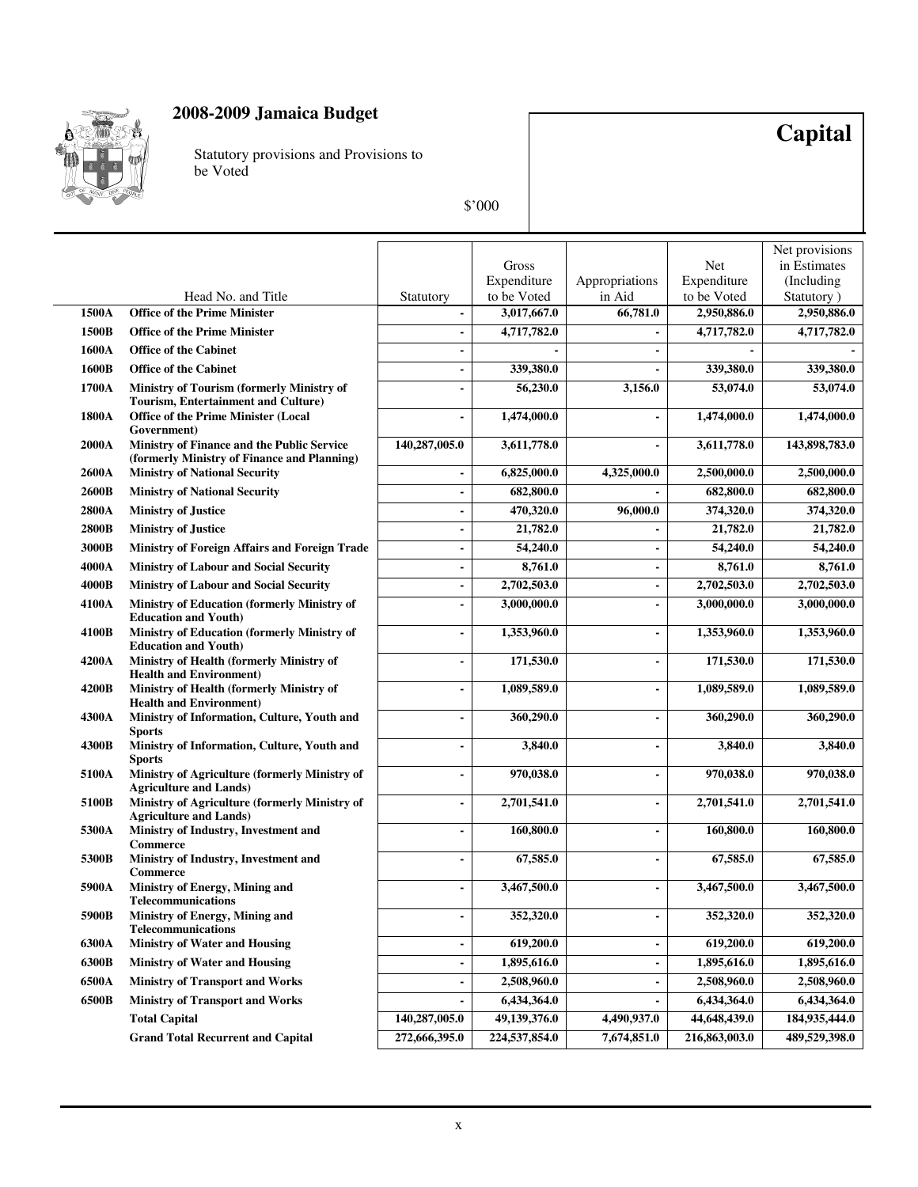

Statutory provisions and Provisions to be Voted

# **Capital**

|              |                                                                                                |                |                            |                          |                            | Net provisions            |
|--------------|------------------------------------------------------------------------------------------------|----------------|----------------------------|--------------------------|----------------------------|---------------------------|
|              |                                                                                                |                | Gross                      |                          | Net                        | in Estimates              |
|              |                                                                                                |                | Expenditure                | Appropriations           | Expenditure                | (Including                |
| 1500A        | Head No. and Title<br><b>Office of the Prime Minister</b>                                      | Statutory      | to be Voted<br>3,017,667.0 | in Aid<br>66,781.0       | to be Voted<br>2,950,886.0 | Statutory)<br>2,950,886.0 |
| 1500B        | <b>Office of the Prime Minister</b>                                                            |                | 4,717,782.0                |                          | 4,717,782.0                | 4,717,782.0               |
| 1600A        | <b>Office of the Cabinet</b>                                                                   |                |                            |                          |                            |                           |
|              |                                                                                                |                |                            | $\blacksquare$           |                            |                           |
| 1600B        | <b>Office of the Cabinet</b>                                                                   |                | 339,380.0                  |                          | 339,380.0                  | 339,380.0                 |
| 1700A        | <b>Ministry of Tourism (formerly Ministry of</b><br><b>Tourism, Entertainment and Culture)</b> |                | 56,230.0                   | 3,156.0                  | 53,074.0                   | 53,074.0                  |
| 1800A        | <b>Office of the Prime Minister (Local</b><br>Government)                                      | $\blacksquare$ | 1,474,000.0                | $\blacksquare$           | 1,474,000.0                | 1,474,000.0               |
| 2000A        | Ministry of Finance and the Public Service<br>(formerly Ministry of Finance and Planning)      | 140,287,005.0  | 3,611,778.0                |                          | 3,611,778.0                | 143,898,783.0             |
| 2600A        | <b>Ministry of National Security</b>                                                           |                | 6,825,000.0                | 4,325,000.0              | 2,500,000.0                | 2,500,000.0               |
| 2600B        | <b>Ministry of National Security</b>                                                           |                | 682,800.0                  |                          | 682,800.0                  | 682,800.0                 |
| <b>2800A</b> | <b>Ministry of Justice</b>                                                                     |                | 470,320.0                  | 96,000.0                 | 374,320.0                  | 374,320.0                 |
| 2800B        | <b>Ministry of Justice</b>                                                                     |                | 21,782.0                   |                          | 21,782.0                   | 21,782.0                  |
| 3000B        | <b>Ministry of Foreign Affairs and Foreign Trade</b>                                           |                | 54,240.0                   | $\overline{\phantom{a}}$ | 54,240.0                   | 54,240.0                  |
| 4000A        | Ministry of Labour and Social Security                                                         | $\blacksquare$ | 8,761.0                    | $\blacksquare$           | 8,761.0                    | 8,761.0                   |
| 4000B        | <b>Ministry of Labour and Social Security</b>                                                  | $\blacksquare$ | 2,702,503.0                | $\overline{\phantom{a}}$ | 2,702,503.0                | 2,702,503.0               |
| 4100A        | <b>Ministry of Education (formerly Ministry of</b><br><b>Education and Youth)</b>              |                | 3,000,000.0                | ÷                        | 3,000,000.0                | 3,000,000.0               |
| 4100B        | Ministry of Education (formerly Ministry of<br><b>Education and Youth)</b>                     |                | 1,353,960.0                | $\blacksquare$           | 1,353,960.0                | 1,353,960.0               |
| <b>4200A</b> | Ministry of Health (formerly Ministry of<br><b>Health and Environment)</b>                     | $\blacksquare$ | 171,530.0                  | $\overline{\phantom{a}}$ | 171,530.0                  | 171,530.0                 |
| 4200B        | Ministry of Health (formerly Ministry of<br><b>Health and Environment)</b>                     |                | 1,089,589.0                |                          | 1,089,589.0                | 1,089,589.0               |
| 4300A        | Ministry of Information, Culture, Youth and<br><b>Sports</b>                                   |                | 360,290.0                  | ٠                        | 360,290.0                  | 360,290.0                 |
| 4300B        | Ministry of Information, Culture, Youth and<br><b>Sports</b>                                   |                | 3,840.0                    | $\overline{a}$           | 3,840.0                    | 3,840.0                   |
| 5100A        | Ministry of Agriculture (formerly Ministry of<br><b>Agriculture and Lands)</b>                 |                | 970,038.0                  | $\overline{a}$           | 970,038.0                  | 970,038.0                 |
| 5100B        | Ministry of Agriculture (formerly Ministry of<br><b>Agriculture and Lands)</b>                 |                | 2,701,541.0                | $\overline{a}$           | 2,701,541.0                | 2,701,541.0               |
| 5300A        | Ministry of Industry, Investment and<br><b>Commerce</b>                                        |                | 160,800.0                  | $\overline{a}$           | 160,800.0                  | 160,800.0                 |
| 5300B        | Ministry of Industry, Investment and<br>Commerce                                               |                | 67,585.0                   | $\overline{\phantom{a}}$ | 67,585.0                   | 67,585.0                  |
| 5900A        | Ministry of Energy, Mining and<br><b>Telecommunications</b>                                    |                | 3,467,500.0                | $\overline{a}$           | 3,467,500.0                | 3,467,500.0               |
| 5900B        | Ministry of Energy, Mining and<br><b>Telecommunications</b>                                    |                | 352,320.0                  |                          | 352,320.0                  | 352,320.0                 |
| 6300A        | <b>Ministry of Water and Housing</b>                                                           | $\blacksquare$ | 619,200.0                  | $\frac{1}{2}$            | 619,200.0                  | 619,200.0                 |
| 6300B        | <b>Ministry of Water and Housing</b>                                                           |                | 1,895,616.0                | $\overline{\phantom{a}}$ | 1,895,616.0                | 1,895,616.0               |
| 6500A        | <b>Ministry of Transport and Works</b>                                                         |                | 2,508,960.0                | $\overline{a}$           | 2,508,960.0                | 2,508,960.0               |
| 6500B        | <b>Ministry of Transport and Works</b>                                                         |                | 6,434,364.0                |                          | 6,434,364.0                | 6,434,364.0               |
|              | <b>Total Capital</b>                                                                           | 140,287,005.0  | 49,139,376.0               | 4,490,937.0              | 44,648,439.0               | 184,935,444.0             |
|              | <b>Grand Total Recurrent and Capital</b>                                                       | 272,666,395.0  | 224,537,854.0              | 7,674,851.0              | 216,863,003.0              | 489,529,398.0             |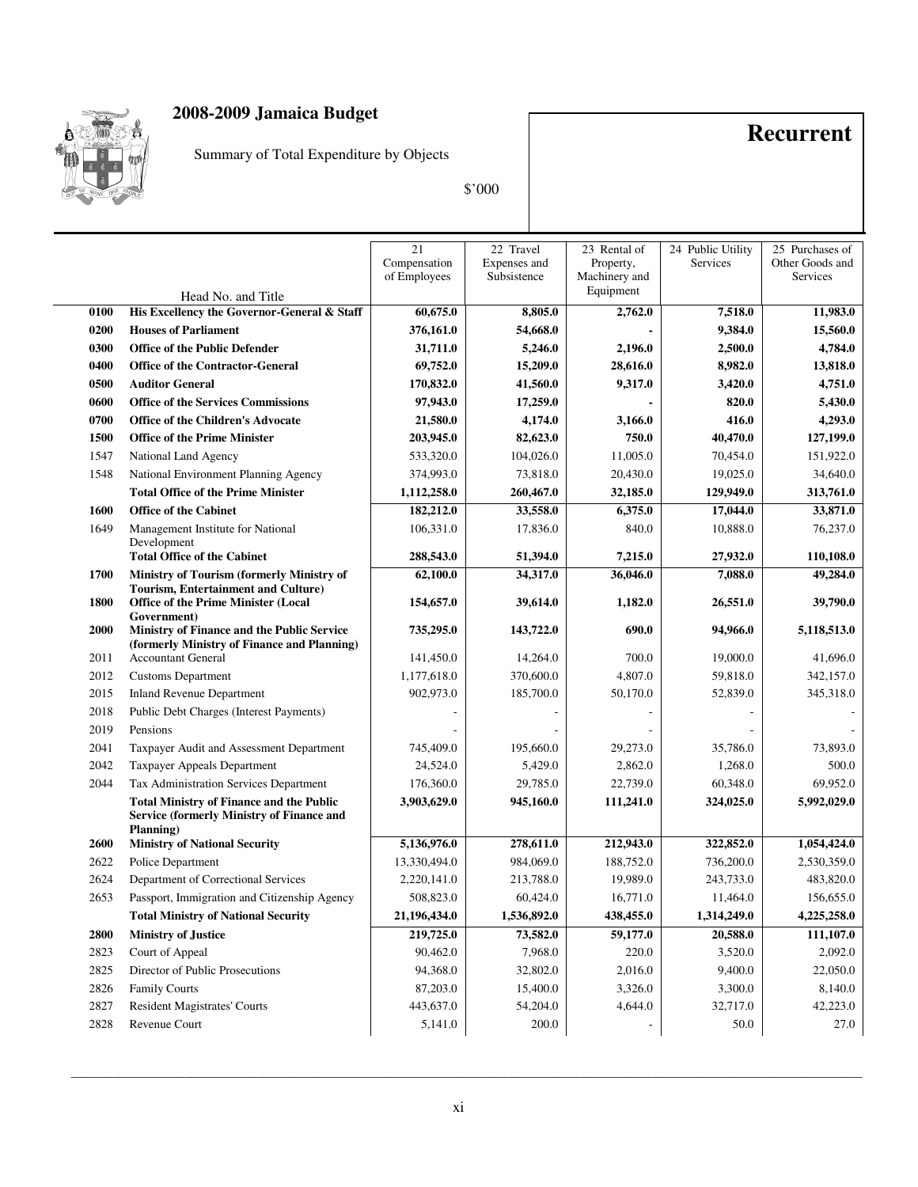

Summary of Total Expenditure by Objects

**Recurrent**

\$'000

|      |                                                                                                                  | $\overline{21}$<br>Compensation<br>of Employees | 22 Travel<br>Expenses and<br>Subsistence | 23 Rental of<br>Property,<br>Machinery and | 24 Public Utility<br>Services | 25 Purchases of<br>Other Goods and<br>Services |
|------|------------------------------------------------------------------------------------------------------------------|-------------------------------------------------|------------------------------------------|--------------------------------------------|-------------------------------|------------------------------------------------|
|      | Head No. and Title                                                                                               |                                                 |                                          | Equipment                                  |                               |                                                |
| 0100 | His Excellency the Governor-General & Staff                                                                      | 60,675.0                                        | 8,805.0                                  | 2,762.0                                    | 7,518.0                       | 11,983.0                                       |
| 0200 | <b>Houses of Parliament</b>                                                                                      | 376,161.0                                       | 54,668.0                                 |                                            | 9,384.0                       | 15,560.0                                       |
| 0300 | <b>Office of the Public Defender</b>                                                                             | 31,711.0                                        | 5,246.0                                  | 2,196.0                                    | 2,500.0                       | 4,784.0                                        |
| 0400 | <b>Office of the Contractor-General</b>                                                                          | 69,752.0                                        | 15,209.0                                 | 28,616.0                                   | 8,982.0                       | 13,818.0                                       |
| 0500 | <b>Auditor General</b>                                                                                           | 170,832.0                                       | 41,560.0                                 | 9,317.0                                    | 3,420.0                       | 4,751.0                                        |
| 0600 | <b>Office of the Services Commissions</b>                                                                        | 97,943.0                                        | 17,259.0                                 |                                            | 820.0                         | 5,430.0                                        |
| 0700 | <b>Office of the Children's Advocate</b>                                                                         | 21,580.0                                        | 4,174.0                                  | 3,166.0                                    | 416.0                         | 4,293.0                                        |
| 1500 | <b>Office of the Prime Minister</b>                                                                              | 203,945.0                                       | 82,623.0                                 | 750.0                                      | 40,470.0                      | 127,199.0                                      |
| 1547 | National Land Agency                                                                                             | 533,320.0                                       | 104,026.0                                | 11,005.0                                   | 70,454.0                      | 151,922.0                                      |
| 1548 | National Environment Planning Agency                                                                             | 374,993.0                                       | 73,818.0                                 | 20,430.0                                   | 19,025.0                      | 34,640.0                                       |
|      | <b>Total Office of the Prime Minister</b>                                                                        | 1,112,258.0                                     | 260,467.0                                | 32,185.0                                   | 129,949.0                     | 313,761.0                                      |
| 1600 | <b>Office of the Cabinet</b>                                                                                     | 182,212.0                                       | 33,558.0                                 | 6,375.0                                    | 17,044.0                      | 33,871.0                                       |
| 1649 | Management Institute for National<br>Development                                                                 | 106,331.0                                       | 17,836.0                                 | 840.0                                      | 10,888.0                      | 76,237.0                                       |
|      | <b>Total Office of the Cabinet</b>                                                                               | 288,543.0                                       | 51,394.0                                 | 7,215.0                                    | 27,932.0                      | 110,108.0                                      |
| 1700 | Ministry of Tourism (formerly Ministry of                                                                        | 62,100.0                                        | 34,317.0                                 | 36,046.0                                   | 7,088.0                       | 49,284.0                                       |
| 1800 | <b>Tourism, Entertainment and Culture)</b><br><b>Office of the Prime Minister (Local</b><br>Government)          | 154,657.0                                       | 39,614.0                                 | 1,182.0                                    | 26,551.0                      | 39,790.0                                       |
| 2000 | Ministry of Finance and the Public Service<br>(formerly Ministry of Finance and Planning)                        | 735,295.0                                       | 143,722.0                                | 690.0                                      | 94,966.0                      | 5,118,513.0                                    |
| 2011 | <b>Accountant General</b>                                                                                        | 141,450.0                                       | 14,264.0                                 | 700.0                                      | 19,000.0                      | 41,696.0                                       |
| 2012 | <b>Customs Department</b>                                                                                        | 1,177,618.0                                     | 370,600.0                                | 4,807.0                                    | 59,818.0                      | 342,157.0                                      |
| 2015 | <b>Inland Revenue Department</b>                                                                                 | 902,973.0                                       | 185,700.0                                | 50,170.0                                   | 52,839.0                      | 345,318.0                                      |
| 2018 | Public Debt Charges (Interest Payments)                                                                          |                                                 |                                          |                                            |                               |                                                |
| 2019 | Pensions                                                                                                         |                                                 |                                          |                                            |                               |                                                |
| 2041 | Taxpayer Audit and Assessment Department                                                                         | 745,409.0                                       | 195,660.0                                | 29,273.0                                   | 35,786.0                      | 73,893.0                                       |
| 2042 | Taxpayer Appeals Department                                                                                      | 24,524.0                                        | 5,429.0                                  | 2,862.0                                    | 1,268.0                       | 500.0                                          |
| 2044 | Tax Administration Services Department                                                                           | 176,360.0                                       | 29,785.0                                 | 22,739.0                                   | 60,348.0                      | 69,952.0                                       |
|      | <b>Total Ministry of Finance and the Public</b><br><b>Service (formerly Ministry of Finance and</b><br>Planning) | 3,903,629.0                                     | 945,160.0                                | 111,241.0                                  | 324,025.0                     | 5,992,029.0                                    |
| 2600 | <b>Ministry of National Security</b>                                                                             | 5,136,976.0                                     | 278,611.0                                | 212,943.0                                  | 322,852.0                     | 1,054,424.0                                    |
| 2622 | Police Department                                                                                                | 13,330,494.0                                    | 984,069.0                                | 188,752.0                                  | 736,200.0                     | 2,530,359.0                                    |
| 2624 | Department of Correctional Services                                                                              | 2,220,141.0                                     | 213,788.0                                | 19,989.0                                   | 243,733.0                     | 483,820.0                                      |
| 2653 | Passport, Immigration and Citizenship Agency                                                                     | 508,823.0                                       | 60,424.0                                 | 16,771.0                                   | 11,464.0                      | 156,655.0                                      |
|      | <b>Total Ministry of National Security</b>                                                                       | 21,196,434.0                                    | 1,536,892.0                              | 438,455.0                                  | 1,314,249.0                   | 4,225,258.0                                    |
| 2800 | <b>Ministry of Justice</b>                                                                                       | 219,725.0                                       | 73,582.0                                 | 59,177.0                                   | 20,588.0                      | 111,107.0                                      |
| 2823 | Court of Appeal                                                                                                  | 90,462.0                                        | 7,968.0                                  | 220.0                                      | 3,520.0                       | 2,092.0                                        |
| 2825 | Director of Public Prosecutions                                                                                  | 94,368.0                                        | 32,802.0                                 | 2,016.0                                    | 9,400.0                       | 22,050.0                                       |
| 2826 | Family Courts                                                                                                    | 87,203.0                                        | 15,400.0                                 | 3,326.0                                    | 3,300.0                       | 8,140.0                                        |
| 2827 | Resident Magistrates' Courts                                                                                     | 443,637.0                                       | 54,204.0                                 | 4,644.0                                    | 32,717.0                      | 42,223.0                                       |
| 2828 | Revenue Court                                                                                                    | 5,141.0                                         | 200.0                                    |                                            | 50.0                          | 27.0                                           |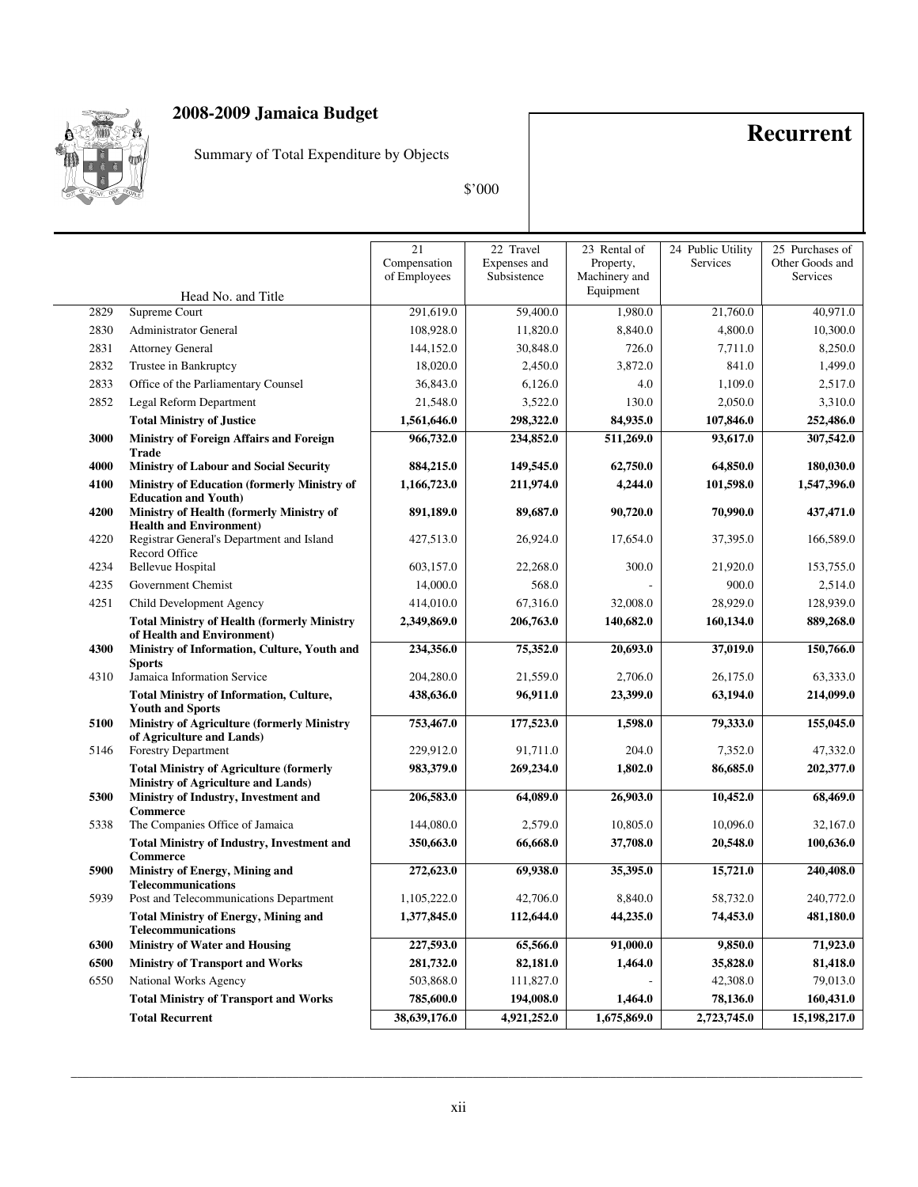

Summary of Total Expenditure by Objects

## **Recurrent**

\$'000

|      |                                                                                              | 21<br>Compensation<br>of Employees | 22 Travel<br>Expenses and<br>Subsistence | 23 Rental of<br>Property,<br>Machinery and | 24 Public Utility<br>Services | 25 Purchases of<br>Other Goods and<br>Services |
|------|----------------------------------------------------------------------------------------------|------------------------------------|------------------------------------------|--------------------------------------------|-------------------------------|------------------------------------------------|
|      | Head No. and Title                                                                           |                                    |                                          | Equipment                                  |                               |                                                |
| 2829 | Supreme Court                                                                                | 291,619.0                          | 59,400.0                                 | 1,980.0                                    | 21,760.0                      | 40,971.0                                       |
| 2830 | Administrator General                                                                        | 108,928.0                          | 11,820.0                                 | 8,840.0                                    | 4,800.0                       | 10,300.0                                       |
| 2831 | <b>Attorney General</b>                                                                      | 144,152.0                          | 30,848.0                                 | 726.0                                      | 7,711.0                       | 8,250.0                                        |
| 2832 | Trustee in Bankruptcy                                                                        | 18,020.0                           | 2,450.0                                  | 3,872.0                                    | 841.0                         | 1,499.0                                        |
| 2833 | Office of the Parliamentary Counsel                                                          | 36,843.0                           | 6,126.0                                  | 4.0                                        | 1,109.0                       | 2,517.0                                        |
| 2852 | Legal Reform Department                                                                      | 21,548.0                           | 3,522.0                                  | 130.0                                      | 2,050.0                       | 3,310.0                                        |
|      | <b>Total Ministry of Justice</b>                                                             | 1,561,646.0                        | 298,322.0                                | 84,935.0                                   | 107,846.0                     | 252,486.0                                      |
| 3000 | Ministry of Foreign Affairs and Foreign                                                      | 966,732.0                          | 234,852.0                                | 511,269.0                                  | 93,617.0                      | 307,542.0                                      |
| 4000 | <b>Trade</b><br><b>Ministry of Labour and Social Security</b>                                | 884,215.0                          | 149,545.0                                | 62,750.0                                   | 64,850.0                      | 180,030.0                                      |
| 4100 | Ministry of Education (formerly Ministry of                                                  | 1,166,723.0                        | 211,974.0                                | 4,244.0                                    | 101,598.0                     | 1,547,396.0                                    |
|      | <b>Education and Youth)</b>                                                                  |                                    |                                          |                                            |                               |                                                |
| 4200 | Ministry of Health (formerly Ministry of                                                     | 891,189.0                          | 89,687.0                                 | 90,720.0                                   | 70,990.0                      | 437,471.0                                      |
| 4220 | <b>Health and Environment)</b><br>Registrar General's Department and Island<br>Record Office | 427,513.0                          | 26,924.0                                 | 17,654.0                                   | 37,395.0                      | 166,589.0                                      |
| 4234 | <b>Bellevue Hospital</b>                                                                     | 603,157.0                          | 22,268.0                                 | 300.0                                      | 21,920.0                      | 153,755.0                                      |
| 4235 | Government Chemist                                                                           | 14,000.0                           | 568.0                                    |                                            | 900.0                         | 2,514.0                                        |
| 4251 | Child Development Agency                                                                     | 414,010.0                          | 67,316.0                                 | 32,008.0                                   | 28,929.0                      | 128,939.0                                      |
|      | <b>Total Ministry of Health (formerly Ministry</b><br>of Health and Environment)             | 2,349,869.0                        | 206,763.0                                | 140,682.0                                  | 160,134.0                     | 889,268.0                                      |
| 4300 | Ministry of Information, Culture, Youth and<br><b>Sports</b>                                 | 234,356.0                          | 75,352.0                                 | 20,693.0                                   | 37,019.0                      | 150,766.0                                      |
| 4310 | Jamaica Information Service                                                                  | 204,280.0                          | 21,559.0                                 | 2,706.0                                    | 26,175.0                      | 63,333.0                                       |
|      | <b>Total Ministry of Information, Culture,</b><br><b>Youth and Sports</b>                    | 438,636.0                          | 96,911.0                                 | 23,399.0                                   | 63,194.0                      | 214,099.0                                      |
| 5100 | <b>Ministry of Agriculture (formerly Ministry</b>                                            | 753,467.0                          | 177,523.0                                | 1,598.0                                    | 79,333.0                      | 155,045.0                                      |
| 5146 | of Agriculture and Lands)<br><b>Forestry Department</b>                                      | 229,912.0                          | 91,711.0                                 | 204.0                                      | 7,352.0                       | 47,332.0                                       |
|      | <b>Total Ministry of Agriculture (formerly</b>                                               | 983,379.0                          | 269,234.0                                | 1,802.0                                    | 86,685.0                      | 202,377.0                                      |
|      | <b>Ministry of Agriculture and Lands)</b>                                                    |                                    |                                          |                                            |                               |                                                |
| 5300 | Ministry of Industry, Investment and<br><b>Commerce</b>                                      | 206,583.0                          | 64,089.0                                 | 26,903.0                                   | 10,452.0                      | 68,469.0                                       |
| 5338 | The Companies Office of Jamaica                                                              | 144,080.0                          | 2,579.0                                  | 10,805.0                                   | 10,096.0                      | 32,167.0                                       |
|      | <b>Total Ministry of Industry, Investment and</b><br><b>Commerce</b>                         | 350,663.0                          | 66,668.0                                 | 37,708.0                                   | 20,548.0                      | 100,636.0                                      |
| 5900 | Ministry of Energy, Mining and                                                               | 272,623.0                          | 69,938.0                                 | 35,395.0                                   | 15,721.0                      | 240,408.0                                      |
| 5939 | <b>Telecommunications</b><br>Post and Telecommunications Department                          | 1,105,222.0                        | 42,706.0                                 | 8,840.0                                    | 58,732.0                      | 240,772.0                                      |
|      | <b>Total Ministry of Energy, Mining and</b>                                                  | 1,377,845.0                        | 112,644.0                                | 44,235.0                                   | 74,453.0                      | 481,180.0                                      |
|      | <b>Telecommunications</b>                                                                    |                                    |                                          |                                            |                               |                                                |
| 6300 | <b>Ministry of Water and Housing</b>                                                         | 227,593.0                          | 65,566.0                                 | 91,000.0                                   | 9,850.0                       | 71,923.0                                       |
| 6500 | <b>Ministry of Transport and Works</b>                                                       | 281,732.0                          | 82,181.0                                 | 1,464.0                                    | 35,828.0                      | 81,418.0                                       |
| 6550 | National Works Agency                                                                        | 503,868.0                          | 111,827.0                                |                                            | 42,308.0                      | 79,013.0                                       |
|      | <b>Total Ministry of Transport and Works</b>                                                 | 785,600.0                          | 194,008.0                                | 1,464.0                                    | 78,136.0                      | 160,431.0                                      |
|      | <b>Total Recurrent</b>                                                                       | 38,639,176.0                       | 4,921,252.0                              | 1,675,869.0                                | 2,723,745.0                   | 15,198,217.0                                   |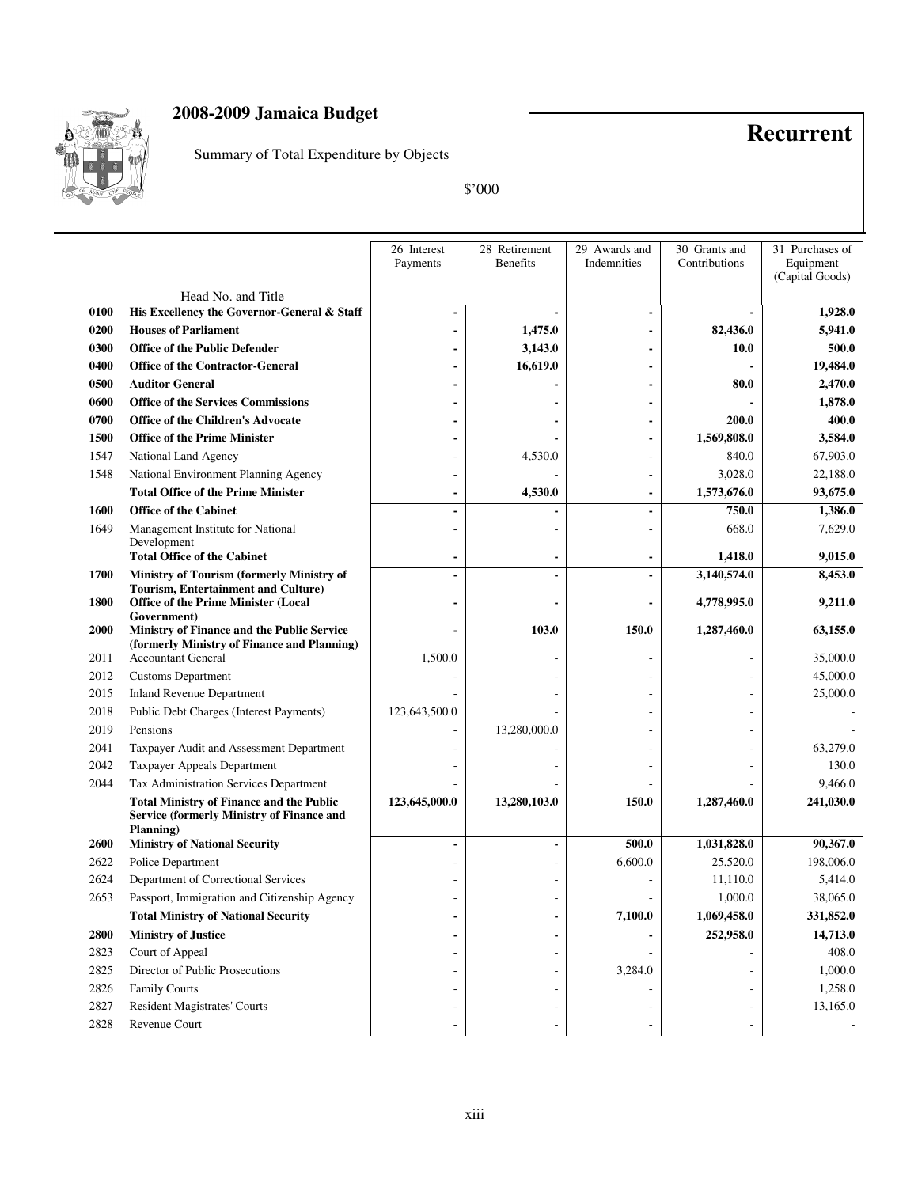

Summary of Total Expenditure by Objects

**Recurrent**

\$'000

|             |                                                                                                                  | 26 Interest<br>Payments | 28 Retirement<br><b>Benefits</b> | 29 Awards and<br>Indemnities | 30 Grants and<br>Contributions | 31 Purchases of<br>Equipment<br>(Capital Goods) |
|-------------|------------------------------------------------------------------------------------------------------------------|-------------------------|----------------------------------|------------------------------|--------------------------------|-------------------------------------------------|
|             | Head No. and Title                                                                                               |                         |                                  |                              |                                |                                                 |
| 0100        | His Excellency the Governor-General & Staff                                                                      |                         |                                  |                              |                                | 1,928.0                                         |
| 0200        | <b>Houses of Parliament</b>                                                                                      |                         | 1,475.0                          |                              | 82,436.0                       | 5,941.0                                         |
| 0300        | <b>Office of the Public Defender</b>                                                                             |                         | 3,143.0                          |                              | 10.0                           | 500.0                                           |
| 0400        | <b>Office of the Contractor-General</b>                                                                          |                         | 16,619.0                         |                              |                                | 19,484.0                                        |
| 0500        | <b>Auditor General</b>                                                                                           |                         |                                  |                              | 80.0                           | 2,470.0                                         |
| 0600        | <b>Office of the Services Commissions</b>                                                                        |                         |                                  |                              |                                | 1,878.0                                         |
| 0700        | <b>Office of the Children's Advocate</b>                                                                         |                         |                                  |                              | 200.0                          | 400.0                                           |
| 1500        | <b>Office of the Prime Minister</b>                                                                              |                         |                                  |                              | 1,569,808.0                    | 3,584.0                                         |
| 1547        | National Land Agency                                                                                             |                         | 4,530.0                          |                              | 840.0                          | 67,903.0                                        |
| 1548        | National Environment Planning Agency                                                                             |                         |                                  |                              | 3,028.0                        | 22,188.0                                        |
|             | <b>Total Office of the Prime Minister</b>                                                                        |                         | 4,530.0                          |                              | 1,573,676.0                    | 93,675.0                                        |
| 1600        | <b>Office of the Cabinet</b>                                                                                     |                         |                                  |                              | 750.0                          | 1,386.0                                         |
| 1649        | Management Institute for National                                                                                |                         |                                  |                              | 668.0                          | 7,629.0                                         |
|             | Development<br><b>Total Office of the Cabinet</b>                                                                |                         |                                  |                              | 1,418.0                        | 9,015.0                                         |
| 1700        | Ministry of Tourism (formerly Ministry of                                                                        |                         |                                  |                              | 3,140,574.0                    | 8,453.0                                         |
| 1800        | <b>Tourism, Entertainment and Culture)</b><br><b>Office of the Prime Minister (Local</b>                         |                         |                                  |                              | 4,778,995.0                    | 9,211.0                                         |
| <b>2000</b> | Government)<br>Ministry of Finance and the Public Service                                                        |                         | 103.0                            | 150.0                        | 1,287,460.0                    | 63,155.0                                        |
|             | (formerly Ministry of Finance and Planning)                                                                      |                         |                                  |                              |                                |                                                 |
| 2011        | <b>Accountant General</b>                                                                                        | 1,500.0                 |                                  |                              |                                | 35,000.0                                        |
| 2012        | <b>Customs Department</b>                                                                                        |                         |                                  |                              |                                | 45,000.0                                        |
| 2015        | <b>Inland Revenue Department</b>                                                                                 |                         |                                  |                              |                                | 25,000.0                                        |
| 2018        | Public Debt Charges (Interest Payments)                                                                          | 123,643,500.0           |                                  |                              |                                |                                                 |
| 2019        | Pensions                                                                                                         |                         | 13,280,000.0                     |                              |                                |                                                 |
| 2041        | Taxpayer Audit and Assessment Department                                                                         |                         |                                  |                              |                                | 63,279.0                                        |
| 2042        | Taxpayer Appeals Department                                                                                      |                         |                                  |                              |                                | 130.0                                           |
| 2044        | Tax Administration Services Department                                                                           |                         |                                  |                              |                                | 9,466.0                                         |
|             | <b>Total Ministry of Finance and the Public</b><br><b>Service (formerly Ministry of Finance and</b><br>Planning) | 123,645,000.0           | 13,280,103.0                     | 150.0                        | 1,287,460.0                    | 241,030.0                                       |
| 2600        | <b>Ministry of National Security</b>                                                                             |                         |                                  | 500.0                        | 1,031,828.0                    | 90,367.0                                        |
| 2622        | Police Department                                                                                                |                         |                                  | 6,600.0                      | 25,520.0                       | 198,006.0                                       |
| 2624        | Department of Correctional Services                                                                              |                         |                                  |                              | 11,110.0                       | 5,414.0                                         |
| 2653        | Passport, Immigration and Citizenship Agency                                                                     |                         |                                  |                              | 1,000.0                        | 38,065.0                                        |
|             | <b>Total Ministry of National Security</b>                                                                       |                         |                                  | 7,100.0                      | 1,069,458.0                    | 331,852.0                                       |
| 2800        | <b>Ministry of Justice</b>                                                                                       |                         |                                  |                              | 252,958.0                      | 14,713.0                                        |
| 2823        | Court of Appeal                                                                                                  |                         |                                  |                              |                                | 408.0                                           |
| 2825        | Director of Public Prosecutions                                                                                  |                         |                                  | 3,284.0                      |                                | 1,000.0                                         |
| 2826        | <b>Family Courts</b>                                                                                             |                         |                                  |                              |                                | 1,258.0                                         |
| 2827        | Resident Magistrates' Courts                                                                                     |                         |                                  |                              |                                | 13,165.0                                        |
| 2828        | Revenue Court                                                                                                    |                         |                                  |                              |                                |                                                 |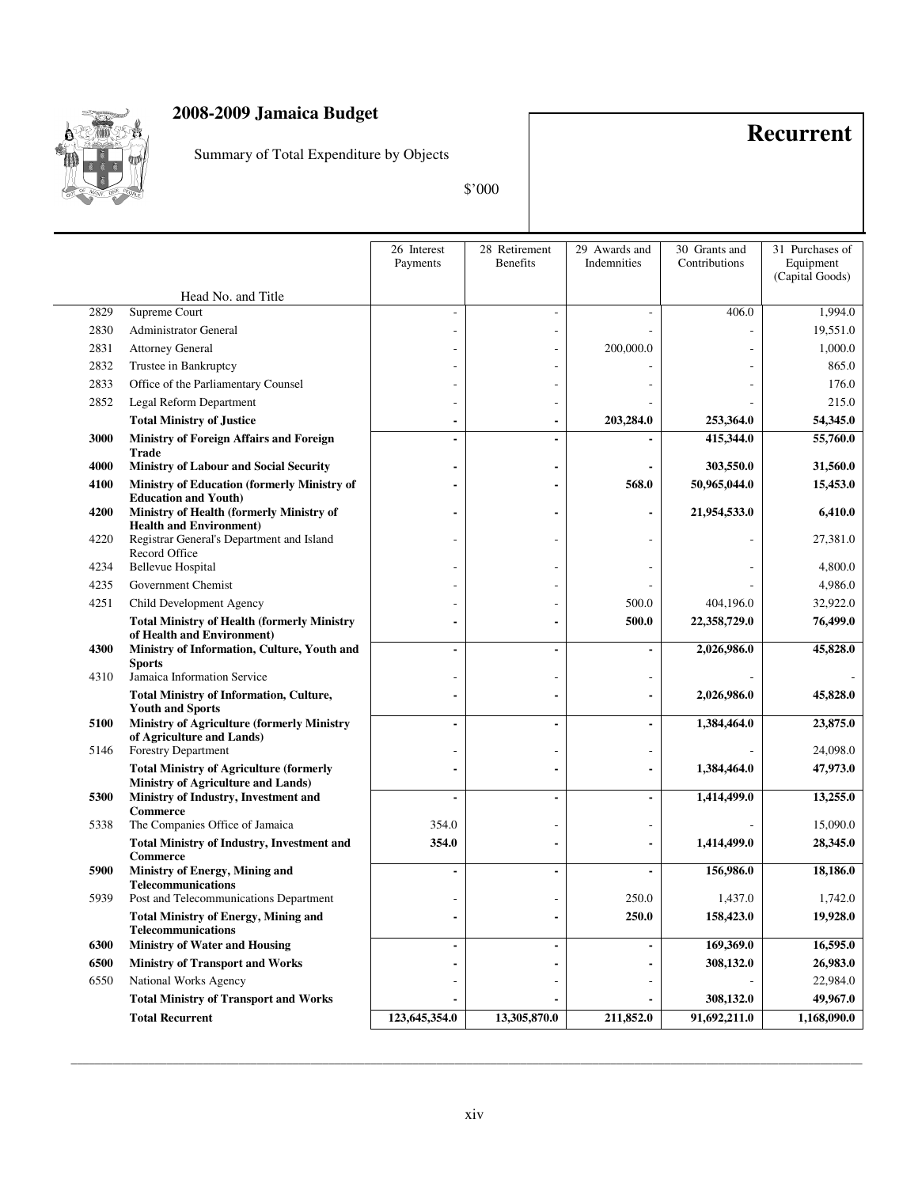

Summary of Total Expenditure by Objects

**Recurrent**

\$'000

|      |                                                                                   | 26 Interest<br>Payments | 28 Retirement<br><b>Benefits</b> | 29 Awards and<br>Indemnities | 30 Grants and<br>Contributions | 31 Purchases of<br>Equipment<br>(Capital Goods) |
|------|-----------------------------------------------------------------------------------|-------------------------|----------------------------------|------------------------------|--------------------------------|-------------------------------------------------|
|      | Head No. and Title                                                                |                         |                                  |                              |                                |                                                 |
| 2829 | Supreme Court                                                                     |                         |                                  |                              | 406.0                          | 1,994.0                                         |
| 2830 | Administrator General                                                             |                         |                                  |                              |                                | 19,551.0                                        |
| 2831 | <b>Attorney General</b>                                                           |                         |                                  | 200,000.0                    |                                | 1,000.0                                         |
| 2832 | Trustee in Bankruptcy                                                             |                         |                                  |                              |                                | 865.0                                           |
| 2833 | Office of the Parliamentary Counsel                                               |                         |                                  |                              |                                | 176.0                                           |
| 2852 | Legal Reform Department                                                           |                         |                                  |                              |                                | 215.0                                           |
|      | <b>Total Ministry of Justice</b>                                                  |                         |                                  | 203,284.0                    | 253,364.0                      | 54,345.0                                        |
| 3000 | <b>Ministry of Foreign Affairs and Foreign</b>                                    |                         | $\blacksquare$                   |                              | 415,344.0                      | 55,760.0                                        |
|      | <b>Trade</b>                                                                      |                         |                                  |                              |                                |                                                 |
| 4000 | <b>Ministry of Labour and Social Security</b>                                     |                         | ٠                                |                              | 303,550.0                      | 31,560.0                                        |
| 4100 | <b>Ministry of Education (formerly Ministry of</b><br><b>Education and Youth)</b> |                         |                                  | 568.0                        | 50,965,044.0                   | 15,453.0                                        |
| 4200 | Ministry of Health (formerly Ministry of<br><b>Health and Environment)</b>        |                         | $\blacksquare$                   |                              | 21,954,533.0                   | 6,410.0                                         |
| 4220 | Registrar General's Department and Island<br>Record Office                        |                         | $\overline{a}$                   |                              |                                | 27,381.0                                        |
| 4234 | <b>Bellevue Hospital</b>                                                          |                         | ÷                                |                              |                                | 4,800.0                                         |
| 4235 | Government Chemist                                                                |                         |                                  |                              |                                | 4,986.0                                         |
| 4251 | Child Development Agency                                                          |                         |                                  | 500.0                        | 404,196.0                      | 32,922.0                                        |
|      | <b>Total Ministry of Health (formerly Ministry</b><br>of Health and Environment)  |                         | -                                | 500.0                        | 22,358,729.0                   | 76,499.0                                        |
| 4300 | Ministry of Information, Culture, Youth and<br><b>Sports</b>                      |                         | $\blacksquare$                   |                              | 2,026,986.0                    | 45,828.0                                        |
| 4310 | Jamaica Information Service                                                       |                         |                                  |                              |                                |                                                 |
|      | <b>Total Ministry of Information, Culture,</b><br><b>Youth and Sports</b>         |                         | -                                |                              | 2,026,986.0                    | 45,828.0                                        |
| 5100 | <b>Ministry of Agriculture (formerly Ministry</b>                                 |                         | $\overline{a}$                   |                              | 1,384,464.0                    | 23,875.0                                        |
| 5146 | of Agriculture and Lands)<br>Forestry Department                                  |                         |                                  |                              |                                | 24,098.0                                        |
|      | <b>Total Ministry of Agriculture (formerly</b>                                    |                         | $\blacksquare$                   |                              | 1,384,464.0                    | 47,973.0                                        |
|      | Ministry of Agriculture and Lands)                                                |                         |                                  |                              |                                |                                                 |
| 5300 | Ministry of Industry, Investment and<br><b>Commerce</b>                           |                         | $\blacksquare$                   |                              | 1,414,499.0                    | 13,255.0                                        |
| 5338 | The Companies Office of Jamaica                                                   | 354.0                   |                                  |                              |                                | 15,090.0                                        |
|      | <b>Total Ministry of Industry, Investment and</b><br>Commerce                     | 354.0                   |                                  |                              | 1,414,499.0                    | 28,345.0                                        |
| 5900 | Ministry of Energy, Mining and                                                    |                         | $\blacksquare$                   |                              | 156,986.0                      | 18,186.0                                        |
| 5939 | <b>Telecommunications</b><br>Post and Telecommunications Department               |                         |                                  | 250.0                        | 1,437.0                        | 1,742.0                                         |
|      | <b>Total Ministry of Energy, Mining and</b><br><b>Telecommunications</b>          |                         | $\blacksquare$                   | 250.0                        | 158,423.0                      | 19,928.0                                        |
| 6300 | <b>Ministry of Water and Housing</b>                                              |                         | -                                |                              | 169,369.0                      | 16,595.0                                        |
| 6500 | <b>Ministry of Transport and Works</b>                                            |                         | ٠                                |                              | 308,132.0                      | 26,983.0                                        |
| 6550 | National Works Agency                                                             |                         | -                                |                              |                                | 22,984.0                                        |
|      | <b>Total Ministry of Transport and Works</b>                                      |                         |                                  |                              | 308,132.0                      | 49,967.0                                        |
|      | <b>Total Recurrent</b>                                                            | 123,645,354.0           | 13,305,870.0                     | 211,852.0                    | 91,692,211.0                   | 1,168,090.0                                     |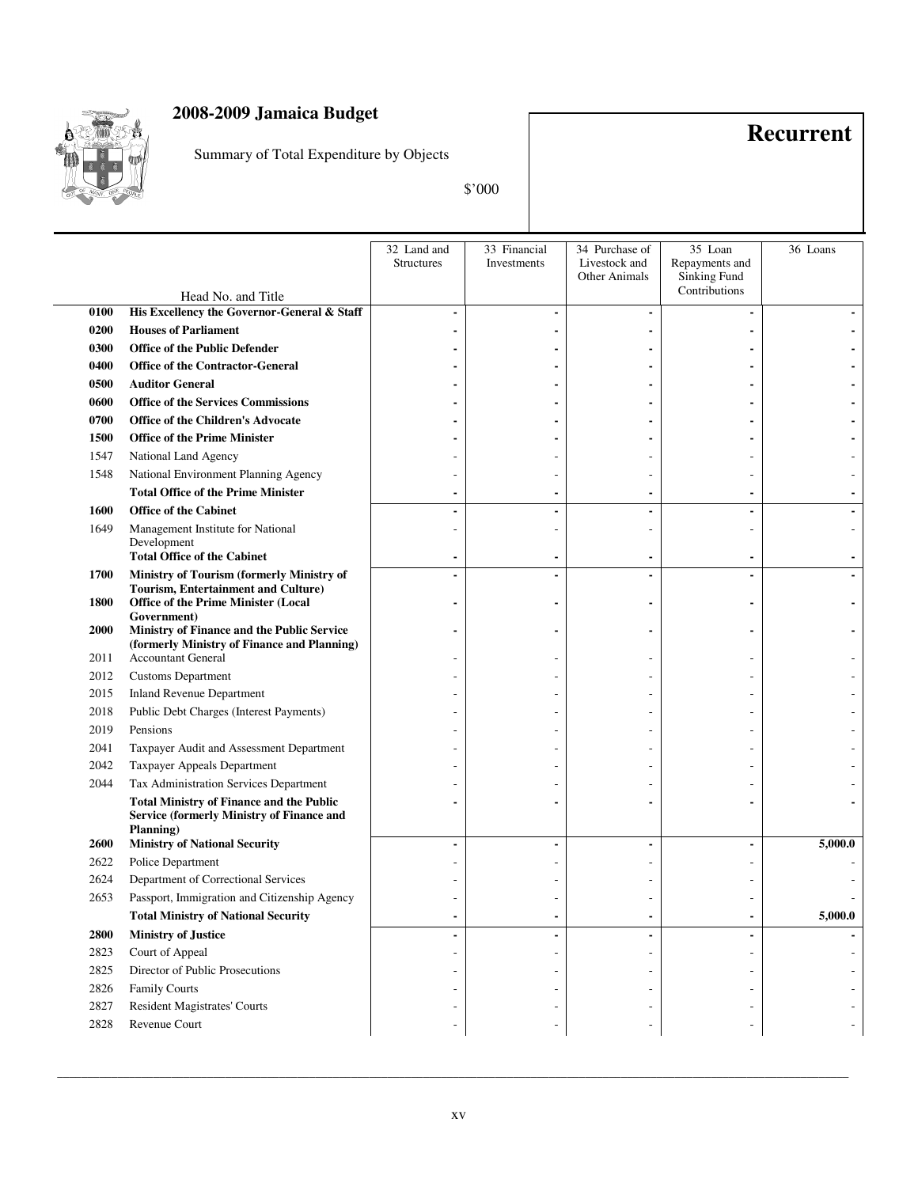

Summary of Total Expenditure by Objects

**Recurrent**

\$'000

|             |                                                                                                     | 32 Land and       | 33 Financial | 34 Purchase of       | 35 Loan                       | 36 Loans |
|-------------|-----------------------------------------------------------------------------------------------------|-------------------|--------------|----------------------|-------------------------------|----------|
|             |                                                                                                     | <b>Structures</b> | Investments  | Livestock and        | Repayments and                |          |
|             |                                                                                                     |                   |              | <b>Other Animals</b> | Sinking Fund<br>Contributions |          |
|             | Head No. and Title                                                                                  |                   |              |                      |                               |          |
| 0100        | His Excellency the Governor-General & Staff                                                         |                   |              |                      |                               |          |
| 0200        | <b>Houses of Parliament</b>                                                                         |                   |              |                      |                               |          |
| 0300        | <b>Office of the Public Defender</b>                                                                |                   |              |                      |                               |          |
| 0400        | <b>Office of the Contractor-General</b>                                                             |                   |              |                      |                               |          |
| 0500        | <b>Auditor General</b>                                                                              |                   |              |                      |                               |          |
| 0600        | <b>Office of the Services Commissions</b>                                                           |                   |              |                      |                               |          |
| 0700        | Office of the Children's Advocate                                                                   |                   |              |                      |                               |          |
| 1500        | <b>Office of the Prime Minister</b>                                                                 |                   |              |                      |                               |          |
| 1547        | National Land Agency                                                                                |                   |              |                      |                               |          |
| 1548        | National Environment Planning Agency                                                                |                   |              |                      |                               |          |
|             | <b>Total Office of the Prime Minister</b>                                                           |                   |              |                      |                               |          |
| 1600        | <b>Office of the Cabinet</b>                                                                        |                   |              |                      |                               |          |
| 1649        | Management Institute for National                                                                   |                   |              |                      |                               |          |
|             | Development                                                                                         |                   |              |                      |                               |          |
|             | <b>Total Office of the Cabinet</b>                                                                  |                   |              |                      |                               |          |
| 1700        | Ministry of Tourism (formerly Ministry of<br>Tourism, Entertainment and Culture)                    |                   |              |                      |                               |          |
| 1800        | <b>Office of the Prime Minister (Local</b>                                                          |                   |              |                      |                               |          |
|             | Government)                                                                                         |                   |              |                      |                               |          |
| <b>2000</b> | Ministry of Finance and the Public Service                                                          |                   |              |                      |                               |          |
| 2011        | (formerly Ministry of Finance and Planning)<br><b>Accountant General</b>                            |                   |              |                      |                               |          |
| 2012        | <b>Customs Department</b>                                                                           |                   |              |                      |                               |          |
| 2015        | <b>Inland Revenue Department</b>                                                                    |                   |              |                      |                               |          |
| 2018        | Public Debt Charges (Interest Payments)                                                             |                   |              |                      |                               |          |
| 2019        | Pensions                                                                                            |                   |              |                      |                               |          |
| 2041        | Taxpayer Audit and Assessment Department                                                            |                   |              |                      |                               |          |
| 2042        |                                                                                                     |                   |              |                      |                               |          |
|             | Taxpayer Appeals Department                                                                         |                   |              |                      |                               |          |
| 2044        | Tax Administration Services Department                                                              |                   |              |                      |                               |          |
|             | <b>Total Ministry of Finance and the Public</b><br><b>Service (formerly Ministry of Finance and</b> |                   |              |                      |                               |          |
|             | Planning)                                                                                           |                   |              |                      |                               |          |
| 2600        | <b>Ministry of National Security</b>                                                                |                   |              |                      | ٠                             | 5,000.0  |
| 2622        | Police Department                                                                                   |                   |              |                      |                               |          |
| 2624        | Department of Correctional Services                                                                 |                   |              |                      |                               |          |
| 2653        | Passport, Immigration and Citizenship Agency                                                        |                   |              |                      |                               |          |
|             | <b>Total Ministry of National Security</b>                                                          |                   |              |                      |                               | 5,000.0  |
| 2800        | <b>Ministry of Justice</b>                                                                          |                   |              |                      |                               |          |
| 2823        | Court of Appeal                                                                                     |                   |              |                      |                               |          |
| 2825        | Director of Public Prosecutions                                                                     |                   |              |                      |                               |          |
| 2826        | <b>Family Courts</b>                                                                                |                   |              |                      |                               |          |
| 2827        | <b>Resident Magistrates' Courts</b>                                                                 |                   |              |                      |                               |          |
| 2828        | Revenue Court                                                                                       |                   |              |                      |                               |          |
|             |                                                                                                     |                   |              |                      |                               |          |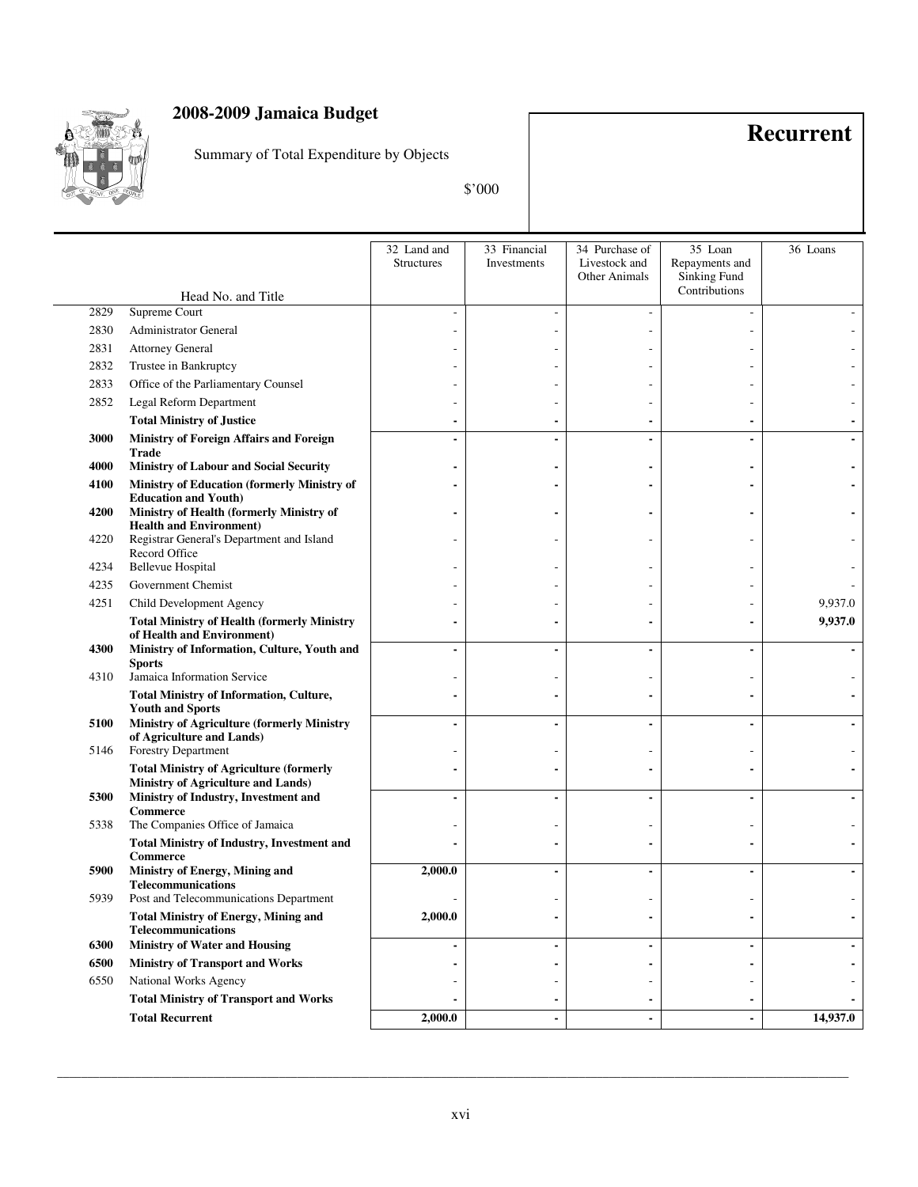

Summary of Total Expenditure by Objects

**Recurrent**

\$'000

|      |                                                                                      | 32 Land and<br><b>Structures</b> | 33 Financial<br>Investments | 34 Purchase of<br>Livestock and<br><b>Other Animals</b> | 35 Loan<br>Repayments and<br>Sinking Fund | 36 Loans |
|------|--------------------------------------------------------------------------------------|----------------------------------|-----------------------------|---------------------------------------------------------|-------------------------------------------|----------|
|      | Head No. and Title                                                                   |                                  |                             |                                                         | Contributions                             |          |
| 2829 | Supreme Court                                                                        |                                  |                             |                                                         |                                           |          |
| 2830 | Administrator General                                                                |                                  |                             |                                                         |                                           |          |
| 2831 | <b>Attorney General</b>                                                              |                                  |                             |                                                         |                                           |          |
| 2832 | Trustee in Bankruptcy                                                                |                                  |                             |                                                         |                                           |          |
| 2833 | Office of the Parliamentary Counsel                                                  |                                  |                             |                                                         |                                           |          |
| 2852 | Legal Reform Department                                                              |                                  |                             |                                                         |                                           |          |
|      | <b>Total Ministry of Justice</b>                                                     |                                  |                             |                                                         |                                           |          |
| 3000 | Ministry of Foreign Affairs and Foreign                                              |                                  | $\blacksquare$              |                                                         | $\blacksquare$                            |          |
| 4000 | <b>Trade</b><br><b>Ministry of Labour and Social Security</b>                        |                                  |                             |                                                         |                                           |          |
| 4100 | Ministry of Education (formerly Ministry of                                          |                                  |                             |                                                         |                                           |          |
| 4200 | <b>Education and Youth)</b><br>Ministry of Health (formerly Ministry of              |                                  |                             |                                                         |                                           |          |
|      | <b>Health and Environment)</b>                                                       |                                  |                             |                                                         |                                           |          |
| 4220 | Registrar General's Department and Island<br>Record Office                           |                                  |                             |                                                         |                                           |          |
| 4234 | <b>Bellevue Hospital</b>                                                             |                                  |                             |                                                         |                                           |          |
| 4235 | Government Chemist                                                                   |                                  |                             |                                                         |                                           |          |
| 4251 | Child Development Agency                                                             |                                  |                             |                                                         |                                           | 9,937.0  |
|      | <b>Total Ministry of Health (formerly Ministry</b><br>of Health and Environment)     |                                  |                             |                                                         |                                           | 9,937.0  |
| 4300 | Ministry of Information, Culture, Youth and<br><b>Sports</b>                         |                                  |                             |                                                         |                                           |          |
| 4310 | Jamaica Information Service                                                          |                                  |                             |                                                         |                                           |          |
|      | <b>Total Ministry of Information, Culture,</b><br><b>Youth and Sports</b>            |                                  |                             |                                                         |                                           |          |
| 5100 | Ministry of Agriculture (formerly Ministry<br>of Agriculture and Lands)              |                                  | $\blacksquare$              |                                                         | ٠                                         |          |
| 5146 | Forestry Department                                                                  |                                  |                             |                                                         |                                           |          |
|      | <b>Total Ministry of Agriculture (formerly</b><br>Ministry of Agriculture and Lands) |                                  |                             |                                                         |                                           |          |
| 5300 | Ministry of Industry, Investment and                                                 |                                  | $\blacksquare$              |                                                         | ٠                                         |          |
| 5338 | <b>Commerce</b><br>The Companies Office of Jamaica                                   |                                  |                             |                                                         |                                           |          |
|      | <b>Total Ministry of Industry, Investment and</b><br><b>Commerce</b>                 |                                  |                             |                                                         |                                           |          |
| 5900 | Ministry of Energy, Mining and                                                       | 2,000.0                          | $\blacksquare$              |                                                         | $\blacksquare$                            |          |
| 5939 | <b>Telecommunications</b><br>Post and Telecommunications Department                  |                                  |                             |                                                         |                                           |          |
|      | <b>Total Ministry of Energy, Mining and</b><br><b>Telecommunications</b>             | 2,000.0                          | $\blacksquare$              |                                                         |                                           |          |
| 6300 | <b>Ministry of Water and Housing</b>                                                 |                                  | $\blacksquare$              |                                                         | $\blacksquare$                            |          |
| 6500 | <b>Ministry of Transport and Works</b>                                               |                                  | $\blacksquare$              |                                                         | $\blacksquare$                            |          |
| 6550 | National Works Agency                                                                |                                  | $\overline{\phantom{a}}$    |                                                         | $\overline{a}$                            |          |
|      | <b>Total Ministry of Transport and Works</b>                                         |                                  | $\blacksquare$              |                                                         | $\overline{\phantom{a}}$                  |          |
|      | <b>Total Recurrent</b>                                                               | 2,000.0                          | $\blacksquare$              |                                                         | $\blacksquare$                            | 14,937.0 |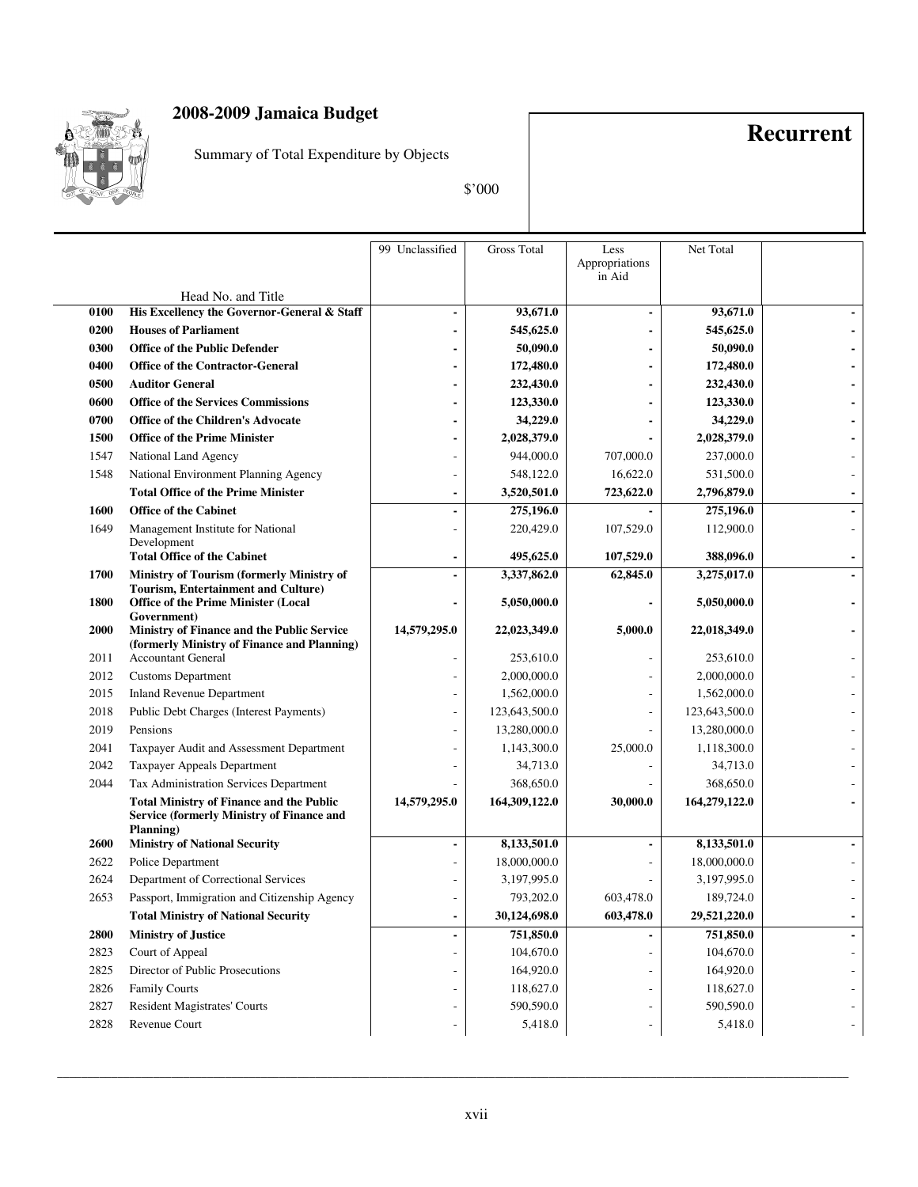

Summary of Total Expenditure by Objects

**Recurrent**

\$'000

|      |                                                                                                                  | 99 Unclassified | <b>Gross Total</b> | Less                     | Net Total     |  |
|------|------------------------------------------------------------------------------------------------------------------|-----------------|--------------------|--------------------------|---------------|--|
|      |                                                                                                                  |                 |                    | Appropriations<br>in Aid |               |  |
|      | Head No. and Title                                                                                               |                 |                    |                          |               |  |
| 0100 | His Excellency the Governor-General & Staff                                                                      |                 | 93,671.0           |                          | 93,671.0      |  |
| 0200 | <b>Houses of Parliament</b>                                                                                      |                 | 545,625.0          |                          | 545,625.0     |  |
| 0300 | <b>Office of the Public Defender</b>                                                                             |                 | 50,090.0           |                          | 50,090.0      |  |
| 0400 | <b>Office of the Contractor-General</b>                                                                          |                 | 172,480.0          |                          | 172,480.0     |  |
| 0500 | <b>Auditor General</b>                                                                                           |                 | 232,430.0          |                          | 232,430.0     |  |
| 0600 | <b>Office of the Services Commissions</b>                                                                        |                 | 123,330.0          |                          | 123,330.0     |  |
| 0700 | <b>Office of the Children's Advocate</b>                                                                         |                 | 34,229.0           |                          | 34,229.0      |  |
| 1500 | <b>Office of the Prime Minister</b>                                                                              |                 | 2,028,379.0        |                          | 2,028,379.0   |  |
| 1547 | National Land Agency                                                                                             |                 | 944,000.0          | 707,000.0                | 237,000.0     |  |
| 1548 | National Environment Planning Agency                                                                             |                 | 548,122.0          | 16,622.0                 | 531,500.0     |  |
|      | <b>Total Office of the Prime Minister</b>                                                                        |                 | 3,520,501.0        | 723,622.0                | 2,796,879.0   |  |
| 1600 | <b>Office of the Cabinet</b>                                                                                     |                 | 275,196.0          |                          | 275,196.0     |  |
| 1649 | Management Institute for National                                                                                |                 | 220,429.0          | 107,529.0                | 112,900.0     |  |
|      | Development<br><b>Total Office of the Cabinet</b>                                                                |                 |                    |                          | 388,096.0     |  |
|      |                                                                                                                  |                 | 495,625.0          | 107,529.0                |               |  |
| 1700 | Ministry of Tourism (formerly Ministry of<br>Tourism, Entertainment and Culture)                                 |                 | 3,337,862.0        | 62,845.0                 | 3,275,017.0   |  |
| 1800 | <b>Office of the Prime Minister (Local</b><br>Government)                                                        |                 | 5,050,000.0        |                          | 5,050,000.0   |  |
| 2000 | Ministry of Finance and the Public Service                                                                       | 14,579,295.0    | 22,023,349.0       | 5,000.0                  | 22,018,349.0  |  |
|      | (formerly Ministry of Finance and Planning)                                                                      |                 |                    |                          |               |  |
| 2011 | Accountant General                                                                                               |                 | 253,610.0          |                          | 253,610.0     |  |
| 2012 | <b>Customs Department</b>                                                                                        |                 | 2,000,000.0        |                          | 2,000,000.0   |  |
| 2015 | <b>Inland Revenue Department</b>                                                                                 |                 | 1,562,000.0        |                          | 1,562,000.0   |  |
| 2018 | Public Debt Charges (Interest Payments)                                                                          |                 | 123,643,500.0      |                          | 123,643,500.0 |  |
| 2019 | Pensions                                                                                                         |                 | 13,280,000.0       |                          | 13,280,000.0  |  |
| 2041 | Taxpayer Audit and Assessment Department                                                                         |                 | 1,143,300.0        | 25,000.0                 | 1,118,300.0   |  |
| 2042 | Taxpayer Appeals Department                                                                                      |                 | 34,713.0           |                          | 34,713.0      |  |
| 2044 | Tax Administration Services Department                                                                           |                 | 368,650.0          |                          | 368,650.0     |  |
|      | <b>Total Ministry of Finance and the Public</b><br><b>Service (formerly Ministry of Finance and</b><br>Planning) | 14,579,295.0    | 164,309,122.0      | 30,000.0                 | 164,279,122.0 |  |
| 2600 | <b>Ministry of National Security</b>                                                                             |                 | 8,133,501.0        |                          | 8,133,501.0   |  |
| 2622 | Police Department                                                                                                |                 | 18,000,000.0       |                          | 18,000,000.0  |  |
| 2624 | Department of Correctional Services                                                                              |                 | 3,197,995.0        |                          | 3,197,995.0   |  |
| 2653 | Passport, Immigration and Citizenship Agency                                                                     |                 | 793,202.0          | 603,478.0                | 189,724.0     |  |
|      | <b>Total Ministry of National Security</b>                                                                       | $\blacksquare$  | 30,124,698.0       | 603,478.0                | 29,521,220.0  |  |
| 2800 | <b>Ministry of Justice</b>                                                                                       |                 | 751,850.0          |                          | 751,850.0     |  |
| 2823 | Court of Appeal                                                                                                  |                 | 104,670.0          |                          | 104,670.0     |  |
| 2825 | Director of Public Prosecutions                                                                                  |                 | 164,920.0          |                          | 164,920.0     |  |
| 2826 | <b>Family Courts</b>                                                                                             |                 | 118,627.0          |                          | 118,627.0     |  |
| 2827 | <b>Resident Magistrates' Courts</b>                                                                              |                 | 590,590.0          |                          | 590,590.0     |  |
| 2828 | Revenue Court                                                                                                    |                 | 5,418.0            |                          | 5,418.0       |  |
|      |                                                                                                                  |                 |                    |                          |               |  |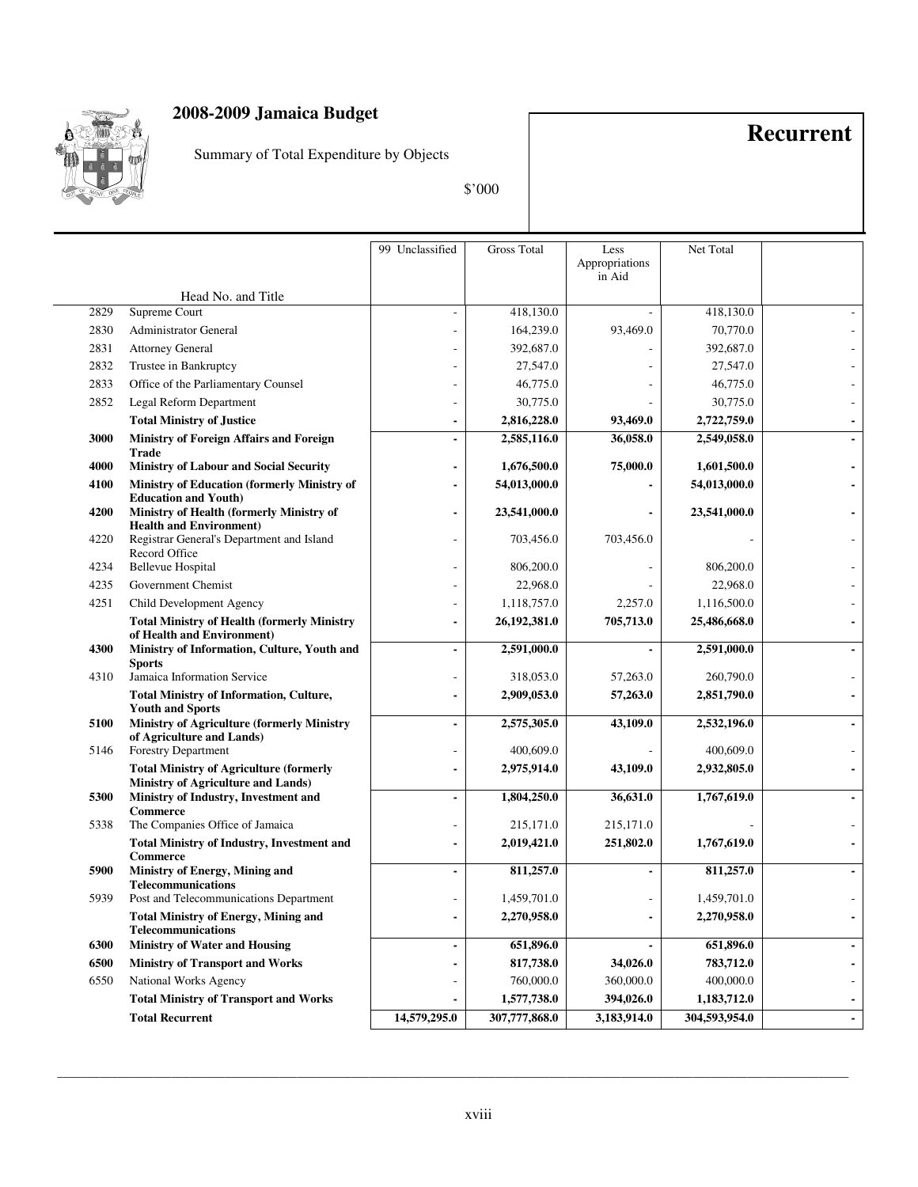

Summary of Total Expenditure by Objects

**Recurrent**

\$'000

|      |                                                                                                           | 99 Unclassified | <b>Gross Total</b> | Less<br>Appropriations<br>in Aid | Net Total     |  |
|------|-----------------------------------------------------------------------------------------------------------|-----------------|--------------------|----------------------------------|---------------|--|
|      | Head No. and Title                                                                                        |                 |                    |                                  |               |  |
| 2829 | Supreme Court                                                                                             |                 | 418,130.0          |                                  | 418,130.0     |  |
| 2830 | <b>Administrator General</b>                                                                              |                 | 164,239.0          | 93,469.0                         | 70,770.0      |  |
| 2831 | <b>Attorney General</b>                                                                                   |                 | 392,687.0          |                                  | 392,687.0     |  |
| 2832 | Trustee in Bankruptcy                                                                                     |                 | 27,547.0           |                                  | 27,547.0      |  |
| 2833 | Office of the Parliamentary Counsel                                                                       |                 | 46,775.0           |                                  | 46,775.0      |  |
| 2852 | Legal Reform Department                                                                                   |                 | 30,775.0           |                                  | 30,775.0      |  |
|      | <b>Total Ministry of Justice</b>                                                                          |                 | 2,816,228.0        | 93,469.0                         | 2,722,759.0   |  |
| 3000 | Ministry of Foreign Affairs and Foreign<br>Trade                                                          |                 | 2,585,116.0        | 36,058.0                         | 2,549,058.0   |  |
| 4000 | <b>Ministry of Labour and Social Security</b>                                                             |                 | 1,676,500.0        | 75,000.0                         | 1,601,500.0   |  |
| 4100 | Ministry of Education (formerly Ministry of                                                               |                 | 54,013,000.0       |                                  | 54,013,000.0  |  |
| 4200 | <b>Education and Youth)</b><br>Ministry of Health (formerly Ministry of<br><b>Health and Environment)</b> |                 | 23,541,000.0       |                                  | 23,541,000.0  |  |
| 4220 | Registrar General's Department and Island<br>Record Office                                                |                 | 703,456.0          | 703,456.0                        |               |  |
| 4234 | <b>Bellevue Hospital</b>                                                                                  |                 | 806,200.0          |                                  | 806,200.0     |  |
| 4235 | Government Chemist                                                                                        |                 | 22,968.0           |                                  | 22,968.0      |  |
| 4251 | Child Development Agency                                                                                  |                 | 1,118,757.0        | 2,257.0                          | 1,116,500.0   |  |
|      | <b>Total Ministry of Health (formerly Ministry</b><br>of Health and Environment)                          |                 | 26,192,381.0       | 705,713.0                        | 25,486,668.0  |  |
| 4300 | Ministry of Information, Culture, Youth and<br><b>Sports</b>                                              |                 | 2,591,000.0        |                                  | 2,591,000.0   |  |
| 4310 | Jamaica Information Service                                                                               |                 | 318,053.0          | 57,263.0                         | 260,790.0     |  |
|      | <b>Total Ministry of Information, Culture,</b><br><b>Youth and Sports</b>                                 |                 | 2,909,053.0        | 57,263.0                         | 2,851,790.0   |  |
| 5100 | <b>Ministry of Agriculture (formerly Ministry</b><br>of Agriculture and Lands)                            |                 | 2,575,305.0        | 43,109.0                         | 2,532,196.0   |  |
| 5146 | <b>Forestry Department</b>                                                                                |                 | 400,609.0          |                                  | 400,609.0     |  |
|      | <b>Total Ministry of Agriculture (formerly</b><br>Ministry of Agriculture and Lands)                      |                 | 2,975,914.0        | 43,109.0                         | 2,932,805.0   |  |
| 5300 | Ministry of Industry, Investment and<br><b>Commerce</b>                                                   |                 | 1,804,250.0        | 36,631.0                         | 1,767,619.0   |  |
| 5338 | The Companies Office of Jamaica                                                                           |                 | 215,171.0          | 215,171.0                        |               |  |
|      | <b>Total Ministry of Industry, Investment and</b><br><b>Commerce</b>                                      |                 | 2,019,421.0        | 251,802.0                        | 1,767,619.0   |  |
| 5900 | Ministry of Energy, Mining and<br><b>Telecommunications</b>                                               |                 | 811,257.0          | $\blacksquare$                   | 811,257.0     |  |
| 5939 | Post and Telecommunications Department                                                                    |                 | 1,459,701.0        |                                  | 1,459,701.0   |  |
|      | <b>Total Ministry of Energy, Mining and</b><br><b>Telecommunications</b>                                  | $\blacksquare$  | 2,270,958.0        | $\blacksquare$                   | 2,270,958.0   |  |
| 6300 | <b>Ministry of Water and Housing</b>                                                                      |                 | 651,896.0          |                                  | 651,896.0     |  |
| 6500 | <b>Ministry of Transport and Works</b>                                                                    |                 | 817,738.0          | 34,026.0                         | 783,712.0     |  |
| 6550 | National Works Agency                                                                                     |                 | 760,000.0          | 360,000.0                        | 400,000.0     |  |
|      | <b>Total Ministry of Transport and Works</b>                                                              |                 | 1,577,738.0        | 394,026.0                        | 1,183,712.0   |  |
|      | <b>Total Recurrent</b>                                                                                    | 14,579,295.0    | 307,777,868.0      | 3,183,914.0                      | 304,593,954.0 |  |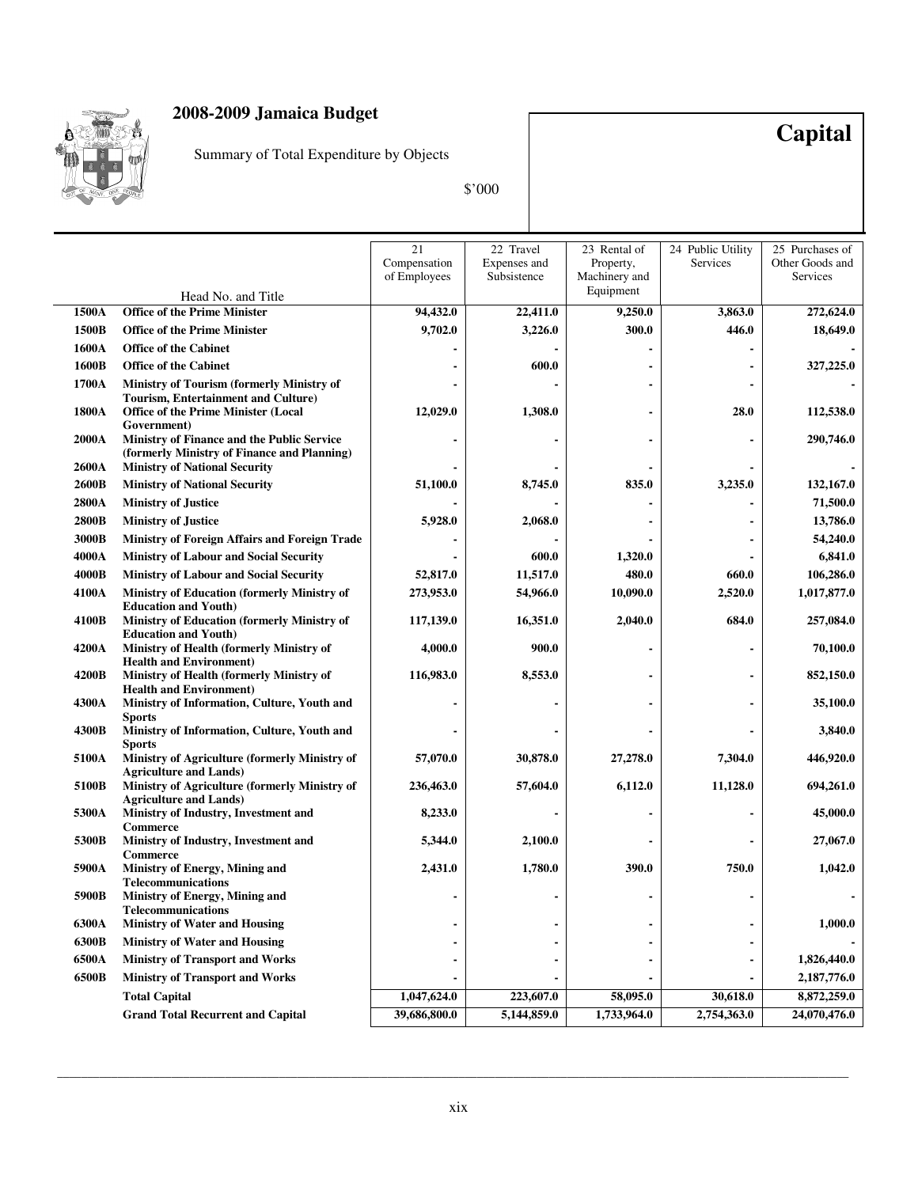

Summary of Total Expenditure by Objects

\$'000

**Capital**

|              |                                                                                                  | 21<br>Compensation<br>of Employees | 22 Travel<br>Expenses and<br>Subsistence | 23 Rental of<br>Property,<br>Machinery and | 24 Public Utility<br>Services | 25 Purchases of<br>Other Goods and<br>Services |
|--------------|--------------------------------------------------------------------------------------------------|------------------------------------|------------------------------------------|--------------------------------------------|-------------------------------|------------------------------------------------|
|              | Head No. and Title                                                                               |                                    |                                          | Equipment                                  |                               |                                                |
| 1500A        | <b>Office of the Prime Minister</b>                                                              | 94,432.0                           | 22,411.0                                 | 9,250.0                                    | 3,863.0                       | 272,624.0                                      |
| 1500B        | <b>Office of the Prime Minister</b>                                                              | 9,702.0                            | 3,226.0                                  | 300.0                                      | 446.0                         | 18,649.0                                       |
| 1600A        | <b>Office of the Cabinet</b>                                                                     |                                    |                                          |                                            |                               |                                                |
| 1600B        | <b>Office of the Cabinet</b>                                                                     |                                    | 600.0                                    |                                            |                               | 327,225.0                                      |
| 1700A        | Ministry of Tourism (formerly Ministry of                                                        |                                    |                                          |                                            |                               |                                                |
| 1800A        | Tourism, Entertainment and Culture)<br><b>Office of the Prime Minister (Local</b><br>Government) | 12,029.0                           | 1,308.0                                  |                                            | 28.0                          | 112,538.0                                      |
| <b>2000A</b> | Ministry of Finance and the Public Service<br>(formerly Ministry of Finance and Planning)        |                                    |                                          |                                            |                               | 290,746.0                                      |
| 2600A        | <b>Ministry of National Security</b>                                                             |                                    |                                          |                                            |                               |                                                |
| 2600B        | <b>Ministry of National Security</b>                                                             | 51,100.0                           | 8,745.0                                  | 835.0                                      | 3,235.0                       | 132,167.0                                      |
| 2800A        | <b>Ministry of Justice</b>                                                                       |                                    |                                          |                                            |                               | 71,500.0                                       |
| 2800B        | <b>Ministry of Justice</b>                                                                       | 5,928.0                            | 2,068.0                                  |                                            |                               | 13,786.0                                       |
| 3000B        | Ministry of Foreign Affairs and Foreign Trade                                                    |                                    |                                          |                                            |                               | 54,240.0                                       |
| 4000A        | <b>Ministry of Labour and Social Security</b>                                                    |                                    | 600.0                                    | 1,320.0                                    |                               | 6,841.0                                        |
| 4000B        | <b>Ministry of Labour and Social Security</b>                                                    | 52,817.0                           | 11,517.0                                 | 480.0                                      | 660.0                         | 106,286.0                                      |
| 4100A        | <b>Ministry of Education (formerly Ministry of</b><br><b>Education and Youth)</b>                | 273,953.0                          | 54,966.0                                 | 10,090.0                                   | 2,520.0                       | 1,017,877.0                                    |
| 4100B        | <b>Ministry of Education (formerly Ministry of</b><br><b>Education and Youth)</b>                | 117,139.0                          | 16,351.0                                 | 2,040.0                                    | 684.0                         | 257,084.0                                      |
| 4200A        | Ministry of Health (formerly Ministry of<br><b>Health and Environment)</b>                       | 4,000.0                            | 900.0                                    |                                            |                               | 70,100.0                                       |
| 4200B        | Ministry of Health (formerly Ministry of<br><b>Health and Environment)</b>                       | 116,983.0                          | 8,553.0                                  |                                            |                               | 852,150.0                                      |
| 4300A        | Ministry of Information, Culture, Youth and<br><b>Sports</b>                                     |                                    |                                          |                                            |                               | 35,100.0                                       |
| 4300B        | Ministry of Information, Culture, Youth and<br><b>Sports</b>                                     |                                    |                                          |                                            |                               | 3,840.0                                        |
| 5100A        | Ministry of Agriculture (formerly Ministry of<br><b>Agriculture and Lands)</b>                   | 57,070.0                           | 30,878.0                                 | 27,278.0                                   | 7,304.0                       | 446,920.0                                      |
| 5100B        | Ministry of Agriculture (formerly Ministry of<br><b>Agriculture and Lands)</b>                   | 236,463.0                          | 57,604.0                                 | 6,112.0                                    | 11,128.0                      | 694,261.0                                      |
| 5300A        | Ministry of Industry, Investment and<br>Commerce                                                 | 8,233.0                            |                                          |                                            |                               | 45,000.0                                       |
| 5300B        | Ministry of Industry, Investment and<br>Commerce                                                 | 5,344.0                            | 2,100.0                                  |                                            |                               | 27,067.0                                       |
| 5900A        | <b>Ministry of Energy, Mining and</b><br><b>Telecommunications</b>                               | 2,431.0                            | 1,780.0                                  | 390.0                                      | 750.0                         | 1,042.0                                        |
| 5900B        | Ministry of Energy, Mining and<br>Telecommunications                                             |                                    |                                          |                                            |                               |                                                |
| 6300A        | <b>Ministry of Water and Housing</b>                                                             |                                    |                                          |                                            |                               | 1,000.0                                        |
| 6300B        | <b>Ministry of Water and Housing</b>                                                             |                                    |                                          |                                            |                               |                                                |
| 6500A        | <b>Ministry of Transport and Works</b>                                                           |                                    |                                          |                                            |                               | 1,826,440.0                                    |
| 6500B        | <b>Ministry of Transport and Works</b>                                                           |                                    |                                          |                                            |                               | 2,187,776.0                                    |
|              | <b>Total Capital</b>                                                                             | 1,047,624.0                        | 223,607.0                                | 58,095.0                                   | 30,618.0                      | 8,872,259.0                                    |
|              | <b>Grand Total Recurrent and Capital</b>                                                         | 39,686,800.0                       | 5,144,859.0                              | 1,733,964.0                                | 2,754,363.0                   | 24,070,476.0                                   |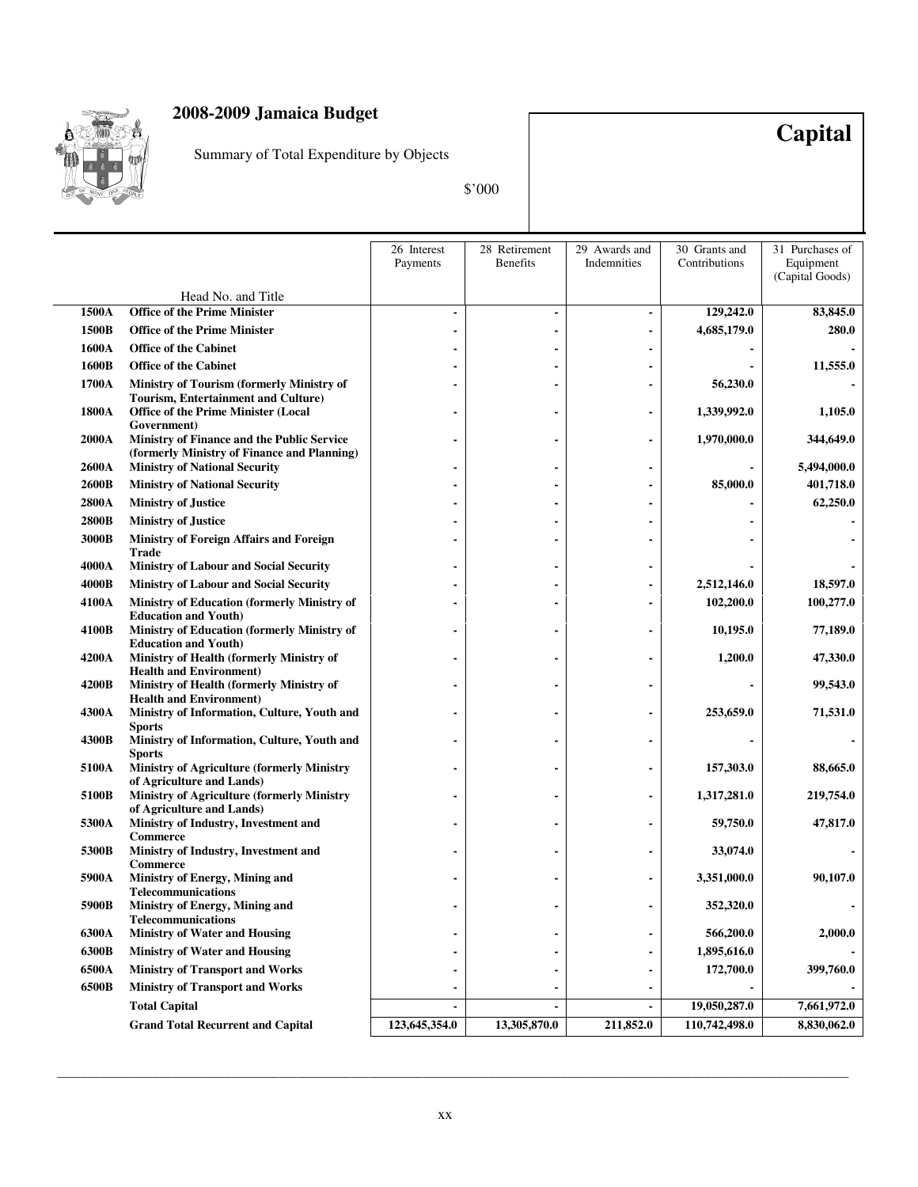

Summary of Total Expenditure by Objects

**Capital**

\$'000

|       |                                                                                                  | 26 Interest   | 28 Retirement   | 29 Awards and | 30 Grants and | 31 Purchases of |
|-------|--------------------------------------------------------------------------------------------------|---------------|-----------------|---------------|---------------|-----------------|
|       |                                                                                                  | Payments      | <b>Benefits</b> | Indemnities   | Contributions | Equipment       |
|       |                                                                                                  |               |                 |               |               | (Capital Goods) |
|       | Head No. and Title                                                                               |               |                 |               |               |                 |
| 1500A | <b>Office of the Prime Minister</b>                                                              |               |                 |               | 129,242.0     | 83,845.0        |
| 1500B | <b>Office of the Prime Minister</b>                                                              |               |                 |               | 4,685,179.0   | 280.0           |
| 1600A | <b>Office of the Cabinet</b>                                                                     |               |                 |               |               |                 |
| 1600B | <b>Office of the Cabinet</b>                                                                     |               |                 |               |               | 11,555.0        |
| 1700A | Ministry of Tourism (formerly Ministry of                                                        |               |                 |               | 56,230.0      |                 |
| 1800A | <b>Tourism, Entertainment and Culture)</b><br><b>Office of the Prime Minister (Local</b>         |               |                 |               | 1,339,992.0   | 1,105.0         |
|       | Government)                                                                                      |               |                 |               |               |                 |
| 2000A | <b>Ministry of Finance and the Public Service</b><br>(formerly Ministry of Finance and Planning) |               |                 |               | 1,970,000.0   | 344,649.0       |
| 2600A | <b>Ministry of National Security</b>                                                             |               |                 |               |               | 5,494,000.0     |
| 2600B | <b>Ministry of National Security</b>                                                             |               |                 |               | 85,000.0      | 401,718.0       |
| 2800A | <b>Ministry of Justice</b>                                                                       |               |                 |               |               | 62,250.0        |
| 2800B | <b>Ministry of Justice</b>                                                                       |               |                 |               |               |                 |
| 3000B | <b>Ministry of Foreign Affairs and Foreign</b><br>Trade                                          |               |                 |               |               |                 |
| 4000A | <b>Ministry of Labour and Social Security</b>                                                    |               |                 |               |               |                 |
| 4000B | <b>Ministry of Labour and Social Security</b>                                                    |               |                 |               | 2,512,146.0   | 18,597.0        |
| 4100A | Ministry of Education (formerly Ministry of                                                      |               |                 |               | 102,200.0     | 100,277.0       |
| 4100B | <b>Education and Youth)</b>                                                                      |               |                 |               | 10,195.0      |                 |
|       | Ministry of Education (formerly Ministry of<br><b>Education and Youth)</b>                       |               |                 |               |               | 77,189.0        |
| 4200A | Ministry of Health (formerly Ministry of<br><b>Health and Environment)</b>                       |               |                 |               | 1,200.0       | 47,330.0        |
| 4200B | Ministry of Health (formerly Ministry of                                                         |               |                 |               |               | 99,543.0        |
| 4300A | <b>Health and Environment)</b><br>Ministry of Information, Culture, Youth and                    |               |                 |               | 253,659.0     | 71,531.0        |
| 4300B | Sports<br>Ministry of Information, Culture, Youth and                                            |               |                 |               |               |                 |
|       | Sports                                                                                           |               |                 |               |               |                 |
| 5100A | <b>Ministry of Agriculture (formerly Ministry</b>                                                |               |                 |               | 157,303.0     | 88,665.0        |
|       | of Agriculture and Lands)                                                                        |               |                 |               |               |                 |
| 5100B | <b>Ministry of Agriculture (formerly Ministry</b><br>of Agriculture and Lands)                   |               |                 |               | 1,317,281.0   | 219,754.0       |
| 5300A | Ministry of Industry, Investment and<br>Commerce                                                 |               |                 |               | 59,750.0      | 47,817.0        |
| 5300B | Ministry of Industry, Investment and<br><b>Commerce</b>                                          |               |                 |               | 33,074.0      |                 |
| 5900A | Ministry of Energy, Mining and<br><b>Telecommunications</b>                                      |               |                 |               | 3,351,000.0   | 90,107.0        |
| 5900B | <b>Ministry of Energy, Mining and</b><br><b>Telecommunications</b>                               |               |                 |               | 352,320.0     |                 |
| 6300A | <b>Ministry of Water and Housing</b>                                                             |               |                 |               | 566,200.0     | 2,000.0         |
| 6300B | <b>Ministry of Water and Housing</b>                                                             |               |                 |               | 1,895,616.0   |                 |
| 6500A | <b>Ministry of Transport and Works</b>                                                           |               |                 |               | 172,700.0     | 399,760.0       |
| 6500B | <b>Ministry of Transport and Works</b>                                                           |               |                 |               |               |                 |
|       | <b>Total Capital</b>                                                                             |               |                 |               | 19,050,287.0  | 7,661,972.0     |
|       | <b>Grand Total Recurrent and Capital</b>                                                         | 123,645,354.0 | 13,305,870.0    | 211,852.0     | 110,742,498.0 | 8,830,062.0     |
|       |                                                                                                  |               |                 |               |               |                 |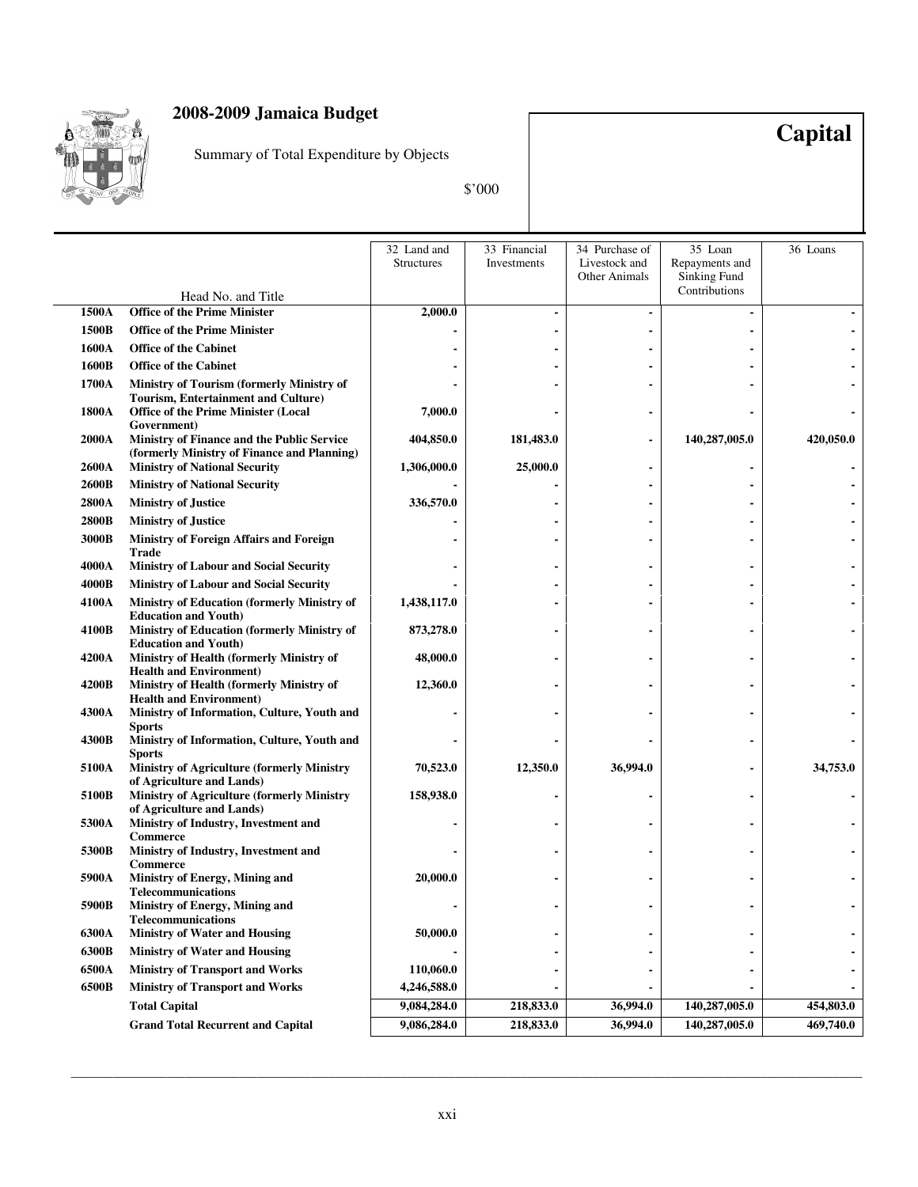

Summary of Total Expenditure by Objects

\$'000

**Capital**

|       |                                                                                                              | 32 Land and<br><b>Structures</b> | 33 Financial<br>Investments | 34 Purchase of<br>Livestock and<br><b>Other Animals</b> | 35 Loan<br>Repayments and<br>Sinking Fund | 36 Loans  |
|-------|--------------------------------------------------------------------------------------------------------------|----------------------------------|-----------------------------|---------------------------------------------------------|-------------------------------------------|-----------|
|       | Head No. and Title                                                                                           |                                  |                             |                                                         | Contributions                             |           |
| 1500A | <b>Office of the Prime Minister</b>                                                                          | 2,000.0                          |                             |                                                         |                                           |           |
| 1500B | <b>Office of the Prime Minister</b>                                                                          |                                  |                             |                                                         |                                           |           |
| 1600A | <b>Office of the Cabinet</b>                                                                                 |                                  |                             |                                                         |                                           |           |
| 1600B | <b>Office of the Cabinet</b>                                                                                 |                                  |                             |                                                         |                                           |           |
| 1700A | Ministry of Tourism (formerly Ministry of                                                                    |                                  |                             |                                                         |                                           |           |
| 1800A | <b>Tourism, Entertainment and Culture)</b><br><b>Office of the Prime Minister (Local</b>                     | 7,000.0                          |                             |                                                         |                                           |           |
|       | Government)                                                                                                  |                                  |                             |                                                         |                                           |           |
| 2000A | Ministry of Finance and the Public Service<br>(formerly Ministry of Finance and Planning)                    | 404,850.0                        | 181,483.0                   |                                                         | 140,287,005.0                             | 420,050.0 |
| 2600A | <b>Ministry of National Security</b>                                                                         | 1,306,000.0                      | 25,000.0                    |                                                         |                                           |           |
| 2600B | <b>Ministry of National Security</b>                                                                         |                                  |                             |                                                         |                                           |           |
| 2800A | <b>Ministry of Justice</b>                                                                                   | 336,570.0                        |                             |                                                         |                                           |           |
| 2800B | <b>Ministry of Justice</b>                                                                                   |                                  |                             |                                                         |                                           |           |
| 3000B | <b>Ministry of Foreign Affairs and Foreign</b><br>Trade                                                      |                                  |                             |                                                         |                                           |           |
| 4000A | <b>Ministry of Labour and Social Security</b>                                                                |                                  |                             |                                                         |                                           |           |
| 4000B | <b>Ministry of Labour and Social Security</b>                                                                |                                  |                             |                                                         |                                           |           |
| 4100A | Ministry of Education (formerly Ministry of<br><b>Education and Youth)</b>                                   | 1,438,117.0                      |                             |                                                         |                                           |           |
| 4100B | Ministry of Education (formerly Ministry of<br><b>Education and Youth)</b>                                   | 873,278.0                        |                             |                                                         |                                           |           |
| 4200A | Ministry of Health (formerly Ministry of                                                                     | 48,000.0                         |                             |                                                         |                                           |           |
| 4200B | <b>Health and Environment)</b><br>Ministry of Health (formerly Ministry of<br><b>Health and Environment)</b> | 12,360.0                         |                             |                                                         |                                           |           |
| 4300A | Ministry of Information, Culture, Youth and                                                                  |                                  |                             |                                                         |                                           |           |
| 4300B | <b>Sports</b><br>Ministry of Information, Culture, Youth and                                                 |                                  |                             |                                                         |                                           |           |
| 5100A | <b>Sports</b><br>Ministry of Agriculture (formerly Ministry                                                  | 70,523.0                         | 12,350.0                    | 36,994.0                                                |                                           | 34,753.0  |
| 5100B | of Agriculture and Lands)<br>Ministry of Agriculture (formerly Ministry                                      | 158,938.0                        |                             |                                                         | $\blacksquare$                            |           |
| 5300A | of Agriculture and Lands)<br>Ministry of Industry, Investment and                                            |                                  |                             |                                                         |                                           |           |
| 5300B | <b>Commerce</b><br>Ministry of Industry, Investment and                                                      |                                  |                             |                                                         |                                           |           |
| 5900A | Commerce<br>Ministry of Energy, Mining and                                                                   | 20,000.0                         |                             |                                                         |                                           |           |
| 5900B | <b>Telecommunications</b><br>Ministry of Energy, Mining and                                                  |                                  |                             |                                                         |                                           |           |
| 6300A | <b>Telecommunications</b><br><b>Ministry of Water and Housing</b>                                            | 50,000.0                         |                             |                                                         |                                           |           |
| 6300B | <b>Ministry of Water and Housing</b>                                                                         |                                  |                             |                                                         |                                           |           |
| 6500A | <b>Ministry of Transport and Works</b>                                                                       | 110,060.0                        |                             |                                                         |                                           |           |
| 6500B | <b>Ministry of Transport and Works</b>                                                                       | 4,246,588.0                      |                             |                                                         |                                           |           |
|       | <b>Total Capital</b>                                                                                         | 9,084,284.0                      | 218,833.0                   | 36,994.0                                                | 140,287,005.0                             | 454,803.0 |
|       | <b>Grand Total Recurrent and Capital</b>                                                                     | 9,086,284.0                      | 218,833.0                   | 36,994.0                                                | 140,287,005.0                             | 469,740.0 |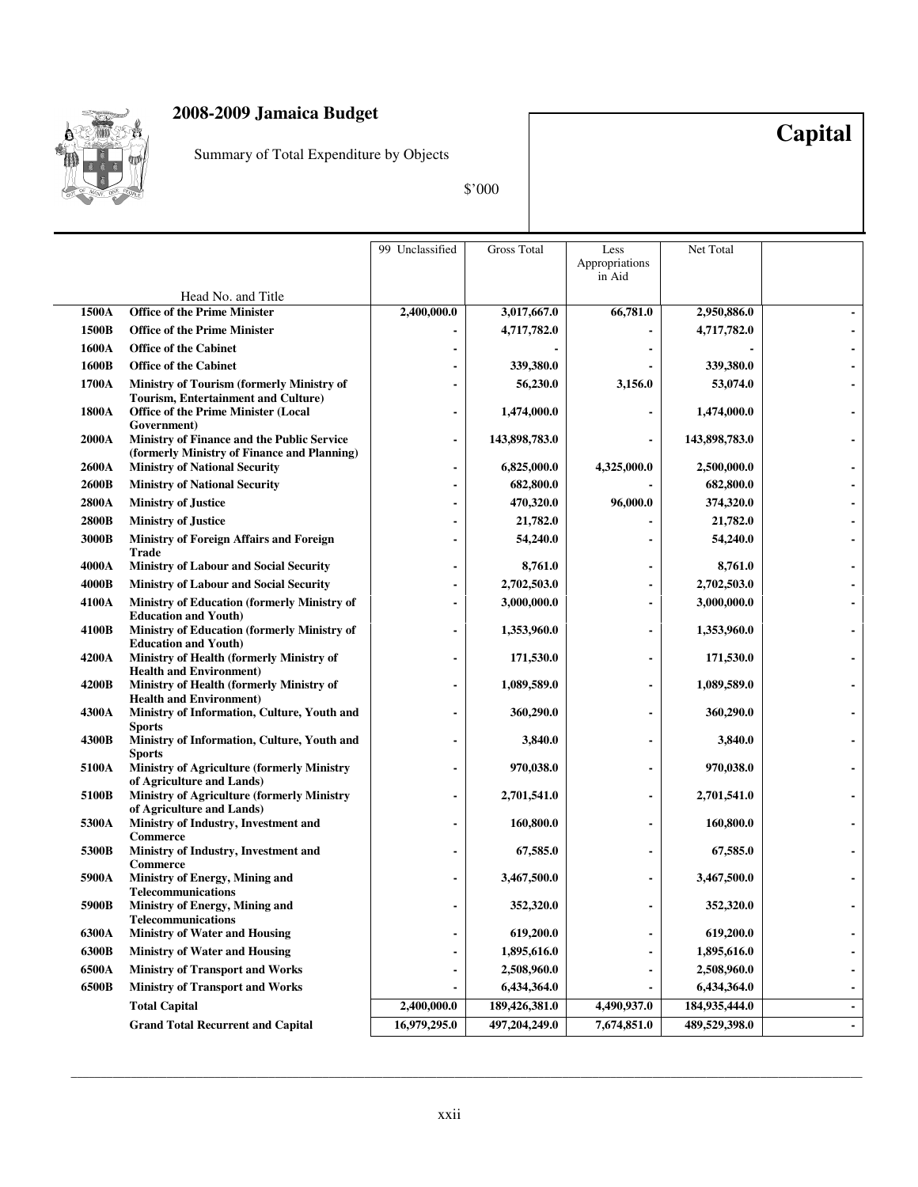

Summary of Total Expenditure by Objects

\$'000

**Capital**

|       |                                                                            | 99 Unclassified | <b>Gross Total</b> | Less           | Net Total     |                |
|-------|----------------------------------------------------------------------------|-----------------|--------------------|----------------|---------------|----------------|
|       |                                                                            |                 |                    | Appropriations |               |                |
|       |                                                                            |                 |                    | in Aid         |               |                |
|       | Head No. and Title                                                         |                 |                    |                |               |                |
| 1500A | <b>Office of the Prime Minister</b>                                        | 2,400,000.0     | 3,017,667.0        | 66,781.0       | 2,950,886.0   |                |
| 1500B | <b>Office of the Prime Minister</b>                                        |                 | 4,717,782.0        |                | 4,717,782.0   |                |
| 1600A | <b>Office of the Cabinet</b>                                               |                 |                    |                |               |                |
| 1600B | <b>Office of the Cabinet</b>                                               |                 | 339,380.0          |                | 339,380.0     |                |
| 1700A | Ministry of Tourism (formerly Ministry of                                  |                 | 56,230.0           | 3,156.0        | 53,074.0      |                |
|       | <b>Tourism, Entertainment and Culture)</b>                                 |                 |                    |                |               |                |
| 1800A | <b>Office of the Prime Minister (Local</b><br>Government)                  |                 | 1,474,000.0        |                | 1,474,000.0   |                |
| 2000A | Ministry of Finance and the Public Service                                 |                 | 143,898,783.0      |                | 143,898,783.0 |                |
|       | (formerly Ministry of Finance and Planning)                                |                 |                    |                |               |                |
| 2600A | <b>Ministry of National Security</b>                                       |                 | 6,825,000.0        | 4,325,000.0    | 2,500,000.0   |                |
| 2600B | <b>Ministry of National Security</b>                                       |                 | 682,800.0          |                | 682,800.0     |                |
| 2800A | <b>Ministry of Justice</b>                                                 |                 | 470,320.0          | 96,000.0       | 374,320.0     |                |
| 2800B | <b>Ministry of Justice</b>                                                 |                 | 21,782.0           |                | 21,782.0      |                |
| 3000B | Ministry of Foreign Affairs and Foreign                                    |                 | 54,240.0           |                | 54,240.0      |                |
|       | Trade                                                                      |                 |                    |                |               |                |
| 4000A | <b>Ministry of Labour and Social Security</b>                              |                 | 8,761.0            |                | 8,761.0       |                |
| 4000B | <b>Ministry of Labour and Social Security</b>                              |                 | 2,702,503.0        |                | 2,702,503.0   |                |
| 4100A | Ministry of Education (formerly Ministry of<br><b>Education and Youth)</b> |                 | 3,000,000.0        |                | 3,000,000.0   |                |
| 4100B | Ministry of Education (formerly Ministry of                                |                 | 1,353,960.0        |                | 1,353,960.0   |                |
|       | <b>Education and Youth)</b>                                                |                 |                    |                |               |                |
| 4200A | Ministry of Health (formerly Ministry of                                   |                 | 171,530.0          |                | 171,530.0     |                |
| 4200B | <b>Health and Environment)</b><br>Ministry of Health (formerly Ministry of |                 | 1,089,589.0        |                | 1,089,589.0   |                |
|       | <b>Health and Environment)</b>                                             |                 |                    |                |               |                |
| 4300A | Ministry of Information, Culture, Youth and                                |                 | 360,290.0          |                | 360,290.0     |                |
|       | <b>Sports</b>                                                              |                 |                    |                |               |                |
| 4300B | Ministry of Information, Culture, Youth and<br><b>Sports</b>               |                 | 3,840.0            |                | 3,840.0       |                |
| 5100A | <b>Ministry of Agriculture (formerly Ministry</b>                          |                 | 970,038.0          |                | 970,038.0     |                |
|       | of Agriculture and Lands)                                                  |                 |                    |                |               |                |
| 5100B | Ministry of Agriculture (formerly Ministry                                 |                 | 2,701,541.0        |                | 2,701,541.0   |                |
| 5300A | of Agriculture and Lands)<br>Ministry of Industry, Investment and          |                 | 160,800.0          |                | 160,800.0     |                |
|       | <b>Commerce</b>                                                            |                 |                    |                |               |                |
| 5300B | Ministry of Industry, Investment and                                       |                 | 67,585.0           |                | 67,585.0      |                |
| 5900A | <b>Commerce</b>                                                            |                 |                    |                |               |                |
|       | Ministry of Energy, Mining and<br><b>Telecommunications</b>                |                 | 3,467,500.0        |                | 3,467,500.0   |                |
| 5900B | Ministry of Energy, Mining and                                             |                 | 352,320.0          |                | 352,320.0     |                |
|       | <b>Telecommunications</b>                                                  |                 |                    |                |               |                |
| 6300A | <b>Ministry of Water and Housing</b>                                       |                 | 619,200.0          |                | 619,200.0     |                |
| 6300B | <b>Ministry of Water and Housing</b>                                       |                 | 1,895,616.0        |                | 1,895,616.0   |                |
| 6500A | <b>Ministry of Transport and Works</b>                                     |                 | 2,508,960.0        |                | 2,508,960.0   |                |
| 6500B | <b>Ministry of Transport and Works</b>                                     |                 | 6,434,364.0        |                | 6,434,364.0   |                |
|       | <b>Total Capital</b>                                                       | 2,400,000.0     | 189,426,381.0      | 4,490,937.0    | 184,935,444.0 | $\blacksquare$ |
|       | <b>Grand Total Recurrent and Capital</b>                                   | 16,979,295.0    | 497,204,249.0      | 7,674,851.0    | 489,529,398.0 |                |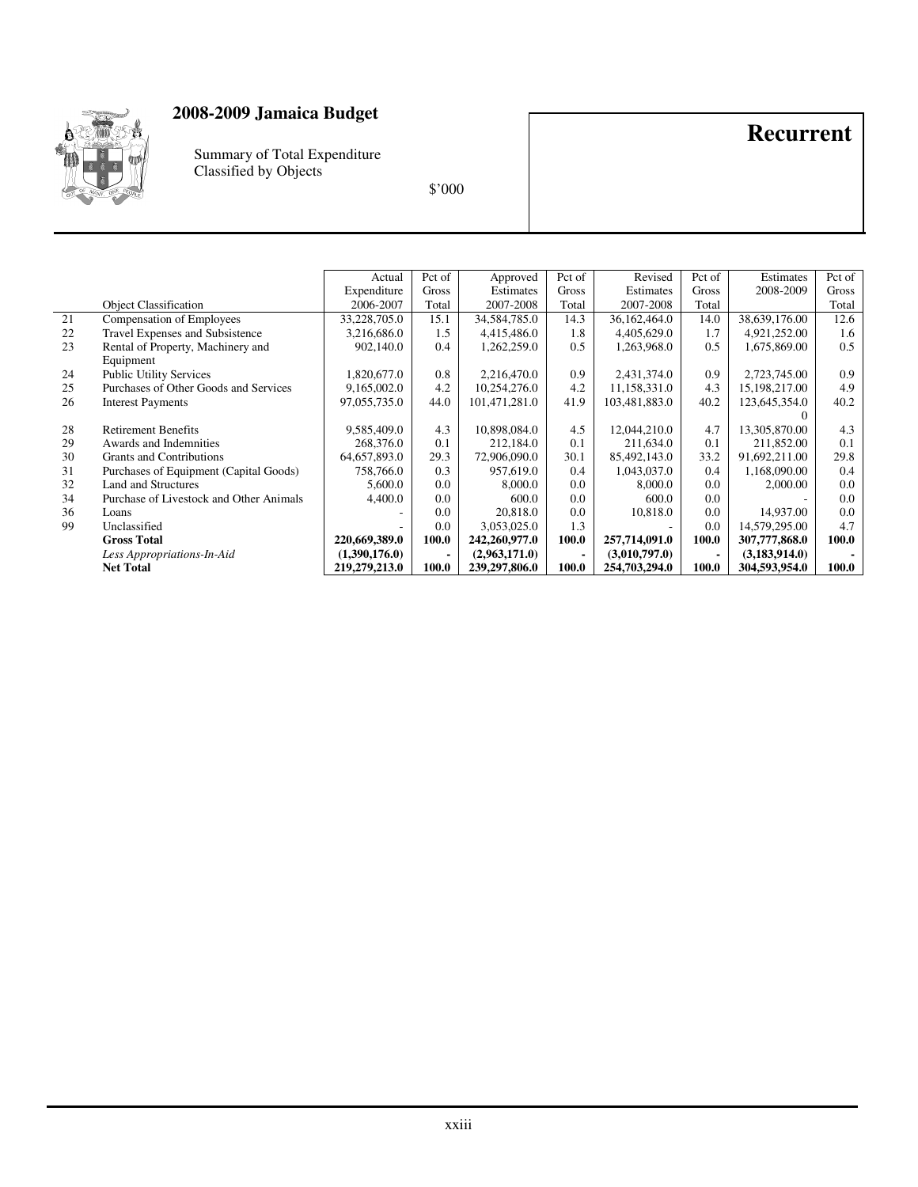

Summary of Total Expenditure Classified by Objects

\$'000

#### Object Classification Actual Expenditure 2006-2007 Pct of Gross Total Approved Estimates 2007-2008 Pct of Gross Total Revised Estimates 2007-2008 Pct of Gross Total **Estimates** 2008-2009 Pct of Gross Total 21 Compensation of Employees 33,228,705.0 15.1 34,584,785.0 14.3 36,162,464.0 1.8 38,639,176.00 12.6<br>22 Travel Expenses and Subsistence 3.216.686.0 1.5 4.415.486.0 1.8 4.405.629.0 1.7 4.921.252.00 1.6 22 Travel Expenses and Subsistence 3,216,686.0 1.5 4,415,486.0 1.8 4,405,629.0 1.7 4,921,252.00 1.6<br>23 Rental of Property, Machinery and 902,140.0 0.4 1,262,259.0 0.5 1,263,968.0 0.5 1,675,869.00 0.5 Rental of Property, Machinery and Equipment 0.4 1,262,259.0 0.5 1,263,968.0 0.5 1,675,869.00 24 Public Utility Services 1,820,677.0 0.8 2,216,470.0 0.9 2,431,374.0 0.9 2,723,745.00 0.9 2,723,745.00 0.9 2,165,100 0.9 2,165,000 0.9 2,165,000 0.9 2,165,000 0.9 2,165,000 0.9 2,165,000 0.9 2,165,000 0.9 2,165,000 0.9 2 25 Purchases of Other Goods and Services 9,165,002.0 4.2 10,254,276.0 4.2 11,158,331.0 4.3 15,198,217.00<br>26 Interest Payments 97,055,735.0 44.0 101,471,281.0 41.9 103,481,883.0 40.2 123,645,354.0 Interest Payments  $0$ <br>13,305,870.00 40.2 28 Retirement Benefits 9,585,409.0 4.3 10,898,084.0 4.5 12,044,210.0 4.7 13,305,870.00 4.3<br>29 Awards and Indemnities 268,376.0 0.1 212,184.0 0.1 211,634.0 0.1 211,634.0 1 211,852.00 0.1 29 Awards and Indemnities 268,376.0 0.1 212,184.0 0.1 211,634.0 0.1 211,634.0 211,632.00<br>30 Grants and Contributions 64,657,893.0 29.3 72,906,090.0 30.1 85,492,143.0 33.2 91,692,211.00 30 Grants and Contributions 64,657,893.0 29.3 72,906,090.0 30.1 85,492,143.0 33.2 91,692,211.00 29.8<br>31 Purchases of Equipment (Capital Goods) 758,766.0 0.3 957,619.0 0.4 1,043,037.0 0.4 1,168,090.00 0.4 31 Purchases of Equipment (Capital Goods) 758,766.0 0.3 957,619.0 0.4 1,043,037.0 0.4 1,168,090.00 0.4 1,168,090.00 0.4 1,168,090.00 0.4 1,168,090.00 0.4 1,168,090.00 0.4 1,168,090.00 0.4 1,168,090.00 0.4 1,168,090.00 0.4 32 Land and Structures 5,600.0 0.0 8,000.0 0.0 8,000.0 0.0 2,000.00 0.0 Purchase of Livestock and Other Animals 36 Loans - 1 0.0 20,818.0 0.0 10,818.0 0.0 14,937.00 0.0 99 Unclassified - 1 - 0.0 3,053,025.0 1.3 - 0.0 14,579,295.00 4.7

 **Gross Total 220,669,389.0 100.0 242,260,977.0 100.0 257,714,091.0 100.0 307,777,868.0 100.0**  *Less Appropriations-In-Aid* (1,390,176.0) - (2,963,171.0) - (3,010,797.0) - (3,183,914.0) - **Net Total** 219,279,213.0 100.0 239,297,806.0 100.0 254,703,294.0 100.0 304,593,954.0 100.0 **100.0 1219,279,213.0 100.0 239,297,806.0 100.0 254,703,294.0 100.0 304,593,954.0 100.0** 

**Recurrent**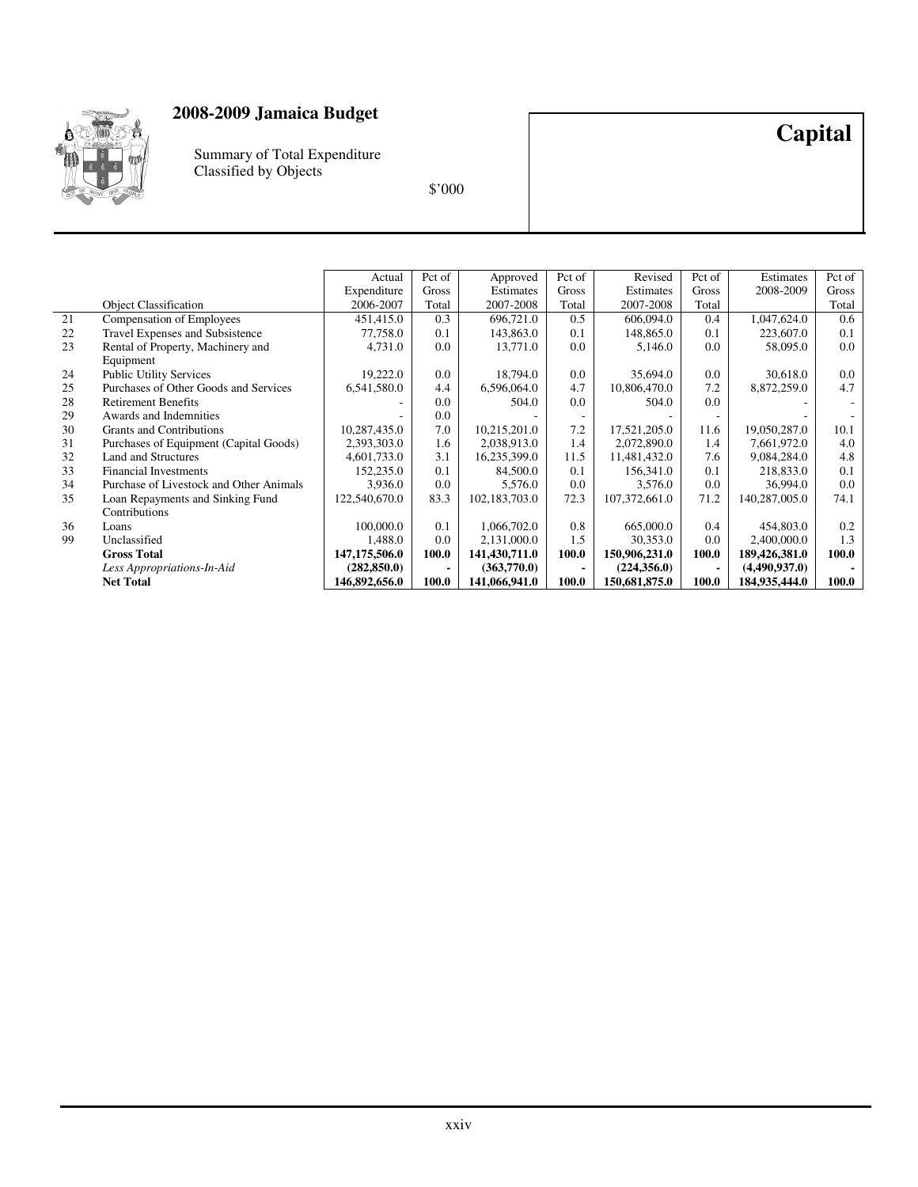

Summary of Total Expenditure Classified by Objects

\$'000

**Capital**

#### Object Classification Actual Expenditure 2006-2007 Pct of Gross Total Approved Estimates 2007-2008 Pct of Gross Total Revised Estimates 2007-2008 Pct of Gross Total **Estimates** 2008-2009 Pct of Gross Total 21 Compensation of Employees 451,415.0 0.3 696,721.0 0.5 606,094.0 0.4 1,047,624.0 0.6<br>22 Travel Expenses and Subsistence 77.758.0 0.1 143.863.0 0.1 148.865.0 0.1 223.607.0 0.1 22 Travel Expenses and Subsistence 77,758.0 0.1 143,863.0 0.1 148,865.0 0.1 223,607.0 0.1 Rental of Property, Machinery and Equipment 4,731.0 0.0 13,771.0 0.0 5,146.0 0.0 58,095.0 0.0 24 Public Utility Services 19,222.0 0.0 18,794.0 0.0 35,694.0 0.0 30,618.0 0.0 325.694.0 0.0 30,618.0 0.0 30,618.0 0.0 30,618.0 0.0 30,618.0 0.0 30,618.0 0.0 30,618.0 0.0 30,618.0 0.0 30,618.0 0.0 30,618.0 0.0 30,618.0 0.0 25 Purchases of Other Goods and Services 6,541,580.0 4.4 6,596,064.0 4.7 10,806,470.0 7.2 8,872,259.0 4.7 28 Retirement Benefits - 0.0 504.0 0.0 504.0 0.0 - - 29 Awards and Indemnities - 0.0 - - - - - - 30 Grants and Contributions 10,287,435.0 7.0 10,215,201.0 7.2 17,521,205.0 11.6 19,050,287.0 10.1<br>31 Purchases of Equipment (Capital Goods) 2,393,303.0 1.6 2,038,913.0 1.4 2,072,890.0 1.4 7,661,972.0 4.0 31 Purchases of Equipment (Capital Goods) 2,393,303.0 1.6 2,038,913.0 1.4 2,072,890.0 1.4 7,661,972.0 Land and Structures 4,601,733.0 31 16,235,399.0 11.5 11,481,432.0 7.6 9,084,284.0 32 Land and Structures 1.4,601,733.0 3.1 | 16,235,399.0 11.5 | 11,481,432.0 | 7.6 | 9,084,284.0 | 4.8 33 Financial Investments 152,235.0 0.1 84,500.0 0.1 156,341.0 0.1 218,833.0 0.1 218,833.0 0.1 Purchase of Livestock and Other Animals 3,936.0 0.0 5,576.0 0.0 3,576.0 0.0 36,994.0 0.0 34 Purchase of Livestock and Other Animals 3,936.0 0.0 5,576.0 0.0 3,576.0 0.0 3,576.0 0.0 36,994.0 0.0 36,994<br>35 Loan Repayments and Sinking Fund 122,540,670.0 83.3 102,183,703.0 72.3 107,372,661.0 71.2 140,287,005.0 74.1 Loan Repayments and Sinking Fund Contributions 102,183,703.0 36 Loans 100,000.0 0.1 1,066,702.0 0.8 665,000.0 0.4 454,803.0 0.2 99 Unclassified 1,488.0 0.0 2,131,000.0 1.5 30,353.0 0.0 2,400,000.0 1.3  **Gross Total 147,175,506.0 100.0 141,430,711.0 100.0 150,906,231.0 100.0 189,426,381.0 100.0**  *Less Appropriations-In-Aid* **(282,850.0)** - (363,770.0) - (224,356.0) - (4,490,937.0) - **146,892,656.0** 100.0 **141,066,941.0** 100.0 **150,681,875.0** 100.0 **184,935,444.0** 100.0 **146,892,656.0 | 100.0 | 141,066,941.0 | 100.0 | 150,681,875.0 | 100.0 | 184,935,444.0 | 100.0 | 189,935,444.0** | 100.0 | 189,935,444.0 | 100.0 | 189,935,444.0 | 100.0 | 189,935,444.0 | 100.0 | 189,935,444.0 | 100.0 | 189,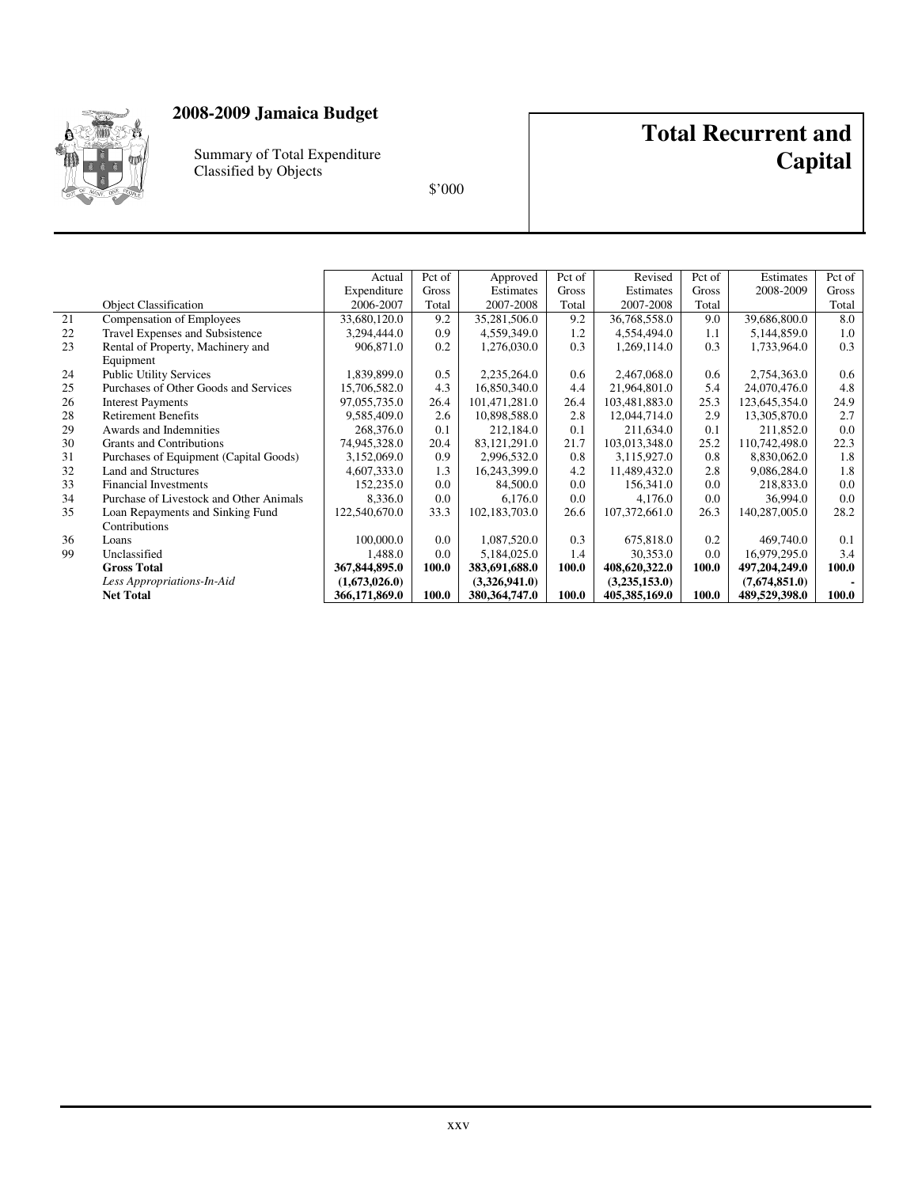

Summary of Total Expenditure Classified by Objects

## **Total Recurrent and Capital**

|    |                                         | Actual        | Pct of       | Approved        | Pct of | Revised       | Pct of | Estimates     | Pct of       |
|----|-----------------------------------------|---------------|--------------|-----------------|--------|---------------|--------|---------------|--------------|
|    |                                         | Expenditure   | <b>Gross</b> | Estimates       | Gross  | Estimates     | Gross  | 2008-2009     | <b>Gross</b> |
|    | <b>Object Classification</b>            | 2006-2007     | Total        | 2007-2008       | Total  | 2007-2008     | Total  |               | Total        |
| 21 | Compensation of Employees               | 33,680,120.0  | 9.2          | 35,281,506.0    | 9.2    | 36,768,558.0  | 9.0    | 39,686,800.0  | 8.0          |
| 22 | Travel Expenses and Subsistence         | 3,294,444.0   | 0.9          | 4,559,349.0     | 1.2    | 4,554,494.0   | 1.1    | 5,144,859.0   | 1.0          |
| 23 | Rental of Property, Machinery and       | 906,871.0     | 0.2          | 1,276,030.0     | 0.3    | 1,269,114.0   | 0.3    | 1,733,964.0   | 0.3          |
|    | Equipment                               |               |              |                 |        |               |        |               |              |
| 24 | <b>Public Utility Services</b>          | 1,839,899.0   | 0.5          | 2,235,264.0     | 0.6    | 2,467,068.0   | 0.6    | 2,754,363.0   | 0.6          |
| 25 | Purchases of Other Goods and Services   | 15,706,582.0  | 4.3          | 16,850,340.0    | 4.4    | 21,964,801.0  | 5.4    | 24,070,476.0  | 4.8          |
| 26 | <b>Interest Payments</b>                | 97,055,735.0  | 26.4         | 101,471,281.0   | 26.4   | 103,481,883.0 | 25.3   | 123,645,354.0 | 24.9         |
| 28 | <b>Retirement Benefits</b>              | 9,585,409.0   | 2.6          | 10,898,588.0    | 2.8    | 12,044,714.0  | 2.9    | 13,305,870.0  | 2.7          |
| 29 | Awards and Indemnities                  | 268,376.0     | 0.1          | 212,184.0       | 0.1    | 211,634.0     | 0.1    | 211,852.0     | 0.0          |
| 30 | <b>Grants and Contributions</b>         | 74,945,328.0  | 20.4         | 83, 121, 291.0  | 21.7   | 103,013,348.0 | 25.2   | 110,742,498.0 | 22.3         |
| 31 | Purchases of Equipment (Capital Goods)  | 3,152,069.0   | 0.9          | 2,996,532.0     | 0.8    | 3,115,927.0   | 0.8    | 8,830,062.0   | 1.8          |
| 32 | Land and Structures                     | 4,607,333.0   | 1.3          | 16,243,399.0    | 4.2    | 11,489,432.0  | 2.8    | 9,086,284.0   | 1.8          |
| 33 | <b>Financial Investments</b>            | 152,235.0     | 0.0          | 84,500.0        | 0.0    | 156,341.0     | 0.0    | 218,833.0     | 0.0          |
| 34 | Purchase of Livestock and Other Animals | 8,336.0       | 0.0          | 6,176.0         | 0.0    | 4,176.0       | 0.0    | 36,994.0      | 0.0          |
| 35 | Loan Repayments and Sinking Fund        | 122,540,670.0 | 33.3         | 102, 183, 703.0 | 26.6   | 107,372,661.0 | 26.3   | 140,287,005.0 | 28.2         |
|    | Contributions                           |               |              |                 |        |               |        |               |              |
| 36 | Loans                                   | 100,000.0     | 0.0          | 1,087,520.0     | 0.3    | 675,818.0     | 0.2    | 469,740.0     | 0.1          |
| 99 | Unclassified                            | 1,488.0       | 0.0          | 5,184,025.0     | 1.4    | 30,353.0      | 0.0    | 16,979,295.0  | 3.4          |
|    | <b>Gross Total</b>                      | 367,844,895.0 | 100.0        | 383,691,688.0   | 100.0  | 408,620,322.0 | 100.0  | 497,204,249.0 | 100.0        |
|    | Less Appropriations-In-Aid              | (1,673,026.0) |              | (3,326,941.0)   |        | (3,235,153.0) |        | (7,674,851.0) |              |
|    | <b>Net Total</b>                        | 366,171,869.0 | 100.0        | 380, 364, 747.0 | 100.0  | 405,385,169.0 | 100.0  | 489,529,398.0 | 100.0        |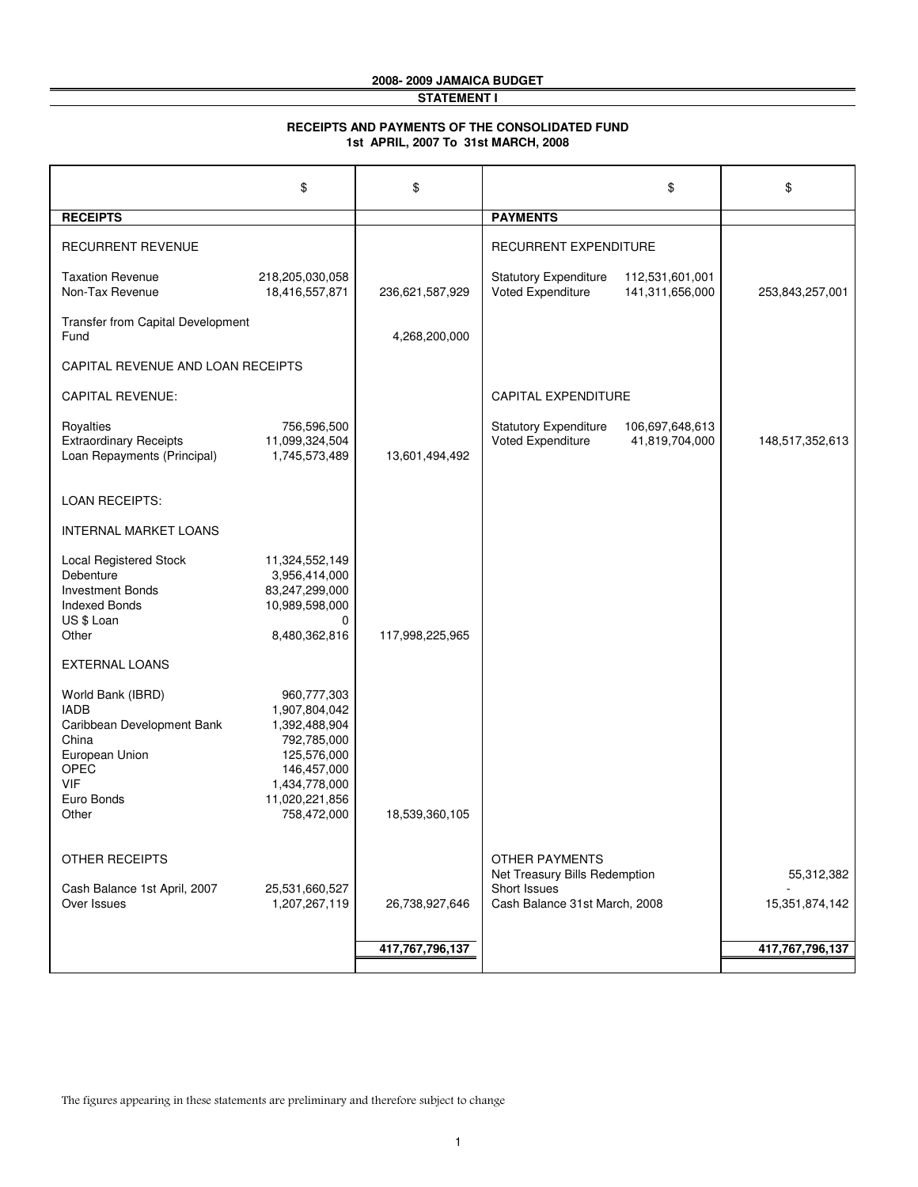## **2008- 2009 JAMAICA BUDGET**

#### **STATEMENT I**

#### **RECEIPTS AND PAYMENTS OF THE CONSOLIDATED FUND 1st APRIL, 2007 To 31st MARCH, 2008**

|                                                                                                                                               | \$                                                                                                                                           | \$              |                                                        | \$                                 | \$              |
|-----------------------------------------------------------------------------------------------------------------------------------------------|----------------------------------------------------------------------------------------------------------------------------------------------|-----------------|--------------------------------------------------------|------------------------------------|-----------------|
| <b>RECEIPTS</b>                                                                                                                               |                                                                                                                                              |                 | <b>PAYMENTS</b>                                        |                                    |                 |
| <b>RECURRENT REVENUE</b>                                                                                                                      |                                                                                                                                              |                 | RECURRENT EXPENDITURE                                  |                                    |                 |
| <b>Taxation Revenue</b><br>Non-Tax Revenue                                                                                                    | 218,205,030,058<br>18,416,557,871                                                                                                            | 236,621,587,929 | <b>Statutory Expenditure</b><br>Voted Expenditure      | 112,531,601,001<br>141,311,656,000 | 253,843,257,001 |
| Transfer from Capital Development<br>Fund                                                                                                     |                                                                                                                                              | 4,268,200,000   |                                                        |                                    |                 |
| CAPITAL REVENUE AND LOAN RECEIPTS                                                                                                             |                                                                                                                                              |                 |                                                        |                                    |                 |
| <b>CAPITAL REVENUE:</b>                                                                                                                       |                                                                                                                                              |                 | <b>CAPITAL EXPENDITURE</b>                             |                                    |                 |
| Royalties<br><b>Extraordinary Receipts</b><br>Loan Repayments (Principal)                                                                     | 756,596,500<br>11,099,324,504<br>1,745,573,489                                                                                               | 13,601,494,492  | <b>Statutory Expenditure</b><br>Voted Expenditure      | 106,697,648,613<br>41,819,704,000  | 148,517,352,613 |
| <b>LOAN RECEIPTS:</b>                                                                                                                         |                                                                                                                                              |                 |                                                        |                                    |                 |
| <b>INTERNAL MARKET LOANS</b>                                                                                                                  |                                                                                                                                              |                 |                                                        |                                    |                 |
| Local Registered Stock<br>Debenture<br><b>Investment Bonds</b><br><b>Indexed Bonds</b><br>US \$ Loan<br>Other                                 | 11,324,552,149<br>3,956,414,000<br>83,247,299,000<br>10,989,598,000<br>$\Omega$<br>8,480,362,816                                             | 117,998,225,965 |                                                        |                                    |                 |
| <b>EXTERNAL LOANS</b>                                                                                                                         |                                                                                                                                              |                 |                                                        |                                    |                 |
| World Bank (IBRD)<br><b>IADB</b><br>Caribbean Development Bank<br>China<br>European Union<br><b>OPEC</b><br><b>VIF</b><br>Euro Bonds<br>Other | 960,777,303<br>1,907,804,042<br>1,392,488,904<br>792,785,000<br>125,576,000<br>146,457,000<br>1,434,778,000<br>11,020,221,856<br>758,472,000 | 18,539,360,105  |                                                        |                                    |                 |
|                                                                                                                                               |                                                                                                                                              |                 |                                                        |                                    |                 |
| OTHER RECEIPTS                                                                                                                                |                                                                                                                                              |                 | <b>OTHER PAYMENTS</b><br>Net Treasury Bills Redemption |                                    | 55,312,382      |
| Cash Balance 1st April, 2007<br>Over Issues                                                                                                   | 25,531,660,527<br>1,207,267,119                                                                                                              | 26,738,927,646  | Short Issues<br>Cash Balance 31st March, 2008          |                                    | 15,351,874,142  |
|                                                                                                                                               |                                                                                                                                              | 417,767,796,137 |                                                        |                                    | 417,767,796,137 |
|                                                                                                                                               |                                                                                                                                              |                 |                                                        |                                    |                 |

The figures appearing in these statements are preliminary and therefore subject to change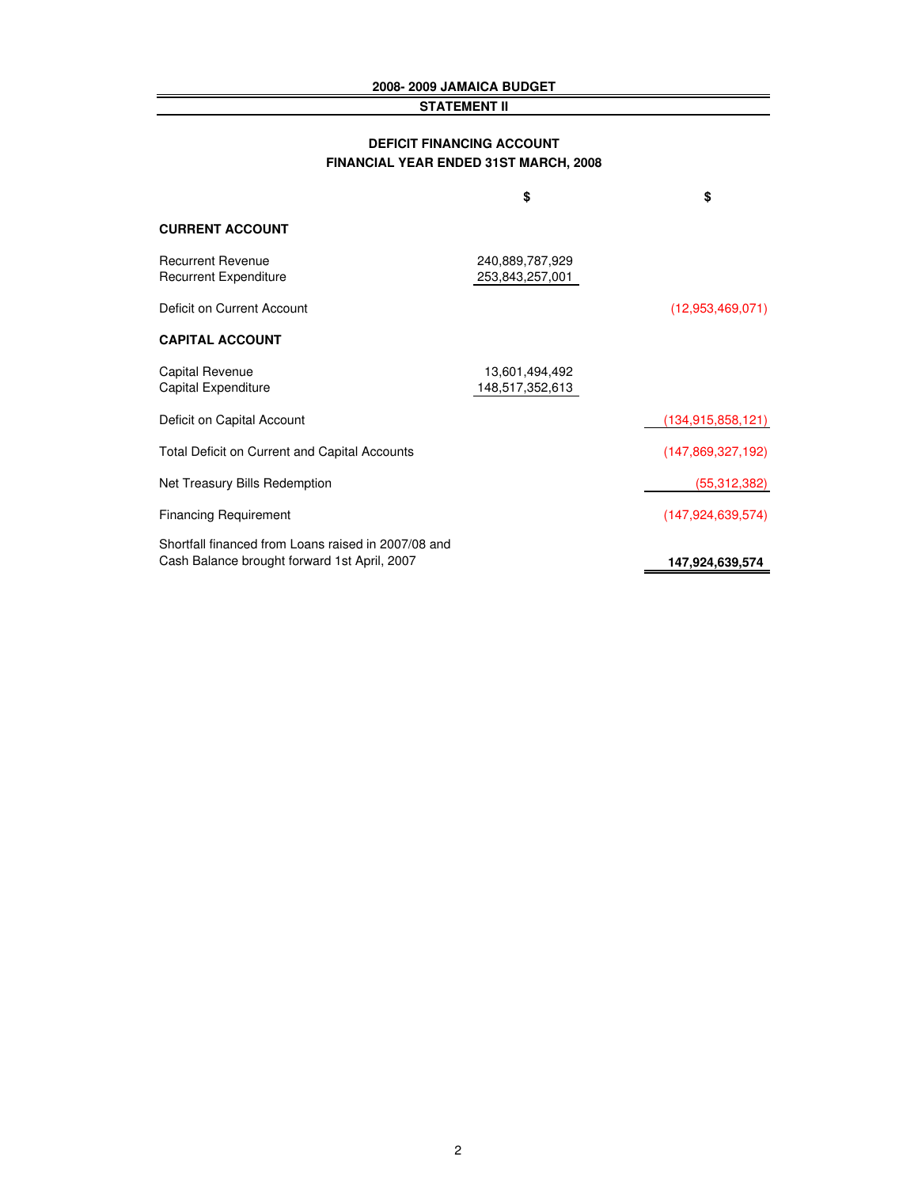#### **2008- 2009 JAMAICA BUDGET**

#### **STATEMENT II**

#### **DEFICIT FINANCING ACCOUNT FINANCIAL YEAR ENDED 31ST MARCH, 2008**

|                                                                                                     | \$                                 | \$                   |
|-----------------------------------------------------------------------------------------------------|------------------------------------|----------------------|
| <b>CURRENT ACCOUNT</b>                                                                              |                                    |                      |
| <b>Recurrent Revenue</b><br><b>Recurrent Expenditure</b>                                            | 240,889,787,929<br>253,843,257,001 |                      |
| Deficit on Current Account                                                                          |                                    | (12,953,469,071)     |
| <b>CAPITAL ACCOUNT</b>                                                                              |                                    |                      |
| <b>Capital Revenue</b><br>Capital Expenditure                                                       | 13,601,494,492<br>148,517,352,613  |                      |
| Deficit on Capital Account                                                                          |                                    | (134, 915, 858, 121) |
| <b>Total Deficit on Current and Capital Accounts</b>                                                |                                    | (147, 869, 327, 192) |
| Net Treasury Bills Redemption                                                                       |                                    | (55, 312, 382)       |
| <b>Financing Requirement</b>                                                                        |                                    | (147, 924, 639, 574) |
| Shortfall financed from Loans raised in 2007/08 and<br>Cash Balance brought forward 1st April, 2007 |                                    | 147,924,639,574      |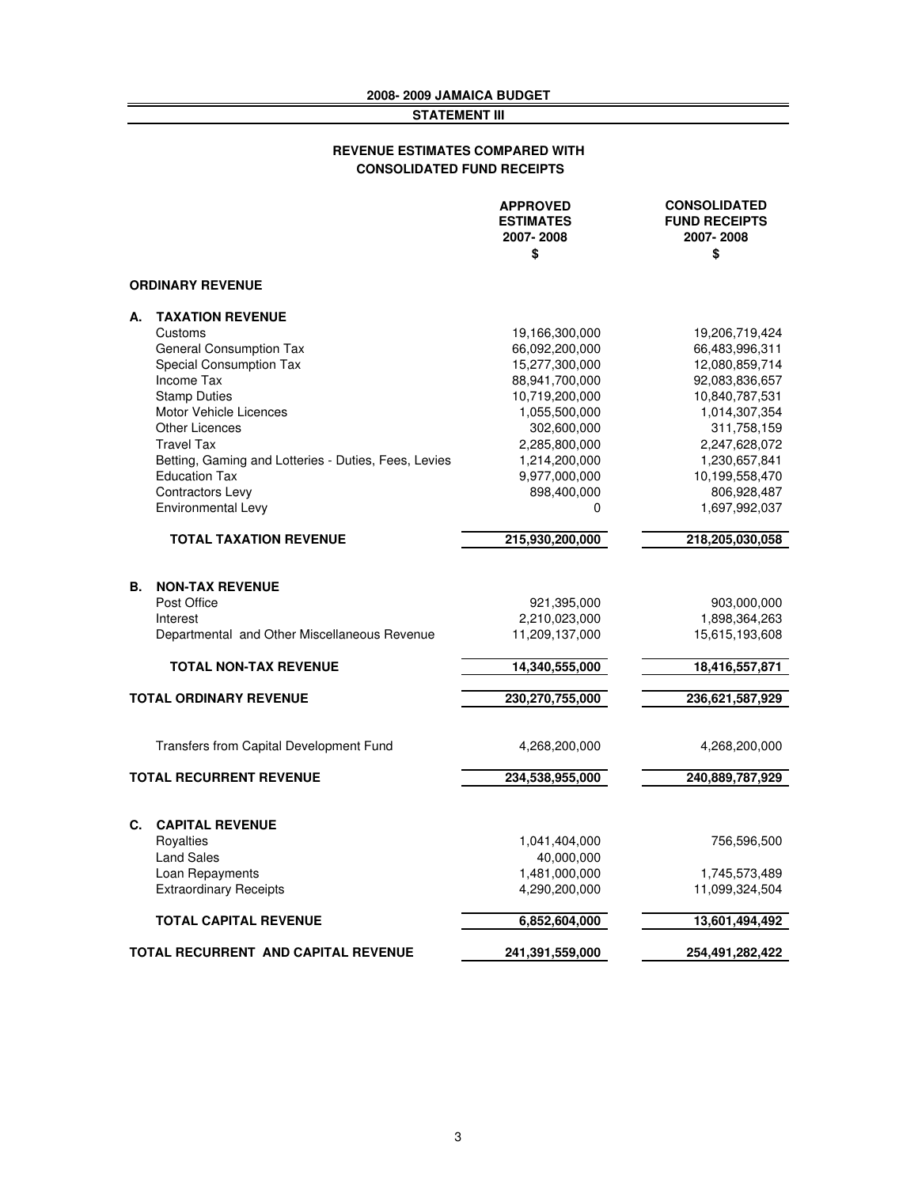#### **2008- 2009 JAMAICA BUDGET STATEMENT III**

#### **CONSOLIDATED FUND RECEIPTS REVENUE ESTIMATES COMPARED WITH**

|                |                                                      | <b>APPROVED</b><br><b>ESTIMATES</b><br>2007-2008<br>\$ | <b>CONSOLIDATED</b><br><b>FUND RECEIPTS</b><br>2007-2008<br>\$ |
|----------------|------------------------------------------------------|--------------------------------------------------------|----------------------------------------------------------------|
|                | <b>ORDINARY REVENUE</b>                              |                                                        |                                                                |
| А.             | <b>TAXATION REVENUE</b>                              |                                                        |                                                                |
|                | Customs                                              | 19,166,300,000                                         | 19,206,719,424                                                 |
|                | <b>General Consumption Tax</b>                       | 66,092,200,000                                         | 66,483,996,311                                                 |
|                | <b>Special Consumption Tax</b>                       | 15,277,300,000                                         | 12,080,859,714                                                 |
|                | Income Tax                                           | 88,941,700,000                                         | 92,083,836,657                                                 |
|                | <b>Stamp Duties</b>                                  | 10,719,200,000                                         | 10,840,787,531                                                 |
|                | <b>Motor Vehicle Licences</b>                        | 1,055,500,000                                          | 1,014,307,354                                                  |
|                | <b>Other Licences</b>                                | 302,600,000                                            | 311,758,159                                                    |
|                | <b>Travel Tax</b>                                    | 2,285,800,000                                          | 2,247,628,072                                                  |
|                | Betting, Gaming and Lotteries - Duties, Fees, Levies | 1,214,200,000                                          | 1,230,657,841                                                  |
|                | <b>Education Tax</b>                                 | 9,977,000,000                                          | 10,199,558,470                                                 |
|                | Contractors Levy                                     | 898,400,000                                            | 806,928,487                                                    |
|                | Environmental Levy                                   | 0                                                      | 1,697,992,037                                                  |
|                | <b>TOTAL TAXATION REVENUE</b>                        | 215,930,200,000                                        | 218,205,030,058                                                |
|                |                                                      |                                                        |                                                                |
| В.             | <b>NON-TAX REVENUE</b>                               |                                                        |                                                                |
|                | Post Office                                          | 921,395,000                                            | 903,000,000                                                    |
|                | Interest                                             | 2,210,023,000                                          | 1,898,364,263                                                  |
|                | Departmental and Other Miscellaneous Revenue         | 11,209,137,000                                         | 15,615,193,608                                                 |
|                | <b>TOTAL NON-TAX REVENUE</b>                         | 14,340,555,000                                         | 18,416,557,871                                                 |
|                | <b>TOTAL ORDINARY REVENUE</b>                        | 230,270,755,000                                        | 236,621,587,929                                                |
|                |                                                      |                                                        |                                                                |
|                | <b>Transfers from Capital Development Fund</b>       | 4,268,200,000                                          | 4,268,200,000                                                  |
|                | <b>TOTAL RECURRENT REVENUE</b>                       | 234,538,955,000                                        | 240,889,787,929                                                |
|                |                                                      |                                                        |                                                                |
| $\mathbf{C}$ . | <b>CAPITAL REVENUE</b>                               |                                                        |                                                                |
|                | Royalties                                            | 1,041,404,000                                          | 756,596,500                                                    |
|                | <b>Land Sales</b>                                    | 40,000,000                                             |                                                                |
|                | Loan Repayments                                      | 1,481,000,000                                          | 1,745,573,489                                                  |
|                | <b>Extraordinary Receipts</b>                        | 4,290,200,000                                          | 11,099,324,504                                                 |
|                | <b>TOTAL CAPITAL REVENUE</b>                         | 6,852,604,000                                          | 13,601,494,492                                                 |
|                | <b>TOTAL RECURRENT AND CAPITAL REVENUE</b>           | 241,391,559,000                                        | 254,491,282,422                                                |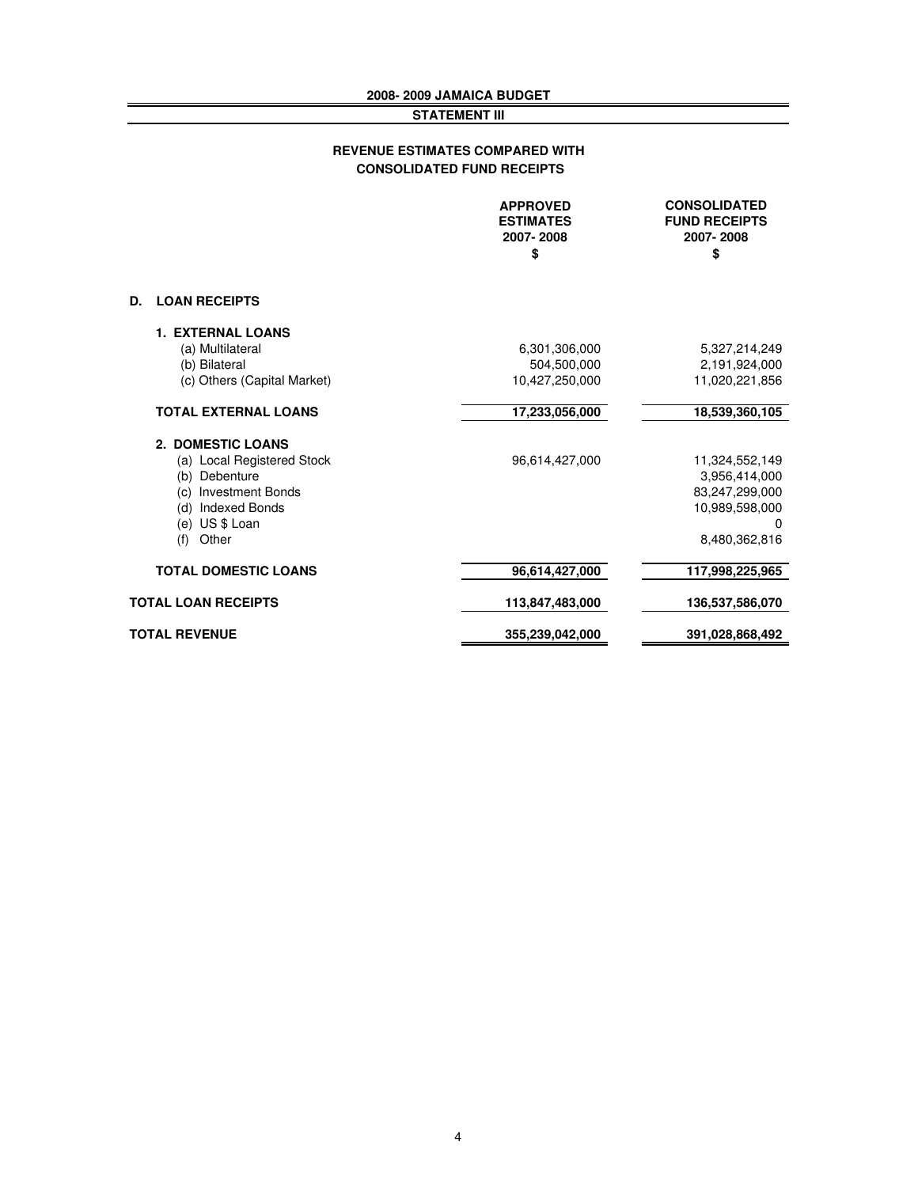#### **2008- 2009 JAMAICA BUDGET STATEMENT III**

#### **CONSOLIDATED FUND RECEIPTS REVENUE ESTIMATES COMPARED WITH**

|                             | <b>APPROVED</b><br><b>ESTIMATES</b><br>2007-2008<br>\$ | <b>CONSOLIDATED</b><br><b>FUND RECEIPTS</b><br>2007-2008<br>\$ |
|-----------------------------|--------------------------------------------------------|----------------------------------------------------------------|
| <b>LOAN RECEIPTS</b><br>D.  |                                                        |                                                                |
| <b>1. EXTERNAL LOANS</b>    |                                                        |                                                                |
| (a) Multilateral            | 6,301,306,000                                          | 5,327,214,249                                                  |
| (b) Bilateral               | 504,500,000                                            | 2,191,924,000                                                  |
| (c) Others (Capital Market) | 10,427,250,000                                         | 11,020,221,856                                                 |
| <b>TOTAL EXTERNAL LOANS</b> | 17,233,056,000                                         | 18,539,360,105                                                 |
| 2. DOMESTIC LOANS           |                                                        |                                                                |
| (a) Local Registered Stock  | 96,614,427,000                                         | 11,324,552,149                                                 |
| (b) Debenture               |                                                        | 3,956,414,000                                                  |
| (c) Investment Bonds        |                                                        | 83,247,299,000                                                 |
| (d)<br><b>Indexed Bonds</b> |                                                        | 10,989,598,000                                                 |
| (e) US \$ Loan              |                                                        | 0                                                              |
| Other<br>(f)                |                                                        | 8.480.362.816                                                  |
| <b>TOTAL DOMESTIC LOANS</b> | 96,614,427,000                                         | 117,998,225,965                                                |
| <b>TOTAL LOAN RECEIPTS</b>  | 113,847,483,000                                        | 136,537,586,070                                                |
| <b>TOTAL REVENUE</b>        | 355,239,042,000                                        | 391,028,868,492                                                |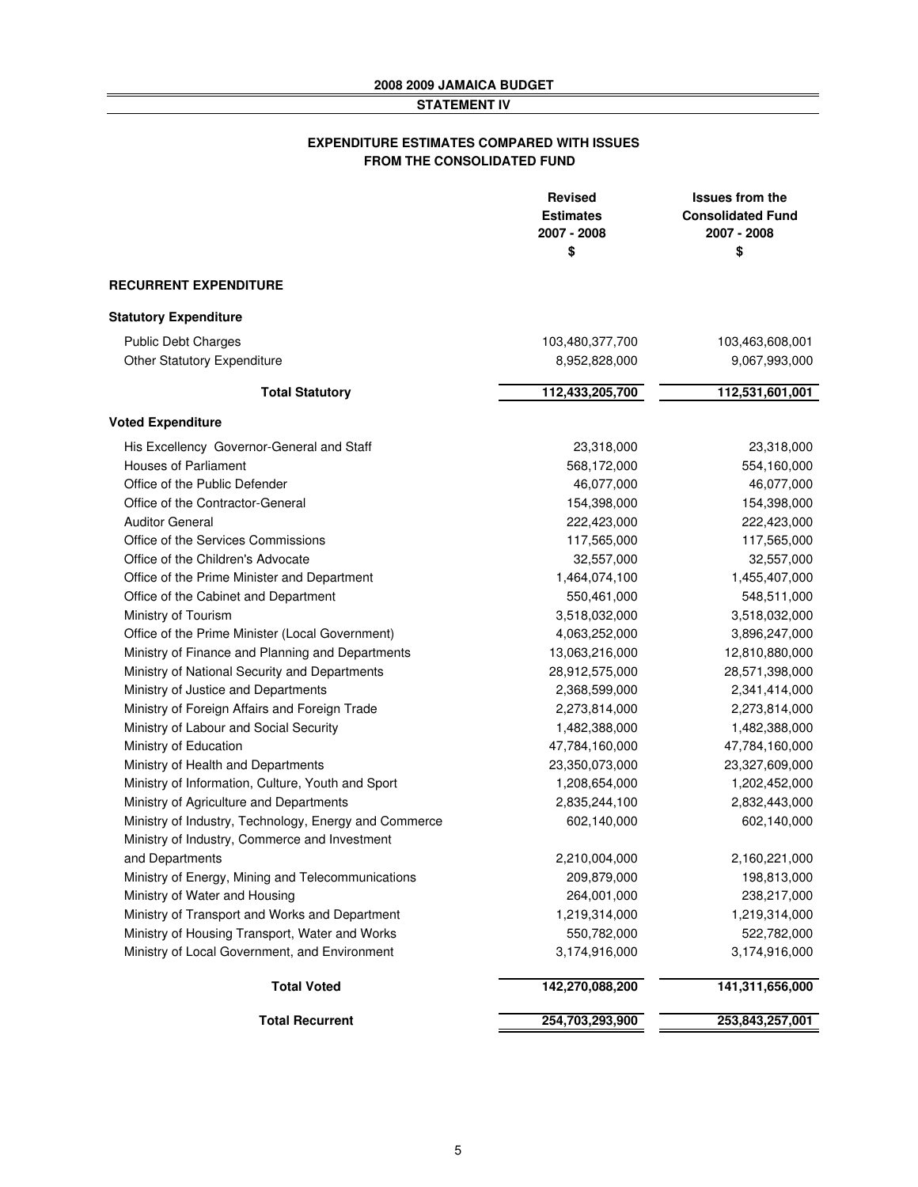#### **STATEMENT IV**

#### **EXPENDITURE ESTIMATES COMPARED WITH ISSUES FROM THE CONSOLIDATED FUND**

|                                                       | <b>Revised</b><br><b>Estimates</b><br>2007 - 2008<br>\$ | <b>Issues from the</b><br><b>Consolidated Fund</b><br>2007 - 2008<br>\$ |
|-------------------------------------------------------|---------------------------------------------------------|-------------------------------------------------------------------------|
| <b>RECURRENT EXPENDITURE</b>                          |                                                         |                                                                         |
| <b>Statutory Expenditure</b>                          |                                                         |                                                                         |
| <b>Public Debt Charges</b>                            | 103,480,377,700                                         | 103,463,608,001                                                         |
| <b>Other Statutory Expenditure</b>                    | 8,952,828,000                                           | 9,067,993,000                                                           |
| <b>Total Statutory</b>                                | 112,433,205,700                                         | 112,531,601,001                                                         |
| <b>Voted Expenditure</b>                              |                                                         |                                                                         |
| His Excellency Governor-General and Staff             | 23,318,000                                              | 23,318,000                                                              |
| <b>Houses of Parliament</b>                           | 568,172,000                                             | 554,160,000                                                             |
| Office of the Public Defender                         | 46,077,000                                              | 46,077,000                                                              |
| Office of the Contractor-General                      | 154,398,000                                             | 154,398,000                                                             |
| <b>Auditor General</b>                                | 222,423,000                                             | 222,423,000                                                             |
| Office of the Services Commissions                    | 117,565,000                                             | 117,565,000                                                             |
| Office of the Children's Advocate                     | 32,557,000                                              | 32,557,000                                                              |
| Office of the Prime Minister and Department           | 1,464,074,100                                           | 1,455,407,000                                                           |
| Office of the Cabinet and Department                  | 550,461,000                                             | 548,511,000                                                             |
| Ministry of Tourism                                   | 3,518,032,000                                           | 3,518,032,000                                                           |
| Office of the Prime Minister (Local Government)       | 4,063,252,000                                           | 3,896,247,000                                                           |
| Ministry of Finance and Planning and Departments      | 13,063,216,000                                          | 12,810,880,000                                                          |
| Ministry of National Security and Departments         | 28,912,575,000                                          | 28,571,398,000                                                          |
| Ministry of Justice and Departments                   | 2,368,599,000                                           | 2,341,414,000                                                           |
| Ministry of Foreign Affairs and Foreign Trade         | 2,273,814,000                                           | 2,273,814,000                                                           |
| Ministry of Labour and Social Security                | 1,482,388,000                                           | 1,482,388,000                                                           |
| Ministry of Education                                 | 47,784,160,000                                          | 47,784,160,000                                                          |
| Ministry of Health and Departments                    | 23,350,073,000                                          | 23,327,609,000                                                          |
| Ministry of Information, Culture, Youth and Sport     | 1,208,654,000                                           | 1,202,452,000                                                           |
| Ministry of Agriculture and Departments               | 2,835,244,100                                           | 2,832,443,000                                                           |
| Ministry of Industry, Technology, Energy and Commerce | 602,140,000                                             | 602,140,000                                                             |
| Ministry of Industry, Commerce and Investment         |                                                         |                                                                         |
| and Departments                                       | 2,210,004,000                                           | 2,160,221,000                                                           |
| Ministry of Energy, Mining and Telecommunications     | 209,879,000                                             | 198,813,000                                                             |
| Ministry of Water and Housing                         | 264,001,000                                             | 238,217,000                                                             |
| Ministry of Transport and Works and Department        | 1,219,314,000                                           | 1,219,314,000                                                           |
| Ministry of Housing Transport, Water and Works        | 550,782,000                                             | 522,782,000                                                             |
| Ministry of Local Government, and Environment         | 3,174,916,000                                           | 3,174,916,000                                                           |
| <b>Total Voted</b>                                    | 142,270,088,200                                         | 141,311,656,000                                                         |
| <b>Total Recurrent</b>                                | 254,703,293,900                                         | 253,843,257,001                                                         |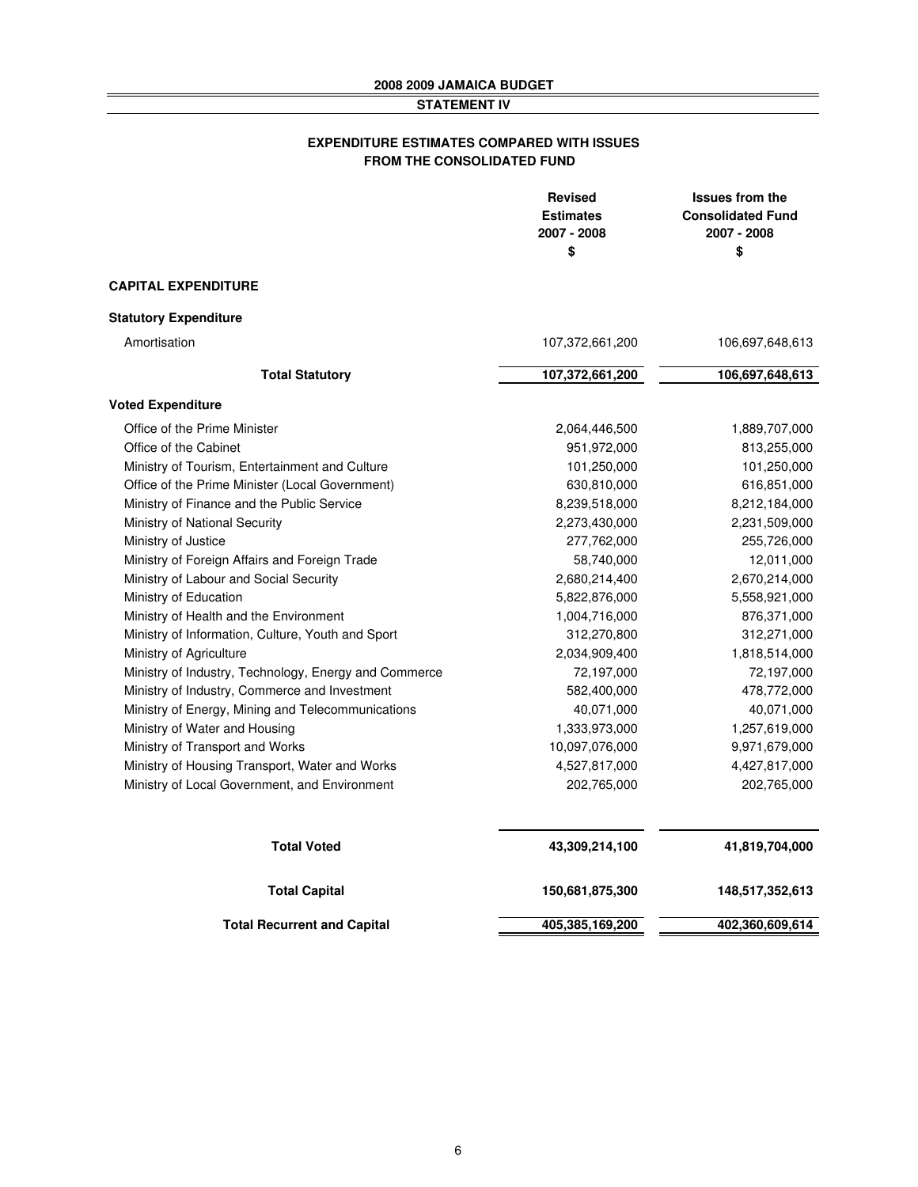#### **STATEMENT IV**

#### **EXPENDITURE ESTIMATES COMPARED WITH ISSUES FROM THE CONSOLIDATED FUND**

|                                                       | <b>Revised</b><br><b>Estimates</b><br>2007 - 2008<br>\$ | <b>Issues from the</b><br><b>Consolidated Fund</b><br>2007 - 2008<br>\$ |
|-------------------------------------------------------|---------------------------------------------------------|-------------------------------------------------------------------------|
| <b>CAPITAL EXPENDITURE</b>                            |                                                         |                                                                         |
| <b>Statutory Expenditure</b>                          |                                                         |                                                                         |
| Amortisation                                          | 107,372,661,200                                         | 106,697,648,613                                                         |
| <b>Total Statutory</b>                                | 107,372,661,200                                         | 106,697,648,613                                                         |
| <b>Voted Expenditure</b>                              |                                                         |                                                                         |
| Office of the Prime Minister                          | 2,064,446,500                                           | 1,889,707,000                                                           |
| Office of the Cabinet                                 | 951,972,000                                             | 813,255,000                                                             |
| Ministry of Tourism, Entertainment and Culture        | 101,250,000                                             | 101,250,000                                                             |
| Office of the Prime Minister (Local Government)       | 630,810,000                                             | 616,851,000                                                             |
| Ministry of Finance and the Public Service            | 8,239,518,000                                           | 8,212,184,000                                                           |
| Ministry of National Security                         | 2,273,430,000                                           | 2,231,509,000                                                           |
| Ministry of Justice                                   | 277,762,000                                             | 255,726,000                                                             |
| Ministry of Foreign Affairs and Foreign Trade         | 58,740,000                                              | 12,011,000                                                              |
| Ministry of Labour and Social Security                | 2,680,214,400                                           | 2,670,214,000                                                           |
| Ministry of Education                                 | 5,822,876,000                                           | 5,558,921,000                                                           |
| Ministry of Health and the Environment                | 1,004,716,000                                           | 876,371,000                                                             |
| Ministry of Information, Culture, Youth and Sport     | 312,270,800                                             | 312,271,000                                                             |
| Ministry of Agriculture                               | 2,034,909,400                                           | 1,818,514,000                                                           |
| Ministry of Industry, Technology, Energy and Commerce | 72,197,000                                              | 72,197,000                                                              |
| Ministry of Industry, Commerce and Investment         | 582,400,000                                             | 478,772,000                                                             |
| Ministry of Energy, Mining and Telecommunications     | 40,071,000                                              | 40,071,000                                                              |
| Ministry of Water and Housing                         | 1,333,973,000                                           | 1,257,619,000                                                           |
| Ministry of Transport and Works                       | 10,097,076,000                                          | 9,971,679,000                                                           |
| Ministry of Housing Transport, Water and Works        | 4,527,817,000                                           | 4,427,817,000                                                           |
| Ministry of Local Government, and Environment         | 202,765,000                                             | 202,765,000                                                             |
| <b>Total Voted</b>                                    | 43,309,214,100                                          | 41,819,704,000                                                          |
| <b>Total Capital</b>                                  | 150,681,875,300                                         | 148,517,352,613                                                         |
| <b>Total Recurrent and Capital</b>                    | 405,385,169,200                                         | 402,360,609,614                                                         |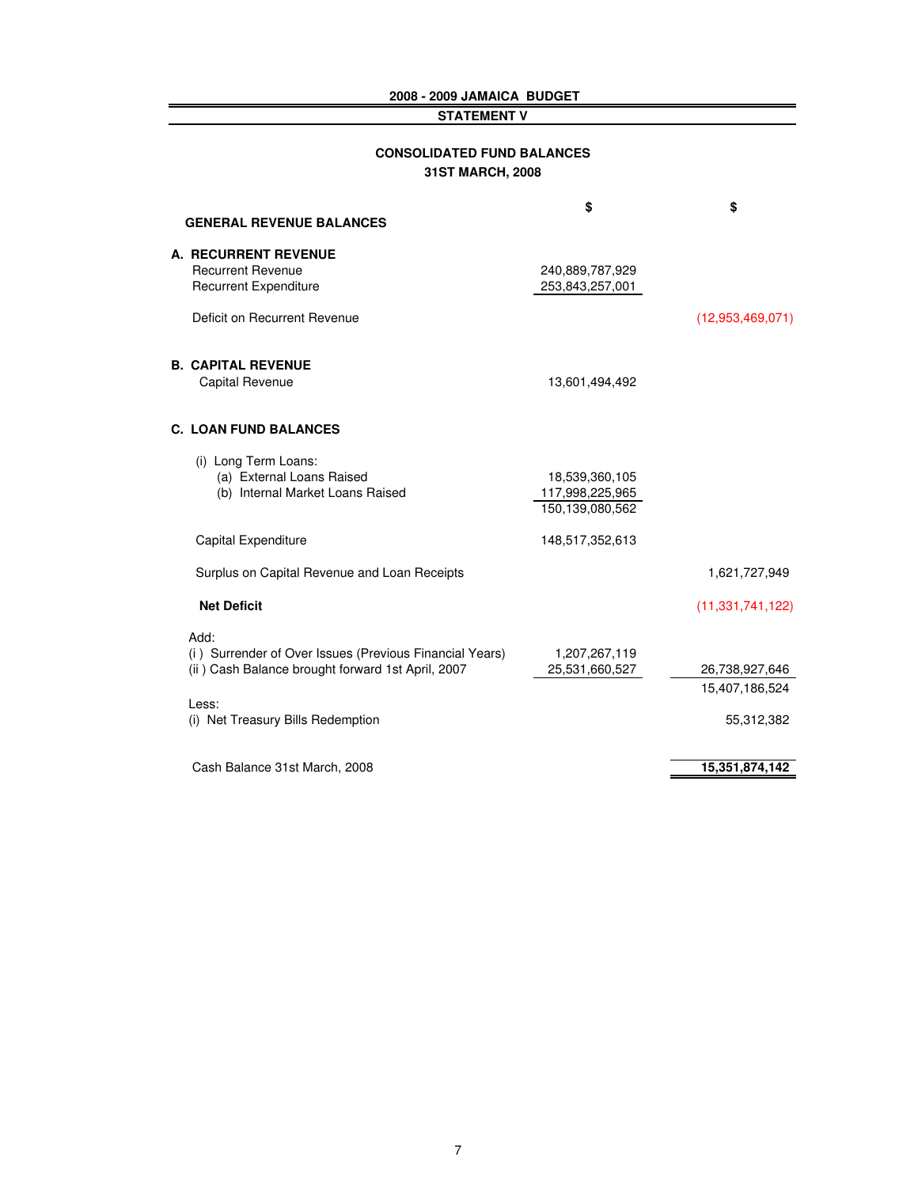#### **2008 - 2009 JAMAICA BUDGET**

#### **STATEMENT V**

**A.** 

**B.** 

| <b>CONSOLIDATED FUND BALANCES</b><br>31ST MARCH, 2008                                                                   |                                                      |                                  |
|-------------------------------------------------------------------------------------------------------------------------|------------------------------------------------------|----------------------------------|
| <b>GENERAL REVENUE BALANCES</b>                                                                                         | \$                                                   | \$                               |
| <b>A. RECURRENT REVENUE</b><br><b>Recurrent Revenue</b><br><b>Recurrent Expenditure</b><br>Deficit on Recurrent Revenue | 240,889,787,929<br>253,843,257,001                   | (12,953,469,071)                 |
| <b>B. CAPITAL REVENUE</b><br>Capital Revenue                                                                            | 13,601,494,492                                       |                                  |
| <b>C. LOAN FUND BALANCES</b>                                                                                            |                                                      |                                  |
| (i) Long Term Loans:<br>(a) External Loans Raised<br>(b) Internal Market Loans Raised                                   | 18,539,360,105<br>117,998,225,965<br>150,139,080,562 |                                  |
| Capital Expenditure                                                                                                     | 148,517,352,613                                      |                                  |
| Surplus on Capital Revenue and Loan Receipts                                                                            |                                                      | 1,621,727,949                    |
| <b>Net Deficit</b>                                                                                                      |                                                      | (11, 331, 741, 122)              |
| Add:<br>(i) Surrender of Over Issues (Previous Financial Years)<br>(ii) Cash Balance brought forward 1st April, 2007    | 1,207,267,119<br>25,531,660,527                      | 26,738,927,646<br>15,407,186,524 |
| Less:<br>(i) Net Treasury Bills Redemption                                                                              |                                                      | 55,312,382                       |
| Cash Balance 31st March, 2008                                                                                           |                                                      | 15,351,874,142                   |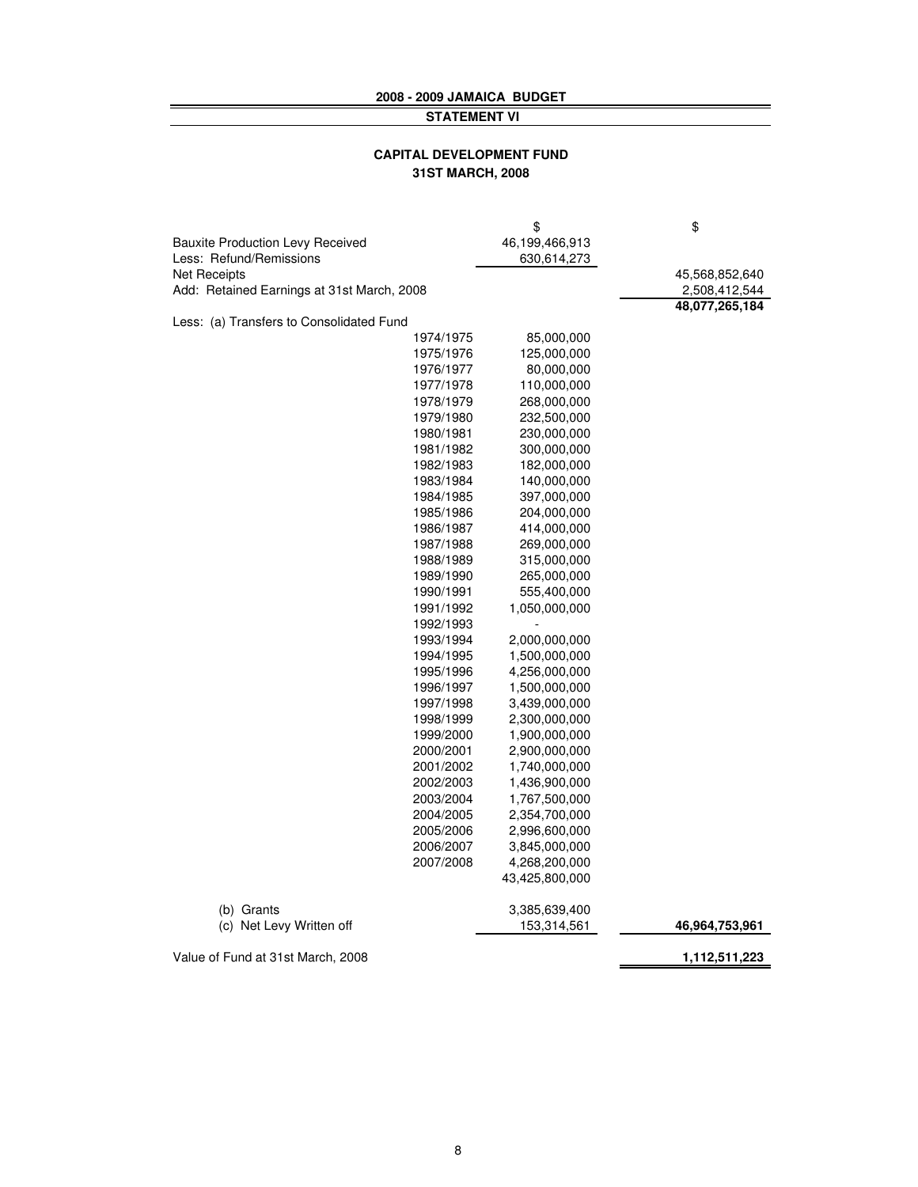#### **2008 - 2009 JAMAICA BUDGET STATEMENT VI**

#### **CAPITAL DEVELOPMENT FUND 31ST MARCH, 2008**

|                                            |           | \$             | \$             |
|--------------------------------------------|-----------|----------------|----------------|
| <b>Bauxite Production Levy Received</b>    |           | 46,199,466,913 |                |
| Less: Refund/Remissions                    |           | 630,614,273    |                |
| <b>Net Receipts</b>                        |           |                | 45,568,852,640 |
| Add: Retained Earnings at 31st March, 2008 |           |                | 2,508,412,544  |
|                                            |           |                | 48,077,265,184 |
| Less: (a) Transfers to Consolidated Fund   |           |                |                |
|                                            | 1974/1975 | 85,000,000     |                |
|                                            | 1975/1976 | 125,000,000    |                |
|                                            | 1976/1977 | 80,000,000     |                |
|                                            | 1977/1978 | 110,000,000    |                |
|                                            | 1978/1979 | 268,000,000    |                |
|                                            | 1979/1980 | 232,500,000    |                |
|                                            | 1980/1981 | 230,000,000    |                |
|                                            | 1981/1982 | 300,000,000    |                |
|                                            | 1982/1983 | 182,000,000    |                |
|                                            | 1983/1984 | 140,000,000    |                |
|                                            | 1984/1985 | 397,000,000    |                |
|                                            | 1985/1986 | 204,000,000    |                |
|                                            | 1986/1987 | 414,000,000    |                |
|                                            | 1987/1988 | 269,000,000    |                |
|                                            | 1988/1989 | 315,000,000    |                |
|                                            | 1989/1990 |                |                |
|                                            |           | 265,000,000    |                |
|                                            | 1990/1991 | 555,400,000    |                |
|                                            | 1991/1992 | 1,050,000,000  |                |
|                                            | 1992/1993 |                |                |
|                                            | 1993/1994 | 2,000,000,000  |                |
|                                            | 1994/1995 | 1,500,000,000  |                |
|                                            | 1995/1996 | 4,256,000,000  |                |
|                                            | 1996/1997 | 1,500,000,000  |                |
|                                            | 1997/1998 | 3,439,000,000  |                |
|                                            | 1998/1999 | 2,300,000,000  |                |
|                                            | 1999/2000 | 1,900,000,000  |                |
|                                            | 2000/2001 | 2,900,000,000  |                |
|                                            | 2001/2002 | 1,740,000,000  |                |
|                                            | 2002/2003 | 1,436,900,000  |                |
|                                            | 2003/2004 | 1,767,500,000  |                |
|                                            | 2004/2005 | 2,354,700,000  |                |
|                                            | 2005/2006 | 2,996,600,000  |                |
|                                            | 2006/2007 | 3,845,000,000  |                |
|                                            | 2007/2008 | 4,268,200,000  |                |
|                                            |           | 43,425,800,000 |                |
| (b) Grants                                 |           | 3,385,639,400  |                |
| (c) Net Levy Written off                   |           | 153,314,561    | 46,964,753,961 |
| Value of Fund at 31st March, 2008          |           |                | 1,112,511,223  |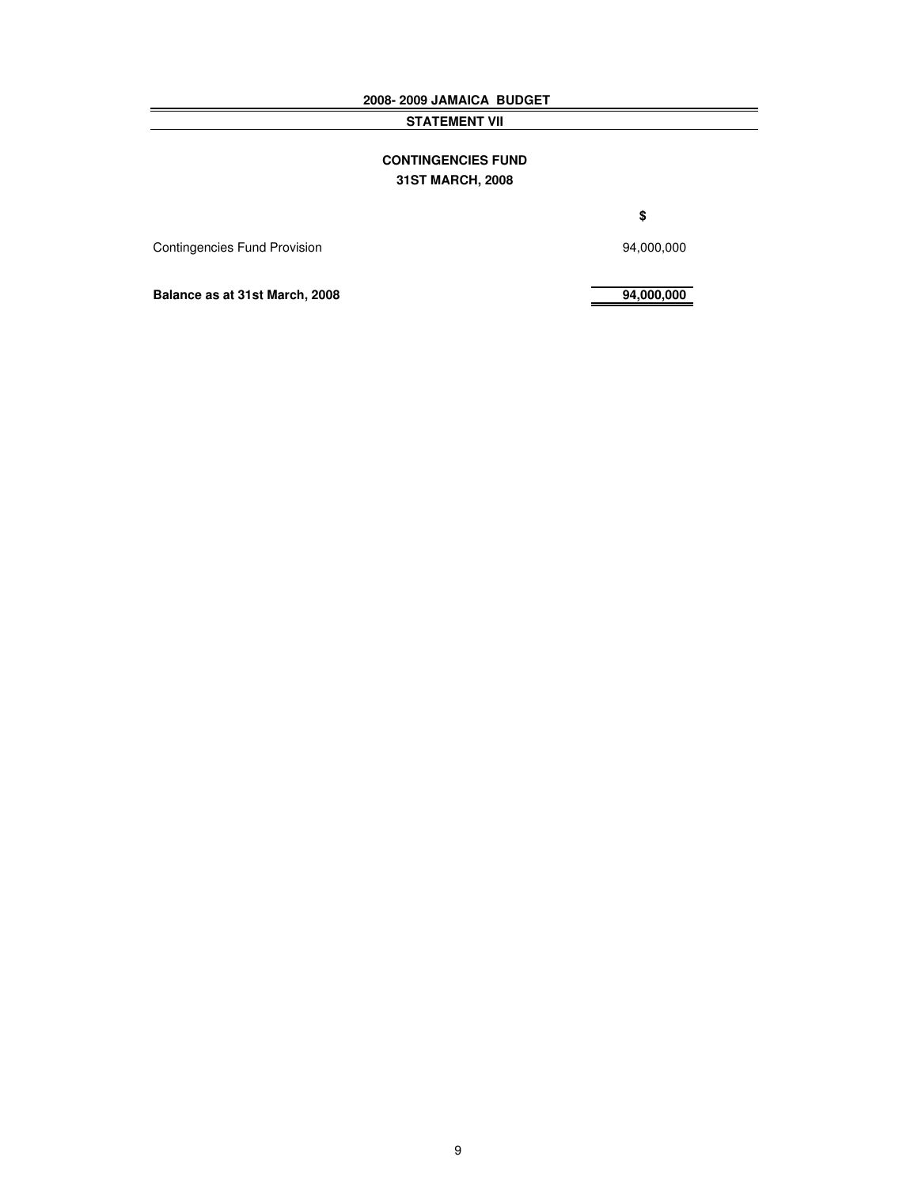**2008- 2009 JAMAICA BUDGET**

**STATEMENT VII**

#### **CONTINGENCIES FUND 31ST MARCH, 2008**

**\$**

Contingencies Fund Provision 34,000,000

**Balance as at 31st March, 2008 94,000,000**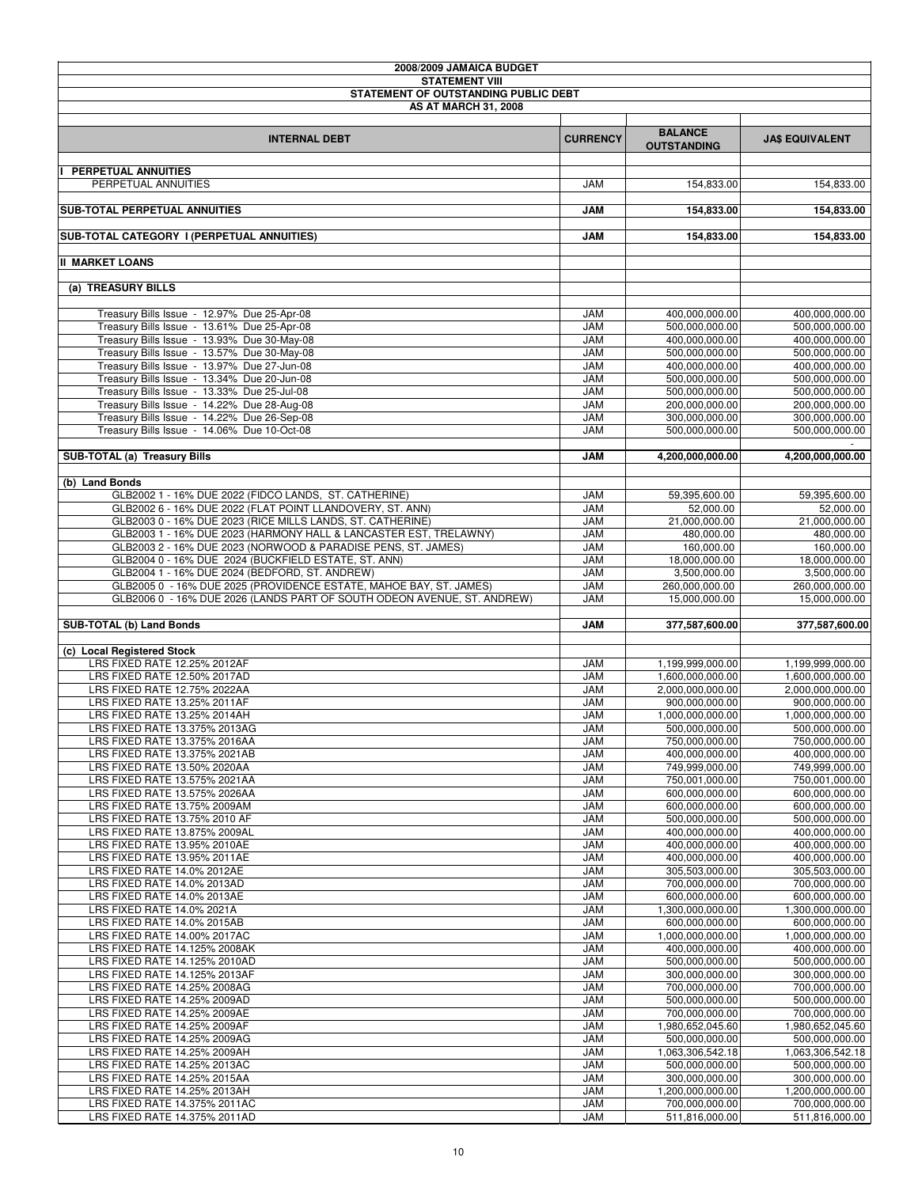| 2008/2009 JAMAICA BUDGET                                                                               |                          |                                    |                                    |
|--------------------------------------------------------------------------------------------------------|--------------------------|------------------------------------|------------------------------------|
| <b>STATEMENT VIII</b>                                                                                  |                          |                                    |                                    |
| STATEMENT OF OUTSTANDING PUBLIC DEBT<br><b>AS AT MARCH 31, 2008</b>                                    |                          |                                    |                                    |
|                                                                                                        |                          |                                    |                                    |
|                                                                                                        | <b>CURRENCY</b>          | <b>BALANCE</b>                     |                                    |
| <b>INTERNAL DEBT</b>                                                                                   |                          | <b>OUTSTANDING</b>                 | <b>JA\$ EQUIVALENT</b>             |
|                                                                                                        |                          |                                    |                                    |
| PERPETUAL ANNUITIES<br>PERPETUAL ANNUITIES                                                             | <b>JAM</b>               | 154,833.00                         | 154,833.00                         |
|                                                                                                        |                          |                                    |                                    |
| <b>SUB-TOTAL PERPETUAL ANNUITIES</b>                                                                   | <b>JAM</b>               | 154,833.00                         | 154,833.00                         |
|                                                                                                        |                          |                                    |                                    |
| SUB-TOTAL CATEGORY I (PERPETUAL ANNUITIES)                                                             | <b>JAM</b>               | 154,833.00                         | 154,833.00                         |
| <b>II MARKET LOANS</b>                                                                                 |                          |                                    |                                    |
|                                                                                                        |                          |                                    |                                    |
| (a) TREASURY BILLS                                                                                     |                          |                                    |                                    |
|                                                                                                        |                          |                                    |                                    |
| Treasury Bills Issue - 12.97% Due 25-Apr-08                                                            | <b>JAM</b>               | 400,000,000.00                     | 400,000,000.00                     |
| Treasury Bills Issue - 13.61% Due 25-Apr-08                                                            | <b>JAM</b>               | 500,000,000.00                     | 500,000,000.00                     |
| Treasury Bills Issue - 13.93% Due 30-May-08                                                            | <b>JAM</b><br><b>JAM</b> | 400,000,000.00<br>500,000,000.00   | 400,000,000.00                     |
| Treasury Bills Issue - 13.57% Due 30-May-08<br>Treasury Bills Issue - 13.97% Due 27-Jun-08             | <b>JAM</b>               | 400,000,000.00                     | 500,000,000.00<br>400,000,000.00   |
| Treasury Bills Issue - 13.34% Due 20-Jun-08                                                            | <b>JAM</b>               | 500,000,000.00                     | 500,000,000.00                     |
| Treasury Bills Issue - 13.33% Due 25-Jul-08                                                            | <b>JAM</b>               | 500,000,000.00                     | 500,000,000.00                     |
| Treasury Bills Issue - 14.22% Due 28-Aug-08                                                            | <b>JAM</b>               | 200,000,000.00                     | 200,000,000.00                     |
| Treasury Bills Issue - 14.22% Due 26-Sep-08                                                            | <b>JAM</b>               | 300,000,000.00                     | 300,000,000.00                     |
| Treasury Bills Issue - 14.06% Due 10-Oct-08                                                            | <b>JAM</b>               | 500,000,000.00                     | 500,000,000.00                     |
|                                                                                                        |                          |                                    |                                    |
| SUB-TOTAL (a) Treasury Bills                                                                           | <b>JAM</b>               | 4,200,000,000.00                   | 4,200,000,000.00                   |
| (b) Land Bonds                                                                                         |                          |                                    |                                    |
| GLB2002 1 - 16% DUE 2022 (FIDCO LANDS, ST. CATHERINE)                                                  | <b>JAM</b>               | 59,395,600.00                      | 59,395,600.00                      |
| GLB2002 6 - 16% DUE 2022 (FLAT POINT LLANDOVERY, ST. ANN)                                              | <b>JAM</b>               | 52,000.00                          | 52,000.00                          |
| GLB2003 0 - 16% DUE 2023 (RICE MILLS LANDS, ST. CATHERINE)                                             | <b>JAM</b>               | 21,000,000.00                      | 21,000,000.00                      |
| GLB2003 1 - 16% DUE 2023 (HARMONY HALL & LANCASTER EST, TRELAWNY)                                      | <b>JAM</b>               | 480,000.00                         | 480,000.00                         |
| GLB2003 2 - 16% DUE 2023 (NORWOOD & PARADISE PENS, ST. JAMES)                                          | <b>JAM</b>               | 160,000.00                         | 160,000.00                         |
| GLB2004 0 - 16% DUE 2024 (BUCKFIELD ESTATE, ST. ANN)<br>GLB2004 1 - 16% DUE 2024 (BEDFORD, ST. ANDREW) | <b>JAM</b><br><b>JAM</b> | 18,000,000.00<br>3,500,000.00      | 18,000,000.00<br>3,500,000.00      |
| GLB2005 0 - 16% DUE 2025 (PROVIDENCE ESTATE, MAHOE BAY, ST. JAMES)                                     | <b>JAM</b>               | 260,000,000.00                     | 260,000,000.00                     |
| GLB2006 0 - 16% DUE 2026 (LANDS PART OF SOUTH ODEON AVENUE, ST. ANDREW)                                | <b>JAM</b>               | 15,000,000.00                      | 15,000,000.00                      |
|                                                                                                        |                          |                                    |                                    |
| SUB-TOTAL (b) Land Bonds                                                                               | <b>JAM</b>               | 377,587,600.00                     | 377,587,600.00                     |
|                                                                                                        |                          |                                    |                                    |
| (c) Local Registered Stock<br>LRS FIXED RATE 12.25% 2012AF                                             | <b>JAM</b>               | 1,199,999,000.00                   | 1.199.999.000.00                   |
| LRS FIXED RATE 12.50% 2017AD                                                                           | <b>JAM</b>               | 1,600,000,000.00                   | 1,600,000,000.00                   |
| LRS FIXED RATE 12.75% 2022AA                                                                           | <b>JAM</b>               | 2,000,000,000.00                   | 2,000,000,000.00                   |
| LRS FIXED RATE 13.25% 2011AF                                                                           | <b>JAM</b>               | 900,000,000.00                     | 900,000,000.00                     |
| LRS FIXED RATE 13.25% 2014AH                                                                           | <b>JAM</b>               | 1.000.000.000.00                   | 1,000,000,000.00                   |
| LRS FIXED RATE 13.375% 2013AG                                                                          | <b>JAM</b>               | 500,000,000.00                     | 500,000,000.00                     |
| LRS FIXED RATE 13.375% 2016AA<br>LRS FIXED RATE 13.375% 2021AB                                         | <b>JAM</b><br><b>JAM</b> | 750,000,000.00<br>400,000,000.00   | 750,000,000.00<br>400,000,000.00   |
| LRS FIXED RATE 13.50% 2020AA                                                                           | <b>JAM</b>               | 749,999,000.00                     | 749,999,000.00                     |
| LRS FIXED RATE 13.575% 2021AA                                                                          | <b>JAM</b>               | 750,001,000.00                     | 750,001,000.00                     |
| LRS FIXED RATE 13.575% 2026AA                                                                          | <b>JAM</b>               | 600,000,000.00                     | 600,000,000.00                     |
| LRS FIXED RATE 13.75% 2009AM                                                                           | <b>JAM</b>               | 600,000,000.00                     | 600,000,000.00                     |
| LRS FIXED RATE 13.75% 2010 AF                                                                          | <b>JAM</b>               | 500,000,000.00                     | 500,000,000.00                     |
| LRS FIXED RATE 13.875% 2009AL                                                                          | <b>JAM</b>               | 400,000,000.00                     | 400,000,000.00                     |
| LRS FIXED RATE 13.95% 2010AE<br>LRS FIXED RATE 13.95% 2011AE                                           | <b>JAM</b><br><b>JAM</b> | 400,000,000.00<br>400,000,000.00   | 400,000,000.00<br>400,000,000.00   |
| LRS FIXED RATE 14.0% 2012AE                                                                            | <b>JAM</b>               | 305,503,000.00                     | 305.503.000.00                     |
| LRS FIXED RATE 14.0% 2013AD                                                                            | <b>JAM</b>               | 700,000,000.00                     | 700,000,000.00                     |
| LRS FIXED RATE 14.0% 2013AE                                                                            | <b>JAM</b>               | 600,000,000.00                     | 600,000,000.00                     |
| LRS FIXED RATE 14.0% 2021A                                                                             | <b>JAM</b>               | 1.300.000.000.00                   | 1,300,000,000.00                   |
| LRS FIXED RATE 14.0% 2015AB                                                                            | <b>JAM</b>               | 600,000,000.00                     | 600,000,000.00                     |
| LRS FIXED RATE 14.00% 2017AC                                                                           | <b>JAM</b>               | 1,000,000,000.00                   | 1,000,000,000.00                   |
| LRS FIXED RATE 14.125% 2008AK<br>LRS FIXED RATE 14.125% 2010AD                                         | <b>JAM</b><br><b>JAM</b> | 400,000,000.00<br>500,000,000.00   | 400,000,000.00<br>500,000,000.00   |
| LRS FIXED RATE 14.125% 2013AF                                                                          | <b>JAM</b>               | 300,000,000.00                     | 300,000,000.00                     |
| LRS FIXED RATE 14.25% 2008AG                                                                           | <b>JAM</b>               | 700,000,000.00                     | 700,000,000.00                     |
| LRS FIXED RATE 14.25% 2009AD                                                                           | <b>JAM</b>               | 500,000,000.00                     | 500,000,000.00                     |
| LRS FIXED RATE 14.25% 2009AE                                                                           | <b>JAM</b>               | 700,000,000.00                     | 700,000,000.00                     |
| LRS FIXED RATE 14.25% 2009AF                                                                           | <b>JAM</b>               | 1,980,652,045.60                   | 1,980,652,045.60                   |
| LRS FIXED RATE 14.25% 2009AG                                                                           | <b>JAM</b>               | 500,000,000.00                     | 500,000,000.00                     |
| LRS FIXED RATE 14.25% 2009AH<br>LRS FIXED RATE 14.25% 2013AC                                           | <b>JAM</b><br><b>JAM</b> | 1,063,306,542.18<br>500,000,000.00 | 1,063,306,542.18<br>500,000,000.00 |
| LRS FIXED RATE 14.25% 2015AA                                                                           | <b>JAM</b>               | 300,000,000.00                     | 300,000,000.00                     |
| LRS FIXED RATE 14.25% 2013AH                                                                           | <b>JAM</b>               | 1,200,000,000.00                   | 1,200,000,000.00                   |
| LRS FIXED RATE 14.375% 2011AC                                                                          | <b>JAM</b>               | 700,000,000.00                     | 700,000,000.00                     |
| LRS FIXED RATE 14.375% 2011AD                                                                          | <b>JAM</b>               | 511,816,000.00                     | 511,816,000.00                     |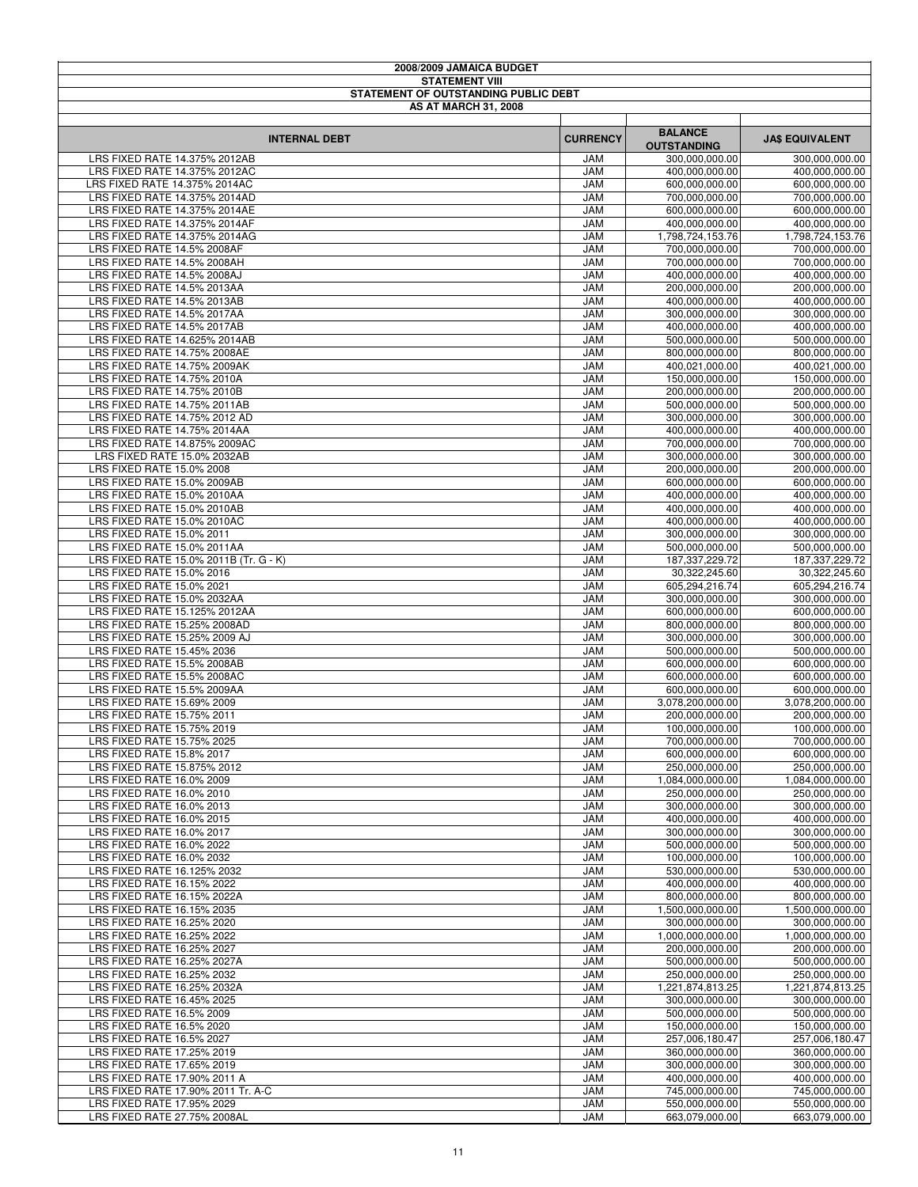| 2008/2009 JAMAICA BUDGET                                       |                          |                                      |                                  |
|----------------------------------------------------------------|--------------------------|--------------------------------------|----------------------------------|
| <b>STATEMENT VIII</b><br>STATEMENT OF OUTSTANDING PUBLIC DEBT  |                          |                                      |                                  |
| <b>AS AT MARCH 31, 2008</b>                                    |                          |                                      |                                  |
|                                                                |                          |                                      |                                  |
| <b>INTERNAL DEBT</b>                                           | <b>CURRENCY</b>          | <b>BALANCE</b>                       | <b>JA\$ EQUIVALENT</b>           |
| LRS FIXED RATE 14.375% 2012AB                                  | <b>JAM</b>               | <b>OUTSTANDING</b><br>300,000,000.00 | 300,000,000.00                   |
| LRS FIXED RATE 14.375% 2012AC                                  | <b>JAM</b>               | 400,000,000.00                       | 400,000,000.00                   |
| LRS FIXED RATE 14.375% 2014AC                                  | <b>JAM</b>               | 600,000,000.00                       | 600,000,000.00                   |
| LRS FIXED RATE 14.375% 2014AD                                  | <b>JAM</b>               | 700,000,000.00                       | 700,000,000.00                   |
| LRS FIXED RATE 14.375% 2014AE<br>LRS FIXED RATE 14.375% 2014AF | <b>JAM</b><br><b>JAM</b> | 600,000,000.00<br>400,000,000.00     | 600,000,000.00<br>400,000,000.00 |
| LRS FIXED RATE 14.375% 2014AG                                  | <b>JAM</b>               | 1,798,724,153.76                     | 1,798,724,153.76                 |
| LRS FIXED RATE 14.5% 2008AF                                    | <b>JAM</b>               | 700,000,000.00                       | 700,000,000.00                   |
| LRS FIXED RATE 14.5% 2008AH                                    | <b>JAM</b>               | 700,000,000.00                       | 700,000,000.00                   |
| LRS FIXED RATE 14.5% 2008AJ                                    | <b>JAM</b>               | 400,000,000.00                       | 400,000,000.00                   |
| LRS FIXED RATE 14.5% 2013AA<br>LRS FIXED RATE 14.5% 2013AB     | <b>JAM</b><br><b>JAM</b> | 200,000,000.00<br>400,000,000.00     | 200,000,000.00<br>400,000,000.00 |
| LRS FIXED RATE 14.5% 2017AA                                    | <b>JAM</b>               | 300,000,000.00                       | 300,000,000.00                   |
| LRS FIXED RATE 14.5% 2017AB                                    | <b>JAM</b>               | 400,000,000.00                       | 400,000,000.00                   |
| LRS FIXED RATE 14.625% 2014AB                                  | <b>JAM</b>               | 500,000,000.00                       | 500,000,000.00                   |
| LRS FIXED RATE 14.75% 2008AE                                   | <b>JAM</b>               | 800,000,000.00<br>400.021.000.00     | 800,000,000.00<br>400.021.000.00 |
| LRS FIXED RATE 14.75% 2009AK<br>LRS FIXED RATE 14.75% 2010A    | <b>JAM</b><br><b>JAM</b> | 150,000,000.00                       | 150,000,000.00                   |
| LRS FIXED RATE 14.75% 2010B                                    | <b>JAM</b>               | 200,000,000.00                       | 200,000,000.00                   |
| LRS FIXED RATE 14.75% 2011AB                                   | <b>JAM</b>               | 500,000,000.00                       | 500,000,000.00                   |
| LRS FIXED RATE 14.75% 2012 AD                                  | <b>JAM</b>               | 300,000,000.00                       | 300,000,000.00                   |
| LRS FIXED RATE 14.75% 2014AA<br>LRS FIXED RATE 14.875% 2009AC  | <b>JAM</b>               | 400,000,000.00                       | 400,000,000.00                   |
| LRS FIXED RATE 15.0% 2032AB                                    | <b>JAM</b><br><b>JAM</b> | 700,000,000.00<br>300,000,000.00     | 700,000,000.00<br>300,000,000.00 |
| LRS FIXED RATE 15.0% 2008                                      | <b>JAM</b>               | 200,000,000.00                       | 200,000,000.00                   |
| LRS FIXED RATE 15.0% 2009AB                                    | <b>JAM</b>               | 600,000,000.00                       | 600,000,000.00                   |
| LRS FIXED RATE 15.0% 2010AA                                    | <b>JAM</b>               | 400,000,000.00                       | 400,000,000.00                   |
| LRS FIXED RATE 15.0% 2010AB<br>LRS FIXED RATE 15.0% 2010AC     | <b>JAM</b><br><b>JAM</b> | 400,000,000.00<br>400,000,000.00     | 400,000,000.00<br>400,000,000.00 |
| LRS FIXED RATE 15.0% 2011                                      | <b>JAM</b>               | 300,000,000.00                       | 300,000,000.00                   |
| LRS FIXED RATE 15.0% 2011AA                                    | <b>JAM</b>               | 500,000,000.00                       | 500,000,000.00                   |
| LRS FIXED RATE 15.0% 2011B (Tr. G - K)                         | <b>JAM</b>               | 187, 337, 229. 72                    | 187,337,229.72                   |
| LRS FIXED RATE 15.0% 2016                                      | <b>JAM</b>               | 30,322,245.60                        | 30,322,245.60                    |
| LRS FIXED RATE 15.0% 2021<br>LRS FIXED RATE 15.0% 2032AA       | <b>JAM</b><br><b>JAM</b> | 605,294,216.74<br>300,000,000.00     | 605,294,216.74<br>300,000,000.00 |
| LRS FIXED RATE 15.125% 2012AA                                  | <b>JAM</b>               | 600,000,000.00                       | 600,000,000.00                   |
| LRS FIXED RATE 15.25% 2008AD                                   | <b>JAM</b>               | 800,000,000.00                       | 800,000,000.00                   |
| LRS FIXED RATE 15.25% 2009 AJ                                  | <b>JAM</b>               | 300,000,000.00                       | 300,000,000.00                   |
| LRS FIXED RATE 15.45% 2036<br>LRS FIXED RATE 15.5% 2008AB      | <b>JAM</b>               | 500,000,000.00                       | 500,000,000.00<br>600,000,000.00 |
| LRS FIXED RATE 15.5% 2008AC                                    | <b>JAM</b><br><b>JAM</b> | 600,000,000.00<br>600,000,000.00     | 600,000,000.00                   |
| LRS FIXED RATE 15.5% 2009AA                                    | <b>JAM</b>               | 600.000.000.00                       | 600,000,000.00                   |
| LRS FIXED RATE 15.69% 2009                                     | <b>JAM</b>               | 3,078,200,000.00                     | 3,078,200,000.00                 |
| LRS FIXED RATE 15.75% 2011                                     | <b>JAM</b>               | 200,000,000.00                       | 200,000,000.00                   |
| LRS FIXED RATE 15.75% 2019<br>LRS FIXED RATE 15.75% 2025       | <b>JAM</b><br>JAM        | 100,000,000.00<br>700,000,000.00     | 100,000,000.00<br>700,000,000.00 |
| LRS FIXED RATE 15.8% 2017                                      | JAM                      | 600,000,000.00                       | 600,000,000.00                   |
| LRS FIXED RATE 15.875% 2012                                    | JAM                      | 250,000,000.00                       | 250,000,000.00                   |
| LRS FIXED RATE 16.0% 2009                                      | <b>JAM</b>               | 1,084,000,000.00                     | 1.084.000.000.00                 |
| LRS FIXED RATE 16.0% 2010                                      | <b>JAM</b>               | 250,000,000.00                       | 250,000,000.00                   |
| LRS FIXED RATE 16.0% 2013<br>LRS FIXED RATE 16.0% 2015         | <b>JAM</b><br><b>JAM</b> | 300,000,000.00<br>400,000,000.00     | 300,000,000.00<br>400,000,000.00 |
| LRS FIXED RATE 16.0% 2017                                      | <b>JAM</b>               | 300,000,000.00                       | 300,000,000.00                   |
| LRS FIXED RATE 16.0% 2022                                      | <b>JAM</b>               | 500,000,000.00                       | 500,000,000.00                   |
| LRS FIXED RATE 16.0% 2032                                      | <b>JAM</b>               | 100,000,000.00                       | 100,000,000.00                   |
| LRS FIXED RATE 16.125% 2032                                    | <b>JAM</b>               | 530,000,000.00                       | 530,000,000.00<br>400,000,000.00 |
| LRS FIXED RATE 16.15% 2022<br>LRS FIXED RATE 16.15% 2022A      | <b>JAM</b><br><b>JAM</b> | 400,000,000.00<br>800,000,000.00     | 800,000,000.00                   |
| LRS FIXED RATE 16.15% 2035                                     | <b>JAM</b>               | 1,500,000,000.00                     | 1,500,000,000.00                 |
| LRS FIXED RATE 16.25% 2020                                     | <b>JAM</b>               | 300,000,000.00                       | 300,000,000.00                   |
| LRS FIXED RATE 16.25% 2022                                     | <b>JAM</b>               | 1,000,000,000.00                     | 1,000,000,000.00                 |
| LRS FIXED RATE 16.25% 2027<br>LRS FIXED RATE 16.25% 2027A      | <b>JAM</b><br><b>JAM</b> | 200,000,000.00<br>500,000,000.00     | 200,000,000.00<br>500,000,000.00 |
| LRS FIXED RATE 16.25% 2032                                     | <b>JAM</b>               | 250,000,000.00                       | 250,000,000.00                   |
| LRS FIXED RATE 16.25% 2032A                                    | <b>JAM</b>               | 1,221,874,813.25                     | 1,221,874,813.25                 |
| LRS FIXED RATE 16.45% 2025                                     | <b>JAM</b>               | 300,000,000.00                       | 300,000,000.00                   |
| LRS FIXED RATE 16.5% 2009                                      | <b>JAM</b>               | 500,000,000.00                       | 500,000,000.00                   |
| LRS FIXED RATE 16.5% 2020                                      | <b>JAM</b>               | 150,000,000.00                       | 150,000,000.00                   |
| LRS FIXED RATE 16.5% 2027<br>LRS FIXED RATE 17.25% 2019        | <b>JAM</b><br>JAM        | 257,006,180.47<br>360,000,000.00     | 257,006,180.47<br>360,000,000.00 |
| LRS FIXED RATE 17.65% 2019                                     | JAM                      | 300,000,000.00                       | 300,000,000.00                   |
| LRS FIXED RATE 17.90% 2011 A                                   | <b>JAM</b>               | 400,000,000.00                       | 400,000,000.00                   |
| LRS FIXED RATE 17.90% 2011 Tr. A-C                             | <b>JAM</b>               | 745,000,000.00                       | 745,000,000.00                   |
| LRS FIXED RATE 17.95% 2029<br>LRS FIXED RATE 27.75% 2008AL     | <b>JAM</b><br><b>JAM</b> | 550,000,000.00<br>663,079,000.00     | 550,000,000.00<br>663,079,000.00 |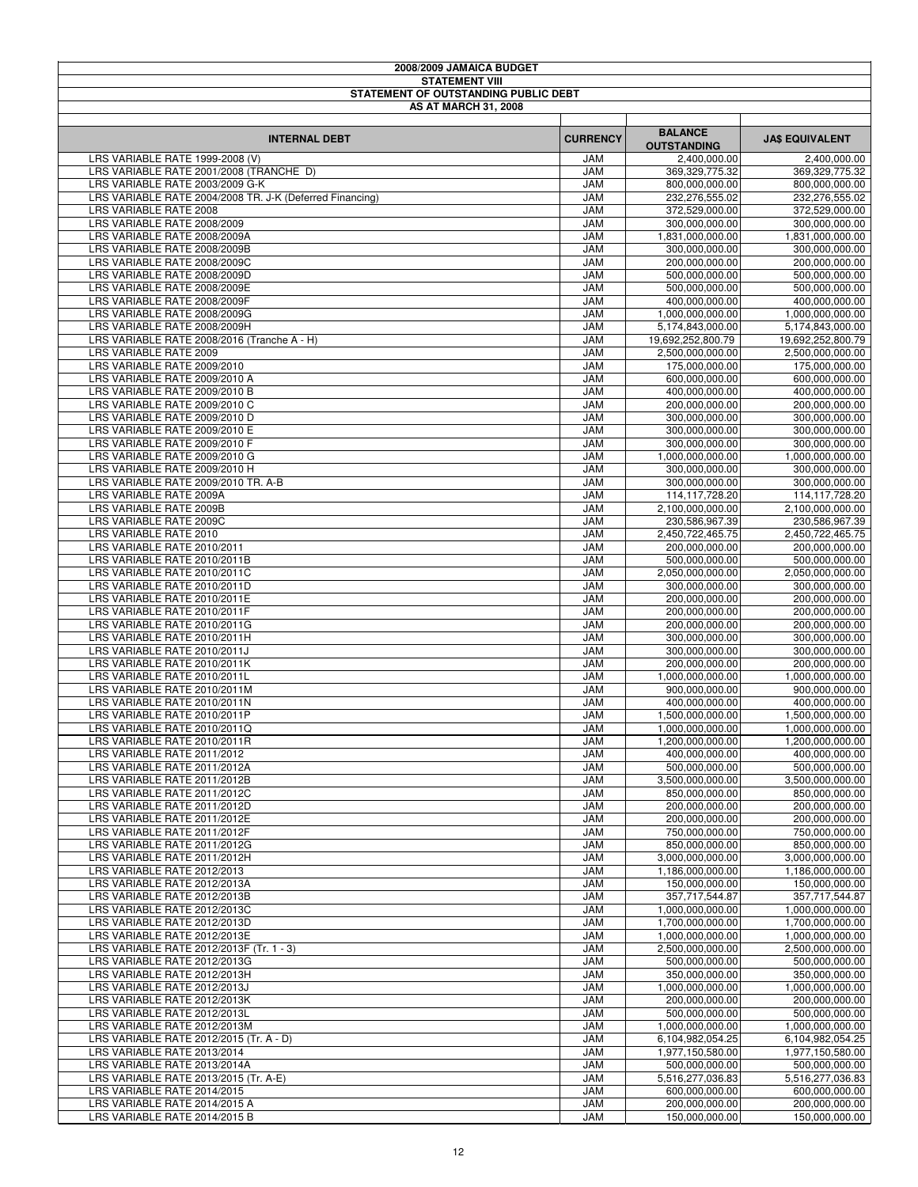| 2008/2009 JAMAICA BUDGET                                                           |                          |                                      |                                      |
|------------------------------------------------------------------------------------|--------------------------|--------------------------------------|--------------------------------------|
| <b>STATEMENT VIII</b><br>STATEMENT OF OUTSTANDING PUBLIC DEBT                      |                          |                                      |                                      |
| <b>AS AT MARCH 31, 2008</b>                                                        |                          |                                      |                                      |
|                                                                                    |                          |                                      |                                      |
| <b>INTERNAL DEBT</b>                                                               | <b>CURRENCY</b>          | <b>BALANCE</b><br><b>OUTSTANDING</b> | <b>JA\$ EQUIVALENT</b>               |
| LRS VARIABLE RATE 1999-2008 (V)                                                    | <b>JAM</b>               | 2,400,000.00                         | 2,400,000.00                         |
| LRS VARIABLE RATE 2001/2008 (TRANCHE D)                                            | <b>JAM</b>               | 369, 329, 775. 32                    | 369,329,775.32                       |
| LRS VARIABLE RATE 2003/2009 G-K                                                    | <b>JAM</b>               | 800,000,000.00                       | 800,000,000.00                       |
| LRS VARIABLE RATE 2004/2008 TR. J-K (Deferred Financing)<br>LRS VARIABLE RATE 2008 | <b>JAM</b><br><b>JAM</b> | 232,276,555.02<br>372,529,000.00     | 232,276,555.02<br>372,529,000.00     |
| LRS VARIABLE RATE 2008/2009                                                        | <b>JAM</b>               | 300,000,000.00                       | 300,000,000.00                       |
| LRS VARIABLE RATE 2008/2009A                                                       | <b>JAM</b>               | 1,831,000,000.00                     | 1,831,000,000.00                     |
| LRS VARIABLE RATE 2008/2009B                                                       | <b>JAM</b>               | 300,000,000.00                       | 300,000,000.00                       |
| LRS VARIABLE RATE 2008/2009C                                                       | <b>JAM</b>               | 200,000,000.00                       | 200,000,000.00                       |
| LRS VARIABLE RATE 2008/2009D<br>LRS VARIABLE RATE 2008/2009E                       | <b>JAM</b><br><b>JAM</b> | 500,000,000.00<br>500,000,000.00     | 500,000,000.00<br>500,000,000.00     |
| LRS VARIABLE RATE 2008/2009F                                                       | <b>JAM</b>               | 400,000,000.00                       | 400,000,000.00                       |
| LRS VARIABLE RATE 2008/2009G                                                       | <b>JAM</b>               | 1,000,000,000.00                     | 1,000,000,000.00                     |
| LRS VARIABLE RATE 2008/2009H                                                       | <b>JAM</b>               | 5,174,843,000.00                     | 5,174,843,000.00                     |
| LRS VARIABLE RATE 2008/2016 (Tranche A - H)                                        | <b>JAM</b>               | 19,692,252,800.79                    | 19,692,252,800.79                    |
| LRS VARIABLE RATE 2009                                                             | <b>JAM</b>               | 2,500,000,000.00                     | 2,500,000,000.00                     |
| LRS VARIABLE RATE 2009/2010<br>LRS VARIABLE RATE 2009/2010 A                       | <b>JAM</b><br><b>JAM</b> | 175,000,000.00                       | 175,000,000.00                       |
| LRS VARIABLE RATE 2009/2010 B                                                      | <b>JAM</b>               | 600,000,000.00<br>400,000,000.00     | 600,000,000.00<br>400,000,000.00     |
| LRS VARIABLE RATE 2009/2010 C                                                      | <b>JAM</b>               | 200,000,000.00                       | 200,000,000.00                       |
| LRS VARIABLE RATE 2009/2010 D                                                      | <b>JAM</b>               | 300,000,000.00                       | 300,000,000.00                       |
| LRS VARIABLE RATE 2009/2010 E                                                      | <b>JAM</b>               | 300,000,000.00                       | 300,000,000.00                       |
| LRS VARIABLE RATE 2009/2010 F                                                      | <b>JAM</b>               | 300,000,000.00                       | 300,000,000.00                       |
| LRS VARIABLE RATE 2009/2010 G<br>LRS VARIABLE RATE 2009/2010 H                     | <b>JAM</b>               | 1,000,000,000.00                     | 1,000,000,000.00                     |
| LRS VARIABLE RATE 2009/2010 TR. A-B                                                | <b>JAM</b><br><b>JAM</b> | 300,000,000.00<br>300,000,000.00     | 300,000,000.00<br>300,000,000.00     |
| LRS VARIABLE RATE 2009A                                                            | <b>JAM</b>               | 114,117,728.20                       | 114,117,728.20                       |
| LRS VARIABLE RATE 2009B                                                            | <b>JAM</b>               | 2,100,000,000.00                     | 2,100,000,000.00                     |
| LRS VARIABLE RATE 2009C                                                            | <b>JAM</b>               | 230,586,967.39                       | 230,586,967.39                       |
| LRS VARIABLE RATE 2010                                                             | <b>JAM</b>               | 2,450,722,465.75                     | 2,450,722,465.75                     |
| LRS VARIABLE RATE 2010/2011                                                        | <b>JAM</b><br><b>JAM</b> | 200,000,000.00                       | 200,000,000.00                       |
| LRS VARIABLE RATE 2010/2011B<br>LRS VARIABLE RATE 2010/2011C                       | <b>JAM</b>               | 500,000,000.00<br>2,050,000,000.00   | 500,000,000.00<br>2,050,000,000.00   |
| LRS VARIABLE RATE 2010/2011D                                                       | <b>JAM</b>               | 300,000,000.00                       | 300,000,000.00                       |
| LRS VARIABLE RATE 2010/2011E                                                       | <b>JAM</b>               | 200,000,000.00                       | 200,000,000.00                       |
| LRS VARIABLE RATE 2010/2011F                                                       | <b>JAM</b>               | 200,000,000.00                       | 200,000,000.00                       |
| LRS VARIABLE RATE 2010/2011G                                                       | <b>JAM</b>               | 200,000,000.00                       | 200,000,000.00                       |
| LRS VARIABLE RATE 2010/2011H<br>LRS VARIABLE RATE 2010/2011J                       | <b>JAM</b><br><b>JAM</b> | 300,000,000.00<br>300,000,000.00     | 300,000,000.00<br>300,000,000.00     |
| LRS VARIABLE RATE 2010/2011K                                                       | <b>JAM</b>               | 200,000,000.00                       | 200,000,000.00                       |
| LRS VARIABLE RATE 2010/2011L                                                       | <b>JAM</b>               | 1,000,000,000.00                     | 1,000,000,000.00                     |
| LRS VARIABLE RATE 2010/2011M                                                       | <b>JAM</b>               | 900,000,000.00                       | 900,000,000.00                       |
| LRS VARIABLE RATE 2010/2011N                                                       | <b>JAM</b>               | 400,000,000.00                       | 400,000,000.00                       |
| LRS VARIABLE RATE 2010/2011P                                                       | <b>JAM</b>               | 1,500,000,000.00                     | 1,500,000,000.00                     |
| LRS VARIABLE RATE 2010/2011Q<br>LRS VARIABLE RATE 2010/2011R                       | <b>JAM</b><br><b>JAM</b> | 1,000,000,000.00<br>1,200,000,000.00 | 1,000,000,000.00<br>1,200,000,000.00 |
| LRS VARIABLE RATE 2011/2012                                                        | <b>JAM</b>               | 400,000,000.00                       | 400.000.000.00                       |
| LRS VARIABLE RATE 2011/2012A                                                       | <b>JAM</b>               | 500,000,000.00                       | 500,000,000.00                       |
| LRS VARIABLE RATE 2011/2012B                                                       | <b>JAM</b>               | 3,500,000,000.00                     | 3,500,000,000.00                     |
| LRS VARIABLE RATE 2011/2012C                                                       | <b>JAM</b>               | 850.000.000.00                       | 850,000,000.00                       |
| LRS VARIABLE RATE 2011/2012D                                                       | <b>JAM</b>               | 200,000,000.00                       | 200,000,000.00                       |
| LRS VARIABLE RATE 2011/2012E<br>LRS VARIABLE RATE 2011/2012F                       | <b>JAM</b><br><b>JAM</b> | 200,000,000.00<br>750,000,000.00     | 200,000,000.00<br>750,000,000.00     |
| LRS VARIABLE RATE 2011/2012G                                                       | <b>JAM</b>               | 850,000,000.00                       | 850,000,000.00                       |
| LRS VARIABLE RATE 2011/2012H                                                       | <b>JAM</b>               | 3,000,000,000.00                     | 3,000,000,000.00                     |
| LRS VARIABLE RATE 2012/2013                                                        | <b>JAM</b>               | 1,186,000,000.00                     | 1,186,000,000.00                     |
| LRS VARIABLE RATE 2012/2013A                                                       | <b>JAM</b>               | 150,000,000.00                       | 150,000,000.00                       |
| LRS VARIABLE RATE 2012/2013B                                                       | <b>JAM</b>               | 357,717,544.87                       | 357,717,544.87                       |
| LRS VARIABLE RATE 2012/2013C<br>LRS VARIABLE RATE 2012/2013D                       | <b>JAM</b><br><b>JAM</b> | 1,000,000,000.00<br>1,700,000,000.00 | 1,000,000,000.00<br>1,700,000,000.00 |
| LRS VARIABLE RATE 2012/2013E                                                       | <b>JAM</b>               | 1,000,000,000.00                     | 1,000,000,000.00                     |
| LRS VARIABLE RATE 2012/2013F (Tr. 1 - 3)                                           | <b>JAM</b>               | 2,500,000,000.00                     | 2,500,000,000.00                     |
| LRS VARIABLE RATE 2012/2013G                                                       | <b>JAM</b>               | 500,000,000.00                       | 500,000,000.00                       |
| LRS VARIABLE RATE 2012/2013H                                                       | <b>JAM</b>               | 350,000,000.00                       | 350,000,000.00                       |
| LRS VARIABLE RATE 2012/2013J                                                       | <b>JAM</b>               | 1,000,000,000.00                     | 1,000,000,000.00                     |
| LRS VARIABLE RATE 2012/2013K<br>LRS VARIABLE RATE 2012/2013L                       | <b>JAM</b><br><b>JAM</b> | 200,000,000.00<br>500,000,000.00     | 200,000,000.00<br>500,000,000.00     |
| LRS VARIABLE RATE 2012/2013M                                                       | <b>JAM</b>               | 1,000,000,000.00                     | 1,000,000,000.00                     |
| LRS VARIABLE RATE 2012/2015 (Tr. A - D)                                            | <b>JAM</b>               | 6,104,982,054.25                     | 6,104,982,054.25                     |
| LRS VARIABLE RATE 2013/2014                                                        | <b>JAM</b>               | 1,977,150,580.00                     | 1,977,150,580.00                     |
| LRS VARIABLE RATE 2013/2014A                                                       | <b>JAM</b>               | 500,000,000.00                       | 500,000,000.00                       |
| LRS VARIABLE RATE 2013/2015 (Tr. A-E)                                              | <b>JAM</b>               | 5,516,277,036.83                     | 5,516,277,036.83                     |
| LRS VARIABLE RATE 2014/2015<br>LRS VARIABLE RATE 2014/2015 A                       | <b>JAM</b><br><b>JAM</b> | 600,000,000.00<br>200,000,000.00     | 600,000,000.00<br>200,000,000.00     |
| LRS VARIABLE RATE 2014/2015 B                                                      | <b>JAM</b>               | 150,000,000.00                       | 150,000,000.00                       |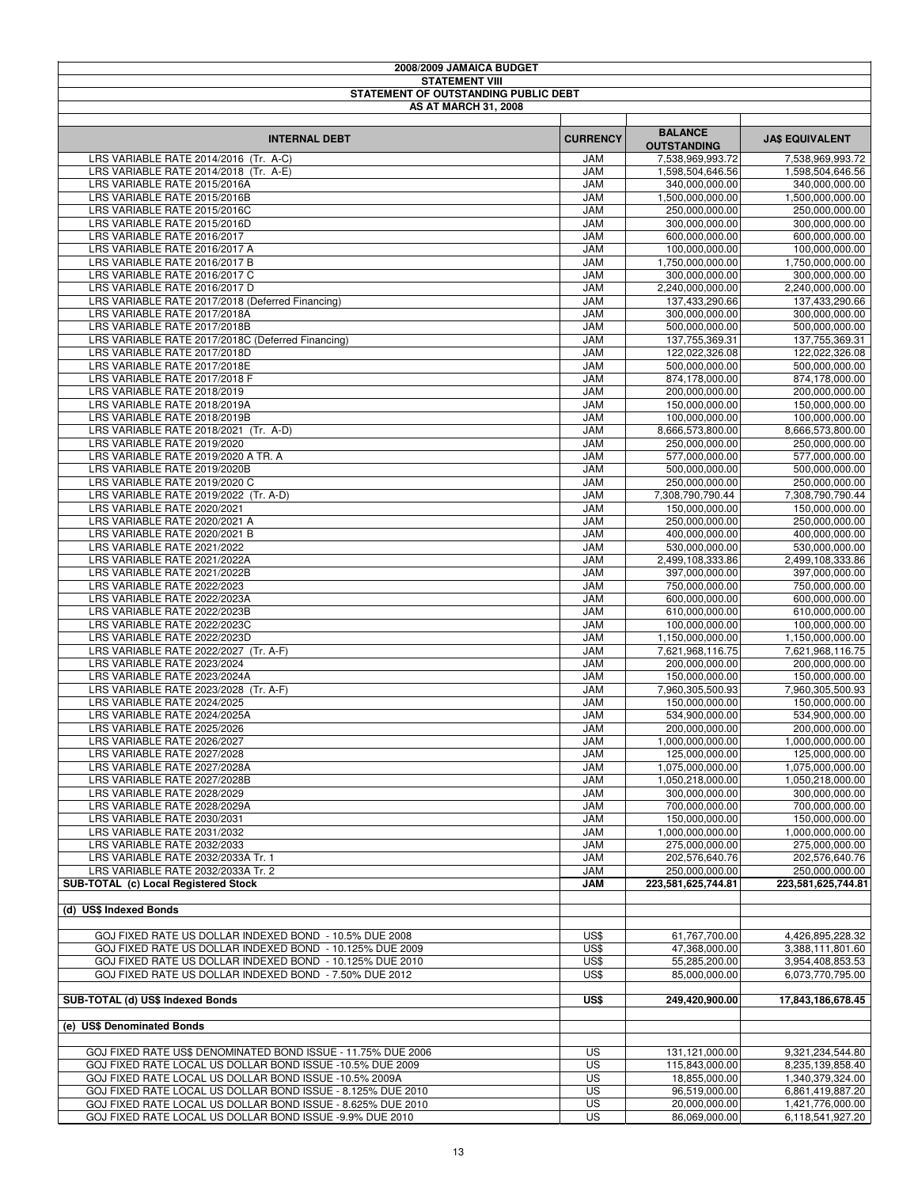| 2008/2009 JAMAICA BUDGET                                       |                          |                                    |                                    |
|----------------------------------------------------------------|--------------------------|------------------------------------|------------------------------------|
| <b>STATEMENT VIII</b>                                          |                          |                                    |                                    |
| STATEMENT OF OUTSTANDING PUBLIC DEBT                           |                          |                                    |                                    |
| <b>AS AT MARCH 31, 2008</b>                                    |                          |                                    |                                    |
|                                                                |                          | <b>BALANCE</b>                     |                                    |
| <b>INTERNAL DEBT</b>                                           | <b>CURRENCY</b>          | <b>OUTSTANDING</b>                 | <b>JA\$ EQUIVALENT</b>             |
| LRS VARIABLE RATE 2014/2016 (Tr. A-C)                          | <b>JAM</b>               | 7,538,969,993.72                   | 7,538,969,993.72                   |
| LRS VARIABLE RATE 2014/2018 (Tr. A-E)                          | <b>JAM</b>               | 1,598,504,646.56                   | 1,598,504,646.56                   |
| LRS VARIABLE RATE 2015/2016A                                   | <b>JAM</b>               | 340,000,000.00                     | 340,000,000.00                     |
| LRS VARIABLE RATE 2015/2016B                                   | <b>JAM</b>               | 1,500,000,000.00                   | 1,500,000,000.00                   |
| LRS VARIABLE RATE 2015/2016C                                   | <b>JAM</b>               | 250,000,000.00                     | 250,000,000.00                     |
| LRS VARIABLE RATE 2015/2016D                                   | <b>JAM</b>               | 300,000,000.00                     | 300,000,000.00                     |
| LRS VARIABLE RATE 2016/2017                                    | <b>JAM</b>               | 600,000,000.00                     | 600,000,000.00                     |
| LRS VARIABLE RATE 2016/2017 A                                  | <b>JAM</b>               | 100,000,000.00                     | 100,000,000.00                     |
| LRS VARIABLE RATE 2016/2017 B                                  | <b>JAM</b>               | 1,750,000,000.00                   | 1,750,000,000.00                   |
| LRS VARIABLE RATE 2016/2017 C<br>LRS VARIABLE RATE 2016/2017 D | <b>JAM</b><br><b>JAM</b> | 300,000,000.00<br>2,240,000,000.00 | 300,000,000.00<br>2,240,000,000.00 |
| LRS VARIABLE RATE 2017/2018 (Deferred Financing)               | <b>JAM</b>               | 137,433,290.66                     | 137,433,290.66                     |
| LRS VARIABLE RATE 2017/2018A                                   | <b>JAM</b>               | 300,000,000.00                     | 300,000,000.00                     |
| LRS VARIABLE RATE 2017/2018B                                   | <b>JAM</b>               | 500,000,000.00                     | 500,000,000.00                     |
| LRS VARIABLE RATE 2017/2018C (Deferred Financing)              | <b>JAM</b>               | 137,755,369.31                     | 137,755,369.31                     |
| LRS VARIABLE RATE 2017/2018D                                   | <b>JAM</b>               | 122,022,326.08                     | 122,022,326.08                     |
| LRS VARIABLE RATE 2017/2018E                                   | <b>JAM</b>               | 500,000,000.00                     | 500,000,000.00                     |
| LRS VARIABLE RATE 2017/2018 F                                  | <b>JAM</b>               | 874,178,000.00                     | 874,178,000.00                     |
| LRS VARIABLE RATE 2018/2019                                    | <b>JAM</b>               | 200,000,000.00                     | 200,000,000.00                     |
| LRS VARIABLE RATE 2018/2019A                                   | <b>JAM</b>               | 150,000,000.00                     | 150,000,000.00                     |
| LRS VARIABLE RATE 2018/2019B                                   | <b>JAM</b>               | 100,000,000.00                     | 100,000,000.00                     |
| LRS VARIABLE RATE 2018/2021 (Tr. A-D)                          | <b>JAM</b>               | 8,666,573,800.00                   | 8,666,573,800.00                   |
| LRS VARIABLE RATE 2019/2020                                    | <b>JAM</b>               | 250,000,000.00                     | 250,000,000.00                     |
| LRS VARIABLE RATE 2019/2020 A TR. A                            | <b>JAM</b>               | 577,000,000.00                     | 577,000,000.00                     |
| LRS VARIABLE RATE 2019/2020B                                   | <b>JAM</b>               | 500,000,000.00                     | 500,000,000.00                     |
| LRS VARIABLE RATE 2019/2020 C                                  | <b>JAM</b>               | 250,000,000.00                     | 250,000,000.00                     |
| LRS VARIABLE RATE 2019/2022 (Tr. A-D)                          | <b>JAM</b>               | 7,308,790,790.44                   | 7,308,790,790.44                   |
| LRS VARIABLE RATE 2020/2021                                    | <b>JAM</b>               | 150,000,000.00                     | 150,000,000.00                     |
| LRS VARIABLE RATE 2020/2021 A                                  | <b>JAM</b>               | 250,000,000.00                     | 250,000,000.00                     |
| LRS VARIABLE RATE 2020/2021 B                                  | <b>JAM</b>               | 400,000,000.00                     | 400,000,000.00                     |
| LRS VARIABLE RATE 2021/2022<br>LRS VARIABLE RATE 2021/2022A    | <b>JAM</b><br><b>JAM</b> | 530,000,000.00<br>2,499,108,333.86 | 530,000,000.00<br>2,499,108,333.86 |
| LRS VARIABLE RATE 2021/2022B                                   | <b>JAM</b>               | 397,000,000.00                     | 397,000,000.00                     |
| LRS VARIABLE RATE 2022/2023                                    | <b>JAM</b>               | 750,000,000.00                     | 750,000,000.00                     |
| LRS VARIABLE RATE 2022/2023A                                   | <b>JAM</b>               | 600,000,000.00                     | 600,000,000.00                     |
| LRS VARIABLE RATE 2022/2023B                                   | <b>JAM</b>               | 610,000,000.00                     | 610,000,000.00                     |
| LRS VARIABLE RATE 2022/2023C                                   | <b>JAM</b>               | 100,000,000.00                     | 100,000,000.00                     |
| LRS VARIABLE RATE 2022/2023D                                   | <b>JAM</b>               | 1,150,000,000.00                   | 1,150,000,000.00                   |
| LRS VARIABLE RATE 2022/2027 (Tr. A-F)                          | <b>JAM</b>               | 7,621,968,116.75                   | 7,621,968,116.75                   |
| LRS VARIABLE RATE 2023/2024                                    | <b>JAM</b>               | 200,000,000.00                     | 200,000,000.00                     |
| LRS VARIABLE RATE 2023/2024A                                   | <b>JAM</b>               | 150,000,000.00                     | 150,000,000.00                     |
| LRS VARIABLE RATE 2023/2028 (Tr. A-F)                          | <b>JAM</b>               | 7,960,305,500.93                   | 7,960,305,500.93                   |
| LRS VARIABLE RATE 2024/2025                                    | <b>JAM</b>               | 150,000,000.00                     | 150,000,000.00                     |
| LRS VARIABLE RATE 2024/2025A                                   | <b>JAM</b>               | 534,900,000.00                     | 534,900,000.00                     |
| LRS VARIABLE RATE 2025/2026                                    | <b>JAM</b>               | 200,000,000.00                     | 200,000,000.00                     |
| LRS VARIABLE RATE 2026/2027                                    | JAM                      | 1,000,000,000.00                   | 1,000,000,000.00                   |
| LRS VARIABLE RATE 2027/2028                                    | JAM                      | 125,000,000.00                     | 125,000,000.00                     |
| LRS VARIABLE RATE 2027/2028A                                   | <b>JAM</b>               | 1,075,000,000.00                   | 1,075,000,000.00                   |
| LRS VARIABLE RATE 2027/2028B                                   | <b>JAM</b>               | 1,050,218,000.00                   | 1,050,218,000.00                   |
| LRS VARIABLE RATE 2028/2029                                    | <b>JAM</b>               | 300,000,000.00                     | 300,000,000.00                     |
| LRS VARIABLE RATE 2028/2029A                                   | <b>JAM</b>               | 700,000,000.00                     | 700,000,000.00                     |
| LRS VARIABLE RATE 2030/2031                                    | <b>JAM</b>               | 150,000,000.00                     | 150,000,000.00                     |
| LRS VARIABLE RATE 2031/2032<br>LRS VARIABLE RATE 2032/2033     | <b>JAM</b><br><b>JAM</b> | 1,000,000,000.00<br>275,000,000.00 | 1,000,000,000.00                   |
| LRS VARIABLE RATE 2032/2033A Tr. 1                             | <b>JAM</b>               | 202,576,640.76                     | 275,000,000.00<br>202,576,640.76   |
| LRS VARIABLE RATE 2032/2033A Tr. 2                             | <b>JAM</b>               | 250,000,000.00                     | 250,000,000.00                     |
| SUB-TOTAL (c) Local Registered Stock                           | <b>JAM</b>               | 223,581,625,744.81                 | 223,581,625,744.81                 |
|                                                                |                          |                                    |                                    |
| (d) US\$ Indexed Bonds                                         |                          |                                    |                                    |
| GOJ FIXED RATE US DOLLAR INDEXED BOND - 10.5% DUE 2008         | US\$                     | 61,767,700.00                      | 4,426,895,228.32                   |
| GOJ FIXED RATE US DOLLAR INDEXED BOND - 10.125% DUE 2009       | US\$                     | 47,368,000.00                      | 3,388,111,801.60                   |
| GOJ FIXED RATE US DOLLAR INDEXED BOND - 10.125% DUE 2010       | US\$                     | 55,285,200.00                      | 3,954,408,853.53                   |
| GOJ FIXED RATE US DOLLAR INDEXED BOND - 7.50% DUE 2012         | US\$                     | 85,000,000.00                      | 6,073,770,795.00                   |
| SUB-TOTAL (d) US\$ Indexed Bonds                               | US\$                     | 249,420,900.00                     | 17,843,186,678.45                  |
|                                                                |                          |                                    |                                    |
| (e) US\$ Denominated Bonds                                     |                          |                                    |                                    |
| GOJ FIXED RATE US\$ DENOMINATED BOND ISSUE - 11.75% DUE 2006   | <b>US</b>                | 131,121,000.00                     | 9,321,234,544.80                   |
| GOJ FIXED RATE LOCAL US DOLLAR BOND ISSUE -10.5% DUE 2009      | <b>US</b>                | 115,843,000.00                     | 8,235,139,858.40                   |
| GOJ FIXED RATE LOCAL US DOLLAR BOND ISSUE -10.5% 2009A         | US                       | 18,855,000.00                      | 1,340,379,324.00                   |
| GOJ FIXED RATE LOCAL US DOLLAR BOND ISSUE - 8.125% DUE 2010    | US                       | 96,519,000.00                      | 6,861,419,887.20                   |
| GOJ FIXED RATE LOCAL US DOLLAR BOND ISSUE - 8.625% DUE 2010    | US                       | 20,000,000.00                      | 1,421,776,000.00                   |
| GOJ FIXED RATE LOCAL US DOLLAR BOND ISSUE -9.9% DUE 2010       | US                       | 86,069,000.00                      | 6,118,541,927.20                   |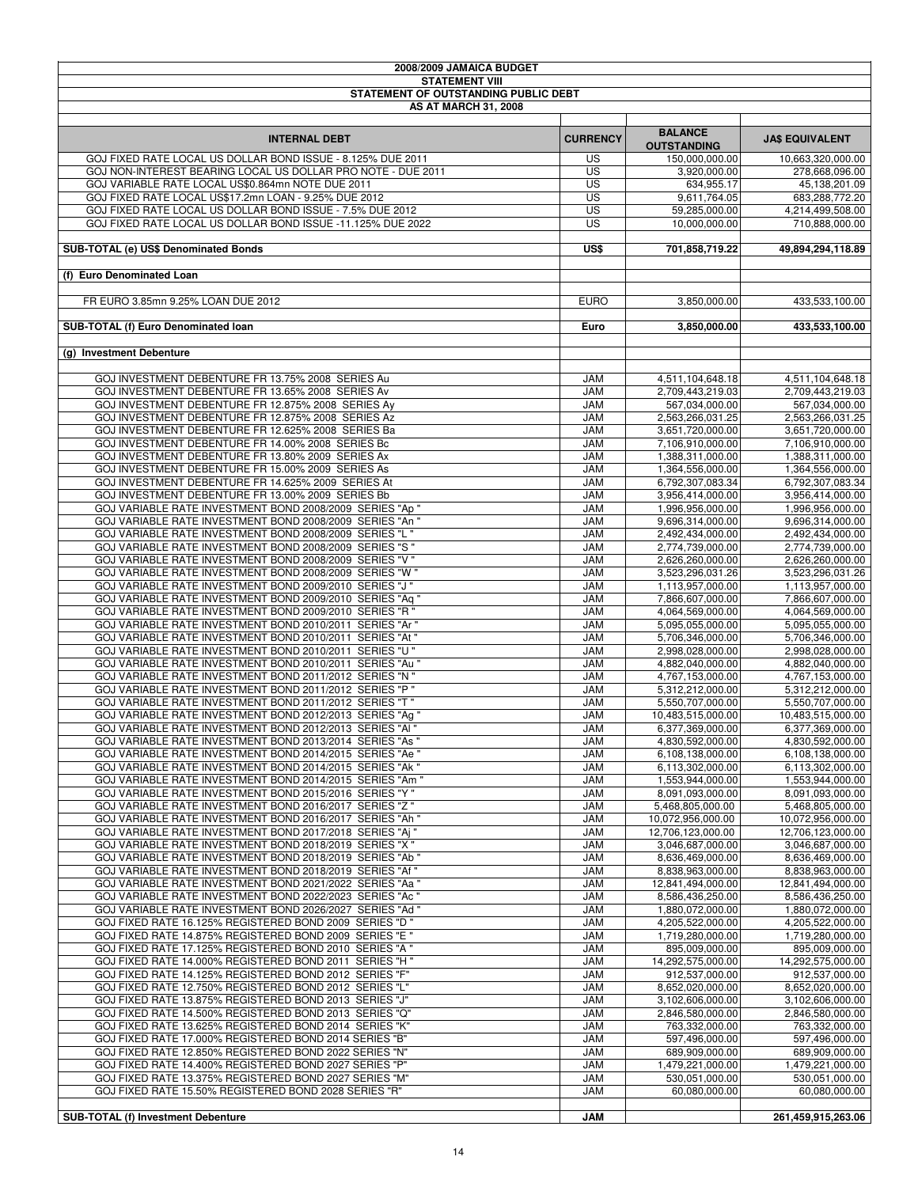| 2008/2009 JAMAICA BUDGET                                                                                           |                          |                                       |                                       |
|--------------------------------------------------------------------------------------------------------------------|--------------------------|---------------------------------------|---------------------------------------|
| <b>STATEMENT VIII</b>                                                                                              |                          |                                       |                                       |
| STATEMENT OF OUTSTANDING PUBLIC DEBT                                                                               |                          |                                       |                                       |
| <b>AS AT MARCH 31, 2008</b>                                                                                        |                          |                                       |                                       |
|                                                                                                                    |                          |                                       |                                       |
| <b>INTERNAL DEBT</b>                                                                                               | <b>CURRENCY</b>          | <b>BALANCE</b>                        | <b>JA\$ EQUIVALENT</b>                |
|                                                                                                                    |                          | <b>OUTSTANDING</b>                    |                                       |
| GOJ FIXED RATE LOCAL US DOLLAR BOND ISSUE - 8.125% DUE 2011                                                        | US.                      | 150,000,000.00                        | 10,663,320,000.00                     |
| GOJ NON-INTEREST BEARING LOCAL US DOLLAR PRO NOTE - DUE 2011<br>GOJ VARIABLE RATE LOCAL US\$0.864mn NOTE DUE 2011  | <b>US</b><br>US          | 3,920,000.00<br>634,955.17            | 278,668,096.00                        |
| GOJ FIXED RATE LOCAL US\$17.2mn LOAN - 9.25% DUE 2012                                                              | <b>US</b>                | 9,611,764.05                          | 45,138,201.09<br>683,288,772.20       |
| GOJ FIXED RATE LOCAL US DOLLAR BOND ISSUE - 7.5% DUE 2012                                                          | <b>US</b>                | 59,285,000.00                         | 4,214,499,508.00                      |
| GOJ FIXED RATE LOCAL US DOLLAR BOND ISSUE -11.125% DUE 2022                                                        | <b>US</b>                | 10,000,000.00                         | 710,888,000.00                        |
|                                                                                                                    |                          |                                       |                                       |
| SUB-TOTAL (e) US\$ Denominated Bonds                                                                               | US\$                     | 701,858,719.22                        | 49.894.294.118.89                     |
|                                                                                                                    |                          |                                       |                                       |
| (f) Euro Denominated Loan                                                                                          |                          |                                       |                                       |
|                                                                                                                    |                          |                                       |                                       |
| FR EURO 3.85mn 9.25% LOAN DUE 2012                                                                                 | <b>EURO</b>              | 3,850,000.00                          | 433,533,100.00                        |
|                                                                                                                    |                          |                                       |                                       |
| SUB-TOTAL (f) Euro Denominated Ioan                                                                                | Euro                     | 3,850,000.00                          | 433,533,100.00                        |
|                                                                                                                    |                          |                                       |                                       |
| (g) Investment Debenture                                                                                           |                          |                                       |                                       |
|                                                                                                                    |                          |                                       |                                       |
| GOJ INVESTMENT DEBENTURE FR 13.75% 2008 SERIES Au                                                                  | JAM                      | 4,511,104,648.18                      | 4,511,104,648.18                      |
| GOJ INVESTMENT DEBENTURE FR 13.65% 2008 SERIES Av                                                                  | <b>JAM</b>               | 2,709,443,219.03                      | 2,709,443,219.03                      |
| GOJ INVESTMENT DEBENTURE FR 12.875% 2008 SERIES AV                                                                 | <b>JAM</b>               | 567,034,000.00                        | 567,034,000.00                        |
| GOJ INVESTMENT DEBENTURE FR 12.875% 2008 SERIES Az                                                                 | <b>JAM</b>               | 2,563,266,031.25                      | 2,563,266,031.25                      |
| GOJ INVESTMENT DEBENTURE FR 12.625% 2008 SERIES Ba<br>GOJ INVESTMENT DEBENTURE FR 14.00% 2008 SERIES Bc            | <b>JAM</b><br><b>JAM</b> | 3,651,720,000.00<br>7,106,910,000.00  | 3,651,720,000.00<br>7,106,910,000.00  |
| GOJ INVESTMENT DEBENTURE FR 13.80% 2009 SERIES Ax                                                                  | <b>JAM</b>               | 1.388.311.000.00                      | 1,388,311,000.00                      |
| GOJ INVESTMENT DEBENTURE FR 15.00% 2009 SERIES As                                                                  | <b>JAM</b>               | 1,364,556,000.00                      | 1,364,556,000.00                      |
| GOJ INVESTMENT DEBENTURE FR 14.625% 2009 SERIES At                                                                 | <b>JAM</b>               | 6,792,307,083.34                      | 6,792,307,083.34                      |
| GOJ INVESTMENT DEBENTURE FR 13.00% 2009 SERIES Bb                                                                  | <b>JAM</b>               | 3,956,414,000.00                      | 3,956,414,000.00                      |
| GOJ VARIABLE RATE INVESTMENT BOND 2008/2009 SERIES "Ap "                                                           | JAM                      | 1,996,956,000.00                      | 1,996,956,000.00                      |
| GOJ VARIABLE RATE INVESTMENT BOND 2008/2009 SERIES "An "                                                           | <b>JAM</b>               | 9,696,314,000.00                      | 9,696,314,000.00                      |
| GOJ VARIABLE RATE INVESTMENT BOND 2008/2009 SERIES "L "                                                            | <b>JAM</b>               | 2,492,434,000.00                      | 2,492,434,000.00                      |
| GOJ VARIABLE RATE INVESTMENT BOND 2008/2009 SERIES "S "                                                            | <b>JAM</b>               | 2,774,739,000.00                      | 2,774,739,000.00                      |
| GOJ VARIABLE RATE INVESTMENT BOND 2008/2009 SERIES "V "                                                            | <b>JAM</b>               | 2,626,260,000.00                      | 2,626,260,000.00                      |
| GOJ VARIABLE RATE INVESTMENT BOND 2008/2009 SERIES "W "                                                            | <b>JAM</b>               | 3,523,296,031.26                      | 3,523,296,031.26                      |
| GOJ VARIABLE RATE INVESTMENT BOND 2009/2010 SERIES "J "                                                            | <b>JAM</b>               | 1,113,957,000.00                      | 1,113,957,000.00                      |
| GOJ VARIABLE RATE INVESTMENT BOND 2009/2010 SERIES "Ag "                                                           | <b>JAM</b>               | 7,866,607,000.00                      | 7,866,607,000.00                      |
| GOJ VARIABLE RATE INVESTMENT BOND 2009/2010 SERIES "R "                                                            | <b>JAM</b>               | 4,064,569,000.00                      | 4,064,569,000.00                      |
| GOJ VARIABLE RATE INVESTMENT BOND 2010/2011 SERIES "Ar "                                                           | <b>JAM</b>               | 5,095,055,000.00                      | 5,095,055,000.00                      |
| GOJ VARIABLE RATE INVESTMENT BOND 2010/2011 SERIES "At "                                                           | <b>JAM</b>               | 5,706,346,000.00                      | 5,706,346,000.00                      |
| GOJ VARIABLE RATE INVESTMENT BOND 2010/2011 SERIES "U "                                                            | <b>JAM</b>               | 2,998,028,000.00                      | 2,998,028,000.00                      |
| GOJ VARIABLE RATE INVESTMENT BOND 2010/2011 SERIES "Au "                                                           | <b>JAM</b>               | 4,882,040,000.00                      | 4,882,040,000.00                      |
| GOJ VARIABLE RATE INVESTMENT BOND 2011/2012 SERIES "N "                                                            | <b>JAM</b>               | 4,767,153,000.00                      | 4,767,153,000.00                      |
| GOJ VARIABLE RATE INVESTMENT BOND 2011/2012 SERIES "P "<br>GOJ VARIABLE RATE INVESTMENT BOND 2011/2012 SERIES "T " | <b>JAM</b>               | 5,312,212,000.00                      | 5,312,212,000.00                      |
| GOJ VARIABLE RATE INVESTMENT BOND 2012/2013 SERIES "Ag "                                                           | <b>JAM</b><br><b>JAM</b> | 5,550,707,000.00<br>10,483,515,000.00 | 5,550,707,000.00<br>10,483,515,000.00 |
| GOJ VARIABLE RATE INVESTMENT BOND 2012/2013 SERIES "AI"                                                            | <b>MAL</b>               | 6,377,369,000.00                      | 6,377,369,000.00                      |
| GOJ VARIABLE RATE INVESTMENT BOND 2013/2014 SERIES "As "                                                           | JAM                      | 4,830,592,000.00                      | 4,830,592,000.00                      |
| GOJ VARIABLE RATE INVESTMENT BOND 2014/2015 SERIES "Ae "                                                           | JAM                      | 6,108,138,000.00                      | 6,108,138,000.00                      |
| GOJ VARIABLE RATE INVESTMENT BOND 2014/2015 SERIES "Ak "                                                           | <b>JAM</b>               | 6,113,302,000.00                      | 6,113,302,000.00                      |
| GOJ VARIABLE RATE INVESTMENT BOND 2014/2015 SERIES "Am "                                                           | <b>JAM</b>               | 1,553,944,000.00                      | 1,553,944,000.00                      |
| GOJ VARIABLE RATE INVESTMENT BOND 2015/2016 SERIES "Y "                                                            | <b>JAM</b>               | 8,091,093,000.00                      | 8,091,093,000.00                      |
| GOJ VARIABLE RATE INVESTMENT BOND 2016/2017 SERIES "Z "                                                            | <b>JAM</b>               | 5,468,805,000.00                      | 5,468,805,000.00                      |
| GOJ VARIABLE RATE INVESTMENT BOND 2016/2017 SERIES "Ah "                                                           | <b>JAM</b>               | 10,072,956,000.00                     | 10,072,956,000.00                     |
| GOJ VARIABLE RATE INVESTMENT BOND 2017/2018 SERIES "Aj "                                                           | <b>JAM</b>               | 12,706,123,000.00                     | 12,706,123,000.00                     |
| GOJ VARIABLE RATE INVESTMENT BOND 2018/2019 SERIES "X"                                                             | <b>JAM</b>               | 3,046,687,000.00                      | 3,046,687,000.00                      |
| GOJ VARIABLE RATE INVESTMENT BOND 2018/2019 SERIES "Ab "                                                           | <b>JAM</b>               | 8.636,469,000.00                      | 8,636,469,000.00                      |
| GOJ VARIABLE RATE INVESTMENT BOND 2018/2019 SERIES "Af "                                                           | <b>JAM</b>               | 8.838,963,000.00                      | 8,838,963,000.00                      |
| GOJ VARIABLE RATE INVESTMENT BOND 2021/2022 SERIES "Aa "                                                           | <b>JAM</b>               | 12,841,494,000.00                     | 12,841,494,000.00                     |
| GOJ VARIABLE RATE INVESTMENT BOND 2022/2023 SERIES "Ac "                                                           | <b>JAM</b>               | 8,586,436,250.00                      | 8,586,436,250.00                      |
| GOJ VARIABLE RATE INVESTMENT BOND 2026/2027 SERIES "Ad "                                                           | <b>JAM</b>               | 1,880,072,000.00                      | 1,880,072,000.00                      |
| GOJ FIXED RATE 16.125% REGISTERED BOND 2009 SERIES "D "                                                            | <b>JAM</b>               | 4,205,522,000.00                      | 4,205,522,000.00                      |
| GOJ FIXED RATE 14.875% REGISTERED BOND 2009 SERIES "E"                                                             | <b>JAM</b>               | 1,719,280,000.00                      | 1,719,280,000.00                      |
| GOJ FIXED RATE 17.125% REGISTERED BOND 2010 SERIES "A "                                                            | MAU                      | 895,009,000.00                        | 895,009,000.00                        |
| GOJ FIXED RATE 14.000% REGISTERED BOND 2011 SERIES "H "                                                            | <b>JAM</b><br><b>JAM</b> | 14,292,575,000.00                     | 14,292,575,000.00                     |
| GOJ FIXED RATE 14.125% REGISTERED BOND 2012 SERIES "F"<br>GOJ FIXED RATE 12.750% REGISTERED BOND 2012 SERIES "L"   | <b>JAM</b>               | 912,537,000.00<br>8,652,020,000.00    | 912,537,000.00<br>8,652,020,000.00    |
| GOJ FIXED RATE 13.875% REGISTERED BOND 2013 SERIES "J"                                                             | <b>JAM</b>               | 3,102,606,000.00                      | 3,102,606,000.00                      |
| GOJ FIXED RATE 14.500% REGISTERED BOND 2013 SERIES "Q"                                                             | <b>JAM</b>               | 2,846,580,000.00                      | 2,846,580,000.00                      |
| GOJ FIXED RATE 13.625% REGISTERED BOND 2014 SERIES "K"                                                             | <b>JAM</b>               | 763,332,000.00                        | 763,332,000.00                        |
| GOJ FIXED RATE 17.000% REGISTERED BOND 2014 SERIES "B"                                                             | <b>JAM</b>               | 597,496,000.00                        | 597,496,000.00                        |
| GOJ FIXED RATE 12.850% REGISTERED BOND 2022 SERIES "N"                                                             | JAM                      | 689,909,000.00                        | 689,909,000.00                        |
| GOJ FIXED RATE 14.400% REGISTERED BOND 2027 SERIES "P"                                                             | JAM                      | 1,479,221,000.00                      | 1,479,221,000.00                      |
| GOJ FIXED RATE 13.375% REGISTERED BOND 2027 SERIES "M"                                                             | <b>JAM</b>               | 530,051,000.00                        | 530,051,000.00                        |
| GOJ FIXED RATE 15.50% REGISTERED BOND 2028 SERIES "R"                                                              | <b>JAM</b>               | 60,080,000.00                         | 60,080,000.00                         |
|                                                                                                                    |                          |                                       |                                       |
| SUB-TOTAL (f) Investment Debenture                                                                                 | <b>JAM</b>               |                                       | 261,459,915,263.06                    |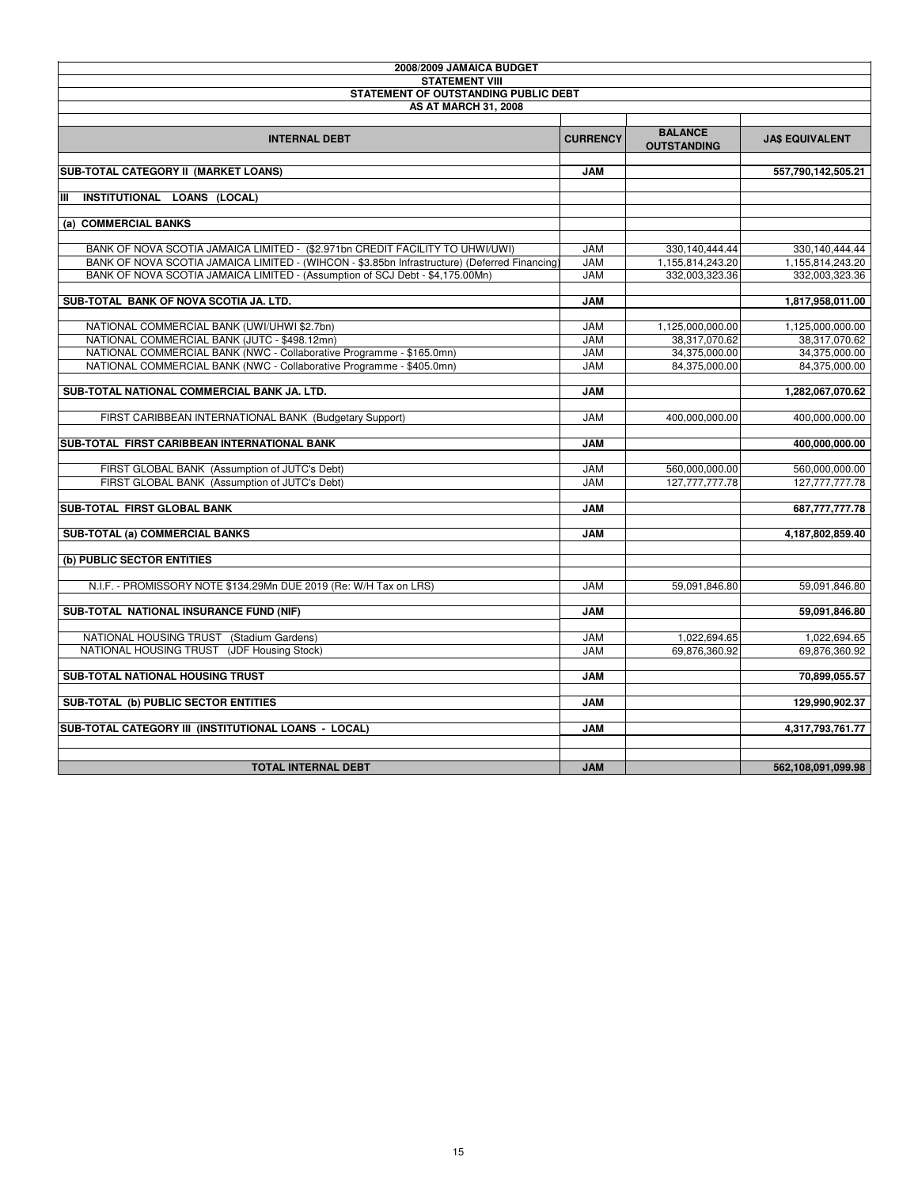| 2008/2009 JAMAICA BUDGET                                                                     |                 |                    |                        |
|----------------------------------------------------------------------------------------------|-----------------|--------------------|------------------------|
| <b>STATEMENT VIII</b>                                                                        |                 |                    |                        |
| STATEMENT OF OUTSTANDING PUBLIC DEBT                                                         |                 |                    |                        |
| <b>AS AT MARCH 31, 2008</b>                                                                  |                 |                    |                        |
|                                                                                              |                 | <b>BALANCE</b>     |                        |
| <b>INTERNAL DEBT</b>                                                                         | <b>CURRENCY</b> | <b>OUTSTANDING</b> | <b>JA\$ EQUIVALENT</b> |
| SUB-TOTAL CATEGORY II (MARKET LOANS)                                                         | <b>JAM</b>      |                    | 557,790,142,505.21     |
|                                                                                              |                 |                    |                        |
| Iш<br>INSTITUTIONAL LOANS (LOCAL)                                                            |                 |                    |                        |
|                                                                                              |                 |                    |                        |
| (a) COMMERCIAL BANKS                                                                         |                 |                    |                        |
| BANK OF NOVA SCOTIA JAMAICA LIMITED - (\$2.971bn CREDIT FACILITY TO UHWI/UWI)                | <b>JAM</b>      | 330,140,444.44     | 330, 140, 444. 44      |
| BANK OF NOVA SCOTIA JAMAICA LIMITED - (WIHCON - \$3.85bn Infrastructure) (Deferred Financing | <b>JAM</b>      | 1,155,814,243.20   | 1,155,814,243.20       |
| BANK OF NOVA SCOTIA JAMAICA LIMITED - (Assumption of SCJ Debt - \$4,175.00Mn)                | <b>JAM</b>      | 332,003,323.36     | 332,003,323.36         |
|                                                                                              |                 |                    |                        |
| SUB-TOTAL BANK OF NOVA SCOTIA JA, LTD.                                                       | <b>MAL</b>      |                    | 1,817,958,011.00       |
|                                                                                              |                 |                    |                        |
| NATIONAL COMMERCIAL BANK (UWI/UHWI \$2.7bn)                                                  | <b>JAM</b>      | 1,125,000,000.00   | 1,125,000,000.00       |
| NATIONAL COMMERCIAL BANK (JUTC - \$498.12mn)                                                 | <b>JAM</b>      | 38,317,070.62      | 38,317,070.62          |
| NATIONAL COMMERCIAL BANK (NWC - Collaborative Programme - \$165.0mn)                         | <b>JAM</b>      | 34,375,000.00      | 34,375,000.00          |
| NATIONAL COMMERCIAL BANK (NWC - Collaborative Programme - \$405.0mn)                         | <b>JAM</b>      | 84,375,000.00      | 84,375,000.00          |
|                                                                                              |                 |                    |                        |
| SUB-TOTAL NATIONAL COMMERCIAL BANK JA. LTD.                                                  | <b>JAM</b>      |                    | 1,282,067,070.62       |
|                                                                                              | <b>JAM</b>      |                    | 400.000.000.00         |
| FIRST CARIBBEAN INTERNATIONAL BANK (Budgetary Support)                                       |                 | 400.000.000.00     |                        |
| SUB-TOTAL FIRST CARIBBEAN INTERNATIONAL BANK                                                 | <b>JAM</b>      |                    | 400,000,000.00         |
|                                                                                              |                 |                    |                        |
| FIRST GLOBAL BANK (Assumption of JUTC's Debt)                                                | <b>JAM</b>      | 560,000,000.00     | 560,000,000.00         |
| FIRST GLOBAL BANK (Assumption of JUTC's Debt)                                                | <b>JAM</b>      | 127.777.777.78     | 127.777.777.78         |
|                                                                                              |                 |                    |                        |
| SUB-TOTAL FIRST GLOBAL BANK                                                                  | <b>JAM</b>      |                    | 687,777,777.78         |
|                                                                                              |                 |                    |                        |
| SUB-TOTAL (a) COMMERCIAL BANKS                                                               | <b>JAM</b>      |                    | 4,187,802,859.40       |
| (b) PUBLIC SECTOR ENTITIES                                                                   |                 |                    |                        |
|                                                                                              |                 |                    |                        |
| N.I.F. - PROMISSORY NOTE \$134.29Mn DUE 2019 (Re: W/H Tax on LRS)                            | <b>JAM</b>      | 59,091,846.80      | 59,091,846.80          |
|                                                                                              |                 |                    |                        |
| SUB-TOTAL NATIONAL INSURANCE FUND (NIF)                                                      | <b>JAM</b>      |                    | 59,091,846.80          |
|                                                                                              |                 |                    |                        |
| NATIONAL HOUSING TRUST (Stadium Gardens)                                                     | <b>JAM</b>      | 1.022.694.65       | 1,022,694.65           |
| NATIONAL HOUSING TRUST (JDF Housing Stock)                                                   | <b>JAM</b>      | 69,876,360.92      | 69,876,360.92          |
|                                                                                              |                 |                    |                        |
| SUB-TOTAL NATIONAL HOUSING TRUST                                                             | <b>JAM</b>      |                    | 70,899,055.57          |
|                                                                                              |                 |                    |                        |
| SUB-TOTAL (b) PUBLIC SECTOR ENTITIES                                                         | <b>JAM</b>      |                    | 129,990,902.37         |
| SUB-TOTAL CATEGORY III (INSTITUTIONAL LOANS - LOCAL)                                         | <b>JAM</b>      |                    | 4,317,793,761.77       |
|                                                                                              |                 |                    |                        |
|                                                                                              |                 |                    |                        |
| <b>TOTAL INTERNAL DEBT</b>                                                                   | <b>JAM</b>      |                    | 562,108,091,099.98     |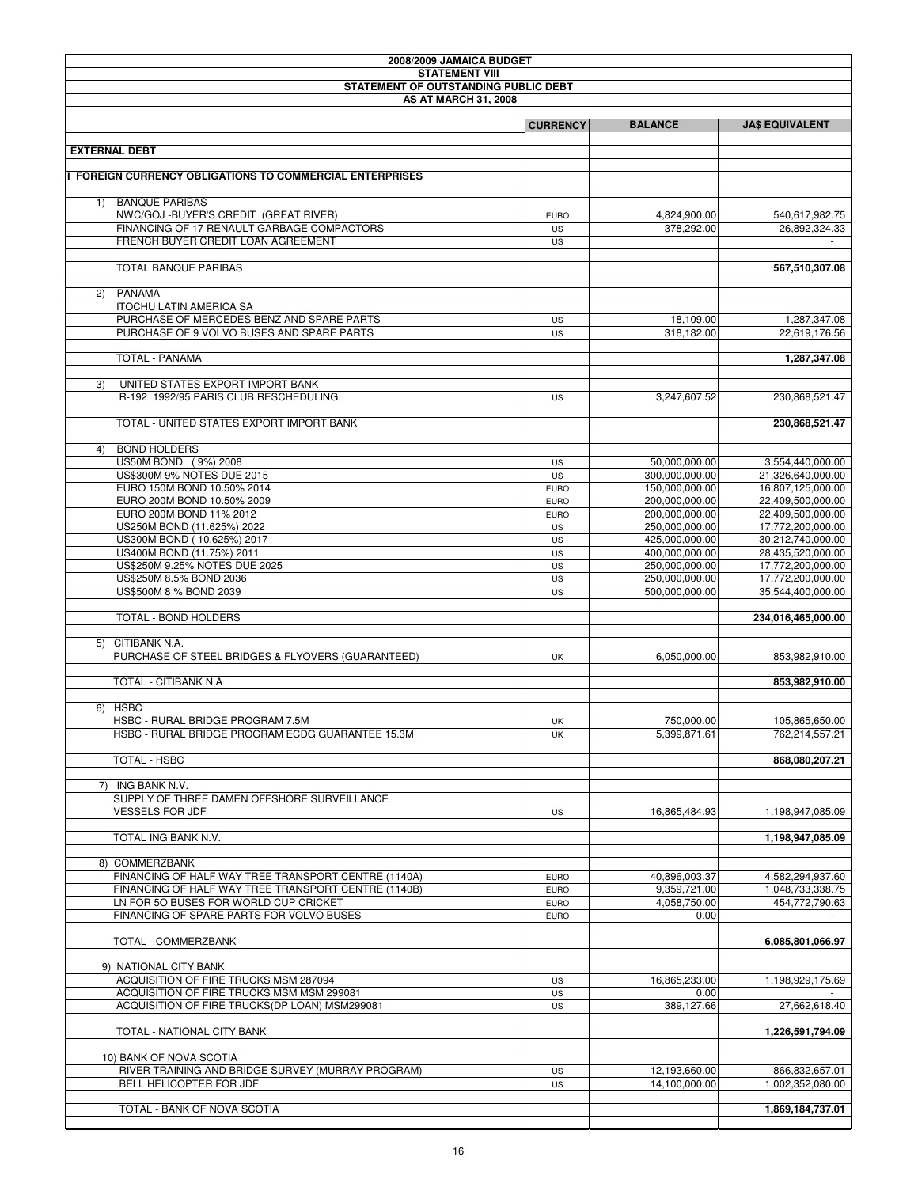| 2008/2009 JAMAICA BUDGET |                                                                                              |                            |                                  |                                        |
|--------------------------|----------------------------------------------------------------------------------------------|----------------------------|----------------------------------|----------------------------------------|
|                          | <b>STATEMENT VIII</b><br>STATEMENT OF OUTSTANDING PUBLIC DEBT                                |                            |                                  |                                        |
|                          | <b>AS AT MARCH 31, 2008</b>                                                                  |                            |                                  |                                        |
|                          |                                                                                              |                            |                                  |                                        |
|                          |                                                                                              | <b>CURRENCY</b>            | <b>BALANCE</b>                   | <b>JA\$ EQUIVALENT</b>                 |
|                          | <b>EXTERNAL DEBT</b>                                                                         |                            |                                  |                                        |
|                          |                                                                                              |                            |                                  |                                        |
|                          | <b>FOREIGN CURRENCY OBLIGATIONS TO COMMERCIAL ENTERPRISES</b>                                |                            |                                  |                                        |
|                          |                                                                                              |                            |                                  |                                        |
| 1)                       | <b>BANQUE PARIBAS</b>                                                                        |                            |                                  |                                        |
|                          | NWC/GOJ - BUYER'S CREDIT (GREAT RIVER)<br>FINANCING OF 17 RENAULT GARBAGE COMPACTORS         | <b>EURO</b><br><b>US</b>   | 4,824,900.00<br>378,292.00       | 540,617,982.75<br>26,892,324.33        |
|                          | FRENCH BUYER CREDIT LOAN AGREEMENT                                                           | US                         |                                  |                                        |
|                          |                                                                                              |                            |                                  |                                        |
|                          | TOTAL BANQUE PARIBAS                                                                         |                            |                                  | 567,510,307.08                         |
|                          |                                                                                              |                            |                                  |                                        |
| (2)                      | <b>PANAMA</b><br><b>ITOCHU LATIN AMERICA SA</b>                                              |                            |                                  |                                        |
|                          | PURCHASE OF MERCEDES BENZ AND SPARE PARTS                                                    | <b>US</b>                  | 18,109.00                        | 1,287,347.08                           |
|                          | PURCHASE OF 9 VOLVO BUSES AND SPARE PARTS                                                    | <b>US</b>                  | 318,182.00                       | 22,619,176.56                          |
|                          |                                                                                              |                            |                                  |                                        |
|                          | TOTAL - PANAMA                                                                               |                            |                                  | 1,287,347.08                           |
|                          |                                                                                              |                            |                                  |                                        |
| 3)                       | UNITED STATES EXPORT IMPORT BANK<br>R-192 1992/95 PARIS CLUB RESCHEDULING                    |                            | 3,247,607.52                     | 230,868,521.47                         |
|                          |                                                                                              | US                         |                                  |                                        |
|                          | TOTAL - UNITED STATES EXPORT IMPORT BANK                                                     |                            |                                  | 230,868,521.47                         |
|                          |                                                                                              |                            |                                  |                                        |
| 4)                       | <b>BOND HOLDERS</b>                                                                          |                            |                                  |                                        |
|                          | US50M BOND (9%) 2008                                                                         | US                         | 50,000,000.00                    | 3,554,440,000.00                       |
|                          | US\$300M 9% NOTES DUE 2015<br>EURO 150M BOND 10.50% 2014                                     | <b>US</b><br><b>EURO</b>   | 300,000,000.00<br>150,000,000.00 | 21,326,640,000.00<br>16,807,125,000.00 |
|                          | EURO 200M BOND 10.50% 2009                                                                   | <b>EURO</b>                | 200,000,000.00                   | 22,409,500,000.00                      |
|                          | EURO 200M BOND 11% 2012                                                                      | <b>EURO</b>                | 200,000,000.00                   | 22,409,500,000.00                      |
|                          | US250M BOND (11.625%) 2022                                                                   | US                         | 250,000,000.00                   | 17,772,200,000.00                      |
|                          | US300M BOND (10.625%) 2017                                                                   | US                         | 425,000,000.00                   | 30,212,740,000.00                      |
|                          | US400M BOND (11.75%) 2011                                                                    | <b>US</b>                  | 400,000,000.00                   | 28,435,520,000.00                      |
|                          | US\$250M 9.25% NOTES DUE 2025<br>US\$250M 8.5% BOND 2036                                     | <b>US</b><br><b>US</b>     | 250,000,000.00<br>250,000,000.00 | 17,772,200,000.00<br>17,772,200,000.00 |
|                          | US\$500M 8 % BOND 2039                                                                       | US                         | 500,000,000.00                   | 35,544,400,000.00                      |
|                          |                                                                                              |                            |                                  |                                        |
|                          | TOTAL - BOND HOLDERS                                                                         |                            |                                  | 234,016,465,000.00                     |
|                          |                                                                                              |                            |                                  |                                        |
|                          | 5) CITIBANK N.A.<br>PURCHASE OF STEEL BRIDGES & FLYOVERS (GUARANTEED)                        |                            |                                  |                                        |
|                          |                                                                                              | UK                         | 6,050,000.00                     | 853,982,910.00                         |
|                          | TOTAL - CITIBANK N.A                                                                         |                            |                                  | 853,982,910.00                         |
|                          |                                                                                              |                            |                                  |                                        |
|                          | 6) HSBC                                                                                      |                            |                                  |                                        |
|                          | HSBC - RURAL BRIDGE PROGRAM 7.5M                                                             | UK                         | 750,000.00                       | 105,865,650.00                         |
|                          | HSBC - RURAL BRIDGE PROGRAM ECDG GUARANTEE 15.3M                                             | UK                         | 5,399,871.61                     | 762,214,557.21                         |
|                          | TOTAL - HSBC                                                                                 |                            |                                  | 868,080,207.21                         |
|                          |                                                                                              |                            |                                  |                                        |
|                          | 7) ING BANK N.V.                                                                             |                            |                                  |                                        |
|                          | SUPPLY OF THREE DAMEN OFFSHORE SURVEILLANCE                                                  |                            |                                  |                                        |
|                          | <b>VESSELS FOR JDF</b>                                                                       | <b>US</b>                  | 16,865,484.93                    | 1,198,947,085.09                       |
|                          | TOTAL ING BANK N.V.                                                                          |                            |                                  | 1,198,947,085.09                       |
|                          |                                                                                              |                            |                                  |                                        |
|                          | 8) COMMERZBANK                                                                               |                            |                                  |                                        |
|                          | FINANCING OF HALF WAY TREE TRANSPORT CENTRE (1140A)                                          | <b>EURO</b>                | 40,896,003.37                    | 4,582,294,937.60                       |
|                          | FINANCING OF HALF WAY TREE TRANSPORT CENTRE (1140B)<br>LN FOR 50 BUSES FOR WORLD CUP CRICKET | <b>EURO</b>                | 9,359,721.00                     | 1,048,733,338.75                       |
|                          | FINANCING OF SPARE PARTS FOR VOLVO BUSES                                                     | <b>EURO</b><br><b>EURO</b> | 4,058,750.00<br>0.00             | 454.772.790.63                         |
|                          |                                                                                              |                            |                                  |                                        |
|                          | TOTAL - COMMERZBANK                                                                          |                            |                                  | 6,085,801,066.97                       |
|                          |                                                                                              |                            |                                  |                                        |
|                          | 9) NATIONAL CITY BANK                                                                        |                            |                                  |                                        |
|                          | ACQUISITION OF FIRE TRUCKS MSM 287094<br>ACQUISITION OF FIRE TRUCKS MSM MSM 299081           | <b>US</b>                  | 16,865,233.00                    | 1,198,929,175.69                       |
|                          | ACQUISITION OF FIRE TRUCKS(DP LOAN) MSM299081                                                | US<br>US                   | 0.00<br>389,127.66               | 27,662,618.40                          |
|                          |                                                                                              |                            |                                  |                                        |
|                          | TOTAL - NATIONAL CITY BANK                                                                   |                            |                                  | 1,226,591,794.09                       |
|                          |                                                                                              |                            |                                  |                                        |
|                          | 10) BANK OF NOVA SCOTIA                                                                      |                            |                                  |                                        |
|                          | RIVER TRAINING AND BRIDGE SURVEY (MURRAY PROGRAM)<br>BELL HELICOPTER FOR JDF                 | US<br><b>US</b>            | 12,193,660.00<br>14,100,000.00   | 866,832,657.01<br>1,002,352,080.00     |
|                          |                                                                                              |                            |                                  |                                        |
|                          | TOTAL - BANK OF NOVA SCOTIA                                                                  |                            |                                  | 1,869,184,737.01                       |
|                          |                                                                                              |                            |                                  |                                        |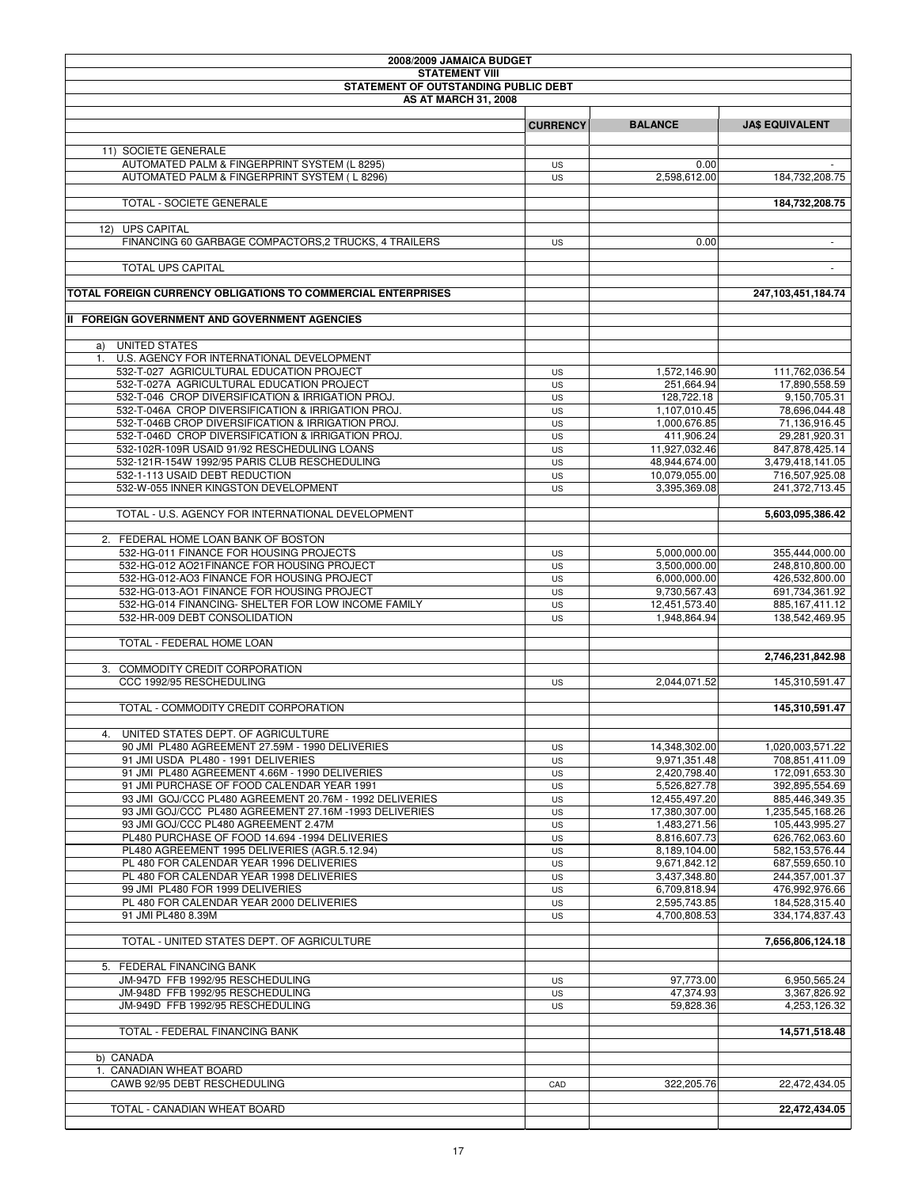| 2008/2009 JAMAICA BUDGET                                                                                          |                 |                                |                                    |
|-------------------------------------------------------------------------------------------------------------------|-----------------|--------------------------------|------------------------------------|
| <b>STATEMENT VIII</b>                                                                                             |                 |                                |                                    |
| STATEMENT OF OUTSTANDING PUBLIC DEBT<br><b>AS AT MARCH 31, 2008</b>                                               |                 |                                |                                    |
|                                                                                                                   |                 |                                |                                    |
|                                                                                                                   | <b>CURRENCY</b> | <b>BALANCE</b>                 | <b>JA\$ EQUIVALENT</b>             |
|                                                                                                                   |                 |                                |                                    |
| 11) SOCIETE GENERALE                                                                                              |                 |                                |                                    |
| AUTOMATED PALM & FINGERPRINT SYSTEM (L 8295)                                                                      | US              | 0.00                           |                                    |
| AUTOMATED PALM & FINGERPRINT SYSTEM (L8296)                                                                       | US              | 2,598,612.00                   | 184,732,208.75                     |
| TOTAL - SOCIETE GENERALE                                                                                          |                 |                                |                                    |
|                                                                                                                   |                 |                                | 184,732,208.75                     |
| <b>UPS CAPITAL</b><br>12)                                                                                         |                 |                                |                                    |
| FINANCING 60 GARBAGE COMPACTORS,2 TRUCKS, 4 TRAILERS                                                              | US              | 0.00                           | $\sim$                             |
|                                                                                                                   |                 |                                |                                    |
| TOTAL UPS CAPITAL                                                                                                 |                 |                                | $\sim$                             |
|                                                                                                                   |                 |                                |                                    |
| TOTAL FOREIGN CURRENCY OBLIGATIONS TO COMMERCIAL ENTERPRISES                                                      |                 |                                | 247, 103, 451, 184. 74             |
| II FOREIGN GOVERNMENT AND GOVERNMENT AGENCIES                                                                     |                 |                                |                                    |
|                                                                                                                   |                 |                                |                                    |
| UNITED STATES<br>a)                                                                                               |                 |                                |                                    |
| U.S. AGENCY FOR INTERNATIONAL DEVELOPMENT<br>1.                                                                   |                 |                                |                                    |
| 532-T-027 AGRICULTURAL EDUCATION PROJECT                                                                          | US              | 1,572,146.90                   | 111,762,036.54                     |
| 532-T-027A AGRICULTURAL EDUCATION PROJECT                                                                         | US              | 251,664.94                     | 17,890,558.59                      |
| 532-T-046 CROP DIVERSIFICATION & IRRIGATION PROJ.                                                                 | US              | 128,722.18                     | 9,150,705.31                       |
| 532-T-046A CROP DIVERSIFICATION & IRRIGATION PROJ.                                                                | US              | 1,107,010.45                   | 78,696,044.48                      |
| 532-T-046B CROP DIVERSIFICATION & IRRIGATION PROJ.                                                                | US              | 1,000,676.85                   | 71,136,916.45                      |
| 532-T-046D CROP DIVERSIFICATION & IRRIGATION PROJ.<br>532-102R-109R USAID 91/92 RESCHEDULING LOANS                | US              | 411,906.24                     | 29,281,920.31<br>847.878.425.14    |
| 532-121R-154W 1992/95 PARIS CLUB RESCHEDULING                                                                     | <b>US</b><br>US | 11,927,032.46<br>48,944,674.00 | 3,479,418,141.05                   |
| 532-1-113 USAID DEBT REDUCTION                                                                                    | US              | 10,079,055.00                  | 716,507,925.08                     |
| 532-W-055 INNER KINGSTON DEVELOPMENT                                                                              | US              | 3,395,369.08                   | 241,372,713.45                     |
|                                                                                                                   |                 |                                |                                    |
| TOTAL - U.S. AGENCY FOR INTERNATIONAL DEVELOPMENT                                                                 |                 |                                | 5,603,095,386.42                   |
|                                                                                                                   |                 |                                |                                    |
| 2. FEDERAL HOME LOAN BANK OF BOSTON                                                                               |                 |                                |                                    |
| 532-HG-011 FINANCE FOR HOUSING PROJECTS                                                                           | US              | 5,000,000.00                   | 355,444,000.00                     |
| 532-HG-012 AO21FINANCE FOR HOUSING PROJECT<br>532-HG-012-AO3 FINANCE FOR HOUSING PROJECT                          | US<br>US        | 3,500,000.00<br>6,000,000.00   | 248,810,800.00<br>426,532,800.00   |
| 532-HG-013-AO1 FINANCE FOR HOUSING PROJECT                                                                        | US              | 9,730,567.43                   | 691,734,361.92                     |
| 532-HG-014 FINANCING- SHELTER FOR LOW INCOME FAMILY                                                               | US              | 12,451,573.40                  | 885,167,411.12                     |
| 532-HR-009 DEBT CONSOLIDATION                                                                                     | US              | 1,948,864.94                   | 138,542,469.95                     |
|                                                                                                                   |                 |                                |                                    |
| TOTAL - FEDERAL HOME LOAN                                                                                         |                 |                                |                                    |
|                                                                                                                   |                 |                                | 2,746,231,842.98                   |
| 3. COMMODITY CREDIT CORPORATION                                                                                   |                 |                                |                                    |
| CCC 1992/95 RESCHEDULING                                                                                          | US              | 2,044,071.52                   | 145,310,591.47                     |
| TOTAL - COMMODITY CREDIT CORPORATION                                                                              |                 |                                | 145.310.591.47                     |
|                                                                                                                   |                 |                                |                                    |
| 4. UNITED STATES DEPT. OF AGRICULTURE                                                                             |                 |                                |                                    |
| 90 JMI PL480 AGREEMENT 27.59M - 1990 DELIVERIES                                                                   | US              | 14,348,302.00                  | 1,020,003,571.22                   |
| 91 JMI USDA PL480 - 1991 DELIVERIES                                                                               | <b>US</b>       | 9.971.351.48                   | 708.851.411.09                     |
| 91 JMI PL480 AGREEMENT 4.66M - 1990 DELIVERIES                                                                    | US              | 2,420,798.40                   | 172,091,653.30                     |
| 91 JMI PURCHASE OF FOOD CALENDAR YEAR 1991                                                                        | US              | 5,526,827.78                   | 392,895,554.69                     |
| 93 JMI GOJ/CCC PL480 AGREEMENT 20.76M - 1992 DELIVERIES<br>93 JMI GOJ/CCC PL480 AGREEMENT 27.16M -1993 DELIVERIES | US              | 12,455,497.20                  | 885,446,349.35                     |
| 93 JMI GOJ/CCC PL480 AGREEMENT 2.47M                                                                              | US<br>US        | 17,380,307.00<br>1,483,271.56  | 1,235,545,168.26<br>105,443,995.27 |
| PL480 PURCHASE OF FOOD 14.694 -1994 DELIVERIES                                                                    | US              | 8,816,607.73                   | 626,762,063.60                     |
| PL480 AGREEMENT 1995 DELIVERIES (AGR.5.12.94)                                                                     | US              | 8,189,104.00                   | 582,153,576.44                     |
| PL 480 FOR CALENDAR YEAR 1996 DELIVERIES                                                                          | US              | 9.671.842.12                   | 687.559.650.10                     |
| PL 480 FOR CALENDAR YEAR 1998 DELIVERIES                                                                          | <b>US</b>       | 3,437,348.80                   | 244,357,001.37                     |
| 99 JMI PL480 FOR 1999 DELIVERIES                                                                                  | US              | 6,709,818.94                   | 476,992,976.66                     |
| PL 480 FOR CALENDAR YEAR 2000 DELIVERIES                                                                          | US              | 2,595,743.85                   | 184,528,315.40                     |
| 91 JMI PL480 8.39M                                                                                                | US              | 4,700,808.53                   | 334,174,837.43                     |
| TOTAL - UNITED STATES DEPT. OF AGRICULTURE                                                                        |                 |                                |                                    |
|                                                                                                                   |                 |                                | 7,656,806,124.18                   |
| 5. FEDERAL FINANCING BANK                                                                                         |                 |                                |                                    |
| JM-947D FFB 1992/95 RESCHEDULING                                                                                  | US              | 97,773.00                      | 6,950,565.24                       |
| JM-948D FFB 1992/95 RESCHEDULING                                                                                  | US              | 47,374.93                      | 3,367,826.92                       |
| JM-949D FFB 1992/95 RESCHEDULING                                                                                  | US              | 59,828.36                      | 4,253,126.32                       |
|                                                                                                                   |                 |                                |                                    |
| TOTAL - FEDERAL FINANCING BANK                                                                                    |                 |                                | 14,571,518.48                      |
| b) CANADA                                                                                                         |                 |                                |                                    |
| 1. CANADIAN WHEAT BOARD                                                                                           |                 |                                |                                    |
| CAWB 92/95 DEBT RESCHEDULING                                                                                      | CAD             | 322,205.76                     | 22,472,434.05                      |
|                                                                                                                   |                 |                                |                                    |
| TOTAL - CANADIAN WHEAT BOARD                                                                                      |                 |                                | 22,472,434.05                      |
|                                                                                                                   |                 |                                |                                    |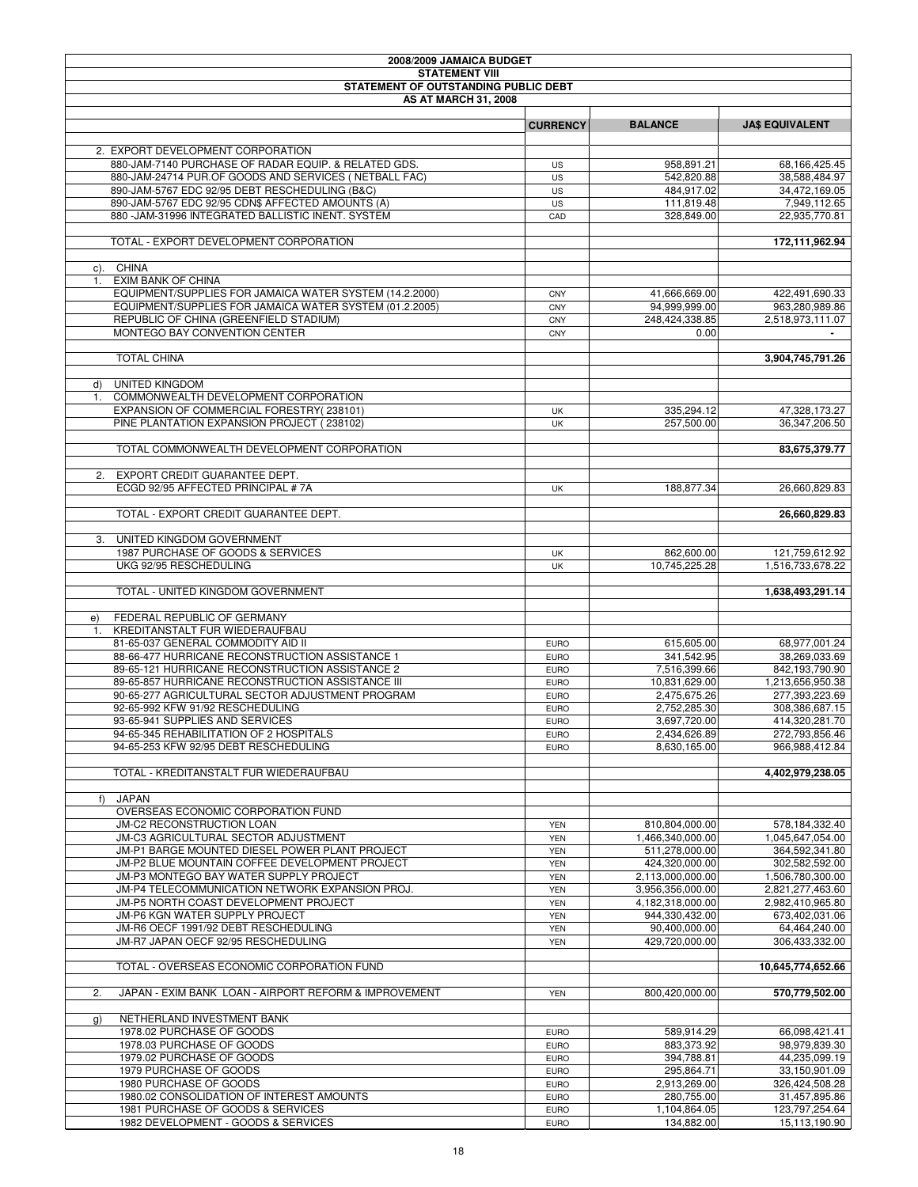| 2008/2009 JAMAICA BUDGET |                                                                                           |                            |                                    |                                      |
|--------------------------|-------------------------------------------------------------------------------------------|----------------------------|------------------------------------|--------------------------------------|
|                          | <b>STATEMENT VIII</b><br>STATEMENT OF OUTSTANDING PUBLIC DEBT                             |                            |                                    |                                      |
|                          | <b>AS AT MARCH 31, 2008</b>                                                               |                            |                                    |                                      |
|                          |                                                                                           |                            |                                    |                                      |
|                          |                                                                                           | <b>CURRENCY</b>            | <b>BALANCE</b>                     | <b>JA\$ EQUIVALENT</b>               |
|                          |                                                                                           |                            |                                    |                                      |
|                          | 2. EXPORT DEVELOPMENT CORPORATION<br>880-JAM-7140 PURCHASE OF RADAR EQUIP. & RELATED GDS. | <b>US</b>                  | 958,891.21                         | 68,166,425.45                        |
|                          | 880-JAM-24714 PUR.OF GOODS AND SERVICES (NETBALL FAC)                                     | <b>US</b>                  | 542,820.88                         | 38,588,484.97                        |
|                          | 890-JAM-5767 EDC 92/95 DEBT RESCHEDULING (B&C)                                            | US                         | 484,917.02                         | 34,472,169.05                        |
|                          | 890-JAM-5767 EDC 92/95 CDN\$ AFFECTED AMOUNTS (A)                                         | <b>US</b>                  | 111,819.48                         | 7,949,112.65                         |
|                          | 880 - JAM-31996 INTEGRATED BALLISTIC INENT. SYSTEM                                        | CAD                        | 328,849.00                         | 22,935,770.81                        |
|                          | TOTAL - EXPORT DEVELOPMENT CORPORATION                                                    |                            |                                    | 172,111,962.94                       |
|                          |                                                                                           |                            |                                    |                                      |
|                          | c). CHINA                                                                                 |                            |                                    |                                      |
|                          | 1. EXIM BANK OF CHINA                                                                     |                            |                                    |                                      |
|                          | EQUIPMENT/SUPPLIES FOR JAMAICA WATER SYSTEM (14.2.2000)                                   | <b>CNY</b>                 | 41,666,669.00                      | 422,491,690.33                       |
|                          | EQUIPMENT/SUPPLIES FOR JAMAICA WATER SYSTEM (01.2.2005)                                   | CNY                        | 94,999,999.00                      | 963,280,989.86                       |
|                          | REPUBLIC OF CHINA (GREENFIELD STADIUM)<br>MONTEGO BAY CONVENTION CENTER                   | CNY<br>CNY                 | 248,424,338.85<br>0.00             | 2,518,973,111.07                     |
|                          |                                                                                           |                            |                                    |                                      |
|                          | <b>TOTAL CHINA</b>                                                                        |                            |                                    | 3,904,745,791.26                     |
|                          |                                                                                           |                            |                                    |                                      |
|                          | d) UNITED KINGDOM                                                                         |                            |                                    |                                      |
|                          | 1. COMMONWEALTH DEVELOPMENT CORPORATION                                                   |                            |                                    |                                      |
|                          | EXPANSION OF COMMERCIAL FORESTRY(238101)                                                  | UK                         | 335,294.12                         | 47,328,173.27                        |
|                          | PINE PLANTATION EXPANSION PROJECT (238102)                                                | UK                         | 257,500.00                         | 36,347,206.50                        |
|                          | TOTAL COMMONWEALTH DEVELOPMENT CORPORATION                                                |                            |                                    | 83,675,379.77                        |
|                          |                                                                                           |                            |                                    |                                      |
|                          | 2. EXPORT CREDIT GUARANTEE DEPT.                                                          |                            |                                    |                                      |
|                          | ECGD 92/95 AFFECTED PRINCIPAL #7A                                                         | UK                         | 188,877.34                         | 26,660,829.83                        |
|                          |                                                                                           |                            |                                    |                                      |
|                          | TOTAL - EXPORT CREDIT GUARANTEE DEPT.                                                     |                            |                                    | 26,660,829.83                        |
| 3.                       | UNITED KINGDOM GOVERNMENT                                                                 |                            |                                    |                                      |
|                          | 1987 PURCHASE OF GOODS & SERVICES                                                         | UK                         | 862,600.00                         | 121,759,612.92                       |
|                          | UKG 92/95 RESCHEDULING                                                                    | UK                         | 10,745,225.28                      | 1,516,733,678.22                     |
|                          |                                                                                           |                            |                                    |                                      |
|                          | TOTAL - UNITED KINGDOM GOVERNMENT                                                         |                            |                                    | 1,638,493,291.14                     |
| e)                       | FEDERAL REPUBLIC OF GERMANY                                                               |                            |                                    |                                      |
| 1.                       | KREDITANSTALT FUR WIEDERAUFBAU                                                            |                            |                                    |                                      |
|                          | 81-65-037 GENERAL COMMODITY AID II                                                        | <b>EURO</b>                | 615,605.00                         | 68.977.001.24                        |
|                          | 88-66-477 HURRICANE RECONSTRUCTION ASSISTANCE 1                                           | <b>EURO</b>                | 341,542.95                         | 38,269,033.69                        |
|                          | 89-65-121 HURRICANE RECONSTRUCTION ASSISTANCE 2                                           | <b>EURO</b>                | 7,516,399.66                       | 842,193,790.90                       |
|                          | 89-65-857 HURRICANE RECONSTRUCTION ASSISTANCE III                                         | <b>EURO</b>                | 10,831,629.00                      | 1,213,656,950.38                     |
|                          | 90-65-277 AGRICULTURAL SECTOR ADJUSTMENT PROGRAM                                          | <b>EURO</b>                | 2,475,675.26                       | 277,393,223.69                       |
|                          | 92-65-992 KFW 91/92 RESCHEDULING<br>93-65-941 SUPPLIES AND SERVICES                       | <b>EURO</b><br><b>EURO</b> | 2,752,285.30<br>3.697.720.00       | 308,386,687.15<br>414.320.281.70     |
|                          | 94-65-345 REHABILITATION OF 2 HOSPITALS                                                   | <b>EURO</b>                | 2,434,626.89                       | 272,793,856.46                       |
|                          | 94-65-253 KFW 92/95 DEBT RESCHEDULING                                                     | <b>EURO</b>                | 8,630,165.00                       | 966,988,412.84                       |
|                          |                                                                                           |                            |                                    |                                      |
|                          | TOTAL - KREDITANSTALT FUR WIEDERAUFBAU                                                    |                            |                                    | 4,402,979,238.05                     |
|                          |                                                                                           |                            |                                    |                                      |
| f)                       | JAPAN<br>OVERSEAS ECONOMIC CORPORATION FUND                                               |                            |                                    |                                      |
|                          | <b>JM-C2 RECONSTRUCTION LOAN</b>                                                          | <b>YEN</b>                 | 810,804,000.00                     | 578,184,332.40                       |
|                          | JM-C3 AGRICULTURAL SECTOR ADJUSTMENT                                                      | <b>YEN</b>                 | 1,466,340,000.00                   | 1,045,647,054.00                     |
|                          | JM-P1 BARGE MOUNTED DIESEL POWER PLANT PROJECT                                            | <b>YEN</b>                 | 511,278,000.00                     | 364,592,341.80                       |
|                          | JM-P2 BLUE MOUNTAIN COFFEE DEVELOPMENT PROJECT                                            | <b>YEN</b>                 | 424,320,000.00                     | 302,582,592.00                       |
|                          | JM-P3 MONTEGO BAY WATER SUPPLY PROJECT                                                    | <b>YEN</b>                 | 2,113,000,000.00                   | 1,506,780,300.00                     |
|                          | JM-P4 TELECOMMUNICATION NETWORK EXPANSION PROJ.<br>JM-P5 NORTH COAST DEVELOPMENT PROJECT  | <b>YEN</b>                 | 3,956,356,000.00                   | 2,821,277,463.60<br>2,982,410,965.80 |
|                          | JM-P6 KGN WATER SUPPLY PROJECT                                                            | <b>YEN</b><br><b>YEN</b>   | 4,182,318,000.00<br>944,330,432.00 | 673,402,031.06                       |
|                          | JM-R6 OECF 1991/92 DEBT RESCHEDULING                                                      | <b>YEN</b>                 | 90,400,000.00                      | 64,464,240.00                        |
|                          | JM-R7 JAPAN OECF 92/95 RESCHEDULING                                                       | <b>YEN</b>                 | 429,720,000.00                     | 306,433,332.00                       |
|                          |                                                                                           |                            |                                    |                                      |
|                          | TOTAL - OVERSEAS ECONOMIC CORPORATION FUND                                                |                            |                                    | 10,645,774,652.66                    |
|                          | JAPAN - EXIM BANK LOAN - AIRPORT REFORM & IMPROVEMENT                                     |                            |                                    |                                      |
| 2.                       |                                                                                           | <b>YEN</b>                 | 800,420,000.00                     | 570,779,502.00                       |
| g)                       | NETHERLAND INVESTMENT BANK                                                                |                            |                                    |                                      |
|                          | 1978.02 PURCHASE OF GOODS                                                                 | <b>EURO</b>                | 589,914.29                         | 66,098,421.41                        |
|                          | 1978.03 PURCHASE OF GOODS                                                                 | <b>EURO</b>                | 883,373.92                         | 98,979,839.30                        |
|                          | 1979.02 PURCHASE OF GOODS                                                                 | <b>EURO</b>                | 394,788.81                         | 44,235,099.19                        |
|                          | 1979 PURCHASE OF GOODS                                                                    | <b>EURO</b>                | 295,864.71                         | 33,150,901.09                        |
|                          | 1980 PURCHASE OF GOODS<br>1980.02 CONSOLIDATION OF INTEREST AMOUNTS                       | <b>EURO</b><br><b>EURO</b> | 2,913,269.00<br>280,755.00         | 326,424,508.28<br>31,457,895.86      |
|                          | 1981 PURCHASE OF GOODS & SERVICES                                                         | <b>EURO</b>                | 1,104,864.05                       | 123,797,254.64                       |
|                          | 1982 DEVELOPMENT - GOODS & SERVICES                                                       | <b>EURO</b>                | 134,882.00                         | 15,113,190.90                        |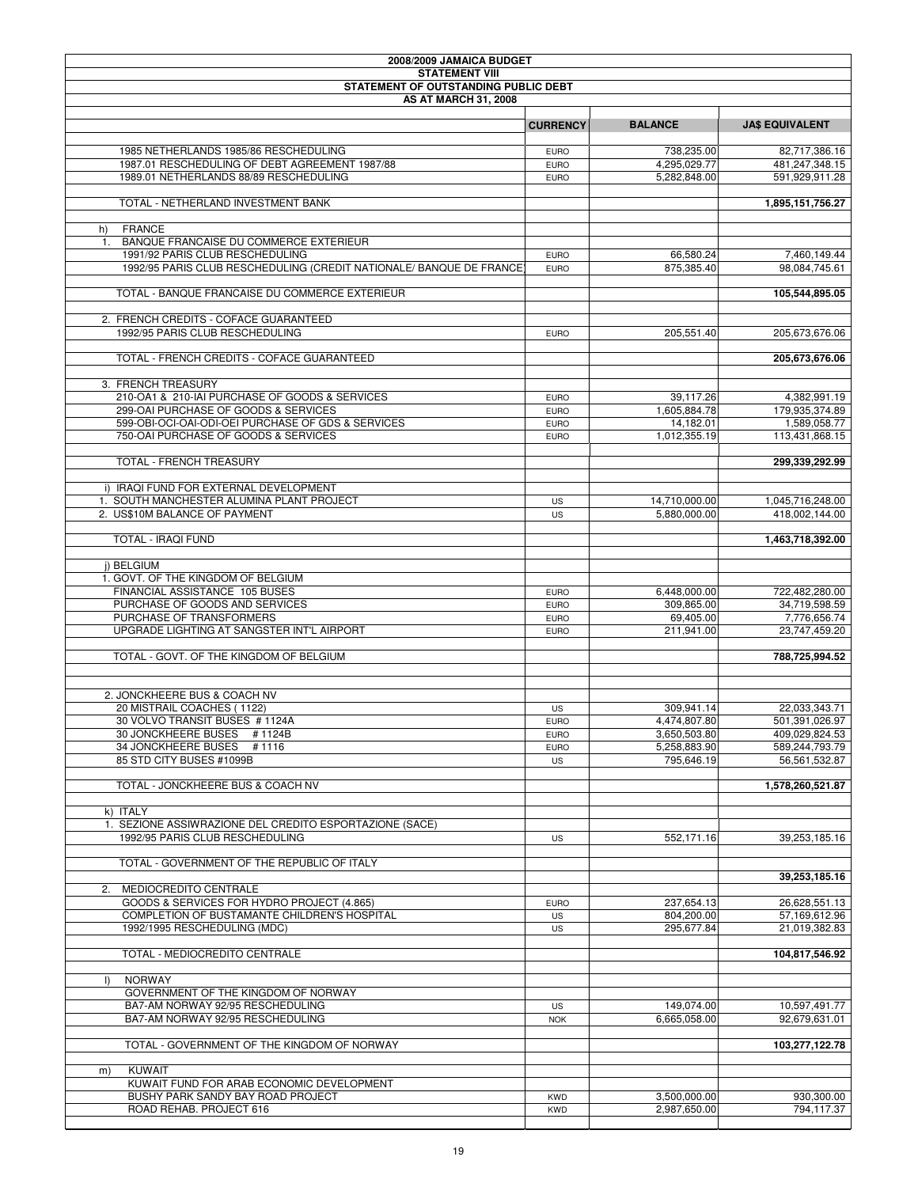| 2008/2009 JAMAICA BUDGET                                                                               |                            |                              |                                  |
|--------------------------------------------------------------------------------------------------------|----------------------------|------------------------------|----------------------------------|
| <b>STATEMENT VIII</b><br>STATEMENT OF OUTSTANDING PUBLIC DEBT                                          |                            |                              |                                  |
| <b>AS AT MARCH 31, 2008</b>                                                                            |                            |                              |                                  |
|                                                                                                        | <b>CURRENCY</b>            | <b>BALANCE</b>               | <b>JA\$ EQUIVALENT</b>           |
|                                                                                                        |                            |                              |                                  |
| 1985 NETHERLANDS 1985/86 RESCHEDULING                                                                  | <b>EURO</b>                | 738.235.00                   | 82,717,386.16                    |
| 1987.01 RESCHEDULING OF DEBT AGREEMENT 1987/88<br>1989.01 NETHERLANDS 88/89 RESCHEDULING               | <b>EURO</b><br><b>EURO</b> | 4,295,029.77<br>5,282,848.00 | 481,247,348.15<br>591,929,911.28 |
|                                                                                                        |                            |                              |                                  |
| TOTAL - NETHERLAND INVESTMENT BANK                                                                     |                            |                              | 1,895,151,756.27                 |
| <b>FRANCE</b><br>h)                                                                                    |                            |                              |                                  |
| 1. BANQUE FRANCAISE DU COMMERCE EXTERIEUR                                                              |                            |                              |                                  |
| 1991/92 PARIS CLUB RESCHEDULING<br>1992/95 PARIS CLUB RESCHEDULING (CREDIT NATIONALE/ BANQUE DE FRANCE | <b>EURO</b><br><b>EURO</b> | 66,580.24<br>875,385.40      | 7,460,149.44<br>98,084,745.61    |
| TOTAL - BANQUE FRANCAISE DU COMMERCE EXTERIEUR                                                         |                            |                              | 105,544,895.05                   |
| 2. FRENCH CREDITS - COFACE GUARANTEED                                                                  |                            |                              |                                  |
| 1992/95 PARIS CLUB RESCHEDULING                                                                        | <b>EURO</b>                | 205,551.40                   | 205,673,676.06                   |
|                                                                                                        |                            |                              |                                  |
| TOTAL - FRENCH CREDITS - COFACE GUARANTEED                                                             |                            |                              | 205,673,676.06                   |
| 3. FRENCH TREASURY                                                                                     |                            |                              |                                  |
| 210-OA1 & 210-IAI PURCHASE OF GOODS & SERVICES                                                         | <b>EURO</b>                | 39,117.26                    | 4.382.991.19                     |
| 299-OAI PURCHASE OF GOODS & SERVICES<br>599-OBI-OCI-OAI-ODI-OEI PURCHASE OF GDS & SERVICES             | <b>EURO</b>                | 1,605,884.78<br>14,182.01    | 179,935,374.89<br>1,589,058.77   |
| 750-OAI PURCHASE OF GOODS & SERVICES                                                                   | <b>EURO</b><br><b>EURO</b> | 1,012,355.19                 | 113,431,868.15                   |
| <b>TOTAL - FRENCH TREASURY</b>                                                                         |                            |                              | 299,339,292.99                   |
|                                                                                                        |                            |                              |                                  |
| i) IRAQI FUND FOR EXTERNAL DEVELOPMENT<br>1. SOUTH MANCHESTER ALUMINA PLANT PROJECT                    | US                         | 14,710,000.00                | 1,045,716,248.00                 |
| 2. US\$10M BALANCE OF PAYMENT                                                                          | <b>US</b>                  | 5,880,000.00                 | 418,002,144.00                   |
|                                                                                                        |                            |                              |                                  |
| TOTAL - IRAQI FUND                                                                                     |                            |                              | 1,463,718,392.00                 |
| i) BELGIUM                                                                                             |                            |                              |                                  |
| 1. GOVT. OF THE KINGDOM OF BELGIUM                                                                     |                            |                              |                                  |
| FINANCIAL ASSISTANCE 105 BUSES                                                                         | <b>EURO</b>                | 6,448,000.00                 | 722,482,280.00                   |
| PURCHASE OF GOODS AND SERVICES                                                                         | <b>EURO</b>                | 309,865.00                   | 34,719,598.59                    |
| PURCHASE OF TRANSFORMERS                                                                               | <b>EURO</b>                | 69,405.00                    | 7,776,656.74                     |
| UPGRADE LIGHTING AT SANGSTER INT'L AIRPORT                                                             | <b>EURO</b>                | 211,941.00                   | 23,747,459.20                    |
| TOTAL - GOVT. OF THE KINGDOM OF BELGIUM                                                                |                            |                              | 788,725,994.52                   |
|                                                                                                        |                            |                              |                                  |
| 2. JONCKHEERE BUS & COACH NV                                                                           |                            |                              |                                  |
| 20 MISTRAIL COACHES (1122)                                                                             | US                         | 309,941.14                   | 22,033,343.71                    |
| 30 VOLVO TRANSIT BUSES # 1124A                                                                         | <b>EURO</b>                | 4,474,807.80                 | 501,391,026.97                   |
| 30 JONCKHEERE BUSES # 1124B                                                                            | <b>EURO</b>                | 3,650,503.80                 | 409,029,824.53                   |
| 34 JONCKHEERE BUSES<br>#1116                                                                           | <b>EURO</b>                | 5,258,883.90                 | 589,244,793.79                   |
| 85 STD CITY BUSES #1099B                                                                               | US                         | 795,646.19                   | 56,561,532.87                    |
| TOTAL - JONCKHEERE BUS & COACH NV                                                                      |                            |                              | 1,578,260,521.87                 |
| k) ITALY                                                                                               |                            |                              |                                  |
| 1. SEZIONE ASSIWRAZIONE DEL CREDITO ESPORTAZIONE (SACE)                                                |                            |                              |                                  |
| 1992/95 PARIS CLUB RESCHEDULING                                                                        | US                         | 552,171.16                   | 39,253,185.16                    |
| TOTAL - GOVERNMENT OF THE REPUBLIC OF ITALY                                                            |                            |                              |                                  |
|                                                                                                        |                            |                              | 39,253,185.16                    |
| 2. MEDIOCREDITO CENTRALE<br>GOODS & SERVICES FOR HYDRO PROJECT (4.865)                                 | <b>EURO</b>                | 237,654.13                   | 26,628,551.13                    |
| COMPLETION OF BUSTAMANTE CHILDREN'S HOSPITAL                                                           | US                         | 804,200.00                   | 57,169,612.96                    |
| 1992/1995 RESCHEDULING (MDC)                                                                           | US                         | 295,677.84                   | 21,019,382.83                    |
| TOTAL - MEDIOCREDITO CENTRALE                                                                          |                            |                              | 104,817,546.92                   |
|                                                                                                        |                            |                              |                                  |
| <b>NORWAY</b><br>$\vert$                                                                               |                            |                              |                                  |
| GOVERNMENT OF THE KINGDOM OF NORWAY                                                                    |                            |                              |                                  |
| BA7-AM NORWAY 92/95 RESCHEDULING<br>BA7-AM NORWAY 92/95 RESCHEDULING                                   | <b>US</b><br><b>NOK</b>    | 149,074.00<br>6,665,058.00   | 10,597,491.77<br>92,679,631.01   |
|                                                                                                        |                            |                              |                                  |
| TOTAL - GOVERNMENT OF THE KINGDOM OF NORWAY                                                            |                            |                              | 103,277,122.78                   |
| KUWAIT<br>m)                                                                                           |                            |                              |                                  |
| KUWAIT FUND FOR ARAB ECONOMIC DEVELOPMENT                                                              |                            |                              |                                  |
| BUSHY PARK SANDY BAY ROAD PROJECT                                                                      | <b>KWD</b>                 | 3,500,000.00                 | 930,300.00                       |
| ROAD REHAB. PROJECT 616                                                                                | <b>KWD</b>                 | 2,987,650.00                 | 794,117.37                       |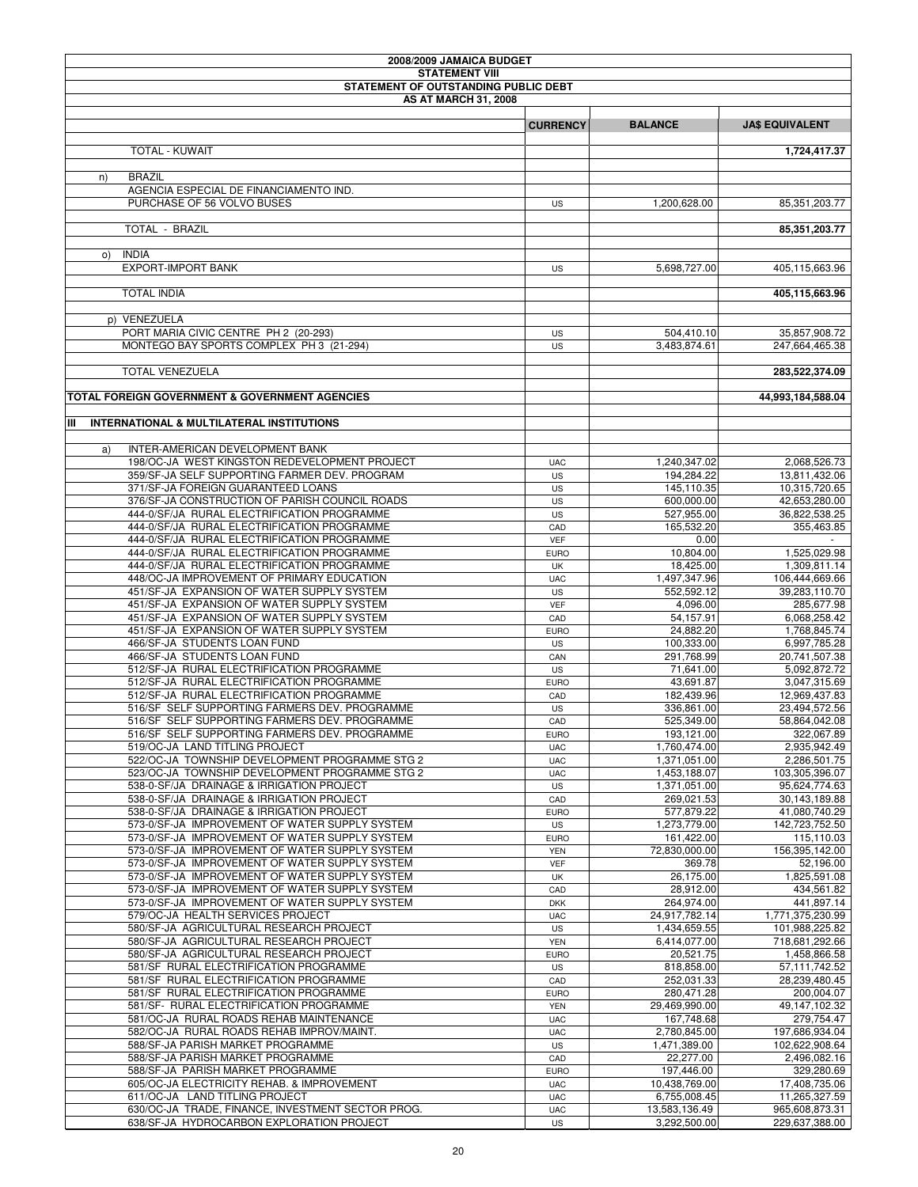| 2008/2009 JAMAICA BUDGET                                                                         |                          |                               |                                  |
|--------------------------------------------------------------------------------------------------|--------------------------|-------------------------------|----------------------------------|
| <b>STATEMENT VIII</b>                                                                            |                          |                               |                                  |
| STATEMENT OF OUTSTANDING PUBLIC DEBT                                                             |                          |                               |                                  |
| <b>AS AT MARCH 31, 2008</b>                                                                      |                          |                               |                                  |
|                                                                                                  | <b>CURRENCY</b>          | <b>BALANCE</b>                | <b>JA\$ EQUIVALENT</b>           |
|                                                                                                  |                          |                               |                                  |
| <b>TOTAL - KUWAIT</b>                                                                            |                          |                               | 1,724,417.37                     |
|                                                                                                  |                          |                               |                                  |
| <b>BRAZIL</b><br>n)                                                                              |                          |                               |                                  |
| AGENCIA ESPECIAL DE FINANCIAMENTO IND.                                                           |                          |                               |                                  |
| PURCHASE OF 56 VOLVO BUSES                                                                       | US                       | 1,200,628.00                  | 85,351,203.77                    |
|                                                                                                  |                          |                               |                                  |
| TOTAL - BRAZIL                                                                                   |                          |                               | 85,351,203.77                    |
| <b>INDIA</b><br>O()                                                                              |                          |                               |                                  |
| <b>EXPORT-IMPORT BANK</b>                                                                        | US                       | 5,698,727.00                  | 405.115.663.96                   |
|                                                                                                  |                          |                               |                                  |
| <b>TOTAL INDIA</b>                                                                               |                          |                               | 405,115,663.96                   |
|                                                                                                  |                          |                               |                                  |
| p) VENEZUELA                                                                                     |                          |                               |                                  |
| PORT MARIA CIVIC CENTRE PH 2 (20-293)                                                            | US                       | 504,410.10                    | 35,857,908.72                    |
| MONTEGO BAY SPORTS COMPLEX PH 3 (21-294)                                                         | US                       | 3,483,874.61                  | 247,664,465.38                   |
|                                                                                                  |                          |                               |                                  |
| <b>TOTAL VENEZUELA</b>                                                                           |                          |                               | 283,522,374.09                   |
|                                                                                                  |                          |                               |                                  |
| TOTAL FOREIGN GOVERNMENT & GOVERNMENT AGENCIES                                                   |                          |                               | 44,993,184,588.04                |
| IШ<br><b>INTERNATIONAL &amp; MULTILATERAL INSTITUTIONS</b>                                       |                          |                               |                                  |
|                                                                                                  |                          |                               |                                  |
| INTER-AMERICAN DEVELOPMENT BANK<br>a)                                                            |                          |                               |                                  |
| 198/OC-JA WEST KINGSTON REDEVELOPMENT PROJECT                                                    | <b>UAC</b>               | 1,240,347.02                  | 2,068,526.73                     |
| 359/SF-JA SELF SUPPORTING FARMER DEV. PROGRAM                                                    | <b>US</b>                | 194,284.22                    | 13,811,432.06                    |
| 371/SF-JA FOREIGN GUARANTEED LOANS                                                               | <b>US</b>                | 145,110.35                    | 10,315,720.65                    |
| 376/SF-JA CONSTRUCTION OF PARISH COUNCIL ROADS                                                   | <b>US</b>                | 600,000.00                    | 42,653,280.00                    |
| 444-0/SF/JA RURAL ELECTRIFICATION PROGRAMME                                                      | <b>US</b>                | 527,955.00                    | 36,822,538.25                    |
| 444-0/SF/JA RURAL ELECTRIFICATION PROGRAMME                                                      | CAD                      | 165,532.20                    | 355,463.85                       |
| 444-0/SF/JA RURAL ELECTRIFICATION PROGRAMME                                                      | VEF                      | 0.00                          |                                  |
| 444-0/SF/JA RURAL ELECTRIFICATION PROGRAMME                                                      | <b>EURO</b>              | 10,804.00                     | 1,525,029.98                     |
| 444-0/SF/JA RURAL ELECTRIFICATION PROGRAMME                                                      | UK                       | 18,425.00                     | 1,309,811.14                     |
| 448/OC-JA IMPROVEMENT OF PRIMARY EDUCATION                                                       | <b>UAC</b>               | 1,497,347.96                  | 106,444,669.66                   |
| 451/SF-JA EXPANSION OF WATER SUPPLY SYSTEM<br>451/SF-JA EXPANSION OF WATER SUPPLY SYSTEM         | <b>US</b><br><b>VEF</b>  | 552,592.12<br>4,096.00        | 39,283,110.70<br>285,677.98      |
| 451/SF-JA EXPANSION OF WATER SUPPLY SYSTEM                                                       | CAD                      | 54,157.91                     | 6,068,258.42                     |
| 451/SF-JA EXPANSION OF WATER SUPPLY SYSTEM                                                       | <b>EURO</b>              | 24,882.20                     | 1,768,845.74                     |
| 466/SF-JA STUDENTS LOAN FUND                                                                     | US                       | 100,333.00                    | 6,997,785.28                     |
| 466/SF-JA STUDENTS LOAN FUND                                                                     | CAN                      | 291,768.99                    | 20,741,507.38                    |
| 512/SF-JA RURAL ELECTRIFICATION PROGRAMME                                                        | US                       | 71,641.00                     | 5.092.872.72                     |
| 512/SF-JA RURAL ELECTRIFICATION PROGRAMME                                                        | <b>EURO</b>              | 43,691.87                     | 3,047,315.69                     |
| 512/SF-JA RURAL ELECTRIFICATION PROGRAMME                                                        | CAD                      | 182,439.96                    | 12,969,437.83                    |
| 516/SF SELF SUPPORTING FARMERS DEV. PROGRAMME                                                    | US                       | 336.861.00                    | 23,494,572.56                    |
| 516/SF SELF SUPPORTING FARMERS DEV. PROGRAMME                                                    | CAD                      | 525,349.00                    | 58,864,042.08                    |
| 516/SF SELF SUPPORTING FARMERS DEV. PROGRAMME                                                    | <b>EURO</b>              | 193,121.00                    | 322,067.89                       |
| 519/OC-JA LAND TITLING PROJECT                                                                   | <b>UAC</b>               | 1,760,474.00                  | 2.935.942.49                     |
| 522/OC-JA TOWNSHIP DEVELOPMENT PROGRAMME STG 2<br>523/OC-JA TOWNSHIP DEVELOPMENT PROGRAMME STG 2 | <b>UAC</b>               | 1,371,051.00                  | 2,286,501.75<br>103,305,396.07   |
| 538-0-SF/JA DRAINAGE & IRRIGATION PROJECT                                                        | <b>UAC</b><br>US         | 1,453,188.07<br>1,371,051.00  | 95,624,774.63                    |
| 538-0-SF/JA DRAINAGE & IRRIGATION PROJECT                                                        | CAD                      | 269,021.53                    | 30,143,189.88                    |
| 538-0-SF/JA DRAINAGE & IRRIGATION PROJECT                                                        | <b>EURO</b>              | 577,879.22                    | 41,080,740.29                    |
| 573-0/SF-JA IMPROVEMENT OF WATER SUPPLY SYSTEM                                                   | US                       | 1,273,779.00                  | 142,723,752.50                   |
| 573-0/SF-JA IMPROVEMENT OF WATER SUPPLY SYSTEM                                                   | <b>EURO</b>              | 161,422.00                    | 115,110.03                       |
| 573-0/SF-JA IMPROVEMENT OF WATER SUPPLY SYSTEM                                                   | <b>YEN</b>               | 72,830,000.00                 | 156,395,142.00                   |
| 573-0/SF-JA IMPROVEMENT OF WATER SUPPLY SYSTEM                                                   | <b>VEF</b>               | 369.78                        | 52,196.00                        |
| 573-0/SF-JA IMPROVEMENT OF WATER SUPPLY SYSTEM                                                   | UK                       | 26,175.00                     | 1,825,591.08                     |
| 573-0/SF-JA IMPROVEMENT OF WATER SUPPLY SYSTEM                                                   | CAD                      | 28,912.00                     | 434,561.82                       |
| 573-0/SF-JA IMPROVEMENT OF WATER SUPPLY SYSTEM                                                   | <b>DKK</b>               | 264,974.00                    | 441,897.14                       |
| 579/OC-JA HEALTH SERVICES PROJECT<br>580/SF-JA AGRICULTURAL RESEARCH PROJECT                     | <b>UAC</b>               | 24,917,782.14                 | 1,771,375,230.99                 |
| 580/SF-JA AGRICULTURAL RESEARCH PROJECT                                                          | US<br><b>YEN</b>         | 1,434,659.55<br>6,414,077.00  | 101,988,225.82<br>718,681,292.66 |
| 580/SF-JA AGRICULTURAL RESEARCH PROJECT                                                          | <b>EURO</b>              | 20,521.75                     | 1,458,866.58                     |
| 581/SF RURAL ELECTRIFICATION PROGRAMME                                                           | US                       | 818,858.00                    | 57,111,742.52                    |
| 581/SF RURAL ELECTRIFICATION PROGRAMME                                                           | CAD                      | 252,031.33                    | 28,239,480.45                    |
| 581/SF RURAL ELECTRIFICATION PROGRAMME                                                           | <b>EURO</b>              | 280,471.28                    | 200,004.07                       |
| 581/SF- RURAL ELECTRIFICATION PROGRAMME                                                          | <b>YEN</b>               | 29,469,990.00                 | 49,147,102.32                    |
| 581/OC-JA RURAL ROADS REHAB MAINTENANCE                                                          | <b>UAC</b>               | 167,748.68                    | 279,754.47                       |
| 582/OC-JA RURAL ROADS REHAB IMPROV/MAINT.                                                        | <b>UAC</b>               | 2,780,845.00                  | 197,686,934.04                   |
| 588/SF-JA PARISH MARKET PROGRAMME                                                                | US                       | 1,471,389.00                  | 102,622,908.64                   |
| 588/SF-JA PARISH MARKET PROGRAMME                                                                | CAD                      | 22,277.00                     | 2,496,082.16                     |
| 588/SF-JA PARISH MARKET PROGRAMME                                                                | <b>EURO</b>              | 197,446.00                    | 329,280.69                       |
| 605/OC-JA ELECTRICITY REHAB. & IMPROVEMENT                                                       | <b>UAC</b>               | 10,438,769.00                 | 17,408,735.06                    |
| 611/OC-JA LAND TITLING PROJECT<br>630/OC-JA TRADE, FINANCE, INVESTMENT SECTOR PROG.              | <b>UAC</b><br><b>UAC</b> | 6,755,008.45<br>13,583,136.49 | 11,265,327.59<br>965,608,873.31  |
| 638/SF-JA HYDROCARBON EXPLORATION PROJECT                                                        | US                       | 3,292,500.00                  | 229,637,388.00                   |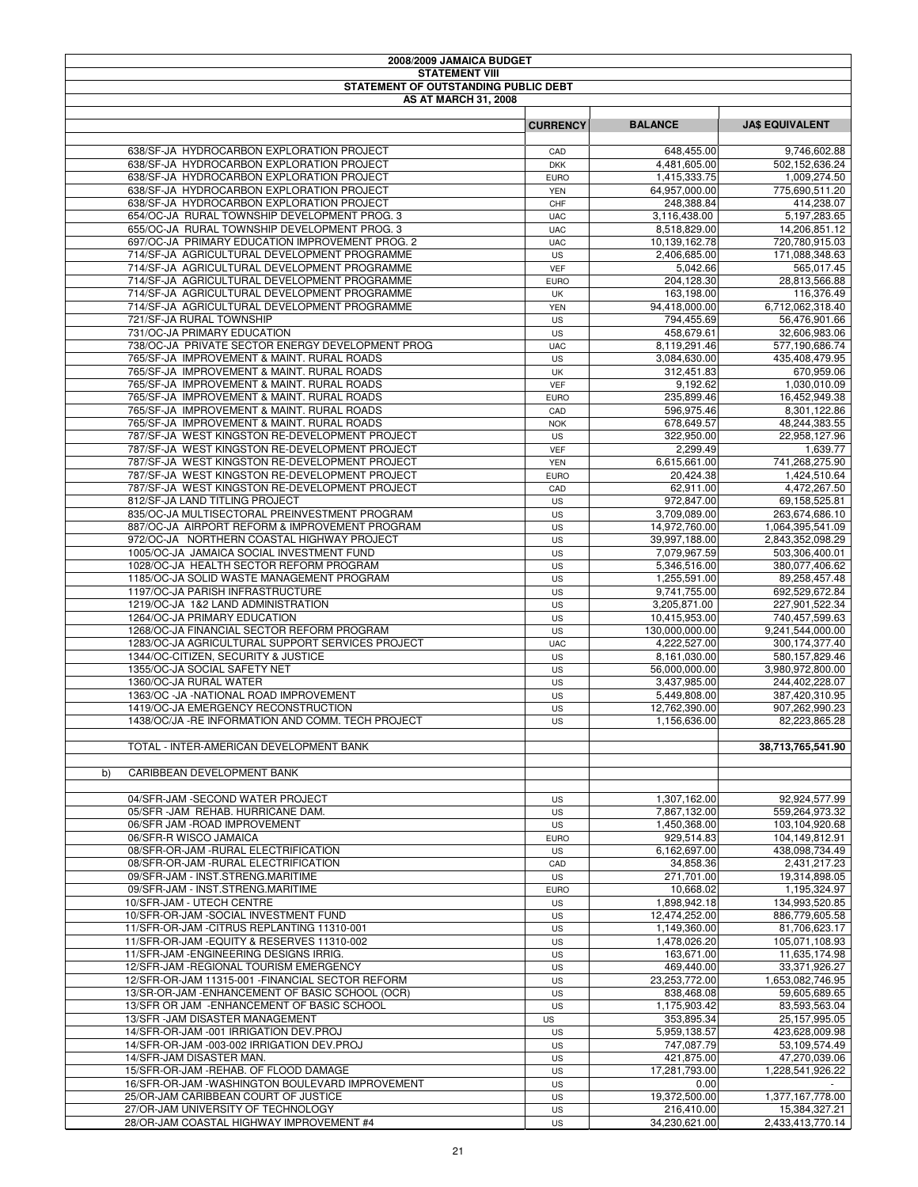| 2008/2009 JAMAICA BUDGET                                                                     |                   |                            |                                 |
|----------------------------------------------------------------------------------------------|-------------------|----------------------------|---------------------------------|
| <b>STATEMENT VIII</b>                                                                        |                   |                            |                                 |
| STATEMENT OF OUTSTANDING PUBLIC DEBT                                                         |                   |                            |                                 |
| <b>AS AT MARCH 31, 2008</b>                                                                  |                   |                            |                                 |
|                                                                                              |                   |                            |                                 |
|                                                                                              | <b>CURRENCY</b>   | <b>BALANCE</b>             | <b>JA\$ EQUIVALENT</b>          |
| 638/SF-JA HYDROCARBON EXPLORATION PROJECT                                                    | CAD               | 648,455.00                 | 9.746.602.88                    |
| 638/SF-JA HYDROCARBON EXPLORATION PROJECT                                                    | <b>DKK</b>        | 4,481,605.00               | 502,152,636.24                  |
| 638/SF-JA HYDROCARBON EXPLORATION PROJECT                                                    | <b>EURO</b>       | 1,415,333.75               | 1,009,274.50                    |
| 638/SF-JA HYDROCARBON EXPLORATION PROJECT                                                    | <b>YEN</b>        | 64,957,000.00              | 775,690,511.20                  |
| 638/SF-JA HYDROCARBON EXPLORATION PROJECT                                                    | CHF               | 248,388.84                 | 414,238.07                      |
| 654/OC-JA RURAL TOWNSHIP DEVELOPMENT PROG. 3                                                 | <b>UAC</b>        | 3,116,438.00               | 5,197,283.65                    |
| 655/OC-JA RURAL TOWNSHIP DEVELOPMENT PROG. 3                                                 | <b>UAC</b>        | 8,518,829.00               | 14,206,851.12                   |
| 697/OC-JA PRIMARY EDUCATION IMPROVEMENT PROG. 2                                              | <b>UAC</b>        | 10,139,162.78              | 720,780,915.03                  |
| 714/SF-JA AGRICULTURAL DEVELOPMENT PROGRAMME                                                 | <b>US</b>         | 2,406,685.00               | 171,088,348.63                  |
| 714/SF-JA AGRICULTURAL DEVELOPMENT PROGRAMME<br>714/SF-JA AGRICULTURAL DEVELOPMENT PROGRAMME | <b>VEF</b>        | 5,042.66<br>204,128.30     | 565,017.45<br>28,813,566.88     |
| 714/SF-JA AGRICULTURAL DEVELOPMENT PROGRAMME                                                 | <b>EURO</b><br>UK | 163,198.00                 | 116,376.49                      |
| 714/SF-JA AGRICULTURAL DEVELOPMENT PROGRAMME                                                 | <b>YEN</b>        | 94,418,000.00              | 6,712,062,318.40                |
| 721/SF-JA RURAL TOWNSHIP                                                                     | US                | 794,455.69                 | 56,476,901.66                   |
| 731/OC-JA PRIMARY EDUCATION                                                                  | US                | 458,679.61                 | 32,606,983.06                   |
| 738/OC-JA PRIVATE SECTOR ENERGY DEVELOPMENT PROG                                             | <b>UAC</b>        | 8,119,291.46               | 577,190,686.74                  |
| 765/SF-JA IMPROVEMENT & MAINT. RURAL ROADS                                                   | <b>US</b>         | 3,084,630.00               | 435,408,479.95                  |
| 765/SF-JA IMPROVEMENT & MAINT, RURAL ROADS                                                   | UK                | 312,451.83                 | 670,959.06                      |
| 765/SF-JA IMPROVEMENT & MAINT. RURAL ROADS                                                   | <b>VEF</b>        | 9,192.62                   | 1,030,010.09                    |
| 765/SF-JA IMPROVEMENT & MAINT. RURAL ROADS                                                   | <b>EURO</b>       | 235,899.46                 | 16.452.949.38                   |
| 765/SF-JA IMPROVEMENT & MAINT. RURAL ROADS                                                   | CAD               | 596,975.46                 | 8.301.122.86                    |
| 765/SF-JA IMPROVEMENT & MAINT. RURAL ROADS                                                   | <b>NOK</b>        | 678,649.57                 | 48,244,383.55                   |
| 787/SF-JA WEST KINGSTON RE-DEVELOPMENT PROJECT                                               | <b>US</b>         | 322,950.00                 | 22,958,127.96                   |
| 787/SF-JA WEST KINGSTON RE-DEVELOPMENT PROJECT                                               | VEF               | 2,299.49                   | 1,639.77                        |
| 787/SF-JA WEST KINGSTON RE-DEVELOPMENT PROJECT                                               | <b>YEN</b>        | 6,615,661.00               | 741,268,275.90                  |
| 787/SF-JA WEST KINGSTON RE-DEVELOPMENT PROJECT                                               | <b>EURO</b>       | 20,424.38                  | 1,424,510.64                    |
| 787/SF-JA WEST KINGSTON RE-DEVELOPMENT PROJECT                                               | CAD               | 62,911.00                  | 4,472,267.50                    |
| 812/SF-JA LAND TITLING PROJECT<br>835/OC-JA MULTISECTORAL PREINVESTMENT PROGRAM              | US<br>US          | 972,847.00<br>3,709,089.00 | 69,158,525.81<br>263,674,686.10 |
| 887/OC-JA AIRPORT REFORM & IMPROVEMENT PROGRAM                                               | US                | 14,972,760.00              | 1,064,395,541.09                |
| 972/OC-JA NORTHERN COASTAL HIGHWAY PROJECT                                                   | <b>US</b>         | 39,997,188.00              | 2,843,352,098.29                |
| 1005/OC-JA JAMAICA SOCIAL INVESTMENT FUND                                                    | US                | 7,079,967.59               | 503,306,400.01                  |
| 1028/OC-JA HEALTH SECTOR REFORM PROGRAM                                                      | US                | 5,346,516.00               | 380,077,406.62                  |
| 1185/OC-JA SOLID WASTE MANAGEMENT PROGRAM                                                    | US                | 1,255,591.00               | 89,258,457.48                   |
| 1197/OC-JA PARISH INFRASTRUCTURE                                                             | US                | 9,741,755.00               | 692,529,672.84                  |
| 1219/OC-JA 1&2 LAND ADMINISTRATION                                                           | US                | 3,205,871.00               | 227,901,522.34                  |
| 1264/OC-JA PRIMARY EDUCATION                                                                 | US                | 10,415,953.00              | 740,457,599.63                  |
| 1268/OC-JA FINANCIAL SECTOR REFORM PROGRAM                                                   | <b>US</b>         | 130,000,000.00             | 9.241.544.000.00                |
| 1283/OC-JA AGRICULTURAL SUPPORT SERVICES PROJECT                                             | <b>UAC</b>        | 4,222,527.00               | 300,174,377.40                  |
| 1344/OC-CITIZEN, SECURITY & JUSTICE                                                          | <b>US</b>         | 8,161,030.00               | 580,157,829.46                  |
| 1355/OC-JA SOCIAL SAFETY NET                                                                 | <b>US</b>         | 56,000,000.00              | 3,980,972,800.00                |
| 1360/OC-JA RURAL WATER                                                                       | US                | 3,437,985.00               | 244,402,228.07                  |
| 1363/OC - JA - NATIONAL ROAD IMPROVEMENT                                                     | US                | 5,449,808.00               | 387,420,310.95                  |
| 1419/OC-JA EMERGENCY RECONSTRUCTION                                                          | US                | 12,762,390.00              | 907.262.990.23                  |
| 1438/OC/JA - RE INFORMATION AND COMM. TECH PROJECT                                           | US                | 1,156,636.00               | 82,223,865.28                   |
| TOTAL - INTER-AMERICAN DEVELOPMENT BANK                                                      |                   |                            | 38,713,765,541.90               |
|                                                                                              |                   |                            |                                 |
| CARIBBEAN DEVELOPMENT BANK<br>b)                                                             |                   |                            |                                 |
|                                                                                              |                   |                            |                                 |
| 04/SFR-JAM - SECOND WATER PROJECT                                                            | US                | 1,307,162.00               | 92,924,577.99                   |
| 05/SFR-JAM REHAB. HURRICANE DAM.                                                             | US                | 7,867,132.00               | 559,264,973.32                  |
| 06/SFR JAM - ROAD IMPROVEMENT                                                                | US                | 1,450,368.00               | 103,104,920.68                  |
| 06/SFR-R WISCO JAMAICA                                                                       | <b>EURO</b>       | 929,514.83                 | 104,149,812.91                  |
| 08/SFR-OR-JAM - RURAL ELECTRIFICATION                                                        | US                | 6,162,697.00               | 438,098,734.49                  |
| 08/SFR-OR-JAM - RURAL ELECTRIFICATION                                                        | CAD               | 34.858.36                  | 2,431,217.23                    |
| 09/SFR-JAM - INST.STRENG.MARITIME                                                            | US                | 271,701.00                 | 19,314,898.05                   |
| 09/SFR-JAM - INST.STRENG.MARITIME                                                            | <b>EURO</b>       | 10,668.02                  | 1,195,324.97                    |
| 10/SFR-JAM - UTECH CENTRE                                                                    | US                | 1,898,942.18               | 134,993,520.85                  |
| 10/SFR-OR-JAM -SOCIAL INVESTMENT FUND                                                        | US                | 12,474,252.00              | 886,779,605.58                  |
| 11/SFR-OR-JAM -CITRUS REPLANTING 11310-001                                                   | US                | 1,149,360.00               | 81,706,623.17                   |
| 11/SFR-OR-JAM - EQUITY & RESERVES 11310-002                                                  | US                | 1,478,026.20               | 105,071,108.93                  |
| 11/SFR-JAM-ENGINEERING DESIGNS IRRIG.<br>12/SFR-JAM - REGIONAL TOURISM EMERGENCY             | US<br>US          | 163,671.00<br>469,440.00   | 11,635,174.98<br>33,371,926.27  |
| 12/SFR-OR-JAM 11315-001 - FINANCIAL SECTOR REFORM                                            | US                | 23,253,772.00              | 1,653,082,746.95                |
| 13/SR-OR-JAM - ENHANCEMENT OF BASIC SCHOOL (OCR)                                             | US                | 838,468.08                 | 59,605,689.65                   |
| 13/SFR OR JAM - ENHANCEMENT OF BASIC SCHOOL                                                  | US                | 1,175,903.42               | 83,593,563.04                   |
| 13/SFR-JAM DISASTER MANAGEMENT                                                               | US                | 353,895.34                 | 25,157,995.05                   |
| 14/SFR-OR-JAM -001 IRRIGATION DEV.PROJ                                                       | US                | 5,959,138.57               | 423,628,009.98                  |
| 14/SFR-OR-JAM -003-002 IRRIGATION DEV.PROJ                                                   | US                | 747,087.79                 | 53,109,574.49                   |
| 14/SFR-JAM DISASTER MAN.                                                                     | US                | 421,875.00                 | 47,270,039.06                   |
| 15/SFR-OR-JAM - REHAB. OF FLOOD DAMAGE                                                       | US                | 17,281,793.00              | 1,228,541,926.22                |
| 16/SFR-OR-JAM - WASHINGTON BOULEVARD IMPROVEMENT                                             | US                | 0.00                       |                                 |
| 25/OR-JAM CARIBBEAN COURT OF JUSTICE                                                         | US                | 19,372,500.00              | 1,377,167,778.00                |
| 27/OR-JAM UNIVERSITY OF TECHNOLOGY                                                           | US                | 216,410.00                 | 15,384,327.21                   |
| 28/OR-JAM COASTAL HIGHWAY IMPROVEMENT #4                                                     | US                | 34,230,621.00              | 2,433,413,770.14                |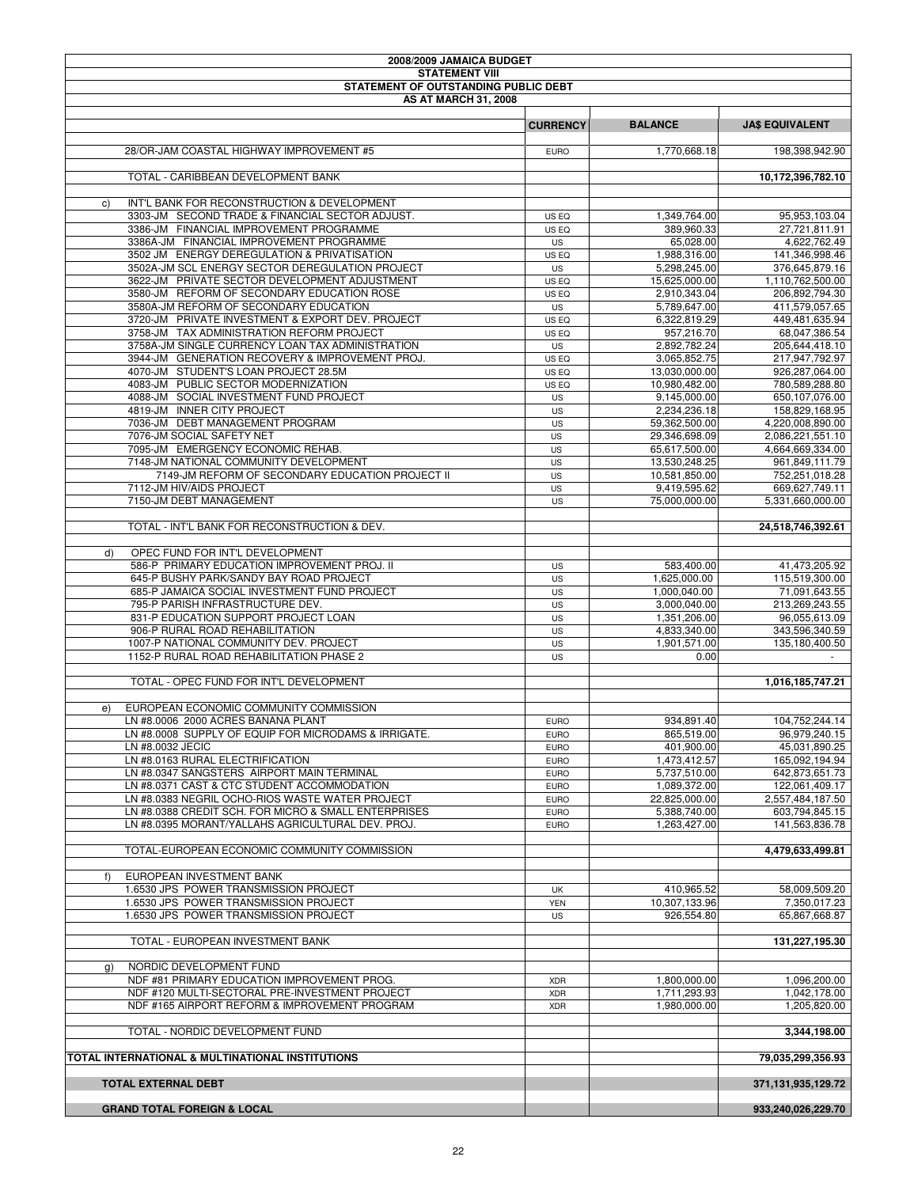| 2008/2009 JAMAICA BUDGET                                                                      |                            |                            |                                 |
|-----------------------------------------------------------------------------------------------|----------------------------|----------------------------|---------------------------------|
| <b>STATEMENT VIII</b>                                                                         |                            |                            |                                 |
| STATEMENT OF OUTSTANDING PUBLIC DEBT                                                          |                            |                            |                                 |
| <b>AS AT MARCH 31, 2008</b>                                                                   |                            |                            |                                 |
|                                                                                               | <b>CURRENCY</b>            | <b>BALANCE</b>             | <b>JA\$ EQUIVALENT</b>          |
|                                                                                               |                            |                            |                                 |
| 28/OR-JAM COASTAL HIGHWAY IMPROVEMENT #5                                                      | <b>EURO</b>                | 1,770,668.18               | 198,398,942.90                  |
|                                                                                               |                            |                            |                                 |
| TOTAL - CARIBBEAN DEVELOPMENT BANK                                                            |                            |                            | 10,172,396,782.10               |
| INT'L BANK FOR RECONSTRUCTION & DEVELOPMENT<br>C)                                             |                            |                            |                                 |
| 3303-JM SECOND TRADE & FINANCIAL SECTOR ADJUST.                                               | US EQ                      | 1,349,764.00               | 95,953,103.04                   |
| 3386-JM FINANCIAL IMPROVEMENT PROGRAMME                                                       | US EQ                      | 389,960.33                 | 27,721,811.91                   |
| 3386A-JM FINANCIAL IMPROVEMENT PROGRAMME                                                      | US                         | 65,028.00                  | 4,622,762.49                    |
| 3502 JM ENERGY DEREGULATION & PRIVATISATION                                                   | US EQ                      | 1,988,316.00               | 141,346,998.46                  |
| 3502A-JM SCL ENERGY SECTOR DEREGULATION PROJECT                                               | <b>US</b>                  | 5.298.245.00               | 376,645,879.16                  |
| 3622-JM PRIVATE SECTOR DEVELOPMENT ADJUSTMENT                                                 | US EQ                      | 15,625,000.00              | 1,110,762,500.00                |
| 3580-JM REFORM OF SECONDARY EDUCATION ROSE                                                    | US EQ                      | 2,910,343.04               | 206,892,794.30                  |
| 3580A-JM REFORM OF SECONDARY EDUCATION                                                        | <b>US</b>                  | 5,789,647.00               | 411,579,057.65                  |
| 3720-JM PRIVATE INVESTMENT & EXPORT DEV. PROJECT<br>3758-JM TAX ADMINISTRATION REFORM PROJECT | US EQ                      | 6,322,819.29               | 449,481,635.94                  |
| 3758A-JM SINGLE CURRENCY LOAN TAX ADMINISTRATION                                              | US EQ<br>US                | 957,216.70<br>2,892,782.24 | 68,047,386.54<br>205,644,418.10 |
| 3944-JM GENERATION RECOVERY & IMPROVEMENT PROJ.                                               | US EQ                      | 3,065,852.75               | 217,947,792.97                  |
| 4070-JM STUDENT'S LOAN PROJECT 28.5M                                                          | US EQ                      | 13,030,000.00              | 926,287,064.00                  |
| 4083-JM PUBLIC SECTOR MODERNIZATION                                                           | US EQ                      | 10,980,482.00              | 780,589,288.80                  |
| 4088-JM SOCIAL INVESTMENT FUND PROJECT                                                        | US                         | 9,145,000.00               | 650,107,076.00                  |
| 4819-JM INNER CITY PROJECT                                                                    | <b>US</b>                  | 2,234,236.18               | 158,829,168.95                  |
| 7036-JM DEBT MANAGEMENT PROGRAM                                                               | US                         | 59,362,500.00              | 4,220,008,890.00                |
| 7076-JM SOCIAL SAFETY NET                                                                     | US                         | 29,346,698.09              | 2,086,221,551.10                |
| 7095-JM EMERGENCY ECONOMIC REHAB.                                                             | US                         | 65,617,500.00              | 4,664,669,334.00                |
| 7148-JM NATIONAL COMMUNITY DEVELOPMENT                                                        | <b>US</b>                  | 13,530,248.25              | 961.849.111.79                  |
| 7149-JM REFORM OF SECONDARY EDUCATION PROJECT II                                              | US                         | 10,581,850.00              | 752,251,018.28                  |
| 7112-JM HIV/AIDS PROJECT                                                                      | US                         | 9,419,595.62               | 669,627,749.11                  |
| 7150-JM DEBT MANAGEMENT                                                                       | US                         | 75,000,000.00              | 5,331,660,000.00                |
|                                                                                               |                            |                            |                                 |
| TOTAL - INT'L BANK FOR RECONSTRUCTION & DEV.                                                  |                            |                            | 24,518,746,392.61               |
| OPEC FUND FOR INT'L DEVELOPMENT<br>d)                                                         |                            |                            |                                 |
| 586-P PRIMARY EDUCATION IMPROVEMENT PROJ. II                                                  | US                         | 583,400.00                 | 41,473,205.92                   |
| 645-P BUSHY PARK/SANDY BAY ROAD PROJECT                                                       | US                         | 1,625,000.00               | 115,519,300.00                  |
| 685-P JAMAICA SOCIAL INVESTMENT FUND PROJECT                                                  | <b>US</b>                  | 1,000,040.00               | 71,091,643.55                   |
| 795-P PARISH INFRASTRUCTURE DEV.                                                              | US                         | 3,000,040.00               | 213,269,243.55                  |
| 831-P EDUCATION SUPPORT PROJECT LOAN                                                          | US                         | 1,351,206.00               | 96,055,613.09                   |
| 906-P RURAL ROAD REHABILITATION                                                               | <b>US</b>                  | 4,833,340.00               | 343,596,340.59                  |
| 1007-P NATIONAL COMMUNITY DEV. PROJECT                                                        | US                         | 1,901,571.00               | 135,180,400.50                  |
| 1152-P RURAL ROAD REHABILITATION PHASE 2                                                      | US                         | 0.00                       |                                 |
|                                                                                               |                            |                            |                                 |
| TOTAL - OPEC FUND FOR INT'L DEVELOPMENT                                                       |                            |                            | 1,016,185,747.21                |
|                                                                                               |                            |                            |                                 |
| EUROPEAN ECONOMIC COMMUNITY COMMISSION<br>e)                                                  |                            |                            |                                 |
| LN #8.0006 2000 ACRES BANANA PLANT                                                            | <b>EURO</b>                | 934,891.40                 | 104,752,244.14                  |
| LN #8.0008 SUPPLY OF EQUIP FOR MICRODAMS & IRRIGATE.<br>LN #8.0032 JECIC                      | <b>EURO</b>                | 865,519.00<br>401,900.00   | 96,979,240.15<br>45,031,890.25  |
| LN #8.0163 RURAL ELECTRIFICATION                                                              | <b>EURO</b><br><b>EURO</b> | 1,473,412.57               | 165,092,194.94                  |
| LN #8.0347 SANGSTERS AIRPORT MAIN TERMINAL                                                    | <b>EURO</b>                | 5,737,510.00               | 642,873,651.73                  |
| LN #8.0371 CAST & CTC STUDENT ACCOMMODATION                                                   | <b>EURO</b>                | 1,089,372.00               | 122,061,409.17                  |
| LN #8.0383 NEGRIL OCHO-RIOS WASTE WATER PROJECT                                               | <b>EURO</b>                | 22,825,000.00              | 2,557,484,187.50                |
| LN #8.0388 CREDIT SCH. FOR MICRO & SMALL ENTERPRISES                                          | <b>EURO</b>                | 5,388,740.00               | 603,794,845.15                  |
| LN #8.0395 MORANT/YALLAHS AGRICULTURAL DEV. PROJ.                                             | <b>EURO</b>                | 1,263,427.00               | 141,563,836.78                  |
|                                                                                               |                            |                            |                                 |
| TOTAL-EUROPEAN ECONOMIC COMMUNITY COMMISSION                                                  |                            |                            | 4,479,633,499.81                |
|                                                                                               |                            |                            |                                 |
| EUROPEAN INVESTMENT BANK<br>f)                                                                |                            |                            |                                 |
| 1.6530 JPS POWER TRANSMISSION PROJECT                                                         | UK                         | 410,965.52                 | 58,009,509.20                   |
| 1.6530 JPS POWER TRANSMISSION PROJECT                                                         | <b>YEN</b>                 | 10,307,133.96              | 7,350,017.23                    |
| 1.6530 JPS POWER TRANSMISSION PROJECT                                                         | US                         | 926,554.80                 | 65,867,668.87                   |
| TOTAL - EUROPEAN INVESTMENT BANK                                                              |                            |                            | 131,227,195.30                  |
|                                                                                               |                            |                            |                                 |
| NORDIC DEVELOPMENT FUND<br>g)                                                                 |                            |                            |                                 |
| NDF #81 PRIMARY EDUCATION IMPROVEMENT PROG.                                                   | <b>XDR</b>                 | 1,800,000.00               | 1,096,200.00                    |
| NDF #120 MULTI-SECTORAL PRE-INVESTMENT PROJECT                                                | <b>XDR</b>                 | 1,711,293.93               | 1,042,178.00                    |
| NDF #165 AIRPORT REFORM & IMPROVEMENT PROGRAM                                                 | <b>XDR</b>                 | 1,980,000.00               | 1,205,820.00                    |
|                                                                                               |                            |                            |                                 |
| TOTAL - NORDIC DEVELOPMENT FUND                                                               |                            |                            | 3,344,198.00                    |
|                                                                                               |                            |                            |                                 |
| TOTAL INTERNATIONAL & MULTINATIONAL INSTITUTIONS                                              |                            |                            | 79,035,299,356.93               |
| <b>TOTAL EXTERNAL DEBT</b>                                                                    |                            |                            | 371,131,935,129.72              |
|                                                                                               |                            |                            |                                 |
| <b>GRAND TOTAL FOREIGN &amp; LOCAL</b>                                                        |                            |                            | 933,240,026,229.70              |
|                                                                                               |                            |                            |                                 |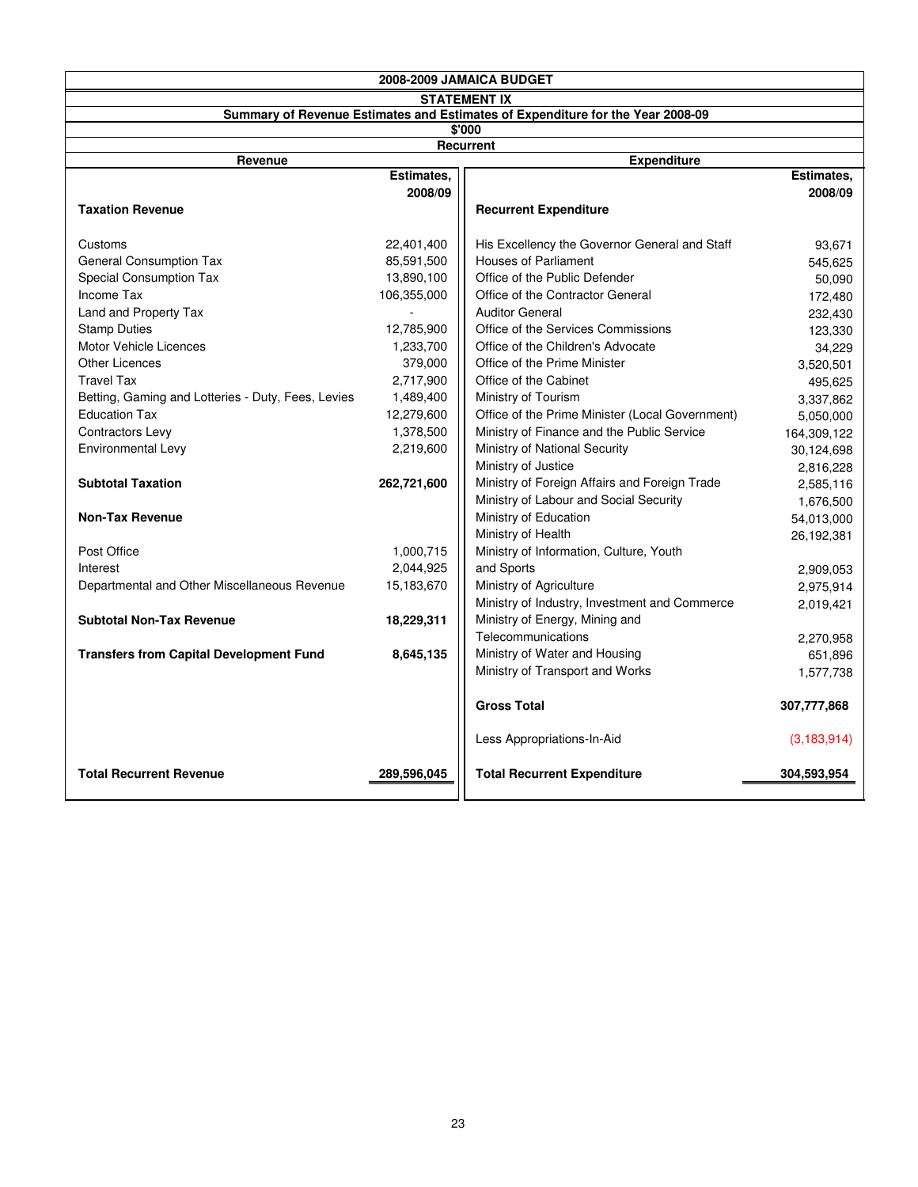| 2008-2009 JAMAICA BUDGET                           |                     |                                                                                |               |  |  |  |  |
|----------------------------------------------------|---------------------|--------------------------------------------------------------------------------|---------------|--|--|--|--|
|                                                    | <b>STATEMENT IX</b> |                                                                                |               |  |  |  |  |
|                                                    |                     | Summary of Revenue Estimates and Estimates of Expenditure for the Year 2008-09 |               |  |  |  |  |
|                                                    |                     | \$'000                                                                         |               |  |  |  |  |
|                                                    |                     | Recurrent                                                                      |               |  |  |  |  |
| Revenue                                            | Estimates,          | <b>Expenditure</b>                                                             | Estimates,    |  |  |  |  |
|                                                    | 2008/09             |                                                                                | 2008/09       |  |  |  |  |
| <b>Taxation Revenue</b>                            |                     | <b>Recurrent Expenditure</b>                                                   |               |  |  |  |  |
|                                                    |                     |                                                                                |               |  |  |  |  |
| Customs                                            | 22,401,400          | His Excellency the Governor General and Staff                                  | 93,671        |  |  |  |  |
| <b>General Consumption Tax</b>                     | 85,591,500          | <b>Houses of Parliament</b>                                                    | 545,625       |  |  |  |  |
| Special Consumption Tax                            | 13,890,100          | Office of the Public Defender                                                  | 50,090        |  |  |  |  |
| Income Tax                                         | 106,355,000         | Office of the Contractor General                                               | 172,480       |  |  |  |  |
| Land and Property Tax                              |                     | <b>Auditor General</b>                                                         | 232,430       |  |  |  |  |
| <b>Stamp Duties</b>                                | 12,785,900          | Office of the Services Commissions                                             | 123,330       |  |  |  |  |
| Motor Vehicle Licences                             | 1,233,700           | Office of the Children's Advocate                                              | 34,229        |  |  |  |  |
| <b>Other Licences</b>                              | 379,000             | Office of the Prime Minister                                                   | 3,520,501     |  |  |  |  |
| <b>Travel Tax</b>                                  | 2,717,900           | Office of the Cabinet                                                          | 495,625       |  |  |  |  |
| Betting, Gaming and Lotteries - Duty, Fees, Levies | 1,489,400           | Ministry of Tourism                                                            | 3,337,862     |  |  |  |  |
| <b>Education Tax</b>                               | 12,279,600          | Office of the Prime Minister (Local Government)                                | 5,050,000     |  |  |  |  |
| Contractors Levy                                   | 1,378,500           | Ministry of Finance and the Public Service                                     | 164,309,122   |  |  |  |  |
| Environmental Levy                                 | 2,219,600           | Ministry of National Security                                                  | 30,124,698    |  |  |  |  |
|                                                    |                     | Ministry of Justice                                                            | 2,816,228     |  |  |  |  |
| <b>Subtotal Taxation</b>                           | 262,721,600         | Ministry of Foreign Affairs and Foreign Trade                                  | 2,585,116     |  |  |  |  |
|                                                    |                     | Ministry of Labour and Social Security                                         | 1,676,500     |  |  |  |  |
| <b>Non-Tax Revenue</b>                             |                     | Ministry of Education                                                          | 54,013,000    |  |  |  |  |
|                                                    |                     | Ministry of Health                                                             | 26,192,381    |  |  |  |  |
| Post Office                                        | 1,000,715           | Ministry of Information, Culture, Youth                                        |               |  |  |  |  |
| Interest                                           | 2,044,925           | and Sports                                                                     | 2,909,053     |  |  |  |  |
| Departmental and Other Miscellaneous Revenue       | 15,183,670          | Ministry of Agriculture                                                        | 2,975,914     |  |  |  |  |
|                                                    |                     | Ministry of Industry, Investment and Commerce                                  | 2,019,421     |  |  |  |  |
| <b>Subtotal Non-Tax Revenue</b>                    | 18,229,311          | Ministry of Energy, Mining and                                                 |               |  |  |  |  |
|                                                    |                     | Telecommunications                                                             | 2,270,958     |  |  |  |  |
| <b>Transfers from Capital Development Fund</b>     | 8,645,135           | Ministry of Water and Housing                                                  | 651,896       |  |  |  |  |
|                                                    |                     | Ministry of Transport and Works                                                | 1,577,738     |  |  |  |  |
|                                                    |                     | <b>Gross Total</b>                                                             | 307,777,868   |  |  |  |  |
|                                                    |                     | Less Appropriations-In-Aid                                                     | (3, 183, 914) |  |  |  |  |
| <b>Total Recurrent Revenue</b>                     | 289.596.045         | <b>Total Recurrent Expenditure</b>                                             | 304,593,954   |  |  |  |  |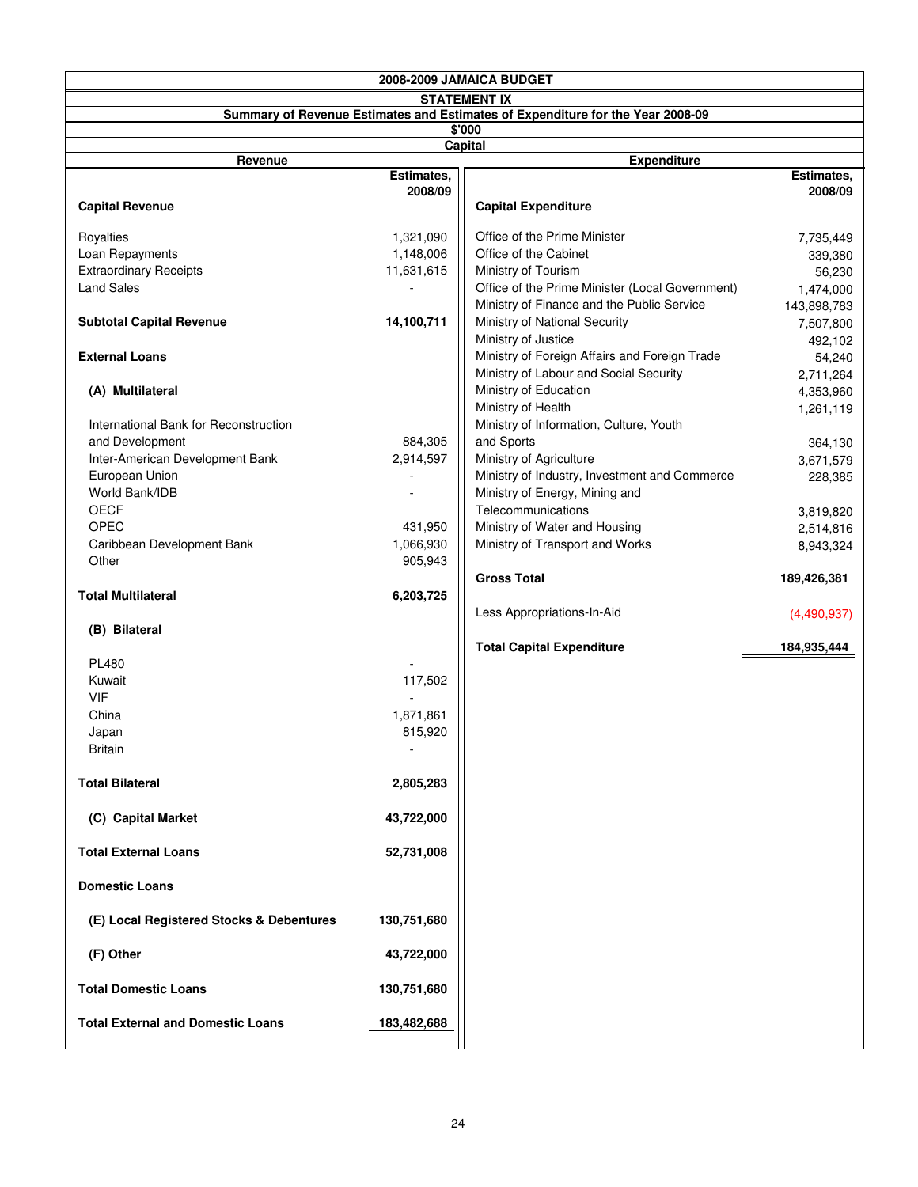|                                          |             | 2008-2009 JAMAICA BUDGET                                                       |                        |
|------------------------------------------|-------------|--------------------------------------------------------------------------------|------------------------|
|                                          |             | <b>STATEMENT IX</b>                                                            |                        |
|                                          |             | Summary of Revenue Estimates and Estimates of Expenditure for the Year 2008-09 |                        |
|                                          |             | \$'000<br>Capital                                                              |                        |
| Revenue                                  |             | <b>Expenditure</b>                                                             |                        |
|                                          | Estimates,  |                                                                                | Estimates,             |
|                                          | 2008/09     |                                                                                | 2008/09                |
| <b>Capital Revenue</b>                   |             | <b>Capital Expenditure</b>                                                     |                        |
| Royalties                                | 1,321,090   | Office of the Prime Minister                                                   | 7,735,449              |
| Loan Repayments                          | 1,148,006   | Office of the Cabinet                                                          | 339,380                |
| <b>Extraordinary Receipts</b>            | 11,631,615  | Ministry of Tourism                                                            | 56,230                 |
| <b>Land Sales</b>                        |             | Office of the Prime Minister (Local Government)                                | 1,474,000              |
|                                          |             | Ministry of Finance and the Public Service                                     | 143,898,783            |
| <b>Subtotal Capital Revenue</b>          | 14,100,711  | Ministry of National Security                                                  | 7,507,800              |
|                                          |             | Ministry of Justice                                                            | 492,102                |
| <b>External Loans</b>                    |             | Ministry of Foreign Affairs and Foreign Trade                                  | 54,240                 |
|                                          |             | Ministry of Labour and Social Security                                         | 2,711,264              |
| (A) Multilateral                         |             | Ministry of Education                                                          | 4,353,960              |
|                                          |             | Ministry of Health                                                             | 1,261,119              |
| International Bank for Reconstruction    |             | Ministry of Information, Culture, Youth                                        |                        |
| and Development                          | 884,305     | and Sports                                                                     | 364,130                |
| Inter-American Development Bank          | 2,914,597   | Ministry of Agriculture                                                        | 3,671,579              |
| European Union<br>World Bank/IDB         |             | Ministry of Industry, Investment and Commerce                                  | 228,385                |
| <b>OECF</b>                              |             | Ministry of Energy, Mining and<br>Telecommunications                           |                        |
| <b>OPEC</b>                              | 431,950     | Ministry of Water and Housing                                                  | 3,819,820<br>2,514,816 |
| Caribbean Development Bank               | 1,066,930   | Ministry of Transport and Works                                                | 8,943,324              |
| Other                                    | 905,943     |                                                                                |                        |
|                                          |             | <b>Gross Total</b>                                                             | 189,426,381            |
| <b>Total Multilateral</b>                | 6,203,725   |                                                                                |                        |
|                                          |             | Less Appropriations-In-Aid                                                     | (4,490,937)            |
| (B) Bilateral                            |             |                                                                                |                        |
|                                          |             | <b>Total Capital Expenditure</b>                                               | 184,935,444            |
| <b>PL480</b>                             |             |                                                                                |                        |
| Kuwait                                   | 117,502     |                                                                                |                        |
| <b>VIF</b>                               |             |                                                                                |                        |
| China                                    | 1,871,861   |                                                                                |                        |
| Japan<br>Britain                         | 815,920     |                                                                                |                        |
|                                          |             |                                                                                |                        |
| <b>Total Bilateral</b>                   | 2,805,283   |                                                                                |                        |
|                                          |             |                                                                                |                        |
| (C) Capital Market                       | 43,722,000  |                                                                                |                        |
|                                          |             |                                                                                |                        |
| <b>Total External Loans</b>              | 52,731,008  |                                                                                |                        |
| <b>Domestic Loans</b>                    |             |                                                                                |                        |
| (E) Local Registered Stocks & Debentures | 130,751,680 |                                                                                |                        |
| (F) Other                                | 43,722,000  |                                                                                |                        |
| <b>Total Domestic Loans</b>              | 130,751,680 |                                                                                |                        |
| <b>Total External and Domestic Loans</b> | 183,482,688 |                                                                                |                        |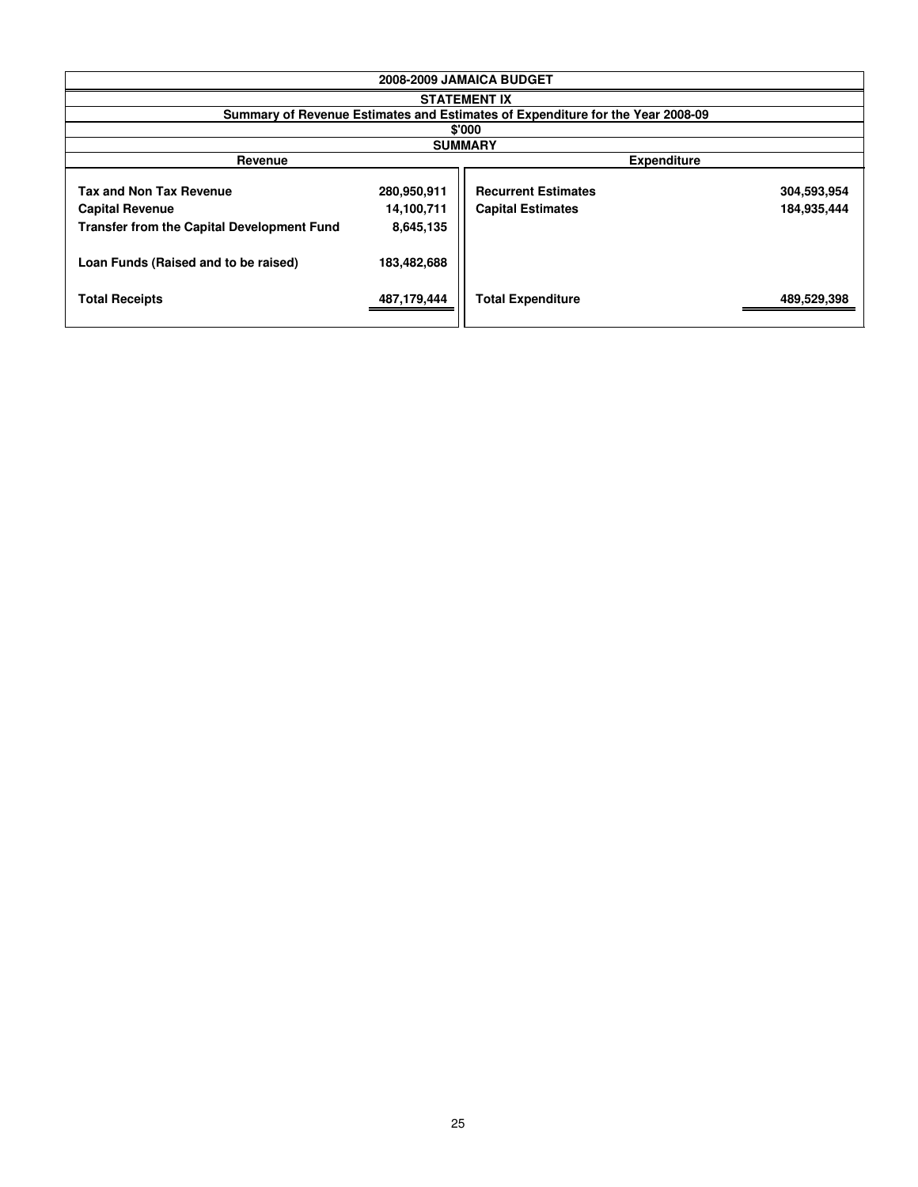| 2008-2009 JAMAICA BUDGET                                                                               |                                        |                                                                                |                            |  |  |
|--------------------------------------------------------------------------------------------------------|----------------------------------------|--------------------------------------------------------------------------------|----------------------------|--|--|
| <b>STATEMENT IX</b>                                                                                    |                                        |                                                                                |                            |  |  |
|                                                                                                        |                                        | Summary of Revenue Estimates and Estimates of Expenditure for the Year 2008-09 |                            |  |  |
|                                                                                                        |                                        | \$'000                                                                         |                            |  |  |
|                                                                                                        |                                        | <b>SUMMARY</b>                                                                 |                            |  |  |
| <b>Expenditure</b><br>Revenue                                                                          |                                        |                                                                                |                            |  |  |
| <b>Tax and Non Tax Revenue</b><br><b>Capital Revenue</b><br>Transfer from the Capital Development Fund | 280,950,911<br>14,100,711<br>8,645,135 | <b>Recurrent Estimates</b><br><b>Capital Estimates</b>                         | 304,593,954<br>184,935,444 |  |  |
| Loan Funds (Raised and to be raised)                                                                   | 183,482,688                            |                                                                                |                            |  |  |
| <b>Total Receipts</b>                                                                                  | 487,179,444                            | <b>Total Expenditure</b>                                                       | 489,529,398                |  |  |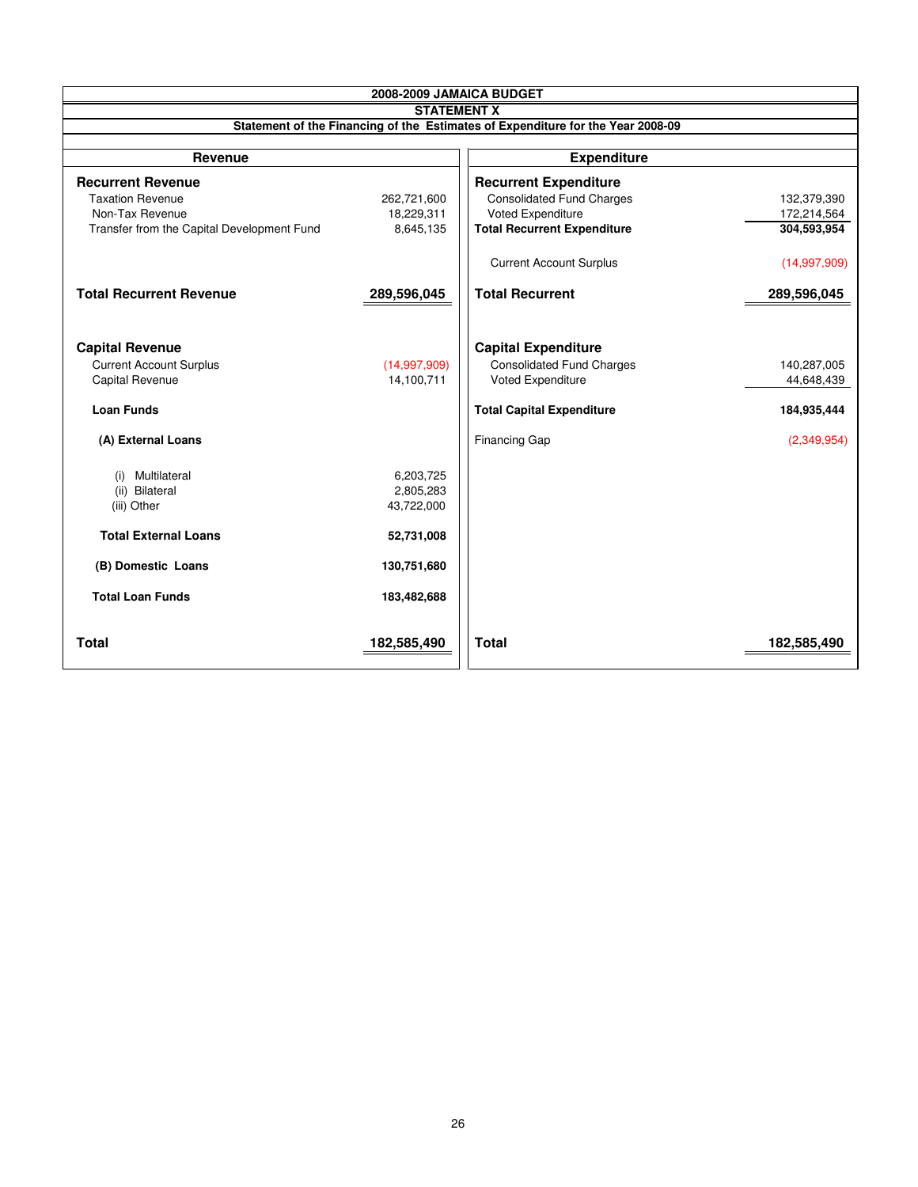| 2008-2009 JAMAICA BUDGET                   |                    |                                                                                 |              |  |  |
|--------------------------------------------|--------------------|---------------------------------------------------------------------------------|--------------|--|--|
|                                            | <b>STATEMENT X</b> |                                                                                 |              |  |  |
|                                            |                    | Statement of the Financing of the Estimates of Expenditure for the Year 2008-09 |              |  |  |
| <b>Revenue</b>                             |                    | <b>Expenditure</b>                                                              |              |  |  |
| <b>Recurrent Revenue</b>                   |                    | <b>Recurrent Expenditure</b>                                                    |              |  |  |
| <b>Taxation Revenue</b>                    | 262,721,600        | <b>Consolidated Fund Charges</b>                                                | 132,379,390  |  |  |
| Non-Tax Revenue                            | 18,229,311         | Voted Expenditure                                                               | 172,214,564  |  |  |
| Transfer from the Capital Development Fund | 8,645,135          | <b>Total Recurrent Expenditure</b>                                              | 304,593,954  |  |  |
|                                            |                    | <b>Current Account Surplus</b>                                                  | (14,997,909) |  |  |
| <b>Total Recurrent Revenue</b>             | 289,596,045        | <b>Total Recurrent</b>                                                          | 289,596,045  |  |  |
|                                            |                    |                                                                                 |              |  |  |
| <b>Capital Revenue</b>                     |                    | <b>Capital Expenditure</b>                                                      |              |  |  |
| <b>Current Account Surplus</b>             | (14,997,909)       | <b>Consolidated Fund Charges</b>                                                | 140,287,005  |  |  |
| Capital Revenue                            | 14,100,711         | Voted Expenditure                                                               | 44,648,439   |  |  |
| <b>Loan Funds</b>                          |                    | <b>Total Capital Expenditure</b>                                                | 184,935,444  |  |  |
| (A) External Loans                         |                    | <b>Financing Gap</b>                                                            | (2,349,954)  |  |  |
| (i) Multilateral                           | 6,203,725          |                                                                                 |              |  |  |
| (ii) Bilateral                             | 2,805,283          |                                                                                 |              |  |  |
| (iii) Other                                | 43,722,000         |                                                                                 |              |  |  |
| <b>Total External Loans</b>                | 52,731,008         |                                                                                 |              |  |  |
| (B) Domestic Loans                         | 130,751,680        |                                                                                 |              |  |  |
| <b>Total Loan Funds</b>                    | 183,482,688        |                                                                                 |              |  |  |
| <b>Total</b>                               | 182,585,490        | <b>Total</b>                                                                    | 182,585,490  |  |  |
|                                            |                    |                                                                                 |              |  |  |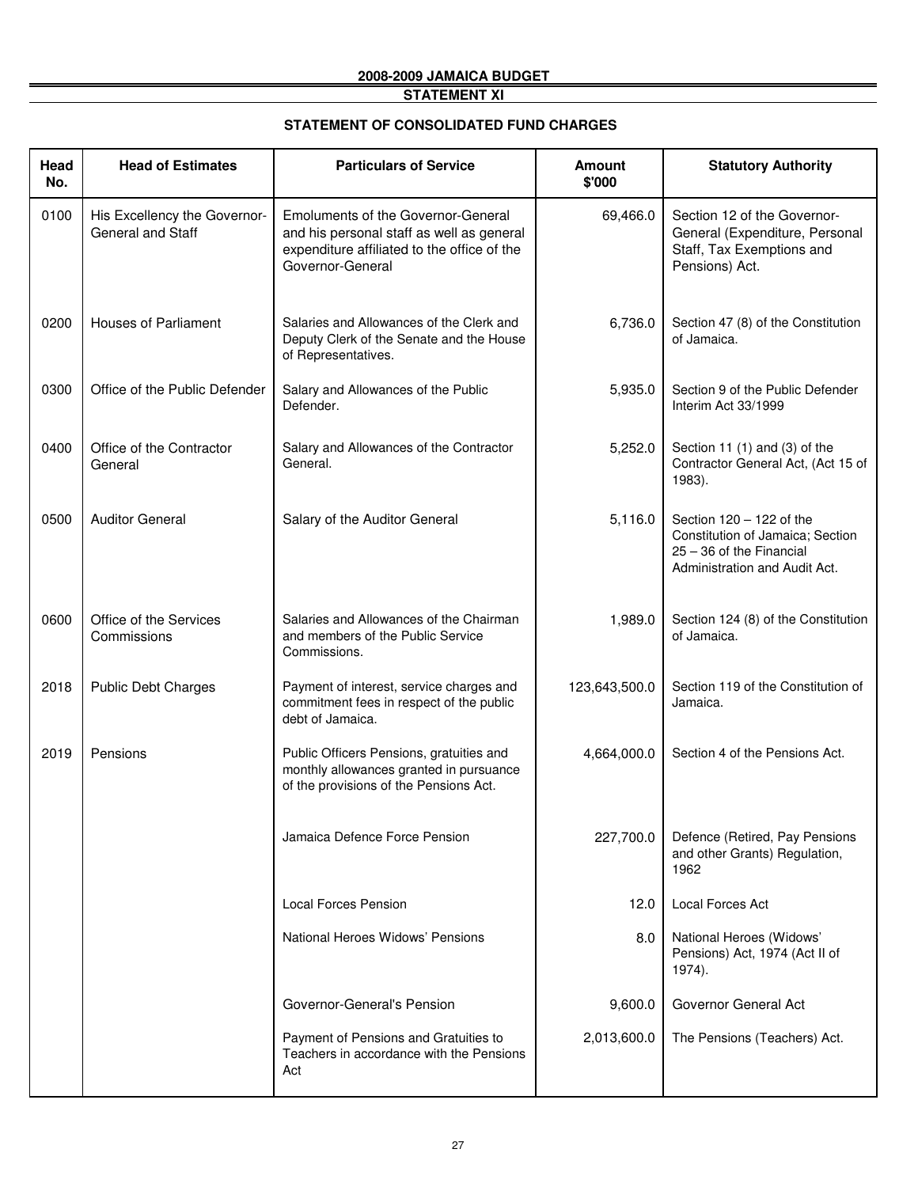### **STATEMENT XI**

#### **STATEMENT OF CONSOLIDATED FUND CHARGES**

| Head<br>No. | <b>Head of Estimates</b>                          | <b>Particulars of Service</b>                                                                                                                             | <b>Amount</b><br>\$'000 | <b>Statutory Authority</b>                                                                                                    |
|-------------|---------------------------------------------------|-----------------------------------------------------------------------------------------------------------------------------------------------------------|-------------------------|-------------------------------------------------------------------------------------------------------------------------------|
| 0100        | His Excellency the Governor-<br>General and Staff | <b>Emoluments of the Governor-General</b><br>and his personal staff as well as general<br>expenditure affiliated to the office of the<br>Governor-General | 69,466.0                | Section 12 of the Governor-<br>General (Expenditure, Personal<br>Staff, Tax Exemptions and<br>Pensions) Act.                  |
| 0200        | <b>Houses of Parliament</b>                       | Salaries and Allowances of the Clerk and<br>Deputy Clerk of the Senate and the House<br>of Representatives.                                               | 6,736.0                 | Section 47 (8) of the Constitution<br>of Jamaica.                                                                             |
| 0300        | Office of the Public Defender                     | Salary and Allowances of the Public<br>Defender.                                                                                                          | 5,935.0                 | Section 9 of the Public Defender<br>Interim Act 33/1999                                                                       |
| 0400        | Office of the Contractor<br>General               | Salary and Allowances of the Contractor<br>General.                                                                                                       | 5,252.0                 | Section 11 (1) and (3) of the<br>Contractor General Act, (Act 15 of<br>1983).                                                 |
| 0500        | <b>Auditor General</b>                            | Salary of the Auditor General                                                                                                                             | 5,116.0                 | Section $120 - 122$ of the<br>Constitution of Jamaica; Section<br>$25 - 36$ of the Financial<br>Administration and Audit Act. |
| 0600        | Office of the Services<br>Commissions             | Salaries and Allowances of the Chairman<br>and members of the Public Service<br>Commissions.                                                              | 1,989.0                 | Section 124 (8) of the Constitution<br>of Jamaica.                                                                            |
| 2018        | <b>Public Debt Charges</b>                        | Payment of interest, service charges and<br>commitment fees in respect of the public<br>debt of Jamaica.                                                  | 123,643,500.0           | Section 119 of the Constitution of<br>Jamaica.                                                                                |
| 2019        | Pensions                                          | Public Officers Pensions, gratuities and<br>monthly allowances granted in pursuance<br>of the provisions of the Pensions Act.                             | 4,664,000.0             | Section 4 of the Pensions Act.                                                                                                |
|             |                                                   | Jamaica Defence Force Pension                                                                                                                             | 227,700.0               | Defence (Retired, Pay Pensions<br>and other Grants) Regulation,<br>1962                                                       |
|             |                                                   | <b>Local Forces Pension</b>                                                                                                                               | 12.0                    | Local Forces Act                                                                                                              |
|             |                                                   | National Heroes Widows' Pensions                                                                                                                          | 8.0                     | National Heroes (Widows'<br>Pensions) Act, 1974 (Act II of<br>1974).                                                          |
|             |                                                   | Governor-General's Pension                                                                                                                                | 9,600.0                 | Governor General Act                                                                                                          |
|             |                                                   | Payment of Pensions and Gratuities to<br>Teachers in accordance with the Pensions<br>Act                                                                  | 2,013,600.0             | The Pensions (Teachers) Act.                                                                                                  |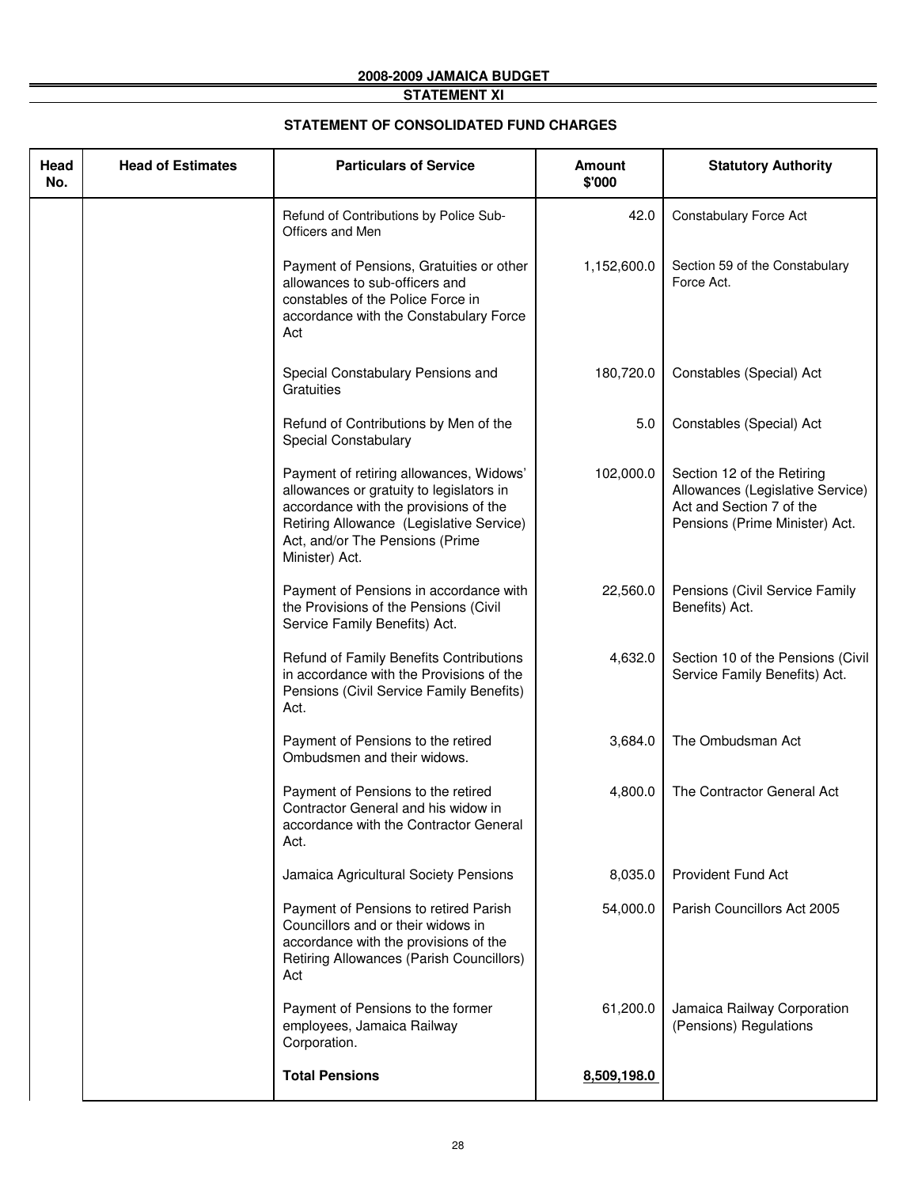### **STATEMENT XI**

#### **STATEMENT OF CONSOLIDATED FUND CHARGES**

| Head<br>No. | <b>Head of Estimates</b> | <b>Particulars of Service</b>                                                                                                                                                                                                 | <b>Amount</b><br>\$'000 | <b>Statutory Authority</b>                                                                                                   |
|-------------|--------------------------|-------------------------------------------------------------------------------------------------------------------------------------------------------------------------------------------------------------------------------|-------------------------|------------------------------------------------------------------------------------------------------------------------------|
|             |                          | Refund of Contributions by Police Sub-<br>Officers and Men                                                                                                                                                                    | 42.0                    | <b>Constabulary Force Act</b>                                                                                                |
|             |                          | Payment of Pensions, Gratuities or other<br>allowances to sub-officers and<br>constables of the Police Force in<br>accordance with the Constabulary Force<br>Act                                                              | 1,152,600.0             | Section 59 of the Constabulary<br>Force Act.                                                                                 |
|             |                          | Special Constabulary Pensions and<br>Gratuities                                                                                                                                                                               | 180,720.0               | Constables (Special) Act                                                                                                     |
|             |                          | Refund of Contributions by Men of the<br>Special Constabulary                                                                                                                                                                 | 5.0                     |                                                                                                                              |
|             |                          | Payment of retiring allowances, Widows'<br>allowances or gratuity to legislators in<br>accordance with the provisions of the<br>Retiring Allowance (Legislative Service)<br>Act, and/or The Pensions (Prime<br>Minister) Act. | 102,000.0               | Section 12 of the Retiring<br>Allowances (Legislative Service)<br>Act and Section 7 of the<br>Pensions (Prime Minister) Act. |
|             |                          | Payment of Pensions in accordance with<br>the Provisions of the Pensions (Civil<br>Service Family Benefits) Act.                                                                                                              | 22,560.0                | Pensions (Civil Service Family<br>Benefits) Act.                                                                             |
|             |                          | Refund of Family Benefits Contributions<br>in accordance with the Provisions of the<br>Pensions (Civil Service Family Benefits)<br>Act.                                                                                       | 4,632.0                 | Section 10 of the Pensions (Civil<br>Service Family Benefits) Act.                                                           |
|             |                          | Payment of Pensions to the retired<br>Ombudsmen and their widows.                                                                                                                                                             | 3,684.0                 | The Ombudsman Act                                                                                                            |
|             |                          | Payment of Pensions to the retired<br>Contractor General and his widow in<br>accordance with the Contractor General<br>Act.                                                                                                   | 4,800.0                 | The Contractor General Act                                                                                                   |
|             |                          | Jamaica Agricultural Society Pensions                                                                                                                                                                                         | 8,035.0                 | <b>Provident Fund Act</b>                                                                                                    |
|             |                          | Payment of Pensions to retired Parish<br>Councillors and or their widows in<br>accordance with the provisions of the<br>Retiring Allowances (Parish Councillors)<br>Act                                                       | 54,000.0                | Parish Councillors Act 2005                                                                                                  |
|             |                          | Payment of Pensions to the former<br>employees, Jamaica Railway<br>Corporation.                                                                                                                                               | 61,200.0                | Jamaica Railway Corporation<br>(Pensions) Regulations                                                                        |
|             |                          | <b>Total Pensions</b>                                                                                                                                                                                                         | 8,509,198.0             |                                                                                                                              |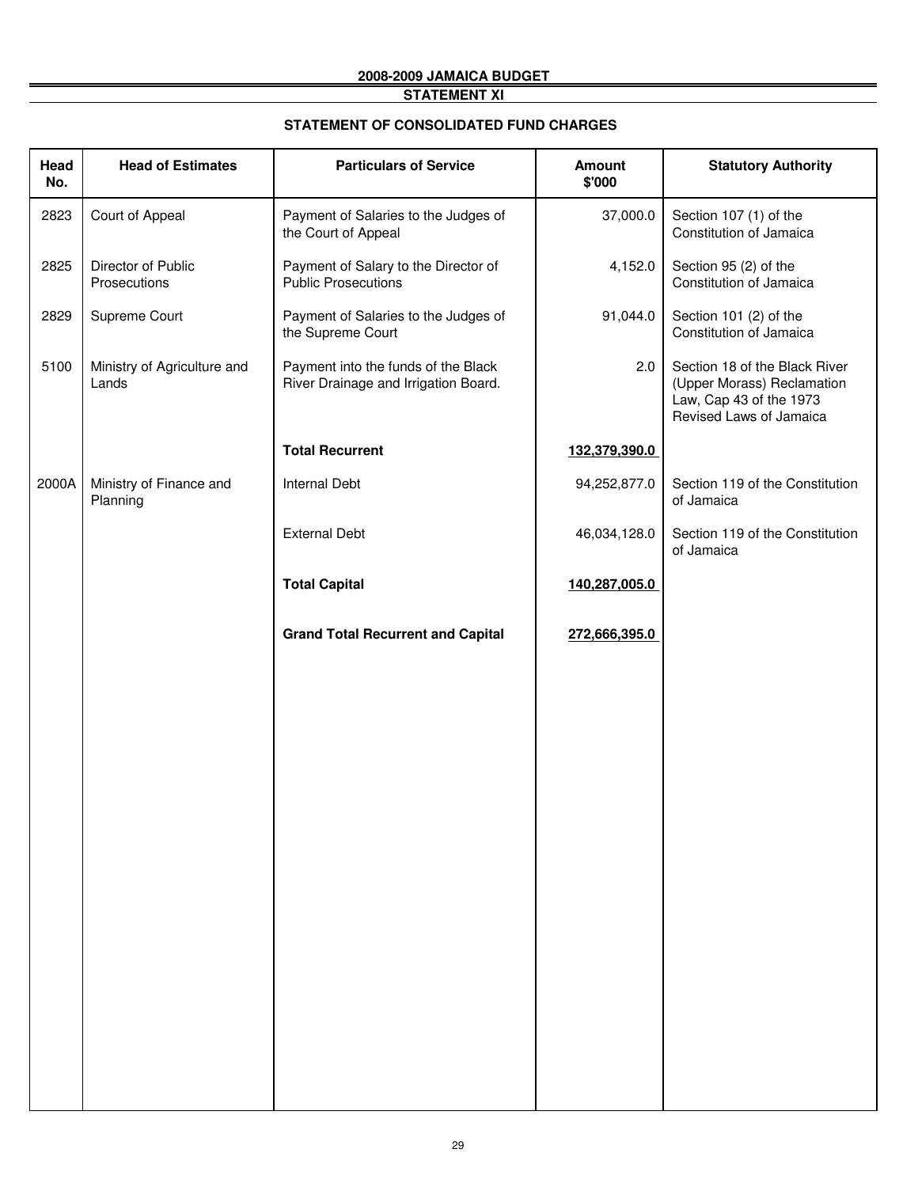## **STATEMENT XI**

#### **STATEMENT OF CONSOLIDATED FUND CHARGES**

| <b>Head of Estimates</b>             | <b>Particulars of Service</b>                                               | Amount<br>\$'000 | <b>Statutory Authority</b>                                                                                        |
|--------------------------------------|-----------------------------------------------------------------------------|------------------|-------------------------------------------------------------------------------------------------------------------|
| Court of Appeal                      | Payment of Salaries to the Judges of<br>the Court of Appeal                 | 37,000.0         | Section 107 (1) of the<br>Constitution of Jamaica                                                                 |
| Director of Public<br>Prosecutions   | Payment of Salary to the Director of<br><b>Public Prosecutions</b>          | 4,152.0          | Section 95 (2) of the<br>Constitution of Jamaica                                                                  |
| Supreme Court                        | Payment of Salaries to the Judges of<br>the Supreme Court                   | 91,044.0         | Section 101 (2) of the<br>Constitution of Jamaica                                                                 |
| Ministry of Agriculture and<br>Lands | Payment into the funds of the Black<br>River Drainage and Irrigation Board. | 2.0              | Section 18 of the Black River<br>(Upper Morass) Reclamation<br>Law, Cap 43 of the 1973<br>Revised Laws of Jamaica |
|                                      | <b>Total Recurrent</b>                                                      | 132,379,390.0    |                                                                                                                   |
| Ministry of Finance and<br>Planning  | <b>Internal Debt</b>                                                        | 94,252,877.0     | Section 119 of the Constitution<br>of Jamaica                                                                     |
|                                      | <b>External Debt</b>                                                        | 46,034,128.0     | Section 119 of the Constitution<br>of Jamaica                                                                     |
|                                      | <b>Total Capital</b>                                                        | 140,287,005.0    |                                                                                                                   |
|                                      | <b>Grand Total Recurrent and Capital</b>                                    | 272,666,395.0    |                                                                                                                   |
|                                      |                                                                             |                  |                                                                                                                   |
|                                      |                                                                             |                  |                                                                                                                   |
|                                      |                                                                             |                  |                                                                                                                   |
|                                      |                                                                             |                  |                                                                                                                   |
|                                      |                                                                             |                  |                                                                                                                   |
|                                      |                                                                             |                  |                                                                                                                   |
|                                      |                                                                             |                  |                                                                                                                   |
|                                      |                                                                             |                  |                                                                                                                   |
|                                      |                                                                             |                  |                                                                                                                   |
|                                      |                                                                             |                  |                                                                                                                   |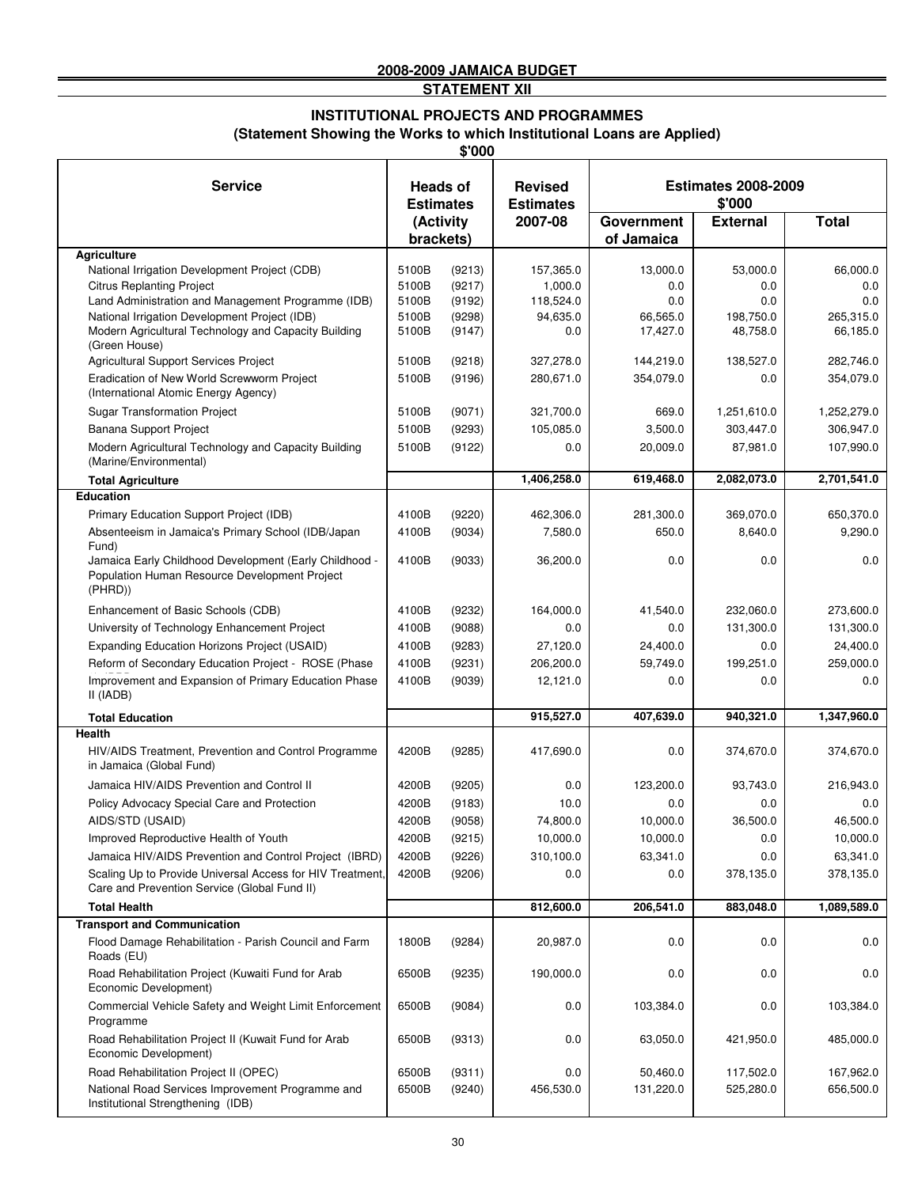**STATEMENT XII**

#### **(Statement Showing the Works to which Institutional Loans are Applied) INSTITUTIONAL PROJECTS AND PROGRAMMES**

**\$'000**

| <b>Service</b>                                                                                                         | <b>Heads of</b><br><b>Estimates</b> |                  | <b>Revised</b>              |                      | <b>Estimates 2008-2009</b> |                       |
|------------------------------------------------------------------------------------------------------------------------|-------------------------------------|------------------|-----------------------------|----------------------|----------------------------|-----------------------|
|                                                                                                                        |                                     | (Activity        | <b>Estimates</b><br>2007-08 | <b>Government</b>    | \$'000<br><b>External</b>  | <b>Total</b>          |
|                                                                                                                        | brackets)                           |                  |                             | of Jamaica           |                            |                       |
| <b>Agriculture</b>                                                                                                     |                                     |                  |                             |                      |                            |                       |
| National Irrigation Development Project (CDB)                                                                          | 5100B                               | (9213)           | 157,365.0                   | 13,000.0             | 53,000.0                   | 66,000.0              |
| <b>Citrus Replanting Project</b>                                                                                       | 5100B                               | (9217)           | 1,000.0                     | 0.0                  | 0.0                        | 0.0                   |
| Land Administration and Management Programme (IDB)                                                                     | 5100B                               | (9192)           | 118,524.0                   | 0.0                  | 0.0                        | 0.0                   |
| National Irrigation Development Project (IDB)<br>Modern Agricultural Technology and Capacity Building<br>(Green House) | 5100B<br>5100B                      | (9298)<br>(9147) | 94,635.0<br>0.0             | 66,565.0<br>17,427.0 | 198,750.0<br>48,758.0      | 265,315.0<br>66,185.0 |
| Agricultural Support Services Project                                                                                  | 5100B                               | (9218)           | 327,278.0                   | 144,219.0            | 138,527.0                  | 282,746.0             |
| Eradication of New World Screwworm Project<br>(International Atomic Energy Agency)                                     | 5100B                               | (9196)           | 280,671.0                   | 354,079.0            | 0.0                        | 354,079.0             |
| <b>Sugar Transformation Project</b>                                                                                    | 5100B                               | (9071)           | 321,700.0                   | 669.0                | 1,251,610.0                | 1,252,279.0           |
| Banana Support Project                                                                                                 | 5100B                               | (9293)           | 105,085.0                   | 3,500.0              | 303,447.0                  | 306,947.0             |
| Modern Agricultural Technology and Capacity Building<br>(Marine/Environmental)                                         | 5100B                               | (9122)           | 0.0                         | 20,009.0             | 87,981.0                   | 107,990.0             |
| <b>Total Agriculture</b>                                                                                               |                                     |                  | 1,406,258.0                 | 619,468.0            | 2,082,073.0                | 2,701,541.0           |
| <b>Education</b>                                                                                                       |                                     |                  |                             |                      |                            |                       |
| Primary Education Support Project (IDB)                                                                                | 4100B                               | (9220)           | 462,306.0                   | 281,300.0            | 369,070.0                  | 650,370.0             |
| Absenteeism in Jamaica's Primary School (IDB/Japan<br>Fund)                                                            | 4100B                               | (9034)           | 7,580.0                     | 650.0                | 8,640.0                    | 9,290.0               |
| Jamaica Early Childhood Development (Early Childhood -<br>Population Human Resource Development Project<br>(PHRD))     | 4100B                               | (9033)           | 36,200.0                    | 0.0                  | 0.0                        | 0.0                   |
| Enhancement of Basic Schools (CDB)                                                                                     | 4100B                               | (9232)           | 164,000.0                   | 41,540.0             | 232,060.0                  | 273,600.0             |
| University of Technology Enhancement Project                                                                           | 4100B                               | (9088)           | 0.0                         | 0.0                  | 131,300.0                  | 131,300.0             |
| Expanding Education Horizons Project (USAID)                                                                           | 4100B                               | (9283)           | 27,120.0                    | 24,400.0             | 0.0                        | 24,400.0              |
| Reform of Secondary Education Project - ROSE (Phase                                                                    | 4100B                               | (9231)           | 206,200.0                   | 59,749.0             | 199,251.0                  | 259,000.0             |
| Improvement and Expansion of Primary Education Phase<br>II (IADB)                                                      | 4100B                               | (9039)           | 12,121.0                    | 0.0                  | 0.0                        | 0.0                   |
| <b>Total Education</b>                                                                                                 |                                     |                  | 915,527.0                   | 407,639.0            | 940,321.0                  | 1,347,960.0           |
| <b>Health</b>                                                                                                          |                                     |                  |                             |                      |                            |                       |
| HIV/AIDS Treatment, Prevention and Control Programme<br>in Jamaica (Global Fund)                                       | 4200B                               | (9285)           | 417,690.0                   | 0.0                  | 374,670.0                  | 374,670.0             |
| Jamaica HIV/AIDS Prevention and Control II                                                                             | 4200B                               | (9205)           | 0.0                         | 123,200.0            | 93,743.0                   | 216,943.0             |
| Policy Advocacy Special Care and Protection                                                                            | 4200B                               | (9183)           | 10.0                        | 0.0                  | 0.0                        | 0.0                   |
| AIDS/STD (USAID)                                                                                                       | 4200B                               | (9058)           | 74,800.0                    | 10,000.0             | 36,500.0                   | 46,500.0              |
| Improved Reproductive Health of Youth                                                                                  | 4200B                               | (9215)           | 10,000.0                    | 10,000.0             | 0.0                        | 10,000.0              |
| Jamaica HIV/AIDS Prevention and Control Project (IBRD)                                                                 | 4200B                               | (9226)           | 310,100.0                   | 63,341.0             | 0.0                        | 63,341.0              |
| Scaling Up to Provide Universal Access for HIV Treatment,<br>Care and Prevention Service (Global Fund II)              | 4200B                               | (9206)           | 0.0                         | 0.0                  | 378,135.0                  | 378,135.0             |
| <b>Total Health</b>                                                                                                    |                                     |                  | 812,600.0                   | 206,541.0            | 883,048.0                  | 1,089,589.0           |
| <b>Transport and Communication</b>                                                                                     |                                     |                  |                             |                      |                            |                       |
| Flood Damage Rehabilitation - Parish Council and Farm<br>Roads (EU)                                                    | 1800B                               | (9284)           | 20,987.0                    | 0.0                  | 0.0                        | 0.0                   |
| Road Rehabilitation Project (Kuwaiti Fund for Arab<br>Economic Development)                                            | 6500B                               | (9235)           | 190,000.0                   | 0.0                  | 0.0                        | 0.0                   |
| Commercial Vehicle Safety and Weight Limit Enforcement<br>Programme                                                    | 6500B                               | (9084)           | 0.0                         | 103,384.0            | 0.0                        | 103,384.0             |
| Road Rehabilitation Project II (Kuwait Fund for Arab<br>Economic Development)                                          | 6500B                               | (9313)           | 0.0                         | 63,050.0             | 421,950.0                  | 485,000.0             |
| Road Rehabilitation Project II (OPEC)                                                                                  | 6500B                               | (9311)           | 0.0                         | 50,460.0             | 117,502.0                  | 167,962.0             |
| National Road Services Improvement Programme and<br>Institutional Strengthening (IDB)                                  | 6500B                               | (9240)           | 456,530.0                   | 131,220.0            | 525,280.0                  | 656,500.0             |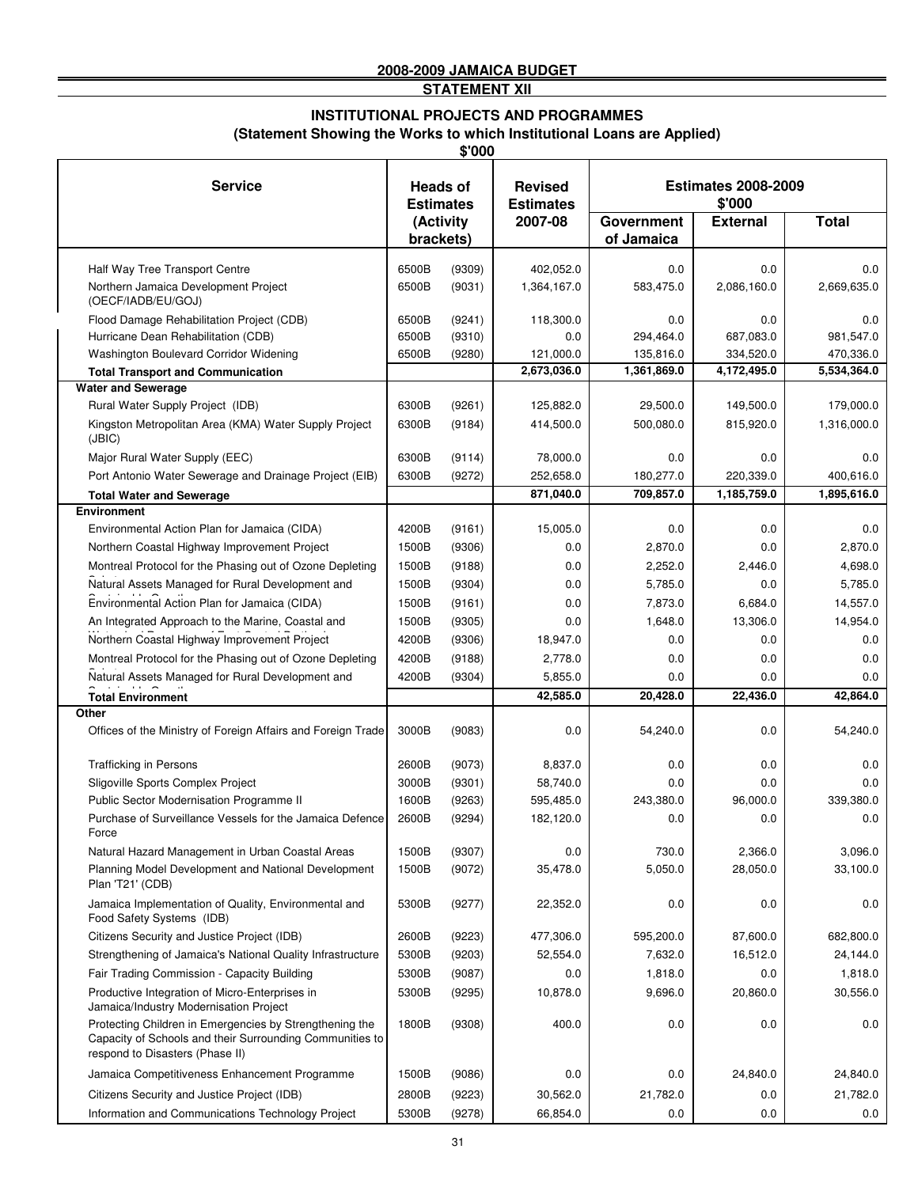**STATEMENT XII**

# **INSTITUTIONAL PROJECTS AND PROGRAMMES**

**(Statement Showing the Works to which Institutional Loans are Applied)**

|                                                                                                                                                        |                                     | \$'000 |                                    |                                      |                 |              |  |
|--------------------------------------------------------------------------------------------------------------------------------------------------------|-------------------------------------|--------|------------------------------------|--------------------------------------|-----------------|--------------|--|
| <b>Service</b>                                                                                                                                         | <b>Heads of</b><br><b>Estimates</b> |        | <b>Revised</b><br><b>Estimates</b> | <b>Estimates 2008-2009</b><br>\$'000 |                 |              |  |
|                                                                                                                                                        | (Activity                           |        | 2007-08                            | Government                           | <b>External</b> | <b>Total</b> |  |
|                                                                                                                                                        | brackets)                           |        |                                    | of Jamaica                           |                 |              |  |
| Half Way Tree Transport Centre                                                                                                                         | 6500B                               | (9309) | 402,052.0                          | 0.0                                  | 0.0             | 0.0          |  |
| Northern Jamaica Development Project<br>(OECF/IADB/EU/GOJ)                                                                                             | 6500B                               | (9031) | 1,364,167.0                        | 583,475.0                            | 2,086,160.0     | 2,669,635.0  |  |
| Flood Damage Rehabilitation Project (CDB)                                                                                                              | 6500B                               | (9241) | 118,300.0                          | 0.0                                  | 0.0             | 0.0          |  |
| Hurricane Dean Rehabilitation (CDB)                                                                                                                    | 6500B                               | (9310) | 0.0                                | 294,464.0                            | 687,083.0       | 981,547.0    |  |
| Washington Boulevard Corridor Widening                                                                                                                 | 6500B                               | (9280) | 121,000.0                          | 135,816.0                            | 334,520.0       | 470,336.0    |  |
| <b>Total Transport and Communication</b><br><b>Water and Sewerage</b>                                                                                  |                                     |        | 2,673,036.0                        | 1,361,869.0                          | 4,172,495.0     | 5,534,364.0  |  |
| Rural Water Supply Project (IDB)                                                                                                                       | 6300B                               | (9261) | 125,882.0                          | 29,500.0                             | 149,500.0       | 179,000.0    |  |
| Kingston Metropolitan Area (KMA) Water Supply Project                                                                                                  | 6300B                               | (9184) | 414,500.0                          | 500,080.0                            | 815,920.0       | 1,316,000.0  |  |
| (JBIC)                                                                                                                                                 |                                     |        |                                    |                                      |                 |              |  |
| Major Rural Water Supply (EEC)                                                                                                                         | 6300B                               | (9114) | 78,000.0                           | 0.0                                  | 0.0             | 0.0          |  |
| Port Antonio Water Sewerage and Drainage Project (EIB)                                                                                                 | 6300B                               | (9272) | 252,658.0                          | 180,277.0                            | 220,339.0       | 400,616.0    |  |
| <b>Total Water and Sewerage</b>                                                                                                                        |                                     |        | 871,040.0                          | 709,857.0                            | 1,185,759.0     | 1,895,616.0  |  |
| <b>Environment</b><br>Environmental Action Plan for Jamaica (CIDA)                                                                                     | 4200B                               | (9161) | 15,005.0                           | 0.0                                  | 0.0             | 0.0          |  |
| Northern Coastal Highway Improvement Project                                                                                                           | 1500B                               | (9306) | 0.0                                | 2,870.0                              | 0.0             | 2,870.0      |  |
| Montreal Protocol for the Phasing out of Ozone Depleting                                                                                               | 1500B                               | (9188) | 0.0                                | 2,252.0                              | 2,446.0         | 4,698.0      |  |
| Natural Assets Managed for Rural Development and                                                                                                       |                                     | (9304) | 0.0                                | 5,785.0                              | 0.0             | 5,785.0      |  |
| Environmental Action Plan for Jamaica (CIDA)                                                                                                           |                                     | (9161) | 0.0                                | 7,873.0                              | 6,684.0         | 14,557.0     |  |
| An Integrated Approach to the Marine, Coastal and                                                                                                      | 1500B<br>1500B                      | (9305) | 0.0                                | 1,648.0                              | 13,306.0        | 14,954.0     |  |
| Northern Coastal Highway Improvement Project                                                                                                           | 4200B                               | (9306) | 18,947.0                           | 0.0                                  | 0.0             | 0.0          |  |
| Montreal Protocol for the Phasing out of Ozone Depleting                                                                                               | 4200B                               | (9188) | 2,778.0                            | 0.0                                  | 0.0             | 0.0          |  |
| Natural Assets Managed for Rural Development and                                                                                                       | 4200B                               | (9304) | 5,855.0                            | 0.0                                  | 0.0             | 0.0          |  |
| <b>Total Environment</b>                                                                                                                               |                                     |        | 42,585.0                           | 20,428.0                             | 22,436.0        | 42,864.0     |  |
| Other                                                                                                                                                  |                                     |        |                                    |                                      |                 |              |  |
| Offices of the Ministry of Foreign Affairs and Foreign Trade                                                                                           | 3000B                               | (9083) | 0.0                                | 54,240.0                             | 0.0             | 54,240.0     |  |
| <b>Trafficking in Persons</b>                                                                                                                          | 2600B                               | (9073) | 8,837.0                            | 0.0                                  | 0.0             | 0.0          |  |
| Sligoville Sports Complex Project                                                                                                                      | 3000B                               | (9301) | 58,740.0                           | 0.0                                  | 0.0             | 0.0          |  |
| Public Sector Modernisation Programme II                                                                                                               | 1600B                               | (9263) | 595,485.0                          | 243,380.0                            | 96,000.0        | 339,380.0    |  |
| Purchase of Surveillance Vessels for the Jamaica Defence<br>Force                                                                                      | 2600B                               | (9294) | 182,120.0                          | 0.0                                  | 0.0             | 0.0          |  |
| Natural Hazard Management in Urban Coastal Areas                                                                                                       | 1500B                               | (9307) | 0.0                                | 730.0                                | 2,366.0         | 3,096.0      |  |
| Planning Model Development and National Development<br>Plan 'T21' (CDB)                                                                                | 1500B                               | (9072) | 35,478.0                           | 5,050.0                              | 28,050.0        | 33,100.0     |  |
| Jamaica Implementation of Quality, Environmental and<br>Food Safety Systems (IDB)                                                                      | 5300B                               | (9277) | 22,352.0                           | 0.0                                  | 0.0             | 0.0          |  |
| Citizens Security and Justice Project (IDB)                                                                                                            | 2600B                               | (9223) | 477,306.0                          | 595,200.0                            | 87,600.0        | 682,800.0    |  |
| Strengthening of Jamaica's National Quality Infrastructure                                                                                             | 5300B                               | (9203) | 52,554.0                           | 7,632.0                              | 16,512.0        | 24,144.0     |  |
| Fair Trading Commission - Capacity Building                                                                                                            | 5300B                               | (9087) | 0.0                                | 1,818.0                              | 0.0             | 1,818.0      |  |
| Productive Integration of Micro-Enterprises in<br>Jamaica/Industry Modernisation Project                                                               | 5300B                               | (9295) | 10,878.0                           | 9,696.0                              | 20,860.0        | 30,556.0     |  |
| Protecting Children in Emergencies by Strengthening the<br>Capacity of Schools and their Surrounding Communities to<br>respond to Disasters (Phase II) | 1800B                               | (9308) | 400.0                              | 0.0                                  | 0.0             | 0.0          |  |
| Jamaica Competitiveness Enhancement Programme                                                                                                          | 1500B                               | (9086) | 0.0                                | 0.0                                  | 24,840.0        | 24,840.0     |  |
| Citizens Security and Justice Project (IDB)                                                                                                            | 2800B                               | (9223) | 30,562.0                           | 21,782.0                             | 0.0             | 21,782.0     |  |
| Information and Communications Technology Project                                                                                                      | 5300B                               | (9278) | 66,854.0                           | 0.0                                  | 0.0             | 0.0          |  |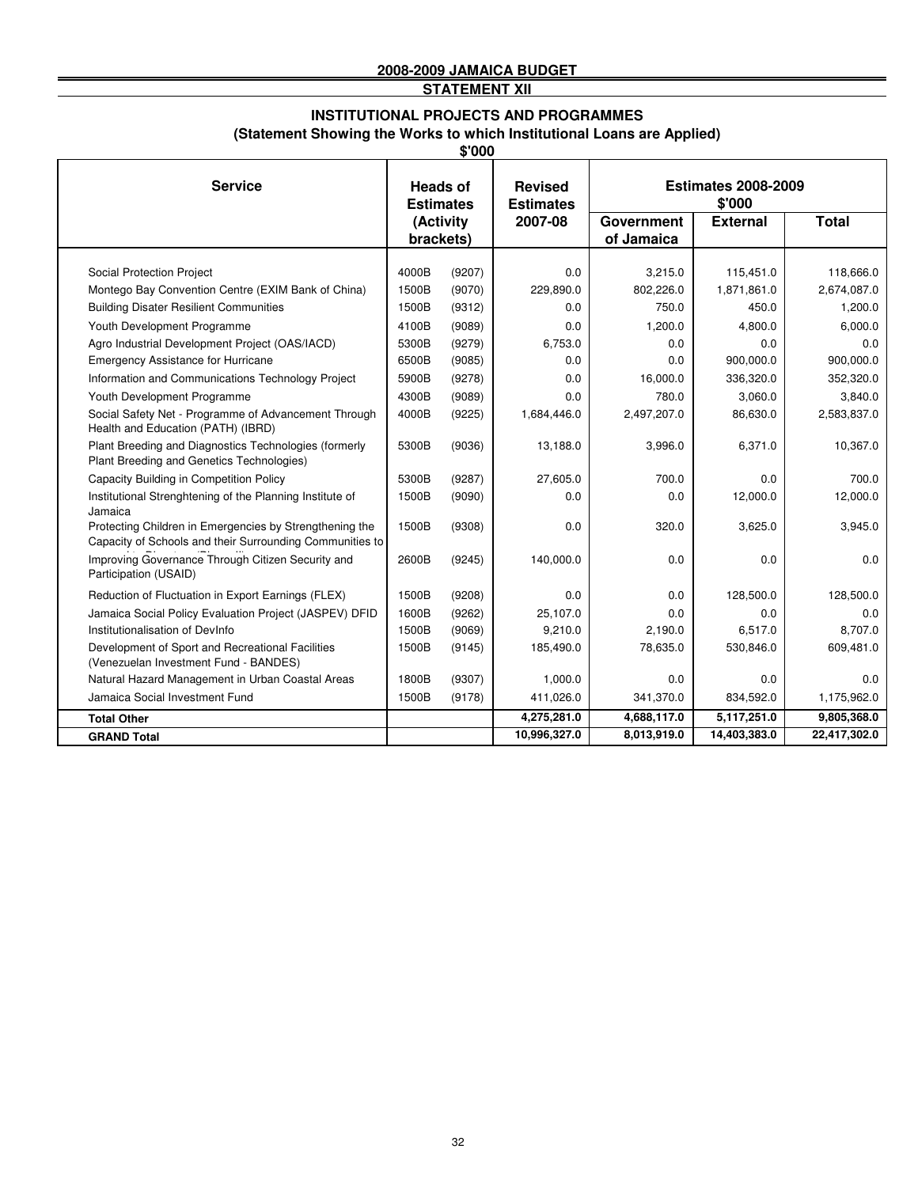**STATEMENT XII**

#### **(Statement Showing the Works to which Institutional Loans are Applied) INSTITUTIONAL PROJECTS AND PROGRAMMES**

|                                                                                                                     |                                     |                        | \$'000                             |                                      |                 |              |  |  |  |  |
|---------------------------------------------------------------------------------------------------------------------|-------------------------------------|------------------------|------------------------------------|--------------------------------------|-----------------|--------------|--|--|--|--|
| <b>Service</b>                                                                                                      | <b>Heads of</b><br><b>Estimates</b> |                        | <b>Revised</b><br><b>Estimates</b> | <b>Estimates 2008-2009</b><br>\$'000 |                 |              |  |  |  |  |
|                                                                                                                     |                                     | (Activity<br>brackets) | 2007-08                            | Government<br>of Jamaica             | <b>External</b> | <b>Total</b> |  |  |  |  |
|                                                                                                                     |                                     |                        |                                    |                                      |                 |              |  |  |  |  |
| Social Protection Project                                                                                           | 4000B                               | (9207)                 | 0.0                                | 3,215.0                              | 115,451.0       | 118.666.0    |  |  |  |  |
| Montego Bay Convention Centre (EXIM Bank of China)                                                                  | 1500B                               | (9070)                 | 229,890.0                          | 802,226.0                            | 1,871,861.0     | 2,674,087.0  |  |  |  |  |
| <b>Building Disater Resilient Communities</b>                                                                       | 1500B                               | (9312)                 | 0.0                                | 750.0                                | 450.0           | 1,200.0      |  |  |  |  |
| Youth Development Programme                                                                                         | 4100B                               | (9089)                 | 0.0                                | 1,200.0                              | 4,800.0         | 6,000.0      |  |  |  |  |
| Agro Industrial Development Project (OAS/IACD)                                                                      | 5300B                               | (9279)                 | 6,753.0                            | 0.0                                  | 0.0             | 0.0          |  |  |  |  |
| <b>Emergency Assistance for Hurricane</b>                                                                           | 6500B                               | (9085)                 | 0.0                                | 0.0                                  | 900,000.0       | 900,000.0    |  |  |  |  |
| Information and Communications Technology Project                                                                   | 5900B                               | (9278)                 | 0.0                                | 16,000.0                             | 336,320.0       | 352,320.0    |  |  |  |  |
| Youth Development Programme                                                                                         | 4300B                               | (9089)                 | 0.0                                | 780.0                                | 3,060.0         | 3,840.0      |  |  |  |  |
| Social Safety Net - Programme of Advancement Through<br>Health and Education (PATH) (IBRD)                          | 4000B                               | (9225)                 | 1,684,446.0                        | 2,497,207.0                          | 86,630.0        | 2,583,837.0  |  |  |  |  |
| Plant Breeding and Diagnostics Technologies (formerly<br>Plant Breeding and Genetics Technologies)                  | 5300B                               | (9036)                 | 13,188.0                           | 3,996.0                              | 6,371.0         | 10,367.0     |  |  |  |  |
| Capacity Building in Competition Policy                                                                             | 5300B                               | (9287)                 | 27,605.0                           | 700.0                                | 0.0             | 700.0        |  |  |  |  |
| Institutional Strenghtening of the Planning Institute of<br>Jamaica                                                 | 1500B                               | (9090)                 | 0.0                                | 0.0                                  | 12,000.0        | 12,000.0     |  |  |  |  |
| Protecting Children in Emergencies by Strengthening the<br>Capacity of Schools and their Surrounding Communities to | 1500B                               | (9308)                 | 0.0                                | 320.0                                | 3,625.0         | 3,945.0      |  |  |  |  |
| Improving Governance Through Citizen Security and<br>Participation (USAID)                                          | 2600B                               | (9245)                 | 140,000.0                          | 0.0                                  | 0.0             | 0.0          |  |  |  |  |
| Reduction of Fluctuation in Export Earnings (FLEX)                                                                  | 1500B                               | (9208)                 | 0.0                                | 0.0                                  | 128,500.0       | 128,500.0    |  |  |  |  |
| Jamaica Social Policy Evaluation Project (JASPEV) DFID                                                              | 1600B                               | (9262)                 | 25,107.0                           | 0.0                                  | 0.0             | 0.0          |  |  |  |  |
| Institutionalisation of DevInfo                                                                                     | 1500B                               | (9069)                 | 9,210.0                            | 2,190.0                              | 6,517.0         | 8.707.0      |  |  |  |  |
| Development of Sport and Recreational Facilities<br>(Venezuelan Investment Fund - BANDES)                           | 1500B                               | (9145)                 | 185,490.0                          | 78,635.0                             | 530,846.0       | 609,481.0    |  |  |  |  |
| Natural Hazard Management in Urban Coastal Areas                                                                    | 1800B                               | (9307)                 | 1,000.0                            | 0.0                                  | 0.0             | 0.0          |  |  |  |  |
| Jamaica Social Investment Fund                                                                                      | 1500B                               | (9178)                 | 411,026.0                          | 341,370.0                            | 834,592.0       | 1,175,962.0  |  |  |  |  |
| <b>Total Other</b>                                                                                                  |                                     |                        | 4,275,281.0                        | 4,688,117.0                          | 5,117,251.0     | 9,805,368.0  |  |  |  |  |
| <b>GRAND Total</b>                                                                                                  |                                     |                        | 10,996,327.0                       | 8,013,919.0                          | 14,403,383.0    | 22,417,302.0 |  |  |  |  |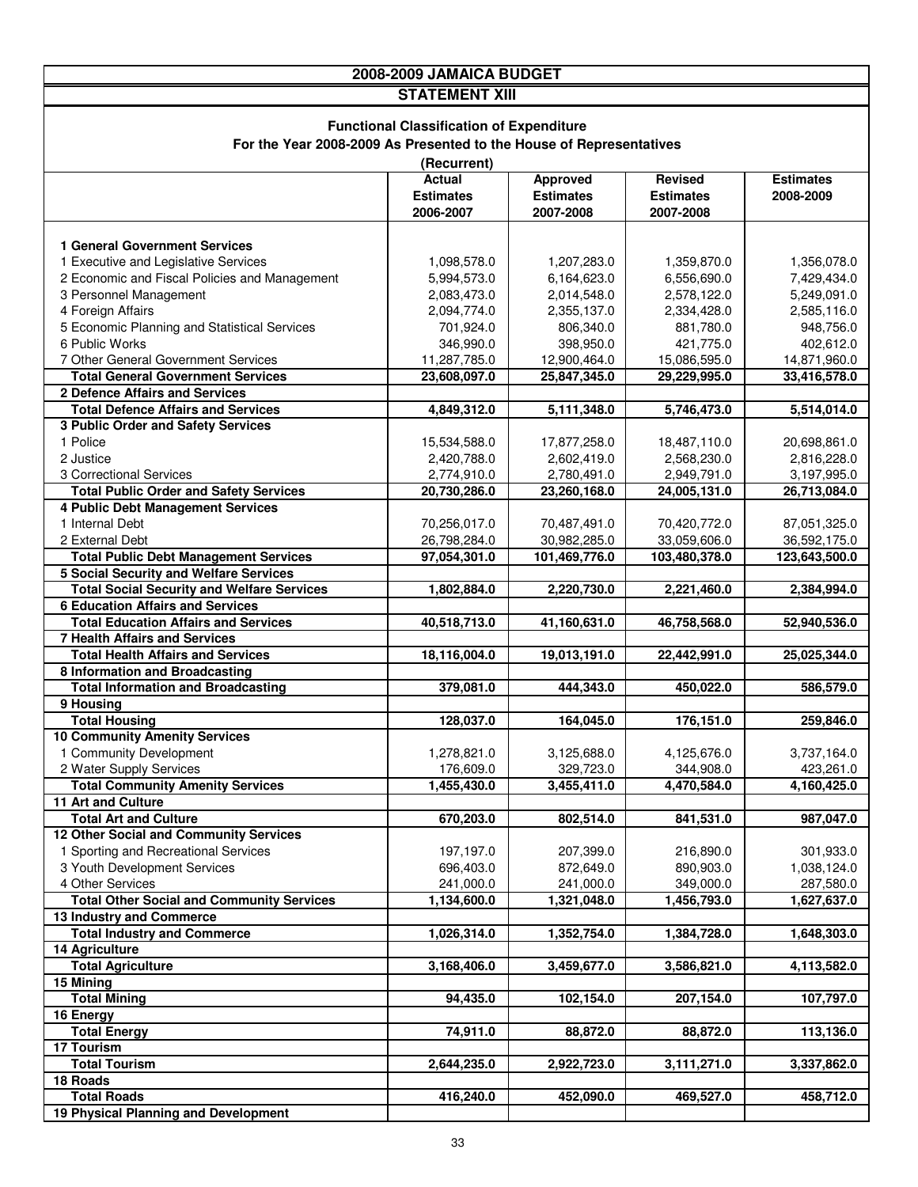|                                                                                | 2008-2009 JAMAICA BUDGET                        |                             |                             |                             |  |  |  |  |
|--------------------------------------------------------------------------------|-------------------------------------------------|-----------------------------|-----------------------------|-----------------------------|--|--|--|--|
|                                                                                | <b>STATEMENT XIII</b>                           |                             |                             |                             |  |  |  |  |
|                                                                                |                                                 |                             |                             |                             |  |  |  |  |
|                                                                                | <b>Functional Classification of Expenditure</b> |                             |                             |                             |  |  |  |  |
| For the Year 2008-2009 As Presented to the House of Representatives            |                                                 |                             |                             |                             |  |  |  |  |
|                                                                                | (Recurrent)                                     |                             |                             |                             |  |  |  |  |
|                                                                                | Actual                                          | <b>Approved</b>             | Revised                     | <b>Estimates</b>            |  |  |  |  |
|                                                                                | <b>Estimates</b>                                | <b>Estimates</b>            | <b>Estimates</b>            | 2008-2009                   |  |  |  |  |
|                                                                                | 2006-2007                                       | 2007-2008                   | 2007-2008                   |                             |  |  |  |  |
|                                                                                |                                                 |                             |                             |                             |  |  |  |  |
| <b>1 General Government Services</b><br>1 Executive and Legislative Services   |                                                 |                             |                             |                             |  |  |  |  |
| 2 Economic and Fiscal Policies and Management                                  | 1,098,578.0<br>5,994,573.0                      | 1,207,283.0<br>6,164,623.0  | 1,359,870.0<br>6,556,690.0  | 1,356,078.0<br>7,429,434.0  |  |  |  |  |
| 3 Personnel Management                                                         | 2,083,473.0                                     | 2,014,548.0                 | 2,578,122.0                 | 5,249,091.0                 |  |  |  |  |
| 4 Foreign Affairs                                                              | 2,094,774.0                                     | 2,355,137.0                 | 2,334,428.0                 | 2,585,116.0                 |  |  |  |  |
| 5 Economic Planning and Statistical Services                                   | 701,924.0                                       | 806,340.0                   | 881,780.0                   | 948,756.0                   |  |  |  |  |
| 6 Public Works                                                                 | 346,990.0                                       | 398,950.0                   | 421,775.0                   | 402,612.0                   |  |  |  |  |
| 7 Other General Government Services                                            | 11,287,785.0                                    | 12,900,464.0                | 15,086,595.0                | 14,871,960.0                |  |  |  |  |
| <b>Total General Government Services</b>                                       | 23,608,097.0                                    | 25,847,345.0                | 29,229,995.0                | 33,416,578.0                |  |  |  |  |
| 2 Defence Affairs and Services                                                 |                                                 |                             |                             |                             |  |  |  |  |
| <b>Total Defence Affairs and Services</b>                                      | 4,849,312.0                                     | 5,111,348.0                 | 5,746,473.0                 | 5,514,014.0                 |  |  |  |  |
| 3 Public Order and Safety Services                                             |                                                 |                             |                             |                             |  |  |  |  |
| 1 Police                                                                       | 15,534,588.0                                    | 17,877,258.0                | 18,487,110.0                | 20,698,861.0                |  |  |  |  |
| 2 Justice                                                                      | 2,420,788.0                                     | 2,602,419.0                 | 2,568,230.0                 | 2,816,228.0                 |  |  |  |  |
| 3 Correctional Services<br><b>Total Public Order and Safety Services</b>       | 2,774,910.0<br>20,730,286.0                     | 2,780,491.0<br>23,260,168.0 | 2,949,791.0<br>24,005,131.0 | 3,197,995.0<br>26,713,084.0 |  |  |  |  |
| 4 Public Debt Management Services                                              |                                                 |                             |                             |                             |  |  |  |  |
| 1 Internal Debt                                                                | 70,256,017.0                                    | 70,487,491.0                | 70,420,772.0                | 87,051,325.0                |  |  |  |  |
| 2 External Debt                                                                | 26,798,284.0                                    | 30,982,285.0                | 33,059,606.0                | 36,592,175.0                |  |  |  |  |
| <b>Total Public Debt Management Services</b>                                   | 97,054,301.0                                    | 101,469,776.0               | 103,480,378.0               | 123,643,500.0               |  |  |  |  |
| <b>5 Social Security and Welfare Services</b>                                  |                                                 |                             |                             |                             |  |  |  |  |
| <b>Total Social Security and Welfare Services</b>                              | 1,802,884.0                                     | 2,220,730.0                 | 2,221,460.0                 | 2,384,994.0                 |  |  |  |  |
| <b>6 Education Affairs and Services</b>                                        |                                                 |                             |                             |                             |  |  |  |  |
| <b>Total Education Affairs and Services</b>                                    | 40,518,713.0                                    | 41,160,631.0                | 46,758,568.0                | 52,940,536.0                |  |  |  |  |
| <b>7 Health Affairs and Services</b>                                           |                                                 |                             |                             |                             |  |  |  |  |
| <b>Total Health Affairs and Services</b><br>8 Information and Broadcasting     | 18,116,004.0                                    | 19,013,191.0                | 22,442,991.0                | 25,025,344.0                |  |  |  |  |
| <b>Total Information and Broadcasting</b>                                      | 379,081.0                                       | 444,343.0                   | 450,022.0                   | 586,579.0                   |  |  |  |  |
| 9 Housing                                                                      |                                                 |                             |                             |                             |  |  |  |  |
| <b>Total Housing</b>                                                           | 128,037.0                                       | 164,045.0                   | 176,151.0                   | 259,846.0                   |  |  |  |  |
| <b>10 Community Amenity Services</b>                                           |                                                 |                             |                             |                             |  |  |  |  |
| 1 Community Development                                                        | 1,278,821.0                                     | 3,125,688.0                 | 4,125,676.0                 | 3,737,164.0                 |  |  |  |  |
| 2 Water Supply Services                                                        | 176,609.0                                       | 329,723.0                   | 344,908.0                   | 423,261.0                   |  |  |  |  |
| <b>Total Community Amenity Services</b>                                        | 1,455,430.0                                     | 3,455,411.0                 | 4,470,584.0                 | 4,160,425.0                 |  |  |  |  |
| 11 Art and Culture                                                             |                                                 |                             |                             |                             |  |  |  |  |
| <b>Total Art and Culture</b>                                                   | 670,203.0                                       | 802,514.0                   | 841,531.0                   | 987,047.0                   |  |  |  |  |
| 12 Other Social and Community Services<br>1 Sporting and Recreational Services | 197,197.0                                       | 207,399.0                   | 216,890.0                   | 301,933.0                   |  |  |  |  |
| 3 Youth Development Services                                                   | 696,403.0                                       | 872,649.0                   | 890,903.0                   | 1,038,124.0                 |  |  |  |  |
| 4 Other Services                                                               | 241,000.0                                       | 241,000.0                   | 349,000.0                   | 287,580.0                   |  |  |  |  |
| <b>Total Other Social and Community Services</b>                               | 1,134,600.0                                     | 1,321,048.0                 | 1,456,793.0                 | 1,627,637.0                 |  |  |  |  |
| 13 Industry and Commerce                                                       |                                                 |                             |                             |                             |  |  |  |  |
| <b>Total Industry and Commerce</b>                                             | 1,026,314.0                                     | 1,352,754.0                 | 1,384,728.0                 | 1,648,303.0                 |  |  |  |  |
| 14 Agriculture                                                                 |                                                 |                             |                             |                             |  |  |  |  |
| <b>Total Agriculture</b>                                                       | 3,168,406.0                                     | 3,459,677.0                 | 3,586,821.0                 | 4,113,582.0                 |  |  |  |  |
| 15 Mining                                                                      |                                                 |                             |                             |                             |  |  |  |  |
| <b>Total Mining</b>                                                            | 94,435.0                                        | 102,154.0                   | 207,154.0                   | 107,797.0                   |  |  |  |  |
| 16 Energy<br><b>Total Energy</b>                                               | 74,911.0                                        | 88,872.0                    | 88,872.0                    | 113,136.0                   |  |  |  |  |
| 17 Tourism                                                                     |                                                 |                             |                             |                             |  |  |  |  |
| <b>Total Tourism</b>                                                           | 2,644,235.0                                     | 2,922,723.0                 | 3,111,271.0                 | 3,337,862.0                 |  |  |  |  |
| 18 Roads                                                                       |                                                 |                             |                             |                             |  |  |  |  |
| <b>Total Roads</b>                                                             | 416,240.0                                       | 452,090.0                   | 469,527.0                   | 458,712.0                   |  |  |  |  |
| 19 Physical Planning and Development                                           |                                                 |                             |                             |                             |  |  |  |  |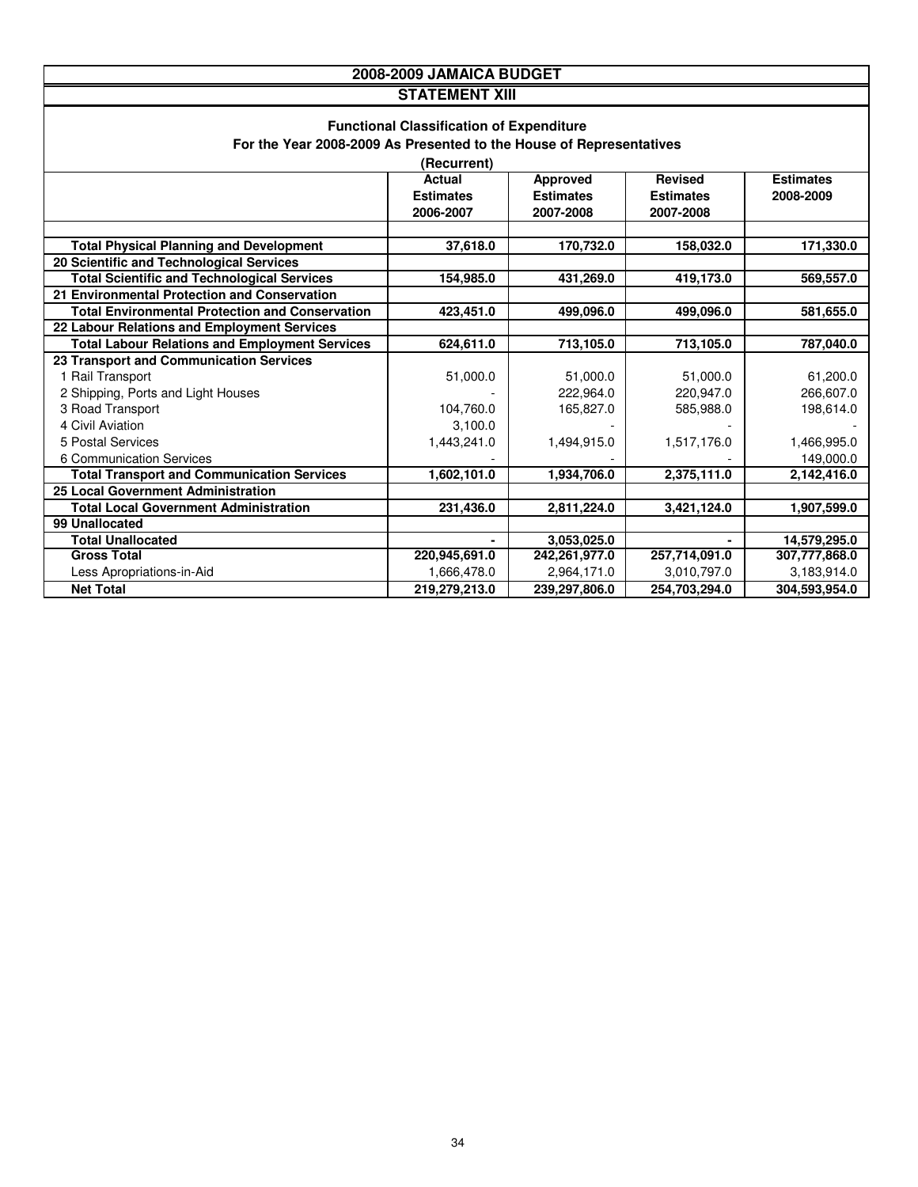|                                                                                                                                                                                        | 2008-2009 JAMAICA BUDGET |               |               |               |  |  |
|----------------------------------------------------------------------------------------------------------------------------------------------------------------------------------------|--------------------------|---------------|---------------|---------------|--|--|
|                                                                                                                                                                                        | <b>STATEMENT XIII</b>    |               |               |               |  |  |
| <b>Functional Classification of Expenditure</b><br>For the Year 2008-2009 As Presented to the House of Representatives<br>(Recurrent)                                                  |                          |               |               |               |  |  |
| <b>Actual</b><br><b>Approved</b><br><b>Revised</b><br><b>Estimates</b><br><b>Estimates</b><br><b>Estimates</b><br><b>Estimates</b><br>2008-2009<br>2006-2007<br>2007-2008<br>2007-2008 |                          |               |               |               |  |  |
| <b>Total Physical Planning and Development</b>                                                                                                                                         | 37,618.0                 | 170,732.0     |               | 171,330.0     |  |  |
| 20 Scientific and Technological Services                                                                                                                                               |                          |               | 158,032.0     |               |  |  |
| <b>Total Scientific and Technological Services</b>                                                                                                                                     | 154,985.0                | 431,269.0     | 419,173.0     | 569,557.0     |  |  |
| 21 Environmental Protection and Conservation                                                                                                                                           |                          |               |               |               |  |  |
| <b>Total Environmental Protection and Conservation</b>                                                                                                                                 | 423,451.0                | 499,096.0     | 499,096.0     | 581,655.0     |  |  |
| 22 Labour Relations and Employment Services                                                                                                                                            |                          |               |               |               |  |  |
| <b>Total Labour Relations and Employment Services</b>                                                                                                                                  | 624,611.0                | 713,105.0     | 713,105.0     | 787,040.0     |  |  |
| 23 Transport and Communication Services                                                                                                                                                |                          |               |               |               |  |  |
| 1 Rail Transport                                                                                                                                                                       | 51,000.0                 | 51,000.0      | 51,000.0      | 61,200.0      |  |  |
| 2 Shipping, Ports and Light Houses                                                                                                                                                     |                          | 222,964.0     | 220,947.0     | 266,607.0     |  |  |
| 3 Road Transport                                                                                                                                                                       | 104,760.0                | 165,827.0     | 585,988.0     | 198,614.0     |  |  |
| 4 Civil Aviation                                                                                                                                                                       | 3,100.0                  |               |               |               |  |  |
| 5 Postal Services                                                                                                                                                                      | 1,443,241.0              | 1,494,915.0   | 1,517,176.0   | 1,466,995.0   |  |  |
| 6 Communication Services                                                                                                                                                               |                          |               |               | 149,000.0     |  |  |
| <b>Total Transport and Communication Services</b>                                                                                                                                      | 1,602,101.0              | 1,934,706.0   | 2,375,111.0   | 2,142,416.0   |  |  |
| 25 Local Government Administration                                                                                                                                                     |                          |               |               |               |  |  |
| <b>Total Local Government Administration</b>                                                                                                                                           | 231,436.0                | 2,811,224.0   | 3,421,124.0   | 1,907,599.0   |  |  |
| 99 Unallocated                                                                                                                                                                         |                          |               |               |               |  |  |
| <b>Total Unallocated</b>                                                                                                                                                               |                          | 3,053,025.0   |               | 14,579,295.0  |  |  |
| <b>Gross Total</b>                                                                                                                                                                     | 220,945,691.0            | 242,261,977.0 | 257,714,091.0 | 307,777,868.0 |  |  |
| Less Apropriations-in-Aid                                                                                                                                                              | 1,666,478.0              | 2,964,171.0   | 3,010,797.0   | 3,183,914.0   |  |  |
| <b>Net Total</b>                                                                                                                                                                       | 219,279,213.0            | 239.297.806.0 | 254,703,294.0 | 304.593.954.0 |  |  |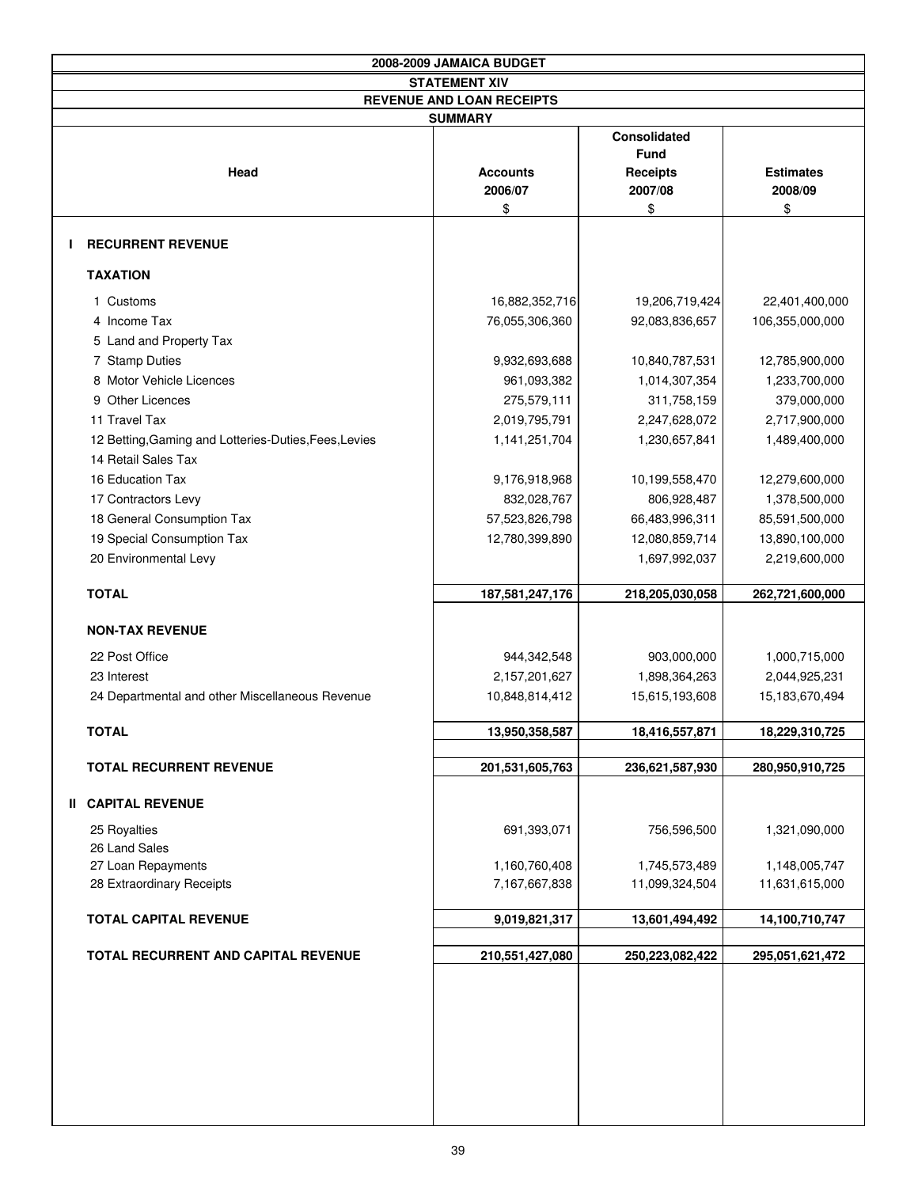| 2008-2009 JAMAICA BUDGET                              |                                  |                                                                  |                             |  |  |  |
|-------------------------------------------------------|----------------------------------|------------------------------------------------------------------|-----------------------------|--|--|--|
|                                                       | <b>STATEMENT XIV</b>             |                                                                  |                             |  |  |  |
|                                                       | <b>REVENUE AND LOAN RECEIPTS</b> |                                                                  |                             |  |  |  |
|                                                       | <b>SUMMARY</b>                   |                                                                  |                             |  |  |  |
| Head                                                  | <b>Accounts</b><br>2006/07       | <b>Consolidated</b><br><b>Fund</b><br><b>Receipts</b><br>2007/08 | <b>Estimates</b><br>2008/09 |  |  |  |
|                                                       | \$                               | \$                                                               | \$                          |  |  |  |
| <b>RECURRENT REVENUE</b>                              |                                  |                                                                  |                             |  |  |  |
| <b>TAXATION</b>                                       |                                  |                                                                  |                             |  |  |  |
| 1 Customs                                             | 16,882,352,716                   | 19,206,719,424                                                   | 22,401,400,000              |  |  |  |
| 4 Income Tax                                          | 76,055,306,360                   | 92,083,836,657                                                   | 106,355,000,000             |  |  |  |
| 5 Land and Property Tax                               |                                  |                                                                  |                             |  |  |  |
| 7 Stamp Duties                                        | 9,932,693,688                    | 10,840,787,531                                                   | 12,785,900,000              |  |  |  |
| 8 Motor Vehicle Licences                              | 961,093,382                      | 1,014,307,354                                                    | 1,233,700,000               |  |  |  |
| 9 Other Licences                                      | 275,579,111                      | 311,758,159                                                      | 379,000,000                 |  |  |  |
| 11 Travel Tax                                         | 2,019,795,791                    | 2,247,628,072                                                    | 2,717,900,000               |  |  |  |
| 12 Betting, Gaming and Lotteries-Duties, Fees, Levies | 1,141,251,704                    | 1,230,657,841                                                    | 1,489,400,000               |  |  |  |
| 14 Retail Sales Tax                                   |                                  |                                                                  |                             |  |  |  |
| 16 Education Tax                                      | 9,176,918,968                    | 10,199,558,470                                                   | 12,279,600,000              |  |  |  |
| 17 Contractors Levy                                   | 832,028,767                      | 806,928,487                                                      | 1,378,500,000               |  |  |  |
| 18 General Consumption Tax                            | 57,523,826,798                   | 66,483,996,311                                                   | 85,591,500,000              |  |  |  |
| 19 Special Consumption Tax                            | 12,780,399,890                   | 12,080,859,714                                                   | 13,890,100,000              |  |  |  |
| 20 Environmental Levy                                 |                                  | 1,697,992,037                                                    | 2,219,600,000               |  |  |  |
| <b>TOTAL</b>                                          |                                  |                                                                  |                             |  |  |  |
|                                                       | 187,581,247,176                  | 218,205,030,058                                                  | 262,721,600,000             |  |  |  |
| <b>NON-TAX REVENUE</b>                                |                                  |                                                                  |                             |  |  |  |
| 22 Post Office                                        | 944,342,548                      | 903,000,000                                                      | 1,000,715,000               |  |  |  |
| 23 Interest                                           | 2,157,201,627                    | 1,898,364,263                                                    | 2,044,925,231               |  |  |  |
| 24 Departmental and other Miscellaneous Revenue       | 10,848,814,412                   | 15,615,193,608                                                   | 15,183,670,494              |  |  |  |
| <b>TOTAL</b>                                          | 13,950,358,587                   | 18,416,557,871                                                   | 18,229,310,725              |  |  |  |
|                                                       |                                  |                                                                  |                             |  |  |  |
| <b>TOTAL RECURRENT REVENUE</b>                        | 201,531,605,763                  | 236,621,587,930                                                  | 280,950,910,725             |  |  |  |
| <b>II CAPITAL REVENUE</b>                             |                                  |                                                                  |                             |  |  |  |
| 25 Royalties<br>26 Land Sales                         | 691,393,071                      | 756,596,500                                                      | 1,321,090,000               |  |  |  |
| 27 Loan Repayments                                    | 1,160,760,408                    | 1,745,573,489                                                    | 1,148,005,747               |  |  |  |
| 28 Extraordinary Receipts                             | 7,167,667,838                    | 11,099,324,504                                                   | 11,631,615,000              |  |  |  |
|                                                       |                                  |                                                                  |                             |  |  |  |
| <b>TOTAL CAPITAL REVENUE</b>                          | 9,019,821,317                    | 13,601,494,492                                                   | 14,100,710,747              |  |  |  |
| <b>TOTAL RECURRENT AND CAPITAL REVENUE</b>            | 210,551,427,080                  | 250,223,082,422                                                  | 295,051,621,472             |  |  |  |
|                                                       |                                  |                                                                  |                             |  |  |  |
|                                                       |                                  |                                                                  |                             |  |  |  |
|                                                       |                                  |                                                                  |                             |  |  |  |
|                                                       |                                  |                                                                  |                             |  |  |  |
|                                                       |                                  |                                                                  |                             |  |  |  |
|                                                       |                                  |                                                                  |                             |  |  |  |
|                                                       |                                  |                                                                  |                             |  |  |  |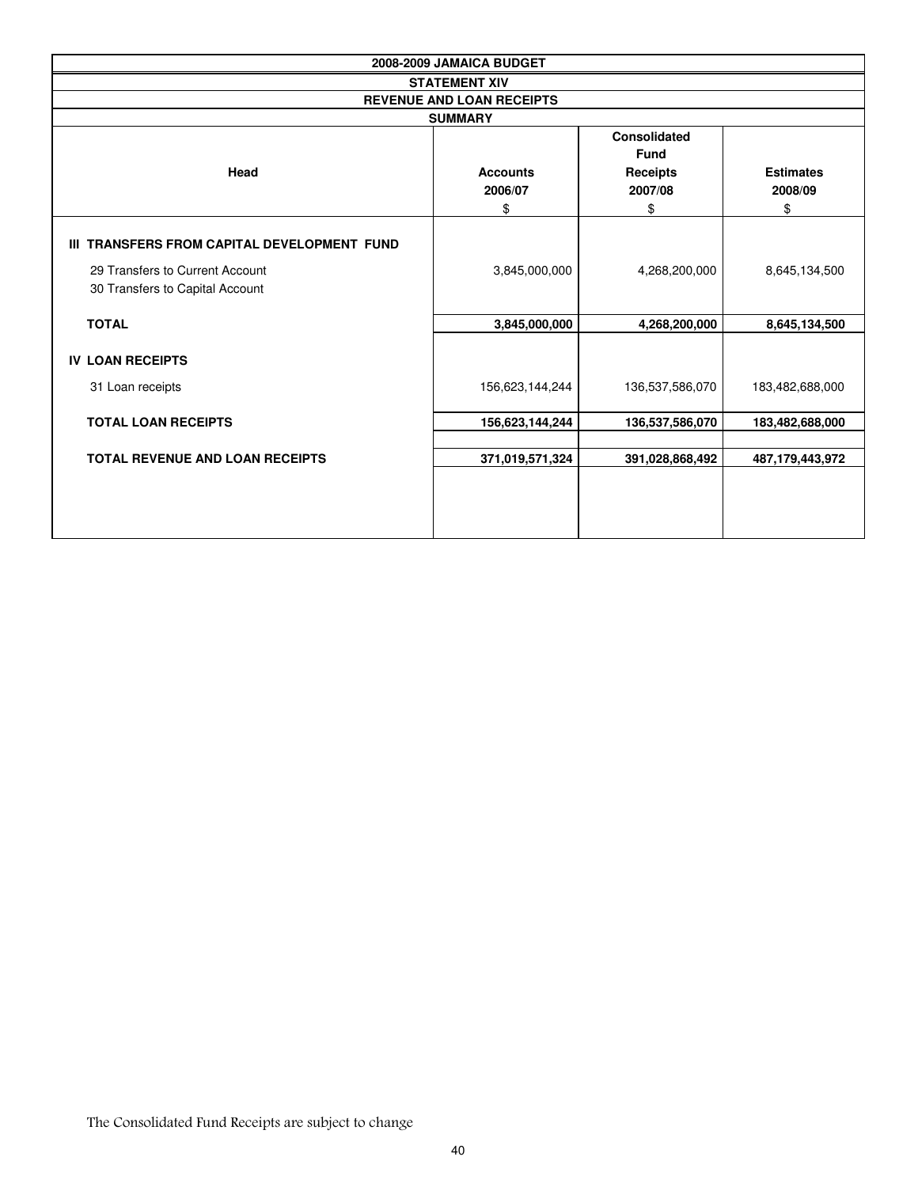| 2008-2009 JAMAICA BUDGET                                           |                                  |                                                                        |                                   |  |  |  |  |  |  |
|--------------------------------------------------------------------|----------------------------------|------------------------------------------------------------------------|-----------------------------------|--|--|--|--|--|--|
|                                                                    | <b>STATEMENT XIV</b>             |                                                                        |                                   |  |  |  |  |  |  |
| <b>REVENUE AND LOAN RECEIPTS</b>                                   |                                  |                                                                        |                                   |  |  |  |  |  |  |
|                                                                    | <b>SUMMARY</b>                   |                                                                        |                                   |  |  |  |  |  |  |
| Head                                                               | <b>Accounts</b><br>2006/07<br>\$ | <b>Consolidated</b><br><b>Fund</b><br><b>Receipts</b><br>2007/08<br>\$ | <b>Estimates</b><br>2008/09<br>\$ |  |  |  |  |  |  |
| III TRANSFERS FROM CAPITAL DEVELOPMENT FUND                        |                                  |                                                                        |                                   |  |  |  |  |  |  |
| 29 Transfers to Current Account<br>30 Transfers to Capital Account | 3,845,000,000                    | 4,268,200,000                                                          | 8,645,134,500                     |  |  |  |  |  |  |
| <b>TOTAL</b>                                                       | 3,845,000,000                    | 4,268,200,000                                                          | 8,645,134,500                     |  |  |  |  |  |  |
| <b>IV LOAN RECEIPTS</b>                                            |                                  |                                                                        |                                   |  |  |  |  |  |  |
| 31 Loan receipts                                                   | 156,623,144,244                  | 136,537,586,070                                                        | 183,482,688,000                   |  |  |  |  |  |  |
| <b>TOTAL LOAN RECEIPTS</b>                                         | 156,623,144,244                  | 136,537,586,070                                                        | 183,482,688,000                   |  |  |  |  |  |  |
| <b>TOTAL REVENUE AND LOAN RECEIPTS</b>                             | 371,019,571,324                  | 391,028,868,492                                                        | 487,179,443,972                   |  |  |  |  |  |  |
|                                                                    |                                  |                                                                        |                                   |  |  |  |  |  |  |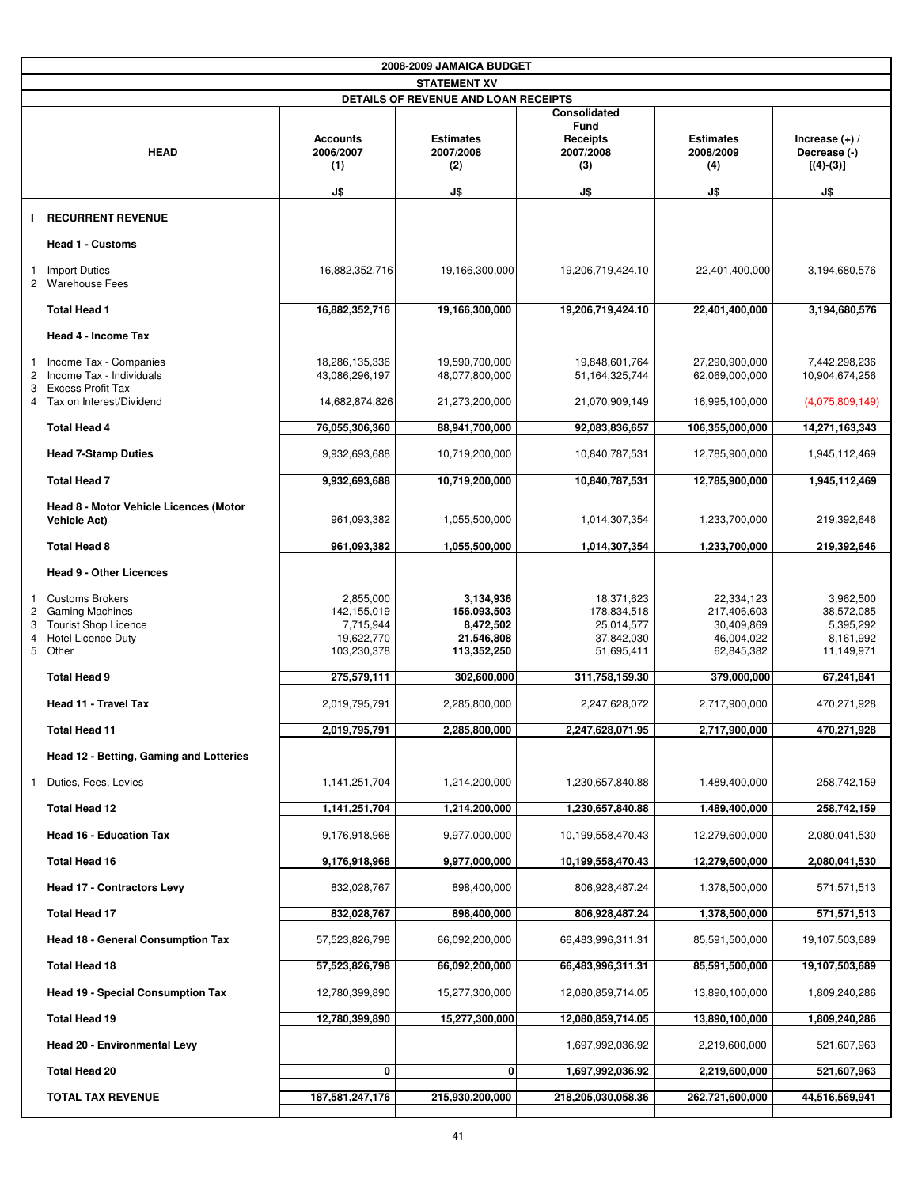|             |                                                                                                                    |                                                                    | 2008-2009 JAMAICA BUDGET                                           |                                                                     |                                                                     |                                                                 |
|-------------|--------------------------------------------------------------------------------------------------------------------|--------------------------------------------------------------------|--------------------------------------------------------------------|---------------------------------------------------------------------|---------------------------------------------------------------------|-----------------------------------------------------------------|
|             |                                                                                                                    |                                                                    | <b>STATEMENT XV</b>                                                |                                                                     |                                                                     |                                                                 |
|             |                                                                                                                    |                                                                    | DETAILS OF REVENUE AND LOAN RECEIPTS                               |                                                                     |                                                                     |                                                                 |
|             | <b>HEAD</b>                                                                                                        | <b>Accounts</b><br>2006/2007<br>(1)                                | <b>Estimates</b><br>2007/2008<br>(2)                               | Consolidated<br>Fund<br><b>Receipts</b><br>2007/2008<br>(3)         | <b>Estimates</b><br>2008/2009<br>(4)                                | Increase $(+)$ /<br>Decrease (-)<br>$[(4)-(3)]$                 |
|             |                                                                                                                    | J\$                                                                | J\$                                                                | J\$                                                                 | J\$                                                                 | J\$                                                             |
| J.          | <b>RECURRENT REVENUE</b>                                                                                           |                                                                    |                                                                    |                                                                     |                                                                     |                                                                 |
|             | <b>Head 1 - Customs</b>                                                                                            |                                                                    |                                                                    |                                                                     |                                                                     |                                                                 |
| 1.          | <b>Import Duties</b><br>2 Warehouse Fees                                                                           | 16,882,352,716                                                     | 19,166,300,000                                                     | 19,206,719,424.10                                                   | 22,401,400,000                                                      | 3,194,680,576                                                   |
|             | <b>Total Head 1</b>                                                                                                | 16,882,352,716                                                     | 19,166,300,000                                                     | 19,206,719,424.10                                                   | 22,401,400,000                                                      | 3,194,680,576                                                   |
|             | Head 4 - Income Tax                                                                                                |                                                                    |                                                                    |                                                                     |                                                                     |                                                                 |
| 1<br>2<br>3 | Income Tax - Companies<br>Income Tax - Individuals<br>Excess Profit Tax                                            | 18,286,135,336<br>43,086,296,197                                   | 19,590,700,000<br>48,077,800,000                                   | 19,848,601,764<br>51, 164, 325, 744                                 | 27,290,900,000<br>62,069,000,000                                    | 7,442,298,236<br>10,904,674,256                                 |
|             | 4 Tax on Interest/Dividend                                                                                         | 14,682,874,826                                                     | 21,273,200,000                                                     | 21,070,909,149                                                      | 16,995,100,000                                                      | (4,075,809,149)                                                 |
|             | <b>Total Head 4</b>                                                                                                | 76,055,306,360                                                     | 88,941,700,000                                                     | 92,083,836,657                                                      | 106,355,000,000                                                     | 14,271,163,343                                                  |
|             | <b>Head 7-Stamp Duties</b>                                                                                         | 9,932,693,688                                                      | 10,719,200,000                                                     | 10,840,787,531                                                      | 12,785,900,000                                                      | 1,945,112,469                                                   |
|             | <b>Total Head 7</b>                                                                                                | 9,932,693,688                                                      | 10,719,200,000                                                     | 10,840,787,531                                                      | 12,785,900,000                                                      | 1,945,112,469                                                   |
|             | Head 8 - Motor Vehicle Licences (Motor<br><b>Vehicle Act)</b>                                                      | 961,093,382                                                        | 1,055,500,000                                                      | 1,014,307,354                                                       | 1,233,700,000                                                       | 219,392,646                                                     |
|             | <b>Total Head 8</b>                                                                                                | 961,093,382                                                        | 1,055,500,000                                                      | 1,014,307,354                                                       | 1,233,700,000                                                       | 219,392,646                                                     |
|             | <b>Head 9 - Other Licences</b>                                                                                     |                                                                    |                                                                    |                                                                     |                                                                     |                                                                 |
| 2<br>3<br>4 | 1 Customs Brokers<br><b>Gaming Machines</b><br><b>Tourist Shop Licence</b><br><b>Hotel Licence Duty</b><br>5 Other | 2,855,000<br>142,155,019<br>7,715,944<br>19,622,770<br>103,230,378 | 3,134,936<br>156,093,503<br>8,472,502<br>21,546,808<br>113,352,250 | 18,371,623<br>178,834,518<br>25,014,577<br>37,842,030<br>51,695,411 | 22,334,123<br>217,406,603<br>30,409,869<br>46,004,022<br>62,845,382 | 3,962,500<br>38,572,085<br>5,395,292<br>8,161,992<br>11,149,971 |
|             | <b>Total Head 9</b>                                                                                                | 275,579,111                                                        | 302,600,000                                                        | 311,758,159.30                                                      | 379,000,000                                                         | 67,241,841                                                      |
|             | Head 11 - Travel Tax                                                                                               | 2,019,795,791                                                      | 2,285,800,000                                                      | 2,247,628,072                                                       | 2,717,900,000                                                       | 470,271,928                                                     |
|             | <b>Total Head 11</b>                                                                                               | 2,019,795,791                                                      | 2,285,800,000                                                      | 2,247,628,071.95                                                    | 2,717,900,000                                                       | 470,271,928                                                     |
|             | Head 12 - Betting, Gaming and Lotteries                                                                            |                                                                    |                                                                    |                                                                     |                                                                     |                                                                 |
|             | Duties, Fees, Levies                                                                                               | 1,141,251,704                                                      | 1,214,200,000                                                      | 1,230,657,840.88                                                    | 1,489,400,000                                                       | 258,742,159                                                     |
|             | Total Head 12                                                                                                      | 1,141,251,704                                                      | 1,214,200,000                                                      | 1,230,657,840.88                                                    | 1,489,400,000                                                       | 258,742,159                                                     |
|             | <b>Head 16 - Education Tax</b>                                                                                     | 9,176,918,968                                                      | 9,977,000,000                                                      | 10,199,558,470.43                                                   | 12,279,600,000                                                      | 2,080,041,530                                                   |
|             | <b>Total Head 16</b>                                                                                               | 9,176,918,968                                                      | 9,977,000,000                                                      | 10,199,558,470.43                                                   | 12,279,600,000                                                      | 2,080,041,530                                                   |
|             | <b>Head 17 - Contractors Levy</b>                                                                                  | 832,028,767                                                        | 898,400,000                                                        | 806,928,487.24                                                      | 1,378,500,000                                                       | 571,571,513                                                     |
|             | <b>Total Head 17</b>                                                                                               | 832,028,767                                                        | 898,400,000                                                        | 806,928,487.24                                                      | 1,378,500,000                                                       | 571,571,513                                                     |
|             | <b>Head 18 - General Consumption Tax</b>                                                                           | 57,523,826,798                                                     | 66,092,200,000                                                     | 66,483,996,311.31                                                   | 85,591,500,000                                                      | 19,107,503,689                                                  |
|             | Total Head 18                                                                                                      | 57,523,826,798                                                     | 66,092,200,000                                                     | 66,483,996,311.31                                                   | 85,591,500,000                                                      | 19,107,503,689                                                  |
|             | <b>Head 19 - Special Consumption Tax</b>                                                                           | 12,780,399,890                                                     | 15,277,300,000                                                     | 12,080,859,714.05                                                   | 13,890,100,000                                                      | 1,809,240,286                                                   |
|             | <b>Total Head 19</b>                                                                                               | 12,780,399,890                                                     | 15,277,300,000                                                     | 12,080,859,714.05                                                   | 13,890,100,000                                                      | 1,809,240,286                                                   |
|             | Head 20 - Environmental Levy                                                                                       |                                                                    |                                                                    | 1,697,992,036.92                                                    | 2,219,600,000                                                       | 521,607,963                                                     |
|             | <b>Total Head 20</b>                                                                                               | 0                                                                  | 0                                                                  | 1,697,992,036.92                                                    | 2,219,600,000                                                       | 521,607,963                                                     |
|             | <b>TOTAL TAX REVENUE</b>                                                                                           | 187,581,247,176                                                    | 215,930,200,000                                                    | 218,205,030,058.36                                                  | 262,721,600,000                                                     | 44,516,569,941                                                  |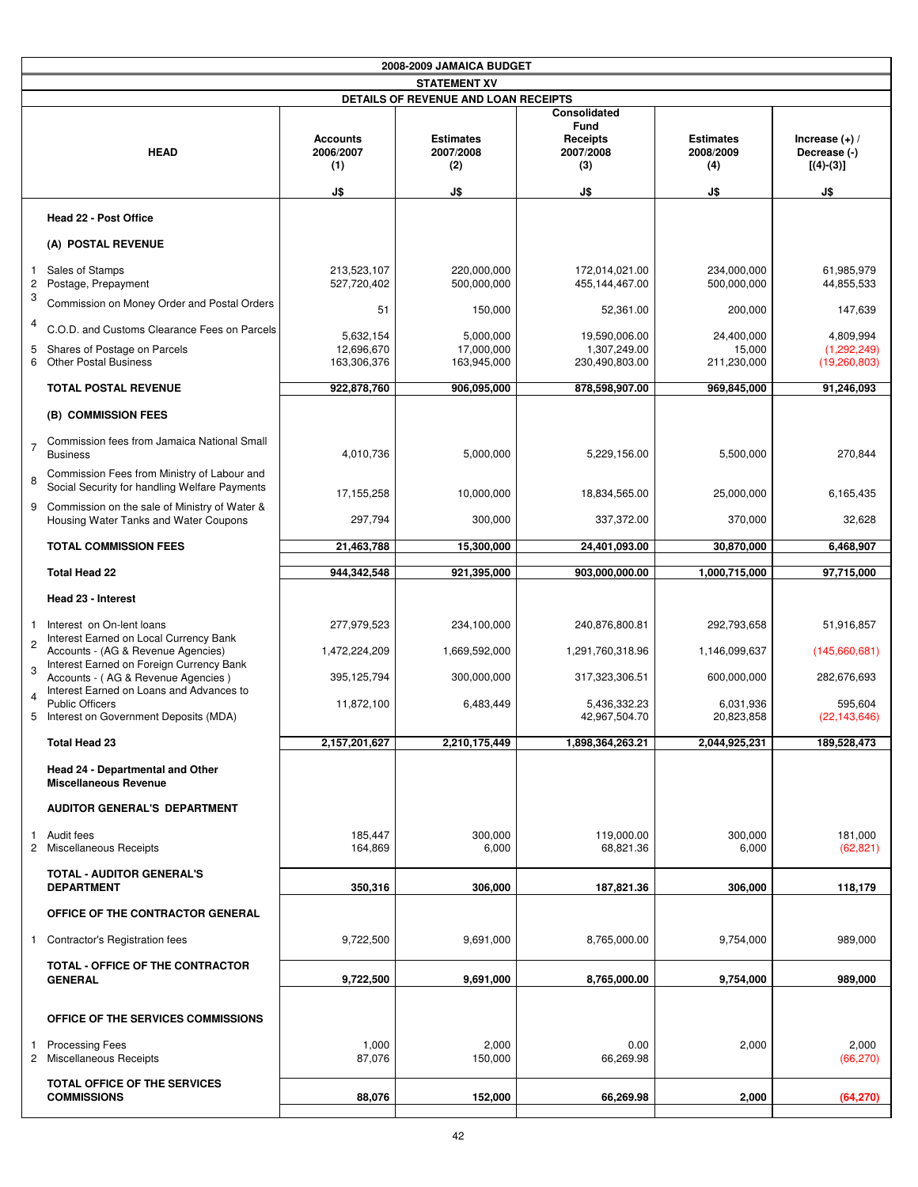|                                         |                                                                                              |                                            | 2008-2009 JAMAICA BUDGET                    |                                                                    |                                             |                                                        |
|-----------------------------------------|----------------------------------------------------------------------------------------------|--------------------------------------------|---------------------------------------------|--------------------------------------------------------------------|---------------------------------------------|--------------------------------------------------------|
|                                         |                                                                                              |                                            | <b>STATEMENT XV</b>                         |                                                                    |                                             |                                                        |
|                                         |                                                                                              |                                            | DETAILS OF REVENUE AND LOAN RECEIPTS        |                                                                    |                                             |                                                        |
|                                         | <b>HEAD</b>                                                                                  | <b>Accounts</b><br>2006/2007<br>(1)<br>J\$ | <b>Estimates</b><br>2007/2008<br>(2)<br>J\$ | Consolidated<br>Fund<br><b>Receipts</b><br>2007/2008<br>(3)<br>J\$ | <b>Estimates</b><br>2008/2009<br>(4)<br>J\$ | Increase $(+)$ /<br>Decrease (-)<br>$[(4)-(3)]$<br>J\$ |
|                                         |                                                                                              |                                            |                                             |                                                                    |                                             |                                                        |
|                                         | Head 22 - Post Office                                                                        |                                            |                                             |                                                                    |                                             |                                                        |
|                                         | (A) POSTAL REVENUE                                                                           |                                            |                                             |                                                                    |                                             |                                                        |
| $\mathbf{1}$<br>$\overline{\mathbf{c}}$ | Sales of Stamps<br>Postage, Prepayment                                                       | 213,523,107<br>527,720,402                 | 220,000,000<br>500,000,000                  | 172.014.021.00<br>455,144,467.00                                   | 234,000,000<br>500,000,000                  | 61,985,979<br>44,855,533                               |
| 3                                       | Commission on Money Order and Postal Orders                                                  | 51                                         | 150,000                                     | 52,361.00                                                          | 200,000                                     | 147,639                                                |
| 4                                       | C.O.D. and Customs Clearance Fees on Parcels                                                 | 5,632,154                                  | 5,000,000                                   | 19,590,006.00                                                      | 24,400,000                                  | 4,809,994                                              |
| 5                                       | Shares of Postage on Parcels<br>6 Other Postal Business                                      | 12,696,670<br>163,306,376                  | 17,000,000<br>163,945,000                   | 1,307,249.00<br>230,490,803.00                                     | 15,000<br>211,230,000                       | (1,292,249)<br>(19,260,803)                            |
|                                         | TOTAL POSTAL REVENUE                                                                         | 922,878,760                                | 906,095,000                                 | 878,598,907.00                                                     | 969,845,000                                 | 91,246,093                                             |
|                                         | (B) COMMISSION FEES                                                                          |                                            |                                             |                                                                    |                                             |                                                        |
| $\overline{7}$                          | Commission fees from Jamaica National Small<br><b>Business</b>                               | 4,010,736                                  | 5,000,000                                   | 5,229,156.00                                                       | 5,500,000                                   | 270,844                                                |
| 8                                       | Commission Fees from Ministry of Labour and<br>Social Security for handling Welfare Payments | 17,155,258                                 | 10,000,000                                  | 18,834,565.00                                                      | 25,000,000                                  | 6,165,435                                              |
|                                         | 9 Commission on the sale of Ministry of Water &<br>Housing Water Tanks and Water Coupons     | 297,794                                    | 300,000                                     | 337,372.00                                                         | 370,000                                     | 32,628                                                 |
|                                         | <b>TOTAL COMMISSION FEES</b>                                                                 | 21,463,788                                 | 15,300,000                                  | 24,401,093.00                                                      | 30,870,000                                  | 6,468,907                                              |
|                                         | <b>Total Head 22</b>                                                                         | 944,342,548                                | 921,395,000                                 | 903,000,000.00                                                     | 1,000,715,000                               | 97,715,000                                             |
|                                         | Head 23 - Interest                                                                           |                                            |                                             |                                                                    |                                             |                                                        |
| $\mathbf{1}$                            | Interest on On-lent loans<br>Interest Earned on Local Currency Bank                          | 277,979,523                                | 234,100,000                                 | 240,876,800.81                                                     | 292,793,658                                 | 51,916,857                                             |
| $\overline{c}$                          | Accounts - (AG & Revenue Agencies)<br>Interest Earned on Foreign Currency Bank               | 1,472,224,209                              | 1,669,592,000                               | 1,291,760,318.96                                                   | 1,146,099,637                               | (145,660,681)                                          |
| 3                                       | Accounts - (AG & Revenue Agencies)<br>Interest Earned on Loans and Advances to               | 395,125,794                                | 300,000,000                                 | 317,323,306.51                                                     | 600,000,000                                 | 282,676,693                                            |
| $\overline{4}$                          | <b>Public Officers</b><br>5 Interest on Government Deposits (MDA)                            | 11,872,100                                 | 6,483,449                                   | 5,436,332.23<br>42,967,504.70                                      | 6.031.936<br>20,823,858                     | 595,604<br>(22, 143, 646)                              |
|                                         | <b>Total Head 23</b>                                                                         | 2,157,201,627                              | 2,210,175,449                               | 1,898,364,263.21                                                   | 2,044,925,231                               | 189,528,473                                            |
|                                         | Head 24 - Departmental and Other<br><b>Miscellaneous Revenue</b>                             |                                            |                                             |                                                                    |                                             |                                                        |
|                                         | <b>AUDITOR GENERAL'S DEPARTMENT</b>                                                          |                                            |                                             |                                                                    |                                             |                                                        |
|                                         | 1 Audit fees<br>2 Miscellaneous Receipts                                                     | 185,447<br>164,869                         | 300.000<br>6,000                            | 119,000.00<br>68,821.36                                            | 300.000<br>6,000                            | 181,000<br>(62, 821)                                   |
|                                         | <b>TOTAL - AUDITOR GENERAL'S</b><br><b>DEPARTMENT</b>                                        | 350,316                                    | 306,000                                     | 187,821.36                                                         | 306,000                                     | 118,179                                                |
|                                         | OFFICE OF THE CONTRACTOR GENERAL                                                             |                                            |                                             |                                                                    |                                             |                                                        |
|                                         | 1 Contractor's Registration fees                                                             | 9,722,500                                  | 9,691,000                                   | 8,765,000.00                                                       | 9,754,000                                   | 989,000                                                |
|                                         | TOTAL - OFFICE OF THE CONTRACTOR<br><b>GENERAL</b>                                           | 9,722,500                                  | 9,691,000                                   | 8,765,000.00                                                       | 9,754,000                                   | 989,000                                                |
|                                         | OFFICE OF THE SERVICES COMMISSIONS                                                           |                                            |                                             |                                                                    |                                             |                                                        |
| 1                                       | <b>Processing Fees</b><br>2 Miscellaneous Receipts                                           | 1,000<br>87,076                            | 2,000<br>150,000                            | 0.00<br>66,269.98                                                  | 2,000                                       | 2,000<br>(66, 270)                                     |
|                                         | <b>TOTAL OFFICE OF THE SERVICES</b><br><b>COMMISSIONS</b>                                    | 88,076                                     | 152,000                                     | 66,269.98                                                          | 2,000                                       | (64, 270)                                              |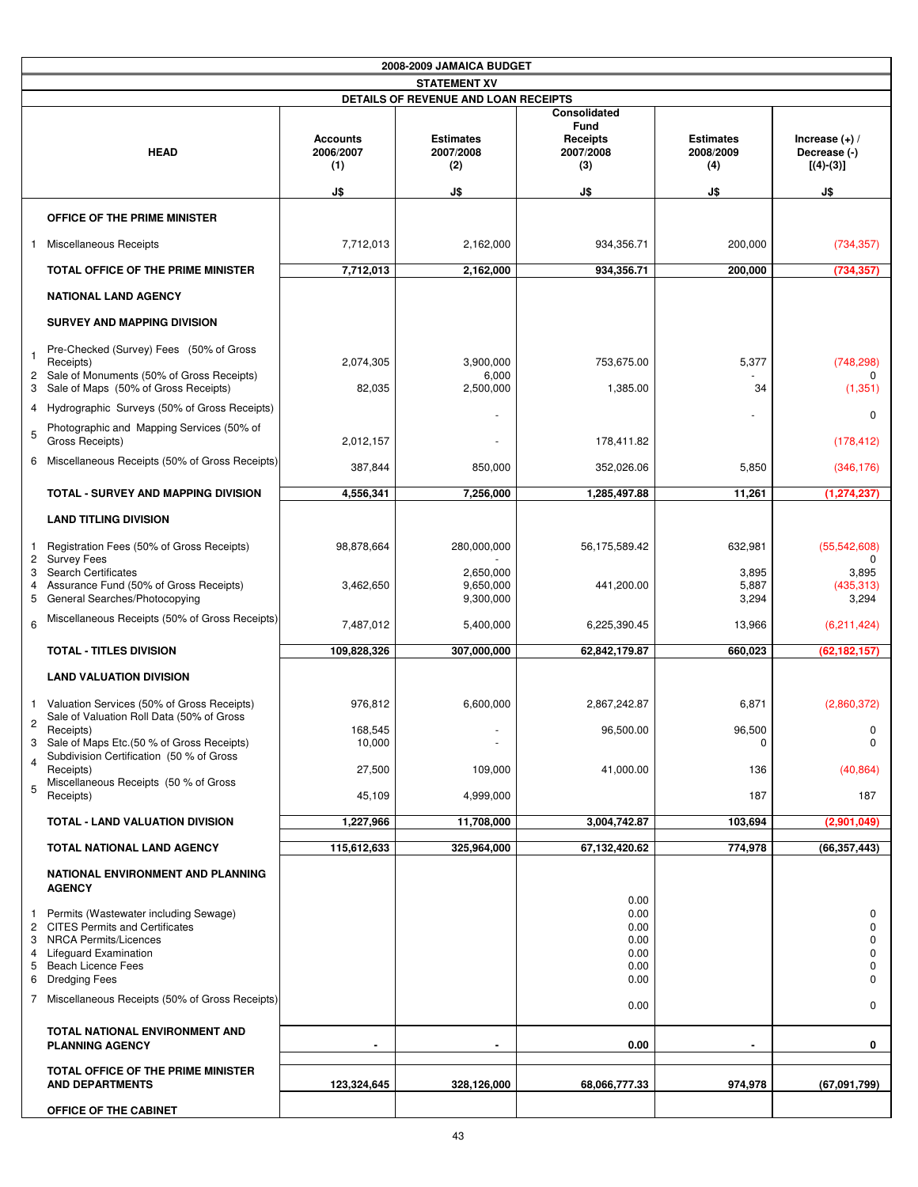|                | 2008-2009 JAMAICA BUDGET                                                                                |                                     |                                      |                                                                    |                                      |                                                 |
|----------------|---------------------------------------------------------------------------------------------------------|-------------------------------------|--------------------------------------|--------------------------------------------------------------------|--------------------------------------|-------------------------------------------------|
|                |                                                                                                         |                                     | <b>STATEMENT XV</b>                  |                                                                    |                                      |                                                 |
|                |                                                                                                         |                                     | DETAILS OF REVENUE AND LOAN RECEIPTS |                                                                    |                                      |                                                 |
|                | <b>HEAD</b>                                                                                             | <b>Accounts</b><br>2006/2007<br>(1) | <b>Estimates</b><br>2007/2008<br>(2) | Consolidated<br><b>Fund</b><br><b>Receipts</b><br>2007/2008<br>(3) | <b>Estimates</b><br>2008/2009<br>(4) | Increase $(+)$ /<br>Decrease (-)<br>$[(4)-(3)]$ |
|                |                                                                                                         | J\$                                 | J\$                                  | J\$                                                                | J\$                                  | J\$                                             |
|                | OFFICE OF THE PRIME MINISTER                                                                            |                                     |                                      |                                                                    |                                      |                                                 |
| 1              | Miscellaneous Receipts                                                                                  | 7,712,013                           | 2,162,000                            | 934,356.71                                                         | 200,000                              | (734, 357)                                      |
|                | <b>TOTAL OFFICE OF THE PRIME MINISTER</b>                                                               | 7,712,013                           | 2,162,000                            | 934,356.71                                                         | 200,000                              | (734, 357)                                      |
|                | <b>NATIONAL LAND AGENCY</b>                                                                             |                                     |                                      |                                                                    |                                      |                                                 |
|                | SURVEY AND MAPPING DIVISION                                                                             |                                     |                                      |                                                                    |                                      |                                                 |
| $\overline{1}$ | Pre-Checked (Survey) Fees (50% of Gross<br>Receipts)<br>2 Sale of Monuments (50% of Gross Receipts)     | 2,074,305                           | 3,900,000<br>6,000                   | 753,675.00                                                         | 5,377                                | (748, 298)                                      |
| 3              | Sale of Maps (50% of Gross Receipts)                                                                    | 82,035                              | 2,500,000                            | 1,385.00                                                           | 34                                   | (1, 351)                                        |
| 5              | 4 Hydrographic Surveys (50% of Gross Receipts)<br>Photographic and Mapping Services (50% of             |                                     |                                      |                                                                    |                                      | 0                                               |
|                | Gross Receipts)<br>6 Miscellaneous Receipts (50% of Gross Receipts)                                     | 2,012,157                           |                                      | 178,411.82                                                         |                                      | (178, 412)                                      |
|                |                                                                                                         | 387,844                             | 850,000                              | 352,026.06                                                         | 5,850                                | (346, 176)                                      |
|                | TOTAL - SURVEY AND MAPPING DIVISION                                                                     | 4,556,341                           | 7,256,000                            | 1,285,497.88                                                       | 11,261                               | (1, 274, 237)                                   |
|                | <b>LAND TITLING DIVISION</b>                                                                            |                                     |                                      |                                                                    |                                      |                                                 |
| 1              | Registration Fees (50% of Gross Receipts)<br>2 Survey Fees                                              | 98,878,664                          | 280,000,000                          | 56,175,589.42                                                      | 632,981                              | (55,542,608)<br>0                               |
| 3<br>4         | <b>Search Certificates</b><br>Assurance Fund (50% of Gross Receipts)<br>5 General Searches/Photocopying | 3,462,650                           | 2,650,000<br>9,650,000<br>9,300,000  | 441,200.00                                                         | 3,895<br>5,887<br>3,294              | 3,895<br>(435, 313)<br>3,294                    |
| 6              | Miscellaneous Receipts (50% of Gross Receipts)                                                          | 7,487,012                           | 5,400,000                            | 6,225,390.45                                                       | 13,966                               | (6,211,424)                                     |
|                | <b>TOTAL - TITLES DIVISION</b>                                                                          | 109,828,326                         | 307,000,000                          | 62,842,179.87                                                      | 660,023                              | (62, 182, 157)                                  |
|                | <b>LAND VALUATION DIVISION</b>                                                                          |                                     |                                      |                                                                    |                                      |                                                 |
| $\mathbf{1}$   | Valuation Services (50% of Gross Receipts)<br>Sale of Valuation Roll Data (50% of Gross                 | 976,812                             | 6,600,000                            | 2,867,242.87                                                       | 6,871                                | (2,860,372)                                     |
| $\overline{c}$ | Receipts)<br>3 Sale of Maps Etc.(50 % of Gross Receipts)<br>Subdivision Certification (50 % of Gross    | 168,545<br>10,000                   |                                      | 96,500.00                                                          | 96,500<br>0                          | 0<br>0                                          |
| $\overline{4}$ | Receipts)                                                                                               | 27,500                              | 109,000                              | 41,000.00                                                          | 136                                  | (40, 864)                                       |
| 5              | Miscellaneous Receipts (50 % of Gross<br>Receipts)                                                      | 45,109                              | 4,999,000                            |                                                                    | 187                                  | 187                                             |
|                | TOTAL - LAND VALUATION DIVISION                                                                         | 1,227,966                           | 11,708,000                           | 3,004,742.87                                                       | 103,694                              | (2,901,049)                                     |
|                | TOTAL NATIONAL LAND AGENCY                                                                              | 115,612,633                         | 325,964,000                          | 67,132,420.62                                                      | 774,978                              | (66, 357, 443)                                  |
|                | NATIONAL ENVIRONMENT AND PLANNING<br><b>AGENCY</b>                                                      |                                     |                                      |                                                                    |                                      |                                                 |
| 1.             | Permits (Wastewater including Sewage)<br>2 CITES Permits and Certificates                               |                                     |                                      | 0.00<br>0.00<br>0.00                                               |                                      | 0<br>0                                          |
|                | 3 NRCA Permits/Licences                                                                                 |                                     |                                      | 0.00                                                               |                                      | 0                                               |
| 4<br>5         | Lifeguard Examination<br><b>Beach Licence Fees</b><br>6 Dredging Fees                                   |                                     |                                      | 0.00<br>0.00<br>0.00                                               |                                      | 0<br>0<br>0                                     |
|                | 7 Miscellaneous Receipts (50% of Gross Receipts)                                                        |                                     |                                      | 0.00                                                               |                                      | $\mathbf 0$                                     |
|                | TOTAL NATIONAL ENVIRONMENT AND<br><b>PLANNING AGENCY</b>                                                |                                     |                                      | 0.00                                                               |                                      | 0                                               |
|                | TOTAL OFFICE OF THE PRIME MINISTER                                                                      |                                     |                                      |                                                                    |                                      |                                                 |
|                | <b>AND DEPARTMENTS</b>                                                                                  | 123,324,645                         | 328,126,000                          | 68,066,777.33                                                      | 974,978                              | (67,091,799)                                    |
|                | OFFICE OF THE CABINET                                                                                   |                                     |                                      |                                                                    |                                      |                                                 |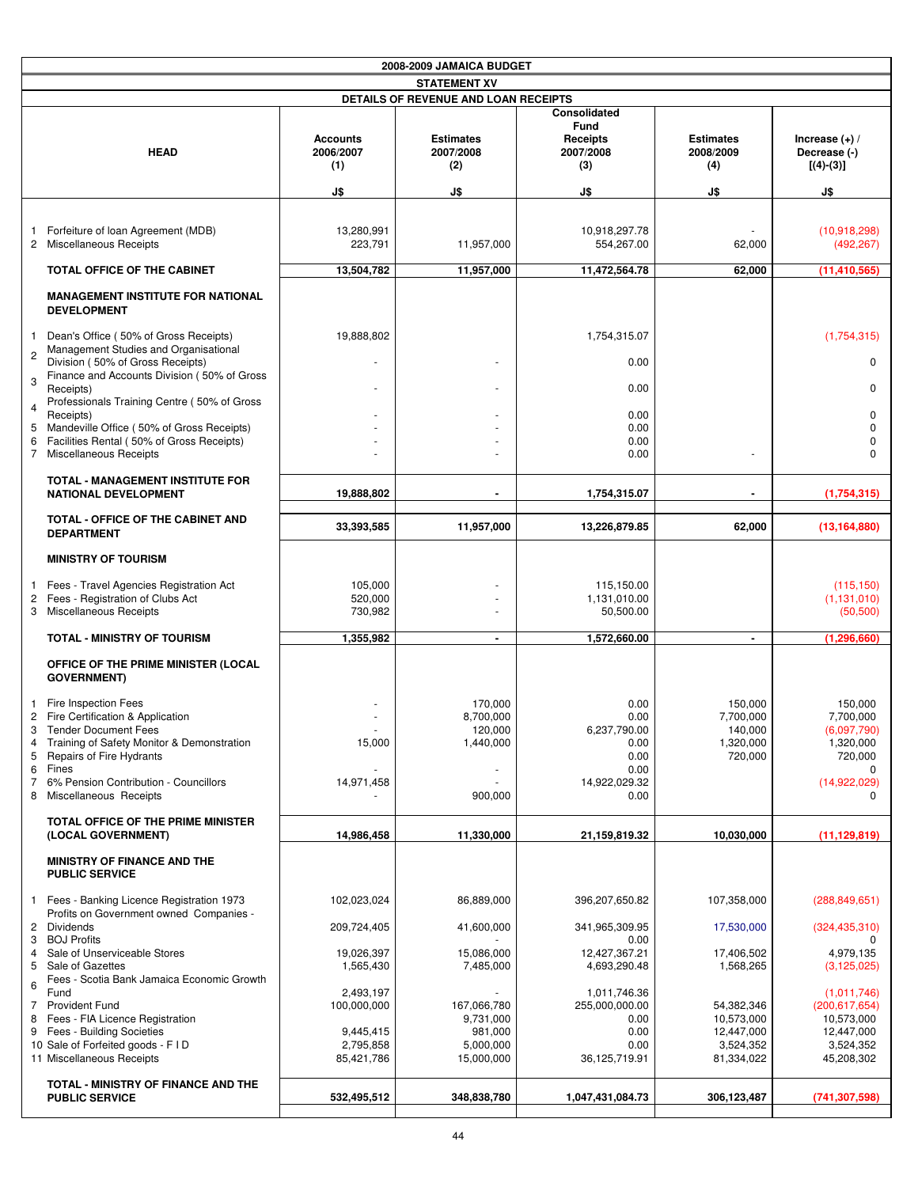|                                         | 2008-2009 JAMAICA BUDGET                                                                                                                                                                                                                 |                                                    |                                                         |                                                                               |                                                         |                                                                                       |
|-----------------------------------------|------------------------------------------------------------------------------------------------------------------------------------------------------------------------------------------------------------------------------------------|----------------------------------------------------|---------------------------------------------------------|-------------------------------------------------------------------------------|---------------------------------------------------------|---------------------------------------------------------------------------------------|
|                                         |                                                                                                                                                                                                                                          |                                                    | <b>STATEMENT XV</b>                                     |                                                                               |                                                         |                                                                                       |
|                                         |                                                                                                                                                                                                                                          |                                                    | DETAILS OF REVENUE AND LOAN RECEIPTS                    |                                                                               |                                                         |                                                                                       |
|                                         | <b>HEAD</b>                                                                                                                                                                                                                              | <b>Accounts</b><br>2006/2007<br>(1)                | <b>Estimates</b><br>2007/2008<br>(2)                    | Consolidated<br><b>Fund</b><br>Receipts<br>2007/2008<br>(3)                   | <b>Estimates</b><br>2008/2009<br>(4)                    | Increase $(+)$ /<br>Decrease (-)<br>$[(4)-(3)]$                                       |
|                                         |                                                                                                                                                                                                                                          | J\$                                                | J\$                                                     | J\$                                                                           | J\$                                                     | J\$                                                                                   |
|                                         |                                                                                                                                                                                                                                          |                                                    |                                                         |                                                                               |                                                         |                                                                                       |
| 1.                                      | Forfeiture of loan Agreement (MDB)<br>2 Miscellaneous Receipts                                                                                                                                                                           | 13,280,991<br>223,791                              | 11,957,000                                              | 10,918,297.78<br>554,267.00                                                   | 62,000                                                  | (10,918,298)<br>(492, 267)                                                            |
|                                         | TOTAL OFFICE OF THE CABINET                                                                                                                                                                                                              | 13,504,782                                         | 11,957,000                                              | 11,472,564.78                                                                 | 62,000                                                  | (11, 410, 565)                                                                        |
|                                         | <b>MANAGEMENT INSTITUTE FOR NATIONAL</b><br><b>DEVELOPMENT</b>                                                                                                                                                                           |                                                    |                                                         |                                                                               |                                                         |                                                                                       |
| -1<br>$\sqrt{2}$                        | Dean's Office (50% of Gross Receipts)<br>Management Studies and Organisational                                                                                                                                                           | 19,888,802                                         |                                                         | 1,754,315.07                                                                  |                                                         | (1,754,315)                                                                           |
| 3                                       | Division (50% of Gross Receipts)<br>Finance and Accounts Division (50% of Gross<br>Receipts)                                                                                                                                             |                                                    |                                                         | 0.00<br>0.00                                                                  |                                                         | 0<br>0                                                                                |
| 4                                       | Professionals Training Centre (50% of Gross<br>Receipts)                                                                                                                                                                                 |                                                    |                                                         | 0.00                                                                          |                                                         | 0                                                                                     |
| 5                                       | Mandeville Office (50% of Gross Receipts)                                                                                                                                                                                                |                                                    |                                                         | 0.00                                                                          |                                                         | 0                                                                                     |
| 6                                       | Facilities Rental (50% of Gross Receipts)<br>7 Miscellaneous Receipts                                                                                                                                                                    |                                                    |                                                         | 0.00<br>0.00                                                                  |                                                         | 0<br>0                                                                                |
|                                         | <b>TOTAL - MANAGEMENT INSTITUTE FOR</b><br><b>NATIONAL DEVELOPMENT</b>                                                                                                                                                                   | 19,888,802                                         | $\blacksquare$                                          | 1,754,315.07                                                                  | $\blacksquare$                                          | (1,754,315)                                                                           |
|                                         | TOTAL - OFFICE OF THE CABINET AND<br><b>DEPARTMENT</b>                                                                                                                                                                                   | 33,393,585                                         | 11,957,000                                              | 13,226,879.85                                                                 | 62,000                                                  | (13, 164, 880)                                                                        |
|                                         | <b>MINISTRY OF TOURISM</b>                                                                                                                                                                                                               |                                                    |                                                         |                                                                               |                                                         |                                                                                       |
| 1<br>2                                  | Fees - Travel Agencies Registration Act<br>Fees - Registration of Clubs Act<br>3 Miscellaneous Receipts                                                                                                                                  | 105,000<br>520,000<br>730,982                      |                                                         | 115,150.00<br>1,131,010.00<br>50,500.00                                       |                                                         | (115, 150)<br>(1, 131, 010)<br>(50, 500)                                              |
|                                         | <b>TOTAL - MINISTRY OF TOURISM</b>                                                                                                                                                                                                       | 1,355,982                                          | $\blacksquare$                                          | 1,572,660.00                                                                  | $\blacksquare$                                          | (1, 296, 660)                                                                         |
|                                         | OFFICE OF THE PRIME MINISTER (LOCAL<br><b>GOVERNMENT)</b>                                                                                                                                                                                |                                                    |                                                         |                                                                               |                                                         |                                                                                       |
| 2<br>4<br>5<br>6<br>$\overline{7}$<br>8 | Fire Inspection Fees<br>Fire Certification & Application<br>3 Tender Document Fees<br>Training of Safety Monitor & Demonstration<br>Repairs of Fire Hydrants<br>Fines<br>6% Pension Contribution - Councillors<br>Miscellaneous Receipts | 15,000<br>14,971,458                               | 170,000<br>8,700,000<br>120,000<br>1,440,000<br>900,000 | 0.00<br>0.00<br>6,237,790.00<br>0.00<br>0.00<br>0.00<br>14,922,029.32<br>0.00 | 150,000<br>7,700,000<br>140,000<br>1,320,000<br>720,000 | 150,000<br>7,700,000<br>(6,097,790)<br>1,320,000<br>720,000<br>0<br>(14,922,029)<br>0 |
|                                         | <b>TOTAL OFFICE OF THE PRIME MINISTER</b><br>(LOCAL GOVERNMENT)                                                                                                                                                                          | 14,986,458                                         | 11,330,000                                              | 21,159,819.32                                                                 | 10,030,000                                              | (11, 129, 819)                                                                        |
|                                         | <b>MINISTRY OF FINANCE AND THE</b><br><b>PUBLIC SERVICE</b>                                                                                                                                                                              |                                                    |                                                         |                                                                               |                                                         |                                                                                       |
| 1                                       | Fees - Banking Licence Registration 1973<br>Profits on Government owned Companies -                                                                                                                                                      | 102,023,024                                        | 86,889,000                                              | 396,207,650.82                                                                | 107,358,000                                             | (288, 849, 651)                                                                       |
| 3                                       | 2 Dividends<br><b>BOJ Profits</b>                                                                                                                                                                                                        | 209,724,405                                        | 41,600,000                                              | 341,965,309.95<br>0.00                                                        | 17,530,000                                              | (324, 435, 310)<br>0                                                                  |
| 4<br>5                                  | Sale of Unserviceable Stores<br>Sale of Gazettes<br>Fees - Scotia Bank Jamaica Economic Growth                                                                                                                                           | 19,026,397<br>1,565,430                            | 15,086,000<br>7,485,000                                 | 12,427,367.21<br>4,693,290.48                                                 | 17,406,502<br>1,568,265                                 | 4,979,135<br>(3, 125, 025)                                                            |
| 6<br>7<br>8                             | Fund<br><b>Provident Fund</b><br>Fees - FIA Licence Registration<br>9 Fees - Building Societies<br>10 Sale of Forfeited goods - F I D<br>11 Miscellaneous Receipts                                                                       | 2,493,197<br>100,000,000<br>9,445,415<br>2,795,858 | 167,066,780<br>9,731,000<br>981,000<br>5,000,000        | 1,011,746.36<br>255,000,000.00<br>0.00<br>0.00<br>0.00                        | 54,382,346<br>10,573,000<br>12,447,000<br>3,524,352     | (1,011,746)<br>(200, 617, 654)<br>10,573,000<br>12,447,000<br>3,524,352               |
|                                         |                                                                                                                                                                                                                                          | 85,421,786                                         | 15,000,000                                              | 36,125,719.91                                                                 | 81,334,022                                              | 45,208,302                                                                            |
|                                         | TOTAL - MINISTRY OF FINANCE AND THE<br><b>PUBLIC SERVICE</b>                                                                                                                                                                             | 532,495,512                                        | 348,838,780                                             | 1,047,431,084.73                                                              | 306,123,487                                             | (741, 307, 598)                                                                       |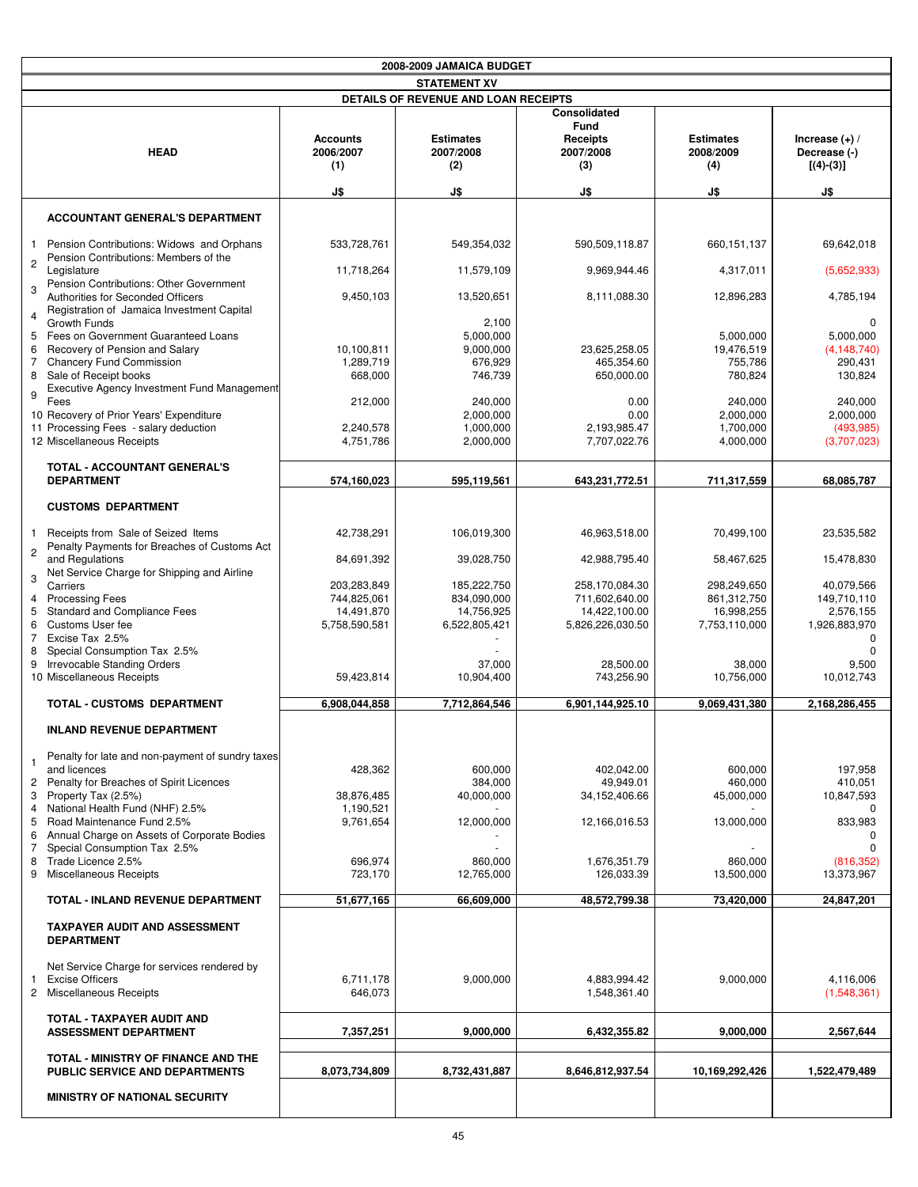|                                                                                                           |                                     | 2008-2009 JAMAICA BUDGET                    |                                                                    |                                      |                                                 |
|-----------------------------------------------------------------------------------------------------------|-------------------------------------|---------------------------------------------|--------------------------------------------------------------------|--------------------------------------|-------------------------------------------------|
|                                                                                                           |                                     | <b>STATEMENT XV</b>                         |                                                                    |                                      |                                                 |
|                                                                                                           |                                     | <b>DETAILS OF REVENUE AND LOAN RECEIPTS</b> |                                                                    |                                      |                                                 |
| <b>HEAD</b>                                                                                               | <b>Accounts</b><br>2006/2007<br>(1) | <b>Estimates</b><br>2007/2008<br>(2)        | Consolidated<br><b>Fund</b><br><b>Receipts</b><br>2007/2008<br>(3) | <b>Estimates</b><br>2008/2009<br>(4) | Increase $(+)$ /<br>Decrease (-)<br>$[(4)-(3)]$ |
|                                                                                                           | J\$                                 | J\$                                         | J\$                                                                | J\$                                  | J\$                                             |
| <b>ACCOUNTANT GENERAL'S DEPARTMENT</b>                                                                    |                                     |                                             |                                                                    |                                      |                                                 |
| Pension Contributions: Widows and Orphans<br>$\mathbf{1}$<br>Pension Contributions: Members of the        | 533,728,761                         | 549,354,032                                 | 590,509,118.87                                                     | 660, 151, 137                        | 69,642,018                                      |
| $\sqrt{2}$<br>Legislature<br>Pension Contributions: Other Government                                      | 11,718,264                          | 11,579,109                                  | 9,969,944.46                                                       | 4,317,011                            | (5,652,933)                                     |
| 3<br>Authorities for Seconded Officers<br>Registration of Jamaica Investment Capital<br>4<br>Growth Funds | 9,450,103                           | 13,520,651<br>2,100                         | 8,111,088.30                                                       | 12,896,283                           | 4,785,194<br>0                                  |
| Fees on Government Guaranteed Loans<br>5                                                                  |                                     | 5,000,000                                   |                                                                    | 5,000,000                            | 5,000,000                                       |
| Recovery of Pension and Salary<br>6<br><b>Chancery Fund Commission</b><br>7                               | 10,100,811<br>1,289,719             | 9,000,000<br>676,929                        | 23,625,258.05<br>465,354.60                                        | 19,476,519<br>755,786                | (4, 148, 740)<br>290,431                        |
| Sale of Receipt books<br>8                                                                                | 668,000                             | 746,739                                     | 650,000.00                                                         | 780,824                              | 130,824                                         |
| Executive Agency Investment Fund Management<br>9                                                          |                                     |                                             |                                                                    |                                      |                                                 |
| Fees<br>10 Recovery of Prior Years' Expenditure                                                           | 212,000                             | 240,000<br>2,000,000                        | 0.00<br>0.00                                                       | 240,000<br>2,000,000                 | 240,000<br>2,000,000                            |
| 11 Processing Fees - salary deduction                                                                     | 2,240,578                           | 1,000,000                                   | 2,193,985.47                                                       | 1,700,000                            | (493, 985)                                      |
| 12 Miscellaneous Receipts                                                                                 | 4,751,786                           | 2,000,000                                   | 7,707,022.76                                                       | 4,000,000                            | (3,707,023)                                     |
| TOTAL - ACCOUNTANT GENERAL'S<br><b>DEPARTMENT</b>                                                         | 574,160,023                         | 595.119.561                                 | 643,231,772.51                                                     | 711,317,559                          | 68,085,787                                      |
| <b>CUSTOMS DEPARTMENT</b>                                                                                 |                                     |                                             |                                                                    |                                      |                                                 |
| Receipts from Sale of Seized Items<br>1                                                                   | 42,738,291                          | 106,019,300                                 | 46,963,518.00                                                      | 70,499,100                           | 23,535,582                                      |
| Penalty Payments for Breaches of Customs Act<br>$\mathbf{2}$<br>and Regulations                           | 84,691,392                          | 39,028,750                                  | 42,988,795.40                                                      | 58,467,625                           | 15,478,830                                      |
| Net Service Charge for Shipping and Airline<br>3<br>Carriers                                              | 203,283,849                         | 185,222,750                                 | 258,170,084.30                                                     | 298,249,650                          | 40,079,566                                      |
| <b>Processing Fees</b><br>4                                                                               | 744,825,061                         | 834,090,000                                 | 711,602,640.00                                                     | 861, 312, 750                        | 149,710,110                                     |
| 5<br>Standard and Compliance Fees                                                                         | 14,491,870                          | 14,756,925                                  | 14,422,100.00                                                      | 16,998,255                           | 2,576,155                                       |
| Customs User fee<br>6                                                                                     | 5,758,590,581                       | 6,522,805,421                               | 5,826,226,030.50                                                   | 7,753,110,000                        | 1,926,883,970                                   |
| 7 Excise Tax 2.5%<br>Special Consumption Tax 2.5%<br>8                                                    |                                     |                                             |                                                                    |                                      | <sup>0</sup>                                    |
| 9 Irrevocable Standing Orders                                                                             |                                     | 37,000                                      | 28,500.00                                                          | 38,000                               | 9,500                                           |
| 10 Miscellaneous Receipts                                                                                 | 59,423,814                          | 10,904,400                                  | 743,256.90                                                         | 10,756,000                           | 10,012,743                                      |
| <b>TOTAL - CUSTOMS DEPARTMENT</b>                                                                         | 6,908,044,858                       | 7,712,864,546                               | 6,901,144,925.10                                                   | 9,069,431,380                        | 2,168,286,455                                   |
| <b>INLAND REVENUE DEPARTMENT</b>                                                                          |                                     |                                             |                                                                    |                                      |                                                 |
| Penalty for late and non-payment of sundry taxes                                                          |                                     |                                             |                                                                    |                                      |                                                 |
| and licences<br>Penalty for Breaches of Spirit Licences<br>$\overline{c}$                                 | 428,362                             | 600,000<br>384,000                          | 402,042.00<br>49,949.01                                            | 600,000<br>460,000                   | 197,958<br>410,051                              |
| Property Tax (2.5%)<br>3                                                                                  | 38,876,485                          | 40,000,000                                  | 34,152,406.66                                                      | 45,000,000                           | 10,847,593                                      |
| 4 National Health Fund (NHF) 2.5%                                                                         | 1,190,521                           |                                             |                                                                    |                                      | 0                                               |
| Road Maintenance Fund 2.5%<br>5                                                                           | 9,761,654                           | 12,000,000                                  | 12,166,016.53                                                      | 13,000,000                           | 833,983                                         |
| Annual Charge on Assets of Corporate Bodies<br>6<br>Special Consumption Tax 2.5%<br>7                     |                                     |                                             |                                                                    |                                      | $\Omega$                                        |
| Trade Licence 2.5%<br>8                                                                                   | 696,974                             | 860,000                                     | 1,676,351.79                                                       | 860,000                              | (816, 352)                                      |
| Miscellaneous Receipts<br>9                                                                               | 723,170                             | 12,765,000                                  | 126,033.39                                                         | 13,500,000                           | 13,373,967                                      |
| TOTAL - INLAND REVENUE DEPARTMENT                                                                         | 51,677,165                          | 66,609,000                                  | 48,572,799.38                                                      | 73,420,000                           | 24,847,201                                      |
| <b>TAXPAYER AUDIT AND ASSESSMENT</b><br><b>DEPARTMENT</b>                                                 |                                     |                                             |                                                                    |                                      |                                                 |
| Net Service Charge for services rendered by                                                               |                                     |                                             |                                                                    |                                      |                                                 |
| 1 Excise Officers                                                                                         | 6,711,178                           | 9,000,000                                   | 4,883,994.42                                                       | 9,000,000                            | 4,116,006                                       |
| 2 Miscellaneous Receipts                                                                                  | 646,073                             |                                             | 1,548,361.40                                                       |                                      | (1,548,361)                                     |
| TOTAL - TAXPAYER AUDIT AND<br><b>ASSESSMENT DEPARTMENT</b>                                                | 7,357,251                           | 9,000,000                                   | 6,432,355.82                                                       | 9,000,000                            | 2,567,644                                       |
|                                                                                                           |                                     |                                             |                                                                    |                                      |                                                 |
| TOTAL - MINISTRY OF FINANCE AND THE<br>PUBLIC SERVICE AND DEPARTMENTS                                     | 8,073,734,809                       | 8,732,431,887                               | 8,646,812,937.54                                                   | 10,169,292,426                       | 1,522,479,489                                   |
| <b>MINISTRY OF NATIONAL SECURITY</b>                                                                      |                                     |                                             |                                                                    |                                      |                                                 |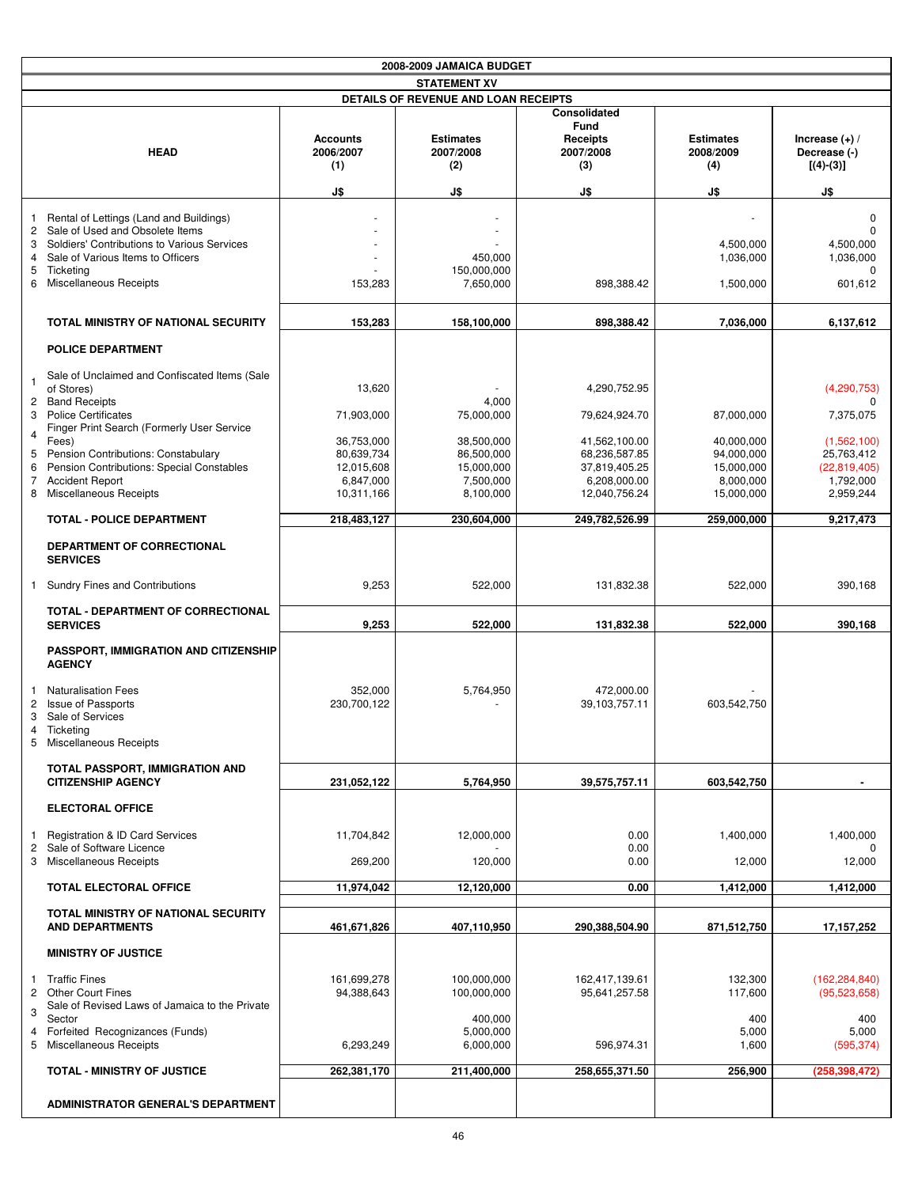|                                                            |                                                                                                                                                                                                                                                                                                             |                                                                                           | 2008-2009 JAMAICA BUDGET                                                                |                                                                                                                   |                                                                                 |                                                                                                   |
|------------------------------------------------------------|-------------------------------------------------------------------------------------------------------------------------------------------------------------------------------------------------------------------------------------------------------------------------------------------------------------|-------------------------------------------------------------------------------------------|-----------------------------------------------------------------------------------------|-------------------------------------------------------------------------------------------------------------------|---------------------------------------------------------------------------------|---------------------------------------------------------------------------------------------------|
|                                                            |                                                                                                                                                                                                                                                                                                             |                                                                                           | <b>STATEMENT XV</b>                                                                     |                                                                                                                   |                                                                                 |                                                                                                   |
|                                                            |                                                                                                                                                                                                                                                                                                             |                                                                                           | DETAILS OF REVENUE AND LOAN RECEIPTS                                                    |                                                                                                                   |                                                                                 |                                                                                                   |
|                                                            | <b>HEAD</b>                                                                                                                                                                                                                                                                                                 | <b>Accounts</b><br>2006/2007<br>(1)                                                       | <b>Estimates</b><br>2007/2008<br>(2)                                                    | Consolidated<br><b>Fund</b><br>Receipts<br>2007/2008<br>(3)                                                       | <b>Estimates</b><br>2008/2009<br>(4)                                            | Increase $(+)$ /<br>Decrease (-)<br>$[(4)-(3)]$                                                   |
|                                                            |                                                                                                                                                                                                                                                                                                             | J\$                                                                                       | J\$                                                                                     | J\$                                                                                                               | J\$                                                                             | J\$                                                                                               |
| 1<br>$\overline{c}$<br>3<br>$\overline{4}$<br>5<br>6       | Rental of Lettings (Land and Buildings)<br>Sale of Used and Obsolete Items<br>Soldiers' Contributions to Various Services<br>Sale of Various Items to Officers<br>Ticketing<br>Miscellaneous Receipts                                                                                                       | 153,283                                                                                   | 450,000<br>150,000,000<br>7,650,000                                                     | 898,388.42                                                                                                        | 4,500,000<br>1,036,000<br>1,500,000                                             | $\mathbf 0$<br>$\Omega$<br>4,500,000<br>1,036,000<br>n<br>601,612                                 |
|                                                            | TOTAL MINISTRY OF NATIONAL SECURITY                                                                                                                                                                                                                                                                         | 153,283                                                                                   | 158,100,000                                                                             | 898,388.42                                                                                                        | 7,036,000                                                                       | 6,137,612                                                                                         |
|                                                            | <b>POLICE DEPARTMENT</b>                                                                                                                                                                                                                                                                                    |                                                                                           |                                                                                         |                                                                                                                   |                                                                                 |                                                                                                   |
| -1<br>3<br>$\overline{4}$<br>5<br>6<br>$\overline{7}$<br>8 | Sale of Unclaimed and Confiscated Items (Sale<br>of Stores)<br>2 Band Receipts<br><b>Police Certificates</b><br>Finger Print Search (Formerly User Service<br>Fees)<br>Pension Contributions: Constabulary<br>Pension Contributions: Special Constables<br><b>Accident Report</b><br>Miscellaneous Receipts | 13,620<br>71,903,000<br>36,753,000<br>80,639,734<br>12,015,608<br>6,847,000<br>10,311,166 | 4,000<br>75,000,000<br>38,500,000<br>86,500,000<br>15,000,000<br>7,500,000<br>8,100,000 | 4,290,752.95<br>79,624,924.70<br>41,562,100.00<br>68,236,587.85<br>37,819,405.25<br>6,208,000.00<br>12,040,756.24 | 87,000,000<br>40,000,000<br>94,000,000<br>15,000,000<br>8,000,000<br>15,000,000 | (4, 290, 753)<br>7,375,075<br>(1,562,100)<br>25,763,412<br>(22,819,405)<br>1,792,000<br>2,959,244 |
|                                                            | <b>TOTAL - POLICE DEPARTMENT</b>                                                                                                                                                                                                                                                                            | 218,483,127                                                                               | 230,604,000                                                                             | 249,782,526.99                                                                                                    | 259,000,000                                                                     | 9,217,473                                                                                         |
|                                                            | DEPARTMENT OF CORRECTIONAL<br><b>SERVICES</b>                                                                                                                                                                                                                                                               |                                                                                           |                                                                                         |                                                                                                                   |                                                                                 |                                                                                                   |
| $\mathbf{1}$                                               | <b>Sundry Fines and Contributions</b>                                                                                                                                                                                                                                                                       | 9,253                                                                                     | 522,000                                                                                 | 131,832.38                                                                                                        | 522,000                                                                         | 390,168                                                                                           |
|                                                            | TOTAL - DEPARTMENT OF CORRECTIONAL<br><b>SERVICES</b>                                                                                                                                                                                                                                                       | 9,253                                                                                     | 522,000                                                                                 | 131,832.38                                                                                                        | 522,000                                                                         | 390,168                                                                                           |
|                                                            | <b>PASSPORT, IMMIGRATION AND CITIZENSHIP</b><br><b>AGENCY</b>                                                                                                                                                                                                                                               |                                                                                           |                                                                                         |                                                                                                                   |                                                                                 |                                                                                                   |
| 1<br>2<br>3<br>5                                           | <b>Naturalisation Fees</b><br><b>Issue of Passports</b><br>Sale of Services<br>4 Ticketing<br>Miscellaneous Receipts                                                                                                                                                                                        | 352,000<br>230,700,122                                                                    | 5,764,950                                                                               | 472,000.00<br>39,103,757.11                                                                                       | 603,542,750                                                                     |                                                                                                   |
|                                                            | TOTAL PASSPORT, IMMIGRATION AND<br><b>CITIZENSHIP AGENCY</b>                                                                                                                                                                                                                                                | 231,052,122                                                                               | 5,764,950                                                                               | 39,575,757.11                                                                                                     | 603,542,750                                                                     |                                                                                                   |
|                                                            | <b>ELECTORAL OFFICE</b>                                                                                                                                                                                                                                                                                     |                                                                                           |                                                                                         |                                                                                                                   |                                                                                 |                                                                                                   |
| 1<br>2                                                     | <b>Registration &amp; ID Card Services</b><br>Sale of Software Licence                                                                                                                                                                                                                                      | 11,704,842                                                                                | 12,000,000                                                                              | 0.00<br>0.00                                                                                                      | 1,400,000                                                                       | 1,400,000<br>$\Omega$                                                                             |
|                                                            | 3 Miscellaneous Receipts                                                                                                                                                                                                                                                                                    | 269,200                                                                                   | 120,000                                                                                 | 0.00                                                                                                              | 12,000                                                                          | 12,000                                                                                            |
|                                                            | <b>TOTAL ELECTORAL OFFICE</b>                                                                                                                                                                                                                                                                               | 11,974,042                                                                                | 12,120,000                                                                              | 0.00                                                                                                              | 1,412,000                                                                       | 1,412,000                                                                                         |
|                                                            | <b>TOTAL MINISTRY OF NATIONAL SECURITY</b><br><b>AND DEPARTMENTS</b>                                                                                                                                                                                                                                        | 461,671,826                                                                               | 407,110,950                                                                             | 290,388,504.90                                                                                                    | 871,512,750                                                                     | 17,157,252                                                                                        |
|                                                            | <b>MINISTRY OF JUSTICE</b>                                                                                                                                                                                                                                                                                  |                                                                                           |                                                                                         |                                                                                                                   |                                                                                 |                                                                                                   |
| $\mathbf{1}$<br>3                                          | <b>Traffic Fines</b><br>2 Other Court Fines<br>Sale of Revised Laws of Jamaica to the Private<br>Sector                                                                                                                                                                                                     | 161,699,278<br>94,388,643                                                                 | 100,000,000<br>100,000,000<br>400,000                                                   | 162,417,139.61<br>95,641,257.58                                                                                   | 132,300<br>117,600<br>400                                                       | (162, 284, 840)<br>(95,523,658)<br>400                                                            |
| 4<br>5                                                     | Forfeited Recognizances (Funds)<br>Miscellaneous Receipts                                                                                                                                                                                                                                                   | 6,293,249                                                                                 | 5,000,000<br>6,000,000                                                                  | 596,974.31                                                                                                        | 5,000<br>1,600                                                                  | 5,000<br>(595, 374)                                                                               |
|                                                            | <b>TOTAL - MINISTRY OF JUSTICE</b>                                                                                                                                                                                                                                                                          | 262,381,170                                                                               | 211,400,000                                                                             | 258,655,371.50                                                                                                    | 256,900                                                                         | (258, 398, 472)                                                                                   |
|                                                            | <b>ADMINISTRATOR GENERAL'S DEPARTMENT</b>                                                                                                                                                                                                                                                                   |                                                                                           |                                                                                         |                                                                                                                   |                                                                                 |                                                                                                   |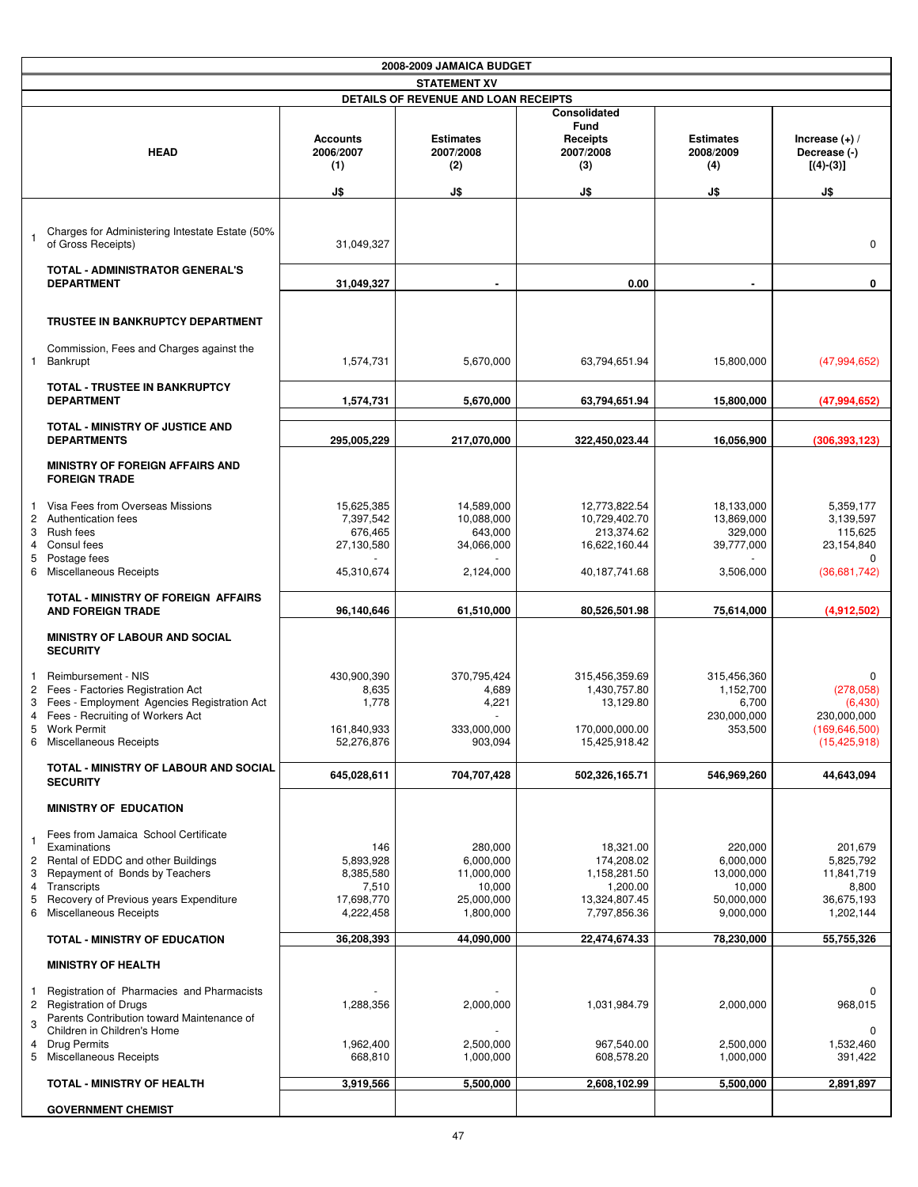|                                                    |                                                                                                                                                                                                                 |                                                                   | 2008-2009 JAMAICA BUDGET                                                |                                                                                      |                                                                         |                                                                               |
|----------------------------------------------------|-----------------------------------------------------------------------------------------------------------------------------------------------------------------------------------------------------------------|-------------------------------------------------------------------|-------------------------------------------------------------------------|--------------------------------------------------------------------------------------|-------------------------------------------------------------------------|-------------------------------------------------------------------------------|
|                                                    |                                                                                                                                                                                                                 |                                                                   | <b>STATEMENT XV</b>                                                     |                                                                                      |                                                                         |                                                                               |
|                                                    |                                                                                                                                                                                                                 |                                                                   | DETAILS OF REVENUE AND LOAN RECEIPTS                                    |                                                                                      |                                                                         |                                                                               |
|                                                    | <b>HEAD</b>                                                                                                                                                                                                     | <b>Accounts</b><br>2006/2007<br>(1)<br>J\$                        | <b>Estimates</b><br>2007/2008<br>(2)<br>J\$                             | Consolidated<br><b>Fund</b><br><b>Receipts</b><br>2007/2008<br>(3)<br>J\$            | <b>Estimates</b><br>2008/2009<br>(4)<br>J\$                             | Increase $(+)$ /<br>Decrease (-)<br>$[(4)-(3)]$<br>J\$                        |
|                                                    |                                                                                                                                                                                                                 |                                                                   |                                                                         |                                                                                      |                                                                         |                                                                               |
| $\overline{1}$                                     | Charges for Administering Intestate Estate (50%<br>of Gross Receipts)                                                                                                                                           | 31,049,327                                                        |                                                                         |                                                                                      |                                                                         | 0                                                                             |
|                                                    | <b>TOTAL - ADMINISTRATOR GENERAL'S</b><br><b>DEPARTMENT</b>                                                                                                                                                     | 31,049,327                                                        |                                                                         | 0.00                                                                                 |                                                                         | 0                                                                             |
|                                                    | TRUSTEE IN BANKRUPTCY DEPARTMENT                                                                                                                                                                                |                                                                   |                                                                         |                                                                                      |                                                                         |                                                                               |
| $\mathbf{1}$                                       | Commission, Fees and Charges against the<br>Bankrupt                                                                                                                                                            | 1,574,731                                                         | 5,670,000                                                               | 63,794,651.94                                                                        | 15,800,000                                                              | (47,994,652)                                                                  |
|                                                    | <b>TOTAL - TRUSTEE IN BANKRUPTCY</b><br><b>DEPARTMENT</b>                                                                                                                                                       | 1,574,731                                                         | 5,670,000                                                               | 63,794,651.94                                                                        | 15,800,000                                                              | (47,994,652)                                                                  |
|                                                    | <b>TOTAL - MINISTRY OF JUSTICE AND</b><br><b>DEPARTMENTS</b>                                                                                                                                                    | 295,005,229                                                       | 217,070,000                                                             | 322,450,023.44                                                                       | 16,056,900                                                              | (306, 393, 123)                                                               |
|                                                    | <b>MINISTRY OF FOREIGN AFFAIRS AND</b><br><b>FOREIGN TRADE</b>                                                                                                                                                  |                                                                   |                                                                         |                                                                                      |                                                                         |                                                                               |
| -1<br>2<br>3<br>4<br>5                             | Visa Fees from Overseas Missions<br>Authentication fees<br>Rush fees<br>Consul fees<br>Postage fees                                                                                                             | 15,625,385<br>7,397,542<br>676,465<br>27,130,580                  | 14,589,000<br>10,088,000<br>643,000<br>34,066,000                       | 12,773,822.54<br>10,729,402.70<br>213,374.62<br>16,622,160.44                        | 18,133,000<br>13,869,000<br>329,000<br>39,777,000                       | 5,359,177<br>3,139,597<br>115,625<br>23,154,840<br>0                          |
| 6                                                  | <b>Miscellaneous Receipts</b>                                                                                                                                                                                   | 45,310,674                                                        | 2,124,000                                                               | 40,187,741.68                                                                        | 3,506,000                                                               | (36,681,742)                                                                  |
|                                                    | TOTAL - MINISTRY OF FOREIGN AFFAIRS<br><b>AND FOREIGN TRADE</b>                                                                                                                                                 | 96,140,646                                                        | 61,510,000                                                              | 80,526,501.98                                                                        | 75,614,000                                                              | (4,912,502)                                                                   |
|                                                    | <b>MINISTRY OF LABOUR AND SOCIAL</b><br><b>SECURITY</b>                                                                                                                                                         |                                                                   |                                                                         |                                                                                      |                                                                         |                                                                               |
| $\mathbf{1}$<br>$\overline{2}$<br>3<br>4           | Reimbursement - NIS<br>Fees - Factories Registration Act<br>Fees - Employment Agencies Registration Act<br>Fees - Recruiting of Workers Act<br><b>Work Permit</b><br>6 Miscellaneous Receipts                   | 430,900,390<br>8,635<br>1,778<br>161,840,933<br>52,276,876        | 370,795,424<br>4,689<br>4,221<br>$\sim$<br>333,000,000<br>903,094       | 315,456,359.69<br>1,430,757.80<br>13,129.80<br>170,000,000.00<br>15,425,918.42       | 315,456,360<br>1,152,700<br>6,700<br>230,000,000<br>353,500             | 0<br>(278,058)<br>(6,430)<br>230,000,000<br>(169, 646, 500)<br>(15, 425, 918) |
|                                                    | <b>TOTAL - MINISTRY OF LABOUR AND SOCIAL</b><br><b>SECURITY</b>                                                                                                                                                 | 645,028,611                                                       | 704,707,428                                                             | 502,326,165.71                                                                       | 546,969,260                                                             | 44,643,094                                                                    |
|                                                    | MINISTRY OF EDUCATION                                                                                                                                                                                           |                                                                   |                                                                         |                                                                                      |                                                                         |                                                                               |
| $\mathbf{1}$<br>$\overline{c}$<br>3<br>4<br>5<br>6 | Fees from Jamaica School Certificate<br>Examinations<br>Rental of EDDC and other Buildings<br>Repayment of Bonds by Teachers<br>Transcripts<br>Recovery of Previous years Expenditure<br>Miscellaneous Receipts | 146<br>5,893,928<br>8,385,580<br>7,510<br>17,698,770<br>4,222,458 | 280,000<br>6,000,000<br>11,000,000<br>10,000<br>25,000,000<br>1,800,000 | 18,321.00<br>174,208.02<br>1,158,281.50<br>1,200.00<br>13,324,807.45<br>7,797,856.36 | 220,000<br>6,000,000<br>13,000,000<br>10,000<br>50,000,000<br>9,000,000 | 201,679<br>5,825,792<br>11,841,719<br>8,800<br>36,675,193<br>1,202,144        |
|                                                    | <b>TOTAL - MINISTRY OF EDUCATION</b>                                                                                                                                                                            | 36,208,393                                                        | 44,090,000                                                              | 22,474,674.33                                                                        | 78,230,000                                                              | 55,755,326                                                                    |
|                                                    | <b>MINISTRY OF HEALTH</b>                                                                                                                                                                                       |                                                                   |                                                                         |                                                                                      |                                                                         |                                                                               |
| $\mathbf{1}$<br>3<br>4                             | Registration of Pharmacies and Pharmacists<br>2 Registration of Drugs<br>Parents Contribution toward Maintenance of<br>Children in Children's Home<br><b>Drug Permits</b>                                       | 1,288,356<br>1,962,400                                            | 2,000,000<br>2,500,000                                                  | 1,031,984.79<br>967,540.00                                                           | 2,000,000<br>2,500,000                                                  | 0<br>968,015<br>1,532,460                                                     |
|                                                    | 5 Miscellaneous Receipts                                                                                                                                                                                        | 668,810                                                           | 1,000,000                                                               | 608,578.20                                                                           | 1,000,000                                                               | 391,422                                                                       |
|                                                    | <b>TOTAL - MINISTRY OF HEALTH</b>                                                                                                                                                                               | 3,919,566                                                         | 5,500,000                                                               | 2,608,102.99                                                                         | 5,500,000                                                               | 2,891,897                                                                     |
|                                                    | <b>GOVERNMENT CHEMIST</b>                                                                                                                                                                                       |                                                                   |                                                                         |                                                                                      |                                                                         |                                                                               |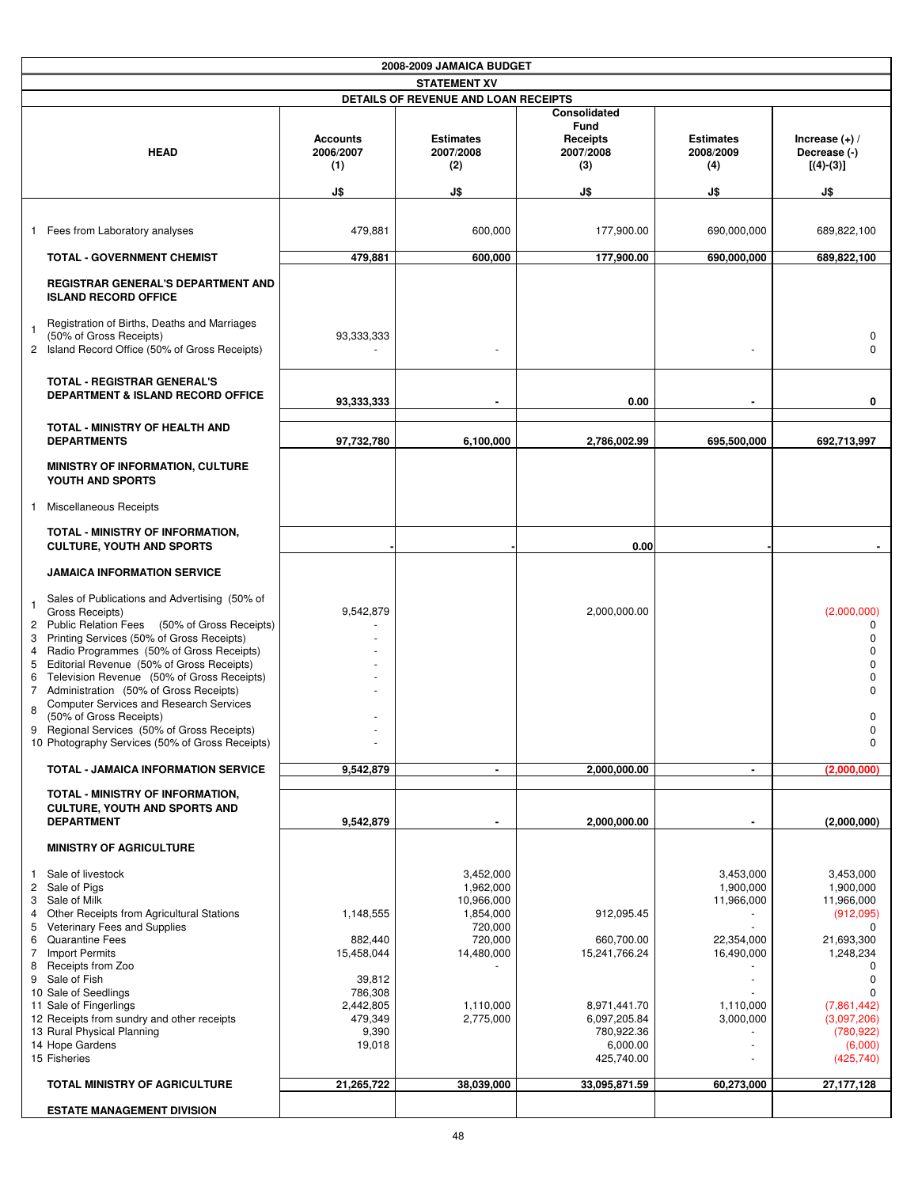|                                                    |                                                                                                                                                                                                                                                                                                                                                                                                                                                                                |                                                                                                    | 2008-2009 JAMAICA BUDGET                                                                                        |                                                                                                                   |                                                                                            |                                                                                                                                                                                                    |
|----------------------------------------------------|--------------------------------------------------------------------------------------------------------------------------------------------------------------------------------------------------------------------------------------------------------------------------------------------------------------------------------------------------------------------------------------------------------------------------------------------------------------------------------|----------------------------------------------------------------------------------------------------|-----------------------------------------------------------------------------------------------------------------|-------------------------------------------------------------------------------------------------------------------|--------------------------------------------------------------------------------------------|----------------------------------------------------------------------------------------------------------------------------------------------------------------------------------------------------|
|                                                    |                                                                                                                                                                                                                                                                                                                                                                                                                                                                                |                                                                                                    | <b>STATEMENT XV</b>                                                                                             |                                                                                                                   |                                                                                            |                                                                                                                                                                                                    |
|                                                    |                                                                                                                                                                                                                                                                                                                                                                                                                                                                                |                                                                                                    | DETAILS OF REVENUE AND LOAN RECEIPTS                                                                            |                                                                                                                   |                                                                                            |                                                                                                                                                                                                    |
|                                                    | <b>HEAD</b>                                                                                                                                                                                                                                                                                                                                                                                                                                                                    | <b>Accounts</b><br>2006/2007<br>(1)<br>J\$                                                         | <b>Estimates</b><br>2007/2008<br>(2)<br>J\$                                                                     | <b>Consolidated</b><br><b>Fund</b><br><b>Receipts</b><br>2007/2008<br>(3)<br>J\$                                  | <b>Estimates</b><br>2008/2009<br>(4)<br>J\$                                                | Increase $(+)$ /<br>Decrease (-)<br>$[(4)-(3)]$<br>J\$                                                                                                                                             |
|                                                    |                                                                                                                                                                                                                                                                                                                                                                                                                                                                                |                                                                                                    |                                                                                                                 |                                                                                                                   |                                                                                            |                                                                                                                                                                                                    |
|                                                    | 1 Fees from Laboratory analyses                                                                                                                                                                                                                                                                                                                                                                                                                                                | 479,881                                                                                            | 600,000                                                                                                         | 177,900.00                                                                                                        | 690,000,000                                                                                | 689,822,100                                                                                                                                                                                        |
|                                                    | <b>TOTAL - GOVERNMENT CHEMIST</b>                                                                                                                                                                                                                                                                                                                                                                                                                                              | 479,881                                                                                            | 600,000                                                                                                         | 177,900.00                                                                                                        | 690,000,000                                                                                | 689,822,100                                                                                                                                                                                        |
|                                                    | <b>REGISTRAR GENERAL'S DEPARTMENT AND</b><br><b>ISLAND RECORD OFFICE</b>                                                                                                                                                                                                                                                                                                                                                                                                       |                                                                                                    |                                                                                                                 |                                                                                                                   |                                                                                            |                                                                                                                                                                                                    |
| $\mathbf 1$                                        | Registration of Births, Deaths and Marriages<br>(50% of Gross Receipts)<br>2 Island Record Office (50% of Gross Receipts)                                                                                                                                                                                                                                                                                                                                                      | 93,333,333                                                                                         |                                                                                                                 |                                                                                                                   |                                                                                            | 0<br>$\Omega$                                                                                                                                                                                      |
|                                                    | <b>TOTAL - REGISTRAR GENERAL'S</b><br><b>DEPARTMENT &amp; ISLAND RECORD OFFICE</b>                                                                                                                                                                                                                                                                                                                                                                                             | 93,333,333                                                                                         |                                                                                                                 | 0.00                                                                                                              |                                                                                            | 0                                                                                                                                                                                                  |
|                                                    | TOTAL - MINISTRY OF HEALTH AND<br><b>DEPARTMENTS</b>                                                                                                                                                                                                                                                                                                                                                                                                                           | 97,732,780                                                                                         | 6,100,000                                                                                                       | 2,786,002.99                                                                                                      | 695,500,000                                                                                | 692,713,997                                                                                                                                                                                        |
|                                                    | <b>MINISTRY OF INFORMATION, CULTURE</b><br>YOUTH AND SPORTS                                                                                                                                                                                                                                                                                                                                                                                                                    |                                                                                                    |                                                                                                                 |                                                                                                                   |                                                                                            |                                                                                                                                                                                                    |
| $\mathbf{1}$                                       | Miscellaneous Receipts                                                                                                                                                                                                                                                                                                                                                                                                                                                         |                                                                                                    |                                                                                                                 |                                                                                                                   |                                                                                            |                                                                                                                                                                                                    |
|                                                    | TOTAL - MINISTRY OF INFORMATION,<br><b>CULTURE, YOUTH AND SPORTS</b>                                                                                                                                                                                                                                                                                                                                                                                                           |                                                                                                    |                                                                                                                 | 0.00                                                                                                              |                                                                                            |                                                                                                                                                                                                    |
|                                                    | <b>JAMAICA INFORMATION SERVICE</b>                                                                                                                                                                                                                                                                                                                                                                                                                                             |                                                                                                    |                                                                                                                 |                                                                                                                   |                                                                                            |                                                                                                                                                                                                    |
| $\mathbf{1}$<br>3<br>5<br>6<br>$\overline{7}$<br>8 | Sales of Publications and Advertising (50% of<br>Gross Receipts)<br>2 Public Relation Fees (50% of Gross Receipts)<br>Printing Services (50% of Gross Receipts)<br>4 Radio Programmes (50% of Gross Receipts)<br>Editorial Revenue (50% of Gross Receipts)<br>Television Revenue (50% of Gross Receipts)<br>Administration (50% of Gross Receipts)<br><b>Computer Services and Research Services</b><br>(50% of Gross Receipts)<br>9 Regional Services (50% of Gross Receipts) | 9,542,879                                                                                          |                                                                                                                 | 2,000,000.00                                                                                                      |                                                                                            | (2,000,000)<br>0<br>$\Omega$<br>$\Omega$<br><sup>0</sup><br>$\Omega$<br>$\Omega$<br>0<br>U                                                                                                         |
|                                                    | 10 Photography Services (50% of Gross Receipts)                                                                                                                                                                                                                                                                                                                                                                                                                                |                                                                                                    |                                                                                                                 |                                                                                                                   |                                                                                            | $\mathbf 0$                                                                                                                                                                                        |
|                                                    | <b>TOTAL - JAMAICA INFORMATION SERVICE</b>                                                                                                                                                                                                                                                                                                                                                                                                                                     | 9,542,879                                                                                          | $\blacksquare$                                                                                                  | 2,000,000.00                                                                                                      | $\blacksquare$                                                                             | (2,000,000)                                                                                                                                                                                        |
|                                                    | TOTAL - MINISTRY OF INFORMATION,<br><b>CULTURE, YOUTH AND SPORTS AND</b><br><b>DEPARTMENT</b>                                                                                                                                                                                                                                                                                                                                                                                  | 9,542,879                                                                                          |                                                                                                                 | 2,000,000.00                                                                                                      |                                                                                            | (2,000,000)                                                                                                                                                                                        |
|                                                    | <b>MINISTRY OF AGRICULTURE</b>                                                                                                                                                                                                                                                                                                                                                                                                                                                 |                                                                                                    |                                                                                                                 |                                                                                                                   |                                                                                            |                                                                                                                                                                                                    |
| -1<br>4<br>5<br>6<br>$\overline{7}$<br>8           | Sale of livestock<br>2 Sale of Pigs<br>3 Sale of Milk<br>Other Receipts from Agricultural Stations<br>Veterinary Fees and Supplies<br><b>Quarantine Fees</b><br><b>Import Permits</b><br>Receipts from Zoo<br>9 Sale of Fish<br>10 Sale of Seedlings<br>11 Sale of Fingerlings<br>12 Receipts from sundry and other receipts<br>13 Rural Physical Planning<br>14 Hope Gardens<br>15 Fisheries                                                                                  | 1,148,555<br>882,440<br>15,458,044<br>39,812<br>786,308<br>2,442,805<br>479,349<br>9,390<br>19,018 | 3,452,000<br>1,962,000<br>10,966,000<br>1,854,000<br>720,000<br>720,000<br>14,480,000<br>1,110,000<br>2,775,000 | 912,095.45<br>660,700.00<br>15,241,766.24<br>8,971,441.70<br>6,097,205.84<br>780,922.36<br>6,000.00<br>425,740.00 | 3,453,000<br>1,900,000<br>11,966,000<br>22,354,000<br>16,490,000<br>1,110,000<br>3,000,000 | 3.453.000<br>1,900,000<br>11,966,000<br>(912,095)<br>$\Omega$<br>21,693,300<br>1,248,234<br><sup>0</sup><br>0<br><sup>0</sup><br>(7,861,442)<br>(3,097,206)<br>(780, 922)<br>(6,000)<br>(425, 740) |
|                                                    | TOTAL MINISTRY OF AGRICULTURE                                                                                                                                                                                                                                                                                                                                                                                                                                                  | 21,265,722                                                                                         | 38,039,000                                                                                                      | 33,095,871.59                                                                                                     | 60,273,000                                                                                 | 27, 177, 128                                                                                                                                                                                       |
|                                                    | <b>ESTATE MANAGEMENT DIVISION</b>                                                                                                                                                                                                                                                                                                                                                                                                                                              |                                                                                                    |                                                                                                                 |                                                                                                                   |                                                                                            |                                                                                                                                                                                                    |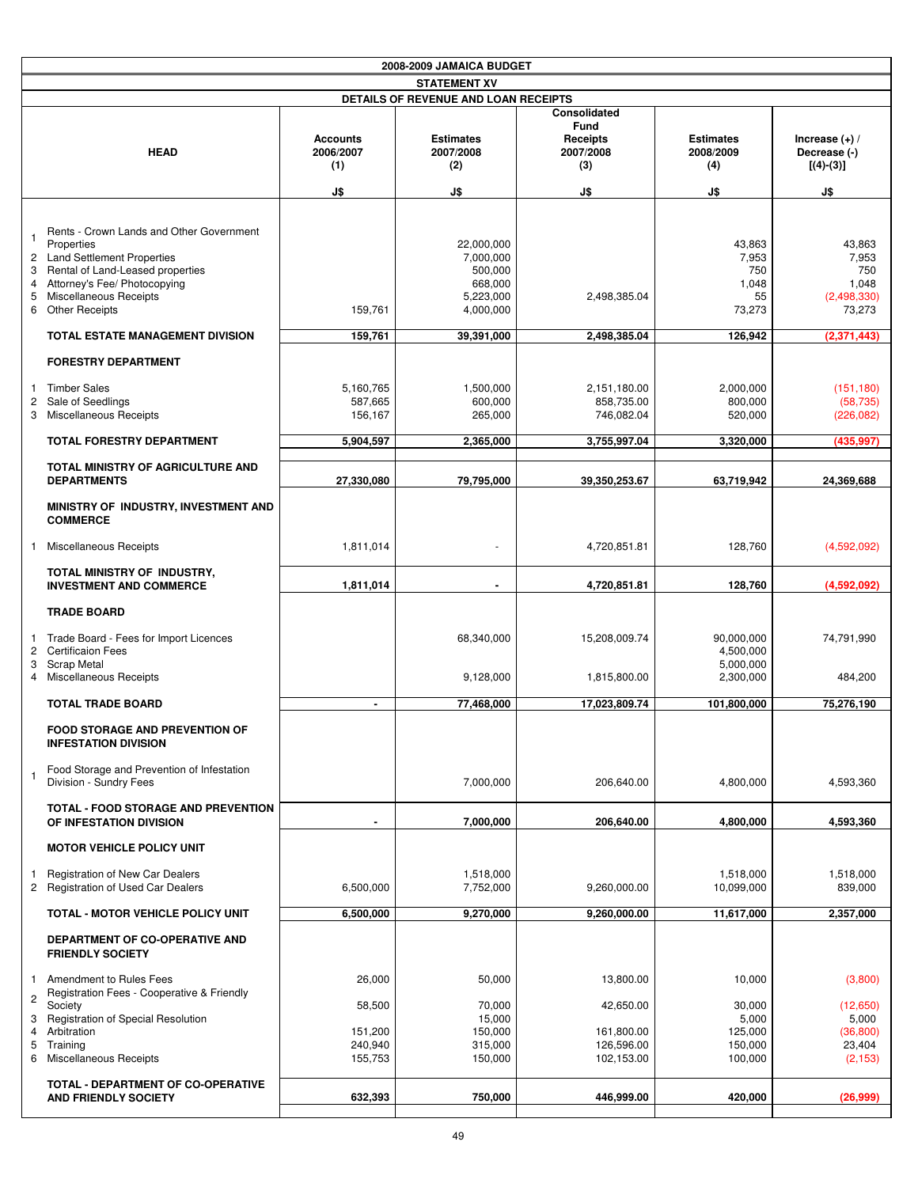|                                  |                                                                                                                                                                                                               |                                     | 2008-2009 JAMAICA BUDGET                                                |                                                                    |                                                   |                                                          |
|----------------------------------|---------------------------------------------------------------------------------------------------------------------------------------------------------------------------------------------------------------|-------------------------------------|-------------------------------------------------------------------------|--------------------------------------------------------------------|---------------------------------------------------|----------------------------------------------------------|
|                                  |                                                                                                                                                                                                               |                                     | <b>STATEMENT XV</b>                                                     |                                                                    |                                                   |                                                          |
|                                  |                                                                                                                                                                                                               |                                     | DETAILS OF REVENUE AND LOAN RECEIPTS                                    |                                                                    |                                                   |                                                          |
|                                  | <b>HEAD</b>                                                                                                                                                                                                   | <b>Accounts</b><br>2006/2007<br>(1) | <b>Estimates</b><br>2007/2008<br>(2)                                    | Consolidated<br><b>Fund</b><br><b>Receipts</b><br>2007/2008<br>(3) | <b>Estimates</b><br>2008/2009<br>(4)              | Increase $(+)$ /<br>Decrease (-)<br>$[(4)-(3)]$          |
|                                  |                                                                                                                                                                                                               | J\$                                 | J\$                                                                     | J\$                                                                | J\$                                               | J\$                                                      |
| $\mathbf{1}$<br>2<br>3<br>4<br>5 | Rents - Crown Lands and Other Government<br>Properties<br><b>Land Settlement Properties</b><br>Rental of Land-Leased properties<br>Attorney's Fee/ Photocopying<br>Miscellaneous Receipts<br>6 Other Receipts | 159,761                             | 22.000.000<br>7,000,000<br>500,000<br>668,000<br>5,223,000<br>4,000,000 | 2,498,385.04                                                       | 43,863<br>7,953<br>750<br>1,048<br>55<br>73,273   | 43,863<br>7,953<br>750<br>1,048<br>(2,498,330)<br>73,273 |
|                                  | TOTAL ESTATE MANAGEMENT DIVISION                                                                                                                                                                              | 159,761                             | 39,391,000                                                              | 2,498,385.04                                                       | 126,942                                           | (2,371,443)                                              |
|                                  | <b>FORESTRY DEPARTMENT</b>                                                                                                                                                                                    |                                     |                                                                         |                                                                    |                                                   |                                                          |
| $\mathbf{1}$<br>$\overline{c}$   | <b>Timber Sales</b><br>Sale of Seedlings<br>3 Miscellaneous Receipts                                                                                                                                          | 5.160.765<br>587,665<br>156,167     | 1,500,000<br>600,000<br>265,000                                         | 2.151.180.00<br>858,735.00<br>746,082.04                           | 2,000,000<br>800.000<br>520,000                   | (151, 180)<br>(58, 735)<br>(226, 082)                    |
|                                  | TOTAL FORESTRY DEPARTMENT                                                                                                                                                                                     | 5,904,597                           | 2,365,000                                                               | 3,755,997.04                                                       | 3,320,000                                         | (435,997                                                 |
|                                  | TOTAL MINISTRY OF AGRICULTURE AND<br><b>DEPARTMENTS</b>                                                                                                                                                       | 27,330,080                          | 79,795,000                                                              | 39.350.253.67                                                      | 63,719,942                                        | 24,369,688                                               |
|                                  | MINISTRY OF INDUSTRY, INVESTMENT AND<br><b>COMMERCE</b>                                                                                                                                                       |                                     |                                                                         |                                                                    |                                                   |                                                          |
| -1                               | Miscellaneous Receipts                                                                                                                                                                                        | 1,811,014                           |                                                                         | 4,720,851.81                                                       | 128,760                                           | (4,592,092)                                              |
|                                  | TOTAL MINISTRY OF INDUSTRY,<br><b>INVESTMENT AND COMMERCE</b>                                                                                                                                                 | 1,811,014                           |                                                                         | 4,720,851.81                                                       | 128,760                                           | (4,592,092)                                              |
|                                  | <b>TRADE BOARD</b>                                                                                                                                                                                            |                                     |                                                                         |                                                                    |                                                   |                                                          |
| 2<br>3                           | 1 Trade Board - Fees for Import Licences<br><b>Certificaion Fees</b><br><b>Scrap Metal</b><br>4 Miscellaneous Receipts                                                                                        |                                     | 68.340.000<br>9,128,000                                                 | 15,208,009.74<br>1,815,800.00                                      | 90,000,000<br>4,500,000<br>5,000,000<br>2,300,000 | 74,791,990<br>484,200                                    |
|                                  | <b>TOTAL TRADE BOARD</b>                                                                                                                                                                                      |                                     | 77,468,000                                                              | 17,023,809.74                                                      | 101,800,000                                       | 75,276,190                                               |
|                                  | <b>FOOD STORAGE AND PREVENTION OF</b><br><b>INFESTATION DIVISION</b>                                                                                                                                          |                                     |                                                                         |                                                                    |                                                   |                                                          |
| $\mathbf{1}$                     | Food Storage and Prevention of Infestation<br>Division - Sundry Fees                                                                                                                                          |                                     | 7,000,000                                                               | 206,640.00                                                         | 4,800,000                                         | 4,593,360                                                |
|                                  | TOTAL - FOOD STORAGE AND PREVENTION<br>OF INFESTATION DIVISION                                                                                                                                                |                                     | 7,000,000                                                               | 206,640.00                                                         | 4,800,000                                         | 4,593,360                                                |
|                                  | <b>MOTOR VEHICLE POLICY UNIT</b>                                                                                                                                                                              |                                     |                                                                         |                                                                    |                                                   |                                                          |
| -1                               | Registration of New Car Dealers<br>2 Registration of Used Car Dealers                                                                                                                                         | 6,500,000                           | 1,518,000<br>7,752,000                                                  | 9,260,000.00                                                       | 1,518,000<br>10,099,000                           | 1,518,000<br>839,000                                     |
|                                  | TOTAL - MOTOR VEHICLE POLICY UNIT                                                                                                                                                                             | 6,500,000                           | 9,270,000                                                               | 9,260,000.00                                                       | 11,617,000                                        | 2,357,000                                                |
|                                  | DEPARTMENT OF CO-OPERATIVE AND<br><b>FRIENDLY SOCIETY</b>                                                                                                                                                     |                                     |                                                                         |                                                                    |                                                   |                                                          |
| 1.<br>2                          | Amendment to Rules Fees<br>Registration Fees - Cooperative & Friendly                                                                                                                                         | 26,000                              | 50,000                                                                  | 13,800.00                                                          | 10,000                                            | (3,800)                                                  |
| 3                                | Society<br><b>Registration of Special Resolution</b>                                                                                                                                                          | 58,500                              | 70,000<br>15,000                                                        | 42,650.00                                                          | 30,000<br>5,000                                   | (12,650)<br>5,000                                        |
| 4<br>5                           | Arbitration<br>Training                                                                                                                                                                                       | 151,200<br>240,940                  | 150,000<br>315,000                                                      | 161,800.00<br>126,596.00                                           | 125,000<br>150,000                                | (36, 800)<br>23,404                                      |
|                                  | 6 Miscellaneous Receipts                                                                                                                                                                                      | 155,753                             | 150,000                                                                 | 102,153.00                                                         | 100,000                                           | (2, 153)                                                 |
|                                  | TOTAL - DEPARTMENT OF CO-OPERATIVE<br><b>AND FRIENDLY SOCIETY</b>                                                                                                                                             | 632,393                             | 750,000                                                                 | 446,999.00                                                         | 420,000                                           | (26,999)                                                 |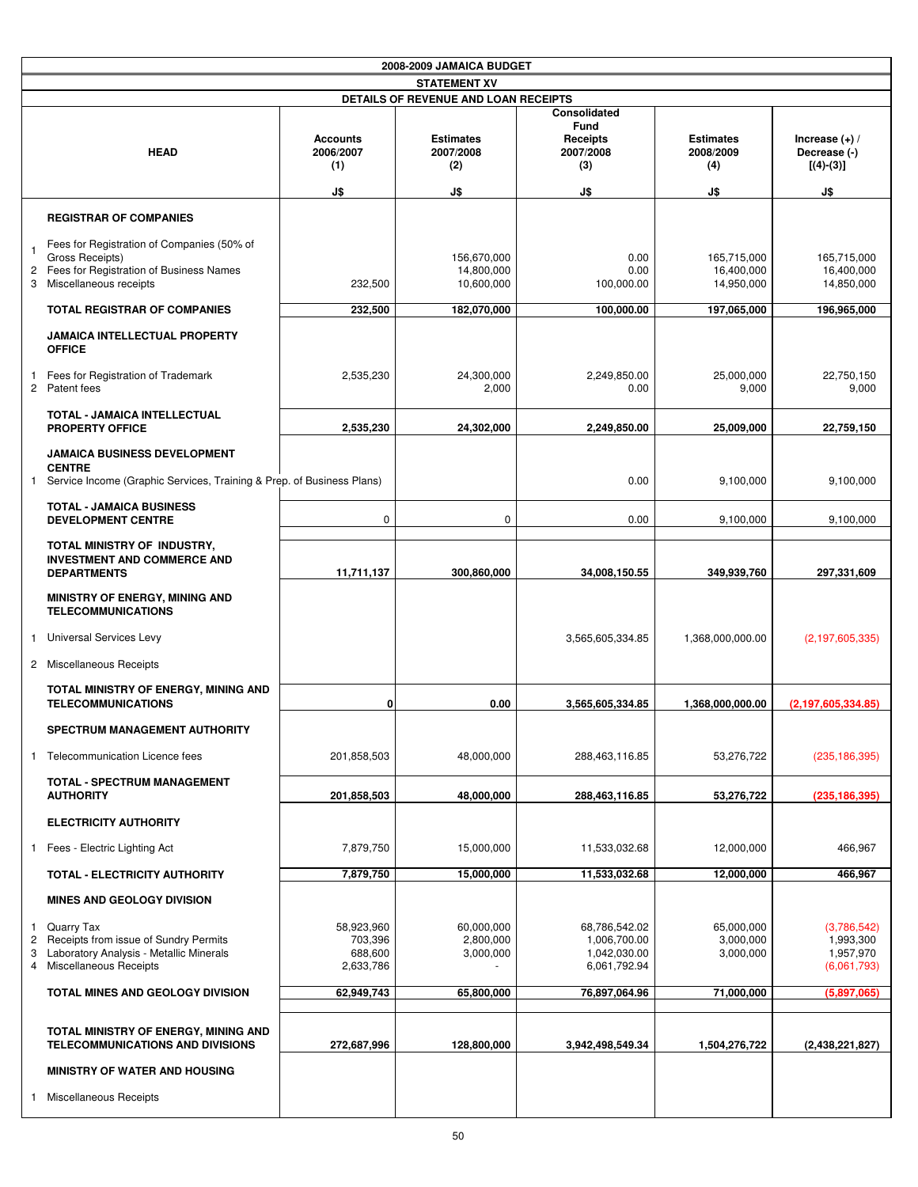|                      | 2008-2009 JAMAICA BUDGET                                                                                                           |                                               |                                             |                                                               |                                             |                                                        |  |  |
|----------------------|------------------------------------------------------------------------------------------------------------------------------------|-----------------------------------------------|---------------------------------------------|---------------------------------------------------------------|---------------------------------------------|--------------------------------------------------------|--|--|
|                      | <b>STATEMENT XV</b>                                                                                                                |                                               |                                             |                                                               |                                             |                                                        |  |  |
|                      | DETAILS OF REVENUE AND LOAN RECEIPTS                                                                                               |                                               |                                             |                                                               |                                             |                                                        |  |  |
|                      | <b>HEAD</b>                                                                                                                        | <b>Accounts</b><br>2006/2007<br>(1)<br>J\$    | <b>Estimates</b><br>2007/2008<br>(2)<br>J\$ | Consolidated<br>Fund<br>Receipts<br>2007/2008<br>(3)<br>J\$   | <b>Estimates</b><br>2008/2009<br>(4)<br>J\$ | Increase $(+)$ /<br>Decrease (-)<br>$[(4)-(3)]$<br>J\$ |  |  |
|                      |                                                                                                                                    |                                               |                                             |                                                               |                                             |                                                        |  |  |
|                      | <b>REGISTRAR OF COMPANIES</b>                                                                                                      |                                               |                                             |                                                               |                                             |                                                        |  |  |
| -1<br>2<br>3         | Fees for Registration of Companies (50% of<br>Gross Receipts)<br>Fees for Registration of Business Names<br>Miscellaneous receipts | 232,500                                       | 156,670,000<br>14,800,000<br>10,600,000     | 0.00<br>0.00<br>100,000.00                                    | 165,715,000<br>16,400,000<br>14,950,000     | 165,715,000<br>16,400,000<br>14,850,000                |  |  |
|                      | <b>TOTAL REGISTRAR OF COMPANIES</b>                                                                                                | 232,500                                       | 182,070,000                                 | 100,000.00                                                    | 197,065,000                                 | 196,965,000                                            |  |  |
|                      | <b>JAMAICA INTELLECTUAL PROPERTY</b><br><b>OFFICE</b>                                                                              |                                               |                                             |                                                               |                                             |                                                        |  |  |
| -1<br>$\overline{c}$ | Fees for Registration of Trademark<br>Patent fees                                                                                  | 2,535,230                                     | 24,300,000<br>2,000                         | 2,249,850.00<br>0.00                                          | 25,000,000<br>9,000                         | 22,750,150<br>9,000                                    |  |  |
|                      | TOTAL - JAMAICA INTELLECTUAL<br><b>PROPERTY OFFICE</b>                                                                             | 2,535,230                                     | 24,302,000                                  | 2,249,850.00                                                  | 25,009,000                                  | 22,759,150                                             |  |  |
| $\mathbf{1}$         | <b>JAMAICA BUSINESS DEVELOPMENT</b><br><b>CENTRE</b><br>Service Income (Graphic Services, Training & Prep. of Business Plans)      |                                               |                                             | 0.00                                                          | 9,100,000                                   | 9,100,000                                              |  |  |
|                      | <b>TOTAL - JAMAICA BUSINESS</b><br><b>DEVELOPMENT CENTRE</b>                                                                       | 0                                             | 0                                           | 0.00                                                          | 9,100,000                                   | 9,100,000                                              |  |  |
|                      | TOTAL MINISTRY OF INDUSTRY,<br><b>INVESTMENT AND COMMERCE AND</b><br><b>DEPARTMENTS</b>                                            | 11,711,137                                    | 300,860,000                                 | 34,008,150.55                                                 | 349,939,760                                 | 297,331,609                                            |  |  |
|                      | <b>MINISTRY OF ENERGY, MINING AND</b><br><b>TELECOMMUNICATIONS</b><br>1 Universal Services Levy<br>2 Miscellaneous Receipts        |                                               |                                             | 3,565,605,334.85                                              | 1,368,000,000.00                            | (2, 197, 605, 335)                                     |  |  |
|                      |                                                                                                                                    |                                               |                                             |                                                               |                                             |                                                        |  |  |
|                      | TOTAL MINISTRY OF ENERGY, MINING AND<br><b>TELECOMMUNICATIONS</b>                                                                  | 0                                             | 0.00                                        | 3,565,605,334.85                                              | 1,368,000,000.00                            | (2, 197, 605, 334.85)                                  |  |  |
|                      | SPECTRUM MANAGEMENT AUTHORITY                                                                                                      |                                               |                                             |                                                               |                                             |                                                        |  |  |
|                      | 1 Telecommunication Licence fees                                                                                                   | 201,858,503                                   | 48,000,000                                  | 288,463,116.85                                                | 53,276,722                                  | (235, 186, 395)                                        |  |  |
|                      | <b>TOTAL - SPECTRUM MANAGEMENT</b><br><b>AUTHORITY</b>                                                                             | 201,858,503                                   | 48,000,000                                  | 288,463,116.85                                                | 53,276,722                                  | (235, 186, 395)                                        |  |  |
|                      | <b>ELECTRICITY AUTHORITY</b>                                                                                                       |                                               |                                             |                                                               |                                             |                                                        |  |  |
| $\mathbf{1}$         | Fees - Electric Lighting Act                                                                                                       | 7,879,750                                     | 15,000,000                                  | 11,533,032.68                                                 | 12,000,000                                  | 466,967                                                |  |  |
|                      | TOTAL - ELECTRICITY AUTHORITY                                                                                                      | 7,879,750                                     | 15,000,000                                  | 11,533,032.68                                                 | 12,000,000                                  | 466,967                                                |  |  |
|                      | <b>MINES AND GEOLOGY DIVISION</b>                                                                                                  |                                               |                                             |                                                               |                                             |                                                        |  |  |
| $\mathbf{1}$<br>3    | Quarry Tax<br>2 Receipts from issue of Sundry Permits<br>Laboratory Analysis - Metallic Minerals<br>4 Miscellaneous Receipts       | 58,923,960<br>703,396<br>688,600<br>2,633,786 | 60,000,000<br>2,800,000<br>3,000,000        | 68,786,542.02<br>1,006,700.00<br>1,042,030.00<br>6,061,792.94 | 65,000,000<br>3,000,000<br>3,000,000        | (3,786,542)<br>1,993,300<br>1,957,970<br>(6,061,793)   |  |  |
|                      | <b>TOTAL MINES AND GEOLOGY DIVISION</b>                                                                                            | 62,949,743                                    | 65,800,000                                  | 76,897,064.96                                                 | 71,000,000                                  | (5,897,065)                                            |  |  |
|                      | TOTAL MINISTRY OF ENERGY, MINING AND<br><b>TELECOMMUNICATIONS AND DIVISIONS</b>                                                    | 272,687,996                                   | 128,800,000                                 | 3,942,498,549.34                                              | 1,504,276,722                               | (2,438,221,827)                                        |  |  |
|                      | <b>MINISTRY OF WATER AND HOUSING</b>                                                                                               |                                               |                                             |                                                               |                                             |                                                        |  |  |
|                      | 1 Miscellaneous Receipts                                                                                                           |                                               |                                             |                                                               |                                             |                                                        |  |  |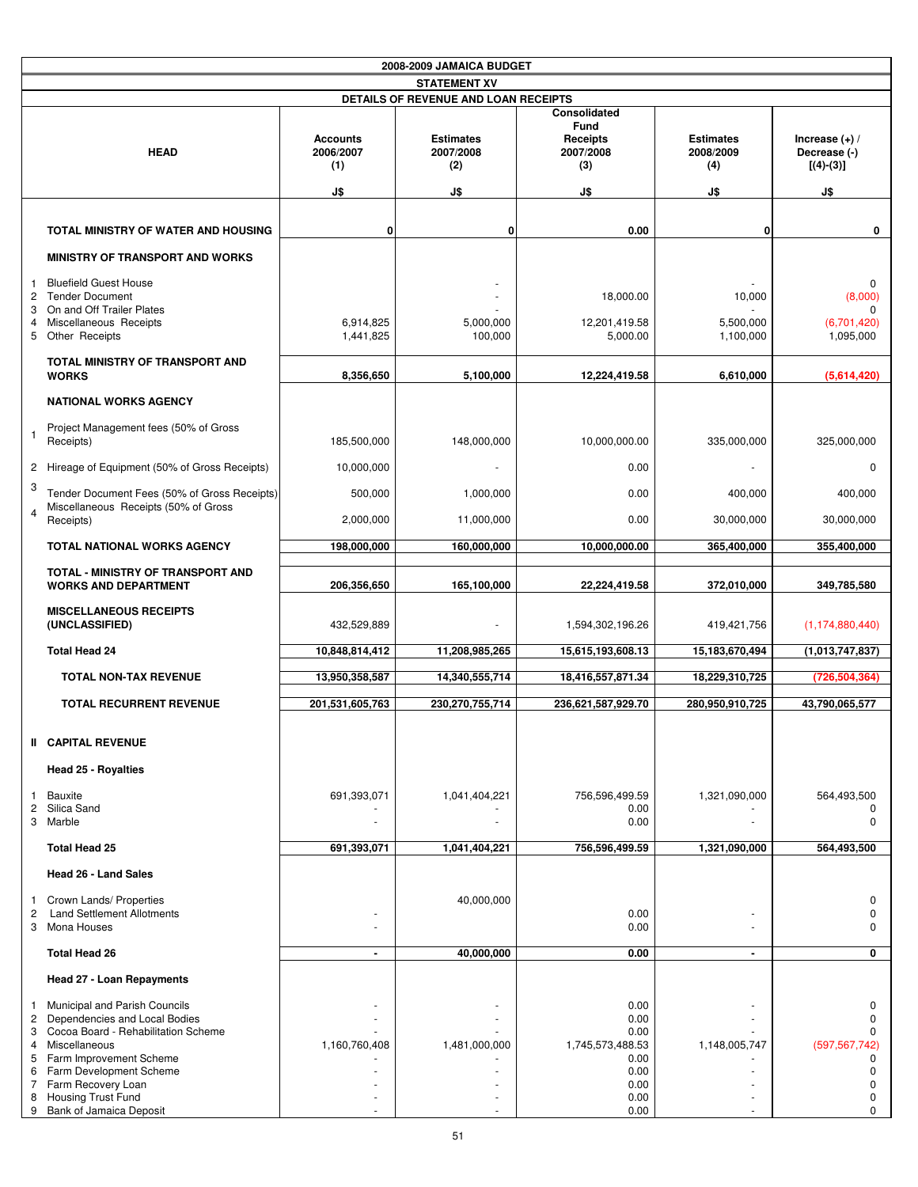|                     | 2008-2009 JAMAICA BUDGET                                                                                                                                                                                                               |                                     |                                      |                                                                          |                                      |                                                                                                   |  |  |
|---------------------|----------------------------------------------------------------------------------------------------------------------------------------------------------------------------------------------------------------------------------------|-------------------------------------|--------------------------------------|--------------------------------------------------------------------------|--------------------------------------|---------------------------------------------------------------------------------------------------|--|--|
|                     | <b>STATEMENT XV</b>                                                                                                                                                                                                                    |                                     |                                      |                                                                          |                                      |                                                                                                   |  |  |
|                     | DETAILS OF REVENUE AND LOAN RECEIPTS                                                                                                                                                                                                   |                                     |                                      |                                                                          |                                      |                                                                                                   |  |  |
|                     | <b>HEAD</b>                                                                                                                                                                                                                            | <b>Accounts</b><br>2006/2007<br>(1) | <b>Estimates</b><br>2007/2008<br>(2) | Consolidated<br><b>Fund</b><br>Receipts<br>2007/2008<br>(3)              | <b>Estimates</b><br>2008/2009<br>(4) | Increase $(+)$ /<br>Decrease (-)<br>$[(4)-(3)]$                                                   |  |  |
|                     |                                                                                                                                                                                                                                        | J\$                                 | J\$                                  | J\$                                                                      | J\$                                  | J\$                                                                                               |  |  |
|                     | TOTAL MINISTRY OF WATER AND HOUSING                                                                                                                                                                                                    | 0                                   | 0                                    | 0.00                                                                     | 0                                    | 0                                                                                                 |  |  |
|                     | <b>MINISTRY OF TRANSPORT AND WORKS</b>                                                                                                                                                                                                 |                                     |                                      |                                                                          |                                      |                                                                                                   |  |  |
| 1<br>3<br>4         | <b>Bluefield Guest House</b><br>2 Tender Document<br>On and Off Trailer Plates<br>Miscellaneous Receipts<br>5 Other Receipts                                                                                                           | 6,914,825<br>1,441,825              | 5,000,000<br>100,000                 | 18,000.00<br>12,201,419.58<br>5,000.00                                   | 10,000<br>5,500,000<br>1,100,000     | $\mathbf 0$<br>(8,000)<br>$\Omega$<br>(6,701,420)<br>1,095,000                                    |  |  |
|                     | <b>TOTAL MINISTRY OF TRANSPORT AND</b><br><b>WORKS</b>                                                                                                                                                                                 | 8,356,650                           | 5,100,000                            | 12,224,419.58                                                            | 6,610,000                            | (5,614,420)                                                                                       |  |  |
|                     | <b>NATIONAL WORKS AGENCY</b>                                                                                                                                                                                                           |                                     |                                      |                                                                          |                                      |                                                                                                   |  |  |
|                     | Project Management fees (50% of Gross<br>Receipts)                                                                                                                                                                                     | 185,500,000                         | 148,000,000                          | 10,000,000.00                                                            | 335,000,000                          | 325,000,000                                                                                       |  |  |
|                     | 2 Hireage of Equipment (50% of Gross Receipts)                                                                                                                                                                                         | 10,000,000                          |                                      | 0.00                                                                     |                                      | $\Omega$                                                                                          |  |  |
| 3                   | Tender Document Fees (50% of Gross Receipts)<br>Miscellaneous Receipts (50% of Gross                                                                                                                                                   | 500,000                             | 1,000,000                            | 0.00                                                                     | 400,000                              | 400,000                                                                                           |  |  |
| 4                   | Receipts)                                                                                                                                                                                                                              | 2,000,000                           | 11,000,000                           | 0.00                                                                     | 30,000,000                           | 30,000,000                                                                                        |  |  |
|                     | <b>TOTAL NATIONAL WORKS AGENCY</b>                                                                                                                                                                                                     | 198,000,000                         | 160,000,000                          | 10,000,000.00                                                            | 365,400,000                          | 355,400,000                                                                                       |  |  |
|                     | <b>TOTAL - MINISTRY OF TRANSPORT AND</b><br><b>WORKS AND DEPARTMENT</b>                                                                                                                                                                | 206,356,650                         | 165,100,000                          | 22,224,419.58                                                            | 372,010,000                          | 349,785,580                                                                                       |  |  |
|                     | <b>MISCELLANEOUS RECEIPTS</b><br>(UNCLASSIFIED)                                                                                                                                                                                        | 432,529,889                         |                                      | 1,594,302,196.26                                                         | 419,421,756                          | (1, 174, 880, 440)                                                                                |  |  |
|                     | <b>Total Head 24</b>                                                                                                                                                                                                                   | 10,848,814,412                      | 11,208,985,265                       | 15,615,193,608.13                                                        | 15,183,670,494                       | (1,013,747,837)                                                                                   |  |  |
|                     | <b>TOTAL NON-TAX REVENUE</b>                                                                                                                                                                                                           | 13,950,358,587                      | 14,340,555,714                       | 18,416,557,871.34                                                        | 18,229,310,725                       | (726,504,364)                                                                                     |  |  |
|                     | <b>TOTAL RECURRENT REVENUE</b>                                                                                                                                                                                                         | 201,531,605,763                     | 230,270,755,714                      | 236,621,587,929.70                                                       | 280.950.910.725                      | 43,790,065,577                                                                                    |  |  |
|                     | <b>II CAPITAL REVENUE</b>                                                                                                                                                                                                              |                                     |                                      |                                                                          |                                      |                                                                                                   |  |  |
|                     | <b>Head 25 - Royalties</b>                                                                                                                                                                                                             |                                     |                                      |                                                                          |                                      |                                                                                                   |  |  |
| $\mathbf{1}$        | Bauxite<br>2 Silica Sand                                                                                                                                                                                                               | 691,393,071                         | 1,041,404,221                        | 756,596,499.59<br>0.00                                                   | 1,321,090,000                        | 564,493,500<br>0                                                                                  |  |  |
|                     | 3 Marble                                                                                                                                                                                                                               |                                     |                                      | 0.00                                                                     |                                      | $\mathbf 0$                                                                                       |  |  |
|                     | <b>Total Head 25</b>                                                                                                                                                                                                                   | 691,393,071                         | 1,041,404,221                        | 756,596,499.59                                                           | 1,321,090,000                        | 564,493,500                                                                                       |  |  |
|                     | Head 26 - Land Sales                                                                                                                                                                                                                   |                                     |                                      |                                                                          |                                      |                                                                                                   |  |  |
| 1<br>$\overline{c}$ | Crown Lands/ Properties<br><b>Land Settlement Allotments</b><br>3 Mona Houses                                                                                                                                                          |                                     | 40,000,000                           | 0.00<br>0.00                                                             |                                      | $\mathbf 0$<br>$\mathbf 0$<br>$\Omega$                                                            |  |  |
|                     | <b>Total Head 26</b>                                                                                                                                                                                                                   | $\blacksquare$                      | 40,000,000                           | 0.00                                                                     | $\blacksquare$                       | 0                                                                                                 |  |  |
|                     | <b>Head 27 - Loan Repayments</b>                                                                                                                                                                                                       |                                     |                                      |                                                                          |                                      |                                                                                                   |  |  |
| 2                   | 1 Municipal and Parish Councils<br>Dependencies and Local Bodies<br>3 Cocoa Board - Rehabilitation Scheme<br>4 Miscellaneous<br>5 Farm Improvement Scheme<br>6 Farm Development Scheme<br>7 Farm Recovery Loan<br>8 Housing Trust Fund | 1,160,760,408                       | 1,481,000,000                        | 0.00<br>0.00<br>0.00<br>1,745,573,488.53<br>0.00<br>0.00<br>0.00<br>0.00 | 1,148,005,747                        | 0<br>$\mathbf 0$<br>$\Omega$<br>(597, 567, 742)<br>0<br>$\mathbf 0$<br>$\mathbf 0$<br>$\mathbf 0$ |  |  |
|                     | 9 Bank of Jamaica Deposit                                                                                                                                                                                                              |                                     |                                      | 0.00                                                                     |                                      | $\mathbf 0$                                                                                       |  |  |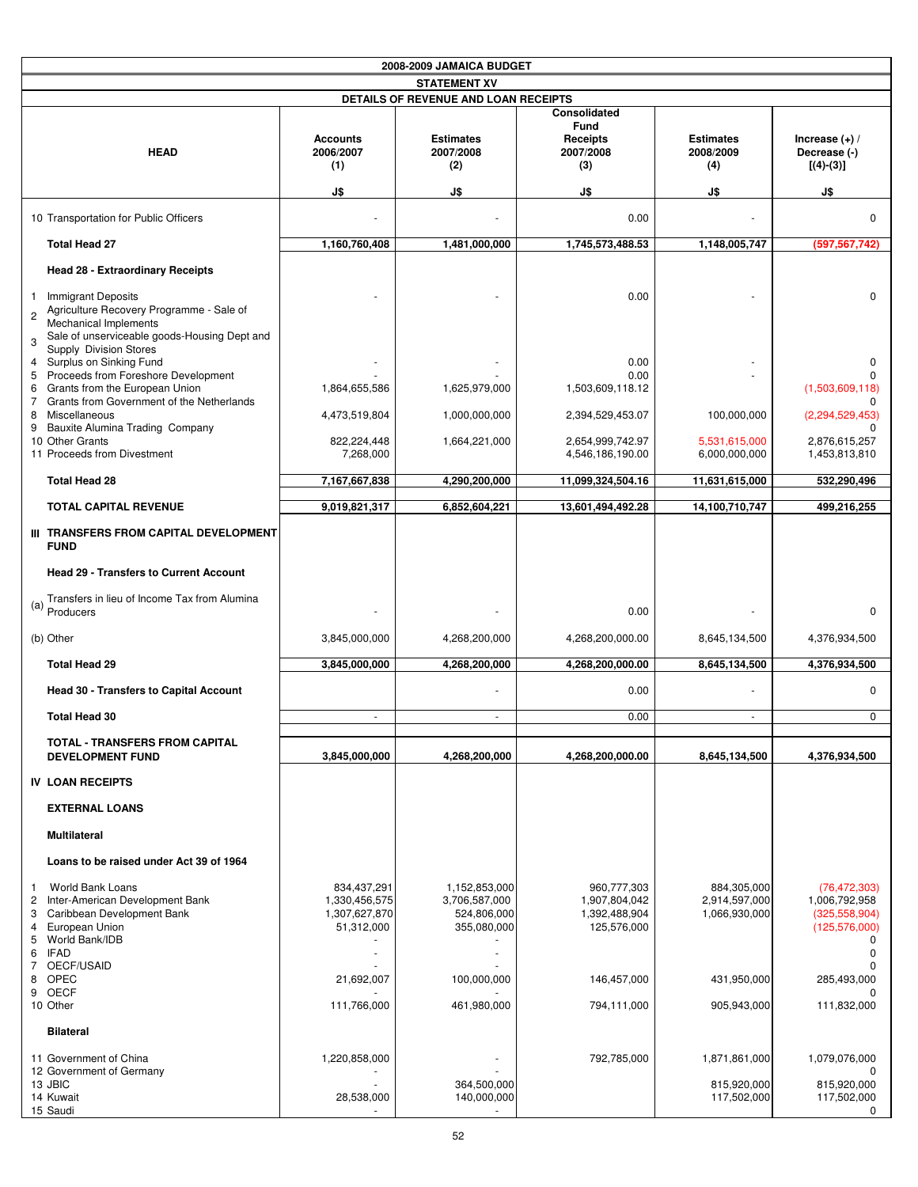| 2008-2009 JAMAICA BUDGET                                                                                                                                                                                           |                                                             |                                                              |                                                              |                                               |                                                                                                              |  |
|--------------------------------------------------------------------------------------------------------------------------------------------------------------------------------------------------------------------|-------------------------------------------------------------|--------------------------------------------------------------|--------------------------------------------------------------|-----------------------------------------------|--------------------------------------------------------------------------------------------------------------|--|
|                                                                                                                                                                                                                    |                                                             | <b>STATEMENT XV</b>                                          |                                                              |                                               |                                                                                                              |  |
|                                                                                                                                                                                                                    |                                                             | DETAILS OF REVENUE AND LOAN RECEIPTS                         |                                                              |                                               |                                                                                                              |  |
| <b>HEAD</b>                                                                                                                                                                                                        | <b>Accounts</b><br>2006/2007<br>(1)                         | <b>Estimates</b><br>2007/2008<br>(2)                         | <b>Consolidated</b><br>Fund<br>Receipts<br>2007/2008<br>(3)  | <b>Estimates</b><br>2008/2009<br>(4)          | Increase $(+)$ /<br>Decrease (-)<br>$[(4)-(3)]$                                                              |  |
|                                                                                                                                                                                                                    | J\$                                                         | J\$                                                          | J\$                                                          | J\$                                           | J\$                                                                                                          |  |
| 10 Transportation for Public Officers                                                                                                                                                                              |                                                             |                                                              | 0.00                                                         |                                               | $\mathbf 0$                                                                                                  |  |
| <b>Total Head 27</b>                                                                                                                                                                                               | 1,160,760,408                                               | 1,481,000,000                                                | 1,745,573,488.53                                             | 1,148,005,747                                 | (597,567,742                                                                                                 |  |
| Head 28 - Extraordinary Receipts                                                                                                                                                                                   |                                                             |                                                              |                                                              |                                               |                                                                                                              |  |
| <b>Immigrant Deposits</b><br>1<br>Agriculture Recovery Programme - Sale of<br>$\overline{2}$<br><b>Mechanical Implements</b><br>Sale of unserviceable goods-Housing Dept and<br>3<br><b>Supply Division Stores</b> |                                                             |                                                              | 0.00                                                         |                                               | $\mathbf 0$                                                                                                  |  |
| Surplus on Sinking Fund<br>4<br>5 Proceeds from Foreshore Development                                                                                                                                              |                                                             |                                                              | 0.00<br>0.00                                                 |                                               | $\Omega$<br>n                                                                                                |  |
| Grants from the European Union<br>6                                                                                                                                                                                | 1,864,655,586                                               | 1,625,979,000                                                | 1,503,609,118.12                                             |                                               | (1,503,609,118)                                                                                              |  |
| Grants from Government of the Netherlands<br>$7^{\circ}$<br>Miscellaneous<br>8<br>Bauxite Alumina Trading Company<br>9                                                                                             | 4,473,519,804                                               | 1,000,000,000                                                | 2,394,529,453.07                                             | 100,000,000                                   | <sup>0</sup><br>(2, 294, 529, 453)                                                                           |  |
| 10 Other Grants<br>11 Proceeds from Divestment                                                                                                                                                                     | 822,224,448<br>7,268,000                                    | 1,664,221,000                                                | 2,654,999,742.97<br>4,546,186,190.00                         | 5,531,615,000<br>6,000,000,000                | 2,876,615,257<br>1,453,813,810                                                                               |  |
| <b>Total Head 28</b>                                                                                                                                                                                               | 7,167,667,838                                               | 4,290,200,000                                                | 11,099,324,504.16                                            | 11,631,615,000                                | 532,290,496                                                                                                  |  |
| <b>TOTAL CAPITAL REVENUE</b>                                                                                                                                                                                       | 9,019,821,317                                               | 6,852,604,221                                                | 13,601,494,492.28                                            | 14,100,710,747                                | 499,216,255                                                                                                  |  |
| III TRANSFERS FROM CAPITAL DEVELOPMENT<br><b>FUND</b>                                                                                                                                                              |                                                             |                                                              |                                                              |                                               |                                                                                                              |  |
| <b>Head 29 - Transfers to Current Account</b>                                                                                                                                                                      |                                                             |                                                              |                                                              |                                               |                                                                                                              |  |
| Transfers in lieu of Income Tax from Alumina<br>$(a)$ Producers                                                                                                                                                    |                                                             |                                                              | 0.00                                                         |                                               | $\mathbf 0$                                                                                                  |  |
| (b) Other                                                                                                                                                                                                          | 3,845,000,000                                               | 4,268,200,000                                                | 4,268,200,000.00                                             | 8,645,134,500                                 | 4,376,934,500                                                                                                |  |
| <b>Total Head 29</b>                                                                                                                                                                                               | 3,845,000,000                                               | 4,268,200,000                                                | 4,268,200,000.00                                             | 8,645,134,500                                 | 4,376,934,500                                                                                                |  |
| <b>Head 30 - Transfers to Capital Account</b>                                                                                                                                                                      |                                                             |                                                              | 0.00                                                         |                                               | $\mathbf 0$                                                                                                  |  |
| <b>Total Head 30</b>                                                                                                                                                                                               | ÷.                                                          | ÷                                                            | 0.00                                                         |                                               | $\mathbf 0$                                                                                                  |  |
| <b>TOTAL - TRANSFERS FROM CAPITAL</b><br><b>DEVELOPMENT FUND</b>                                                                                                                                                   | 3,845,000,000                                               | 4,268,200,000                                                | 4,268,200,000.00                                             | 8,645,134,500                                 | 4,376,934,500                                                                                                |  |
| <b>IV LOAN RECEIPTS</b>                                                                                                                                                                                            |                                                             |                                                              |                                                              |                                               |                                                                                                              |  |
| <b>EXTERNAL LOANS</b>                                                                                                                                                                                              |                                                             |                                                              |                                                              |                                               |                                                                                                              |  |
| <b>Multilateral</b>                                                                                                                                                                                                |                                                             |                                                              |                                                              |                                               |                                                                                                              |  |
| Loans to be raised under Act 39 of 1964                                                                                                                                                                            |                                                             |                                                              |                                                              |                                               |                                                                                                              |  |
| World Bank Loans<br>$\mathbf{1}$<br>Inter-American Development Bank<br>2<br>Caribbean Development Bank<br>3<br>European Union<br>4<br>World Bank/IDB<br>5<br>6<br><b>IFAD</b><br>OECF/USAID<br>7                   | 834,437,291<br>1,330,456,575<br>1,307,627,870<br>51,312,000 | 1,152,853,000<br>3,706,587,000<br>524,806,000<br>355,080,000 | 960,777,303<br>1,907,804,042<br>1,392,488,904<br>125,576,000 | 884,305,000<br>2,914,597,000<br>1,066,930,000 | (76, 472, 303)<br>1,006,792,958<br>(325, 558, 904)<br>(125, 576, 000)<br>$\Omega$<br>$\mathbf 0$<br>$\Omega$ |  |
| 8 OPEC                                                                                                                                                                                                             | 21,692,007                                                  | 100,000,000                                                  | 146,457,000                                                  | 431,950,000                                   | 285,493,000                                                                                                  |  |
| 9 OECF<br>10 Other                                                                                                                                                                                                 | 111,766,000                                                 | 461,980,000                                                  | 794,111,000                                                  | 905,943,000                                   | $\Omega$<br>111,832,000                                                                                      |  |
| <b>Bilateral</b>                                                                                                                                                                                                   |                                                             |                                                              |                                                              |                                               |                                                                                                              |  |
| 11 Government of China<br>12 Government of Germany<br>13 JBIC<br>14 Kuwait<br>15 Saudi                                                                                                                             | 1,220,858,000<br>28,538,000                                 | 364,500,000<br>140,000,000                                   | 792,785,000                                                  | 1,871,861,000<br>815,920,000<br>117,502,000   | 1,079,076,000<br>0<br>815,920,000<br>117,502,000<br>$\mathbf{0}$                                             |  |